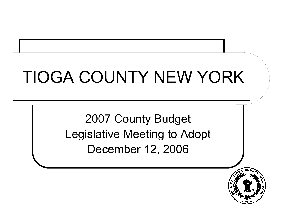# TIOGA COUNTY NEW YORK2007 County Budget Legislative Meeting to Adopt December 12, 2006

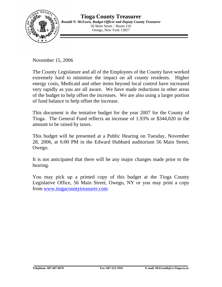

November 15, 2006

The County Legislature and all of the Employees of the County have worked extremely hard to minimize the impact on all county residents. Higher energy costs, Medicaid and other items beyond local control have increased very rapidly as you are all aware. We have made reductions in other areas of the budget to help offset the increases. We are also using a larger portion of fund balance to help offset the increase.

This document is the tentative budget for the year 2007 for the County of Tioga. The General Fund reflects an increase of 1.93% or \$344,020 in the amount to be raised by taxes.

This budget will be presented at a Public Hearing on Tuesday, November 28, 2006, at 6:00 PM in the Edward Hubbard auditorium 56 Main Street, Owego.

It is not anticipated that there will be any major changes made prior to the hearing.

You may pick up a printed copy of this budget at the Tioga County Legislative Office, 56 Main Street, Owego, NY or you may print a copy from www.tiogacountytreasurer.com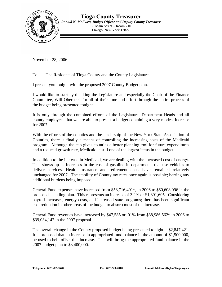

November 28, 2006

To: The Residents of Tioga County and the County Legislature

I present you tonight with the proposed 2007 County Budget plan.

I would like to start by thanking the Legislature and especially the Chair of the Finance Committee, Will Oberbeck for all of their time and effort through the entire process of the budget being presented tonight.

It is only through the combined efforts of the Legislature, Department Heads and all county employees that we are able to present a budget containing a very modest increase for 2007.

With the efforts of the counties and the leadership of the New York State Association of Counties, there is finally a means of controlling the increasing costs of the Medicaid program. Although the cap gives counties a better planning tool for future expenditures and a reduced growth rate, Medicaid is still one of the largest items in the budget.

In addition to the increase in Medicaid, we are dealing with the increased cost of energy. This shows up as increases in the cost of gasoline in departments that use vehicles to deliver services. Health insurance and retirement costs have remained relatively unchanged for 2007. The stability of County tax rates once again is possible; barring any additional burdens being imposed.

General Fund expenses have increased from \$58,716,491\*, in 2006 to \$60,608,096 in the proposed spending plan. This represents an increase of 3.2% or \$1,891,605. Considering payroll increases, energy costs, and increased state programs; there has been significant cost reduction in other areas of the budget to absorb most of the increase.

General Fund revenues have increased by \$47,585 or .01% from \$38,986,562\* in 2006 to \$39,034,147 in the 2007 proposal.

The overall change in the County proposed budget being presented tonight is \$2,847,421. It is proposed that an increase in appropriated fund balance in the amount of \$1,500,000, be used to help offset this increase. This will bring the appropriated fund balance in the 2007 budget plan to \$3,400,000.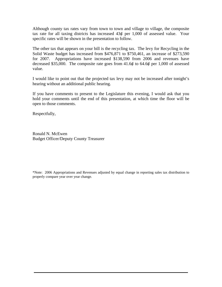Although county tax rates vary from town to town and village to village, the composite tax rate for all taxing districts has increased  $43¢$  per 1,000 of assessed value. Your specific rates will be shown in the presentation to follow.

The other tax that appears on your bill is the recycling tax. The levy for Recycling in the Solid Waste budget has increased from \$476,871 to \$750,461, an increase of \$273,590 for 2007. Appropriations have increased \$138,590 from 2006 and revenues have decreased \$35,000. The composite rate goes from 41.6¢ to 64.6¢ per 1,000 of assessed value.

I would like to point out that the projected tax levy may not be increased after tonight's hearing without an additional public hearing.

If you have comments to present to the Legislature this evening, I would ask that you hold your comments until the end of this presentation, at which time the floor will be open to those comments.

Respectfully,

Ronald N. McEwen Budget Officer/Deputy County Treasurer

\*Note: 2006 Appropriations and Revenues adjusted by equal change in reporting sales tax distribution to properly compare year over year change.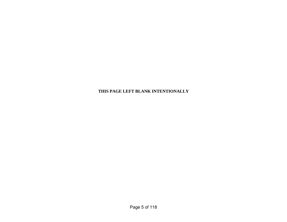#### **THIS PAGE LEFT BLANK INTENTIONALLY**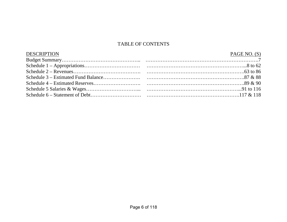### TABLE OF CONTENTS

| <b>DESCRIPTION</b> | PAGE NO. $(S)$ |
|--------------------|----------------|
|                    |                |
|                    |                |
|                    |                |
|                    |                |
|                    |                |
|                    |                |
|                    |                |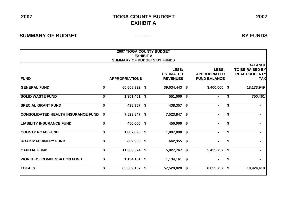## **TIOGA COUNTY BUDGET EXHIBIT A**

**----------**

#### **SUMMARY OF BUDGET**

**BY FUNDS**

|                                           | <b>2007 TIOGA COUNTY BUDGET</b><br><b>EXHIBIT A</b> |                                                     |                                                     |                                                                                |
|-------------------------------------------|-----------------------------------------------------|-----------------------------------------------------|-----------------------------------------------------|--------------------------------------------------------------------------------|
|                                           | <b>SUMMARY OF BUDGETS BY FUNDS</b>                  |                                                     |                                                     |                                                                                |
| <b>FUND</b>                               | <b>APPROPRIATIONS</b>                               | <b>LESS:</b><br><b>ESTIMATED</b><br><b>REVENUES</b> | LESS:<br><b>APPROPRIATED</b><br><b>FUND BALANCE</b> | <b>BALANCE</b><br><b>TO BE RAISED BY</b><br><b>REAL PROPERTY</b><br><b>TAX</b> |
| <b>GENERAL FUND</b>                       | \$<br>60,608,392 \$                                 | 39,034,443 \$                                       | 3,400,000 \$                                        | 18,173,949                                                                     |
| <b>SOLID WASTE FUND</b>                   | \$<br>$1,301,461$ \$                                | 551,000 \$                                          | $\blacksquare$                                      | \$<br>750,461                                                                  |
| <b>SPECIAL GRANT FUND</b>                 | \$<br>438,357 \$                                    | 438,357 \$                                          | $\blacksquare$                                      | \$<br>۰.                                                                       |
| <b>CONSOLIDATED HEALTH INSURANCE FUND</b> | \$<br>7,523,847 \$                                  | 7,523,847 \$                                        | $\blacksquare$                                      | \$                                                                             |
| <b>LIABILITY INSURANCE FUND</b>           | \$<br>450,000 \$                                    | 450,000 \$                                          | $\blacksquare$                                      | \$                                                                             |
| <b>COUNTY ROAD FUND</b>                   | \$<br>1,807,090 \$                                  | 1,807,090 \$                                        | $\blacksquare$                                      | \$<br>۰.                                                                       |
| <b>ROAD MACHINERY FUND</b>                | \$<br>662,355 \$                                    | 662,355 \$                                          | $\blacksquare$                                      | \$<br>$\blacksquare$                                                           |
| <b>CAPITAL FUND</b>                       | \$<br>$11,383,524$ \$                               | 5,927,767 \$                                        | 5,455,757 \$                                        |                                                                                |
| <b>WORKERS' COMPENSATION FUND</b>         | \$<br>1,134,161 \$                                  | 1,134,161 \$                                        | $\blacksquare$                                      | \$                                                                             |
| <b>TOTALS</b>                             | \$<br>85,309,187 \$                                 | 57,529,020 \$                                       | 8,855,757 \$                                        | 18,924,410                                                                     |

 **2007**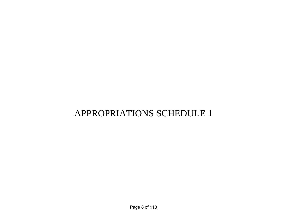# APPROPRIATIONS SCHEDULE 1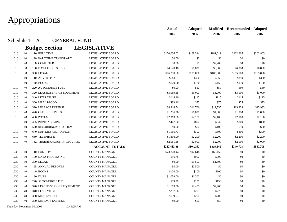## Appropriations

|                |    |                              |                          | <b>Actual</b> | <b>Adopted</b> | <b>Modified</b> | Recommended Adopted |           |
|----------------|----|------------------------------|--------------------------|---------------|----------------|-----------------|---------------------|-----------|
|                |    |                              |                          | 2005          | 2006           | 2006            | 2007                | 2007      |
| Schedule 1 - A |    | <b>GENERAL FUND</b>          |                          |               |                |                 |                     |           |
|                |    | <b>Budget Section</b>        | <b>LEGISLATIVE</b>       |               |                |                 |                     |           |
| 1010           | 10 | 10 FULL TIME                 | <b>LEGISLATIVE BOARD</b> | \$170,036.02  | \$168,314      | \$181,019       | \$202,805           | \$202,805 |
| 1010           | 10 | 20 PART TIME/TEMPORARY       | <b>LEGISLATIVE BOARD</b> | \$0.00        | \$0            | \$0             | \$0                 | \$0       |
| 1010           | 20 | 90 COMPUTER                  | <b>LEGISLATIVE BOARD</b> | \$0.00        | \$0            | \$2,200         | \$0                 | \$0       |
| 1010           | 30 | 100 DATA PROCESSING          | LEGISLATIVE BOARD        | \$4,628.48    | \$6,800        | \$6,800         | \$6,800             | \$6,800   |
| 1010           | 30 | 300 LEGAL                    | <b>LEGISLATIVE BOARD</b> | \$66,290.00   | \$105,000      | \$105,000       | \$105,000           | \$105,000 |
| 1010           | 40 | 10 ADVERTISING               | <b>LEGISLATIVE BOARD</b> | \$583.31      | \$350          | \$350           | \$350               | \$350     |
| 1010           | 40 | 40 BOOKS                     | <b>LEGISLATIVE BOARD</b> | \$120.00      | \$130          | \$155           | \$130               | \$130     |
| 1010           | 40 | 220 AUTOMOBILE FUEL          | LEGISLATIVE BOARD        | \$0.00        | \$50           | \$50            | \$50                | \$50      |
| 1010           | 40 | 320 LEASED/SERVICE EQUIPMENT | <b>LEGISLATIVE BOARD</b> | \$3,059.15    | \$3,000        | \$3,000         | \$3,000             | \$3,000   |
| 1010           | 40 | <b>340 LITERATURE</b>        | <b>LEGISLATIVE BOARD</b> | \$114.40      | \$115          | \$115           | \$115               | \$115     |
| 1010           | 40 | 360 MEALS/FOOD               | <b>LEGISLATIVE BOARD</b> | $(\$83.46)$   | \$75           | \$75            | \$75                | \$75      |
| 1010           | 40 | <b>390 MILEAGE EXPENSE</b>   | <b>LEGISLATIVE BOARD</b> | \$8,814.54    | \$11,766       | \$11,735        | \$13,933            | \$13,933  |
| 1010           | 40 | <b>420 OFFICE SUPPLIES</b>   | <b>LEGISLATIVE BOARD</b> | \$1,256.26    | \$1,000        | \$1,000         | \$1,000             | \$1,000   |
| 1010           | 40 | 480 POSTAGE                  | <b>LEGISLATIVE BOARD</b> | \$2,363.88    | \$2,100        | \$2,100         | \$2,100             | \$2,100   |
| 1010           | 40 | 485 PRINTING/PAPER           | LEGISLATIVE BOARD        | \$447.50      | \$800          | \$942           | \$800               | \$800     |
| 1010           | 40 | 520 RECORDING/MICROFILM      | LEGISLATIVE BOARD        | \$0.00        | \$50           | \$100           | \$50                | \$50      |
| 1010           | 40 | 640 SUPPLIES (NOT OFFICE)    | <b>LEGISLATIVE BOARD</b> | \$1,155.73    | \$300          | \$300           | \$300               | \$300     |
| 1010           | 40 | <b>660 TELEPHONE</b>         | LEGISLATIVE BOARD        | \$1,636.90    | \$2,200        | \$2,200         | \$2,200             | \$2,200   |
| 1010           | 40 | 732 TRAINING/COUNTY REQUIRED | <b>LEGISLATIVE BOARD</b> | \$2,061.15    | \$2,000        | \$2,000         | \$2,000             | \$2,000   |
|                |    |                              | <b>ACCOUNT TOTALS</b>    | \$262,483.86  | \$304,050      | \$319,141       | \$340,708           | \$340,708 |
| 1230           | 10 | 10 FULL TIME                 | <b>COUNTY MANAGER</b>    | \$73,878.44   | \$92,648       | \$65,153        | \$0                 | \$0       |
| 1230           | 30 | 100 DATA PROCESSING          | <b>COUNTY MANAGER</b>    | \$56.78       | \$900          | \$900           | \$0                 | \$0       |
| 1230           | 30 | 300 LEGAL                    | <b>COUNTY MANAGER</b>    | \$0.00        | \$1,500        | \$1,500         | \$0                 | \$0       |
| 1230           | 40 | 25 ANNUAL REPORTS            | <b>COUNTY MANAGER</b>    | \$0.00        | \$2,500        | \$0             | \$0                 | \$0       |
| 1230           | 40 | 40 BOOKS                     | <b>COUNTY MANAGER</b>    | \$100.00      | \$100          | \$100           | \$0                 | \$0       |
| 1230           | 40 | 180 DUES                     | <b>COUNTY MANAGER</b>    | \$1,059.00    | \$1,200        | \$0             | \$0                 | \$0       |
| 1230           | 40 | 220 AUTOMOBILE FUEL          | <b>COUNTY MANAGER</b>    | \$89.70       | \$150          | \$150           | \$0                 | \$0       |
| 1230           | 40 | 320 LEASED/SERVICE EQUIPMENT | <b>COUNTY MANAGER</b>    | \$1,619.56    | \$2,400        | \$2,400         | \$0                 | \$0       |
| 1230           | 40 | <b>340 LITERATURE</b>        | <b>COUNTY MANAGER</b>    | \$237.70      | \$275          | \$275           | \$0                 | \$0       |
| 1230           | 40 | 360 MEALS/FOOD               | <b>COUNTY MANAGER</b>    | \$139.07      | \$200          | \$200           | \$0                 | \$0       |
| 1230           | 40 | <b>390 MILEAGE EXPENSE</b>   | <b>COUNTY MANAGER</b>    | \$0.00        | \$50           | \$50            | \$0                 | \$0       |
|                |    |                              |                          |               |                |                 |                     |           |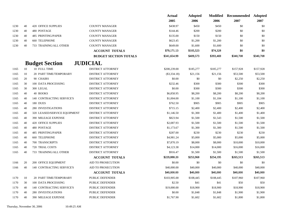|      |    |                                  |                              | <b>Actual</b>  | <b>Adopted</b> |           | Modified Recommended Adopted |           |
|------|----|----------------------------------|------------------------------|----------------|----------------|-----------|------------------------------|-----------|
|      |    |                                  |                              | 2005           | 2006           | 2006      | 2007                         | 2007      |
| 1230 | 40 | 420 OFFICE SUPPLIES              | <b>COUNTY MANAGER</b>        | \$438.97       | \$450          | \$450     | \$0                          | \$0       |
| 1230 | 40 | 480 POSTAGE                      | <b>COUNTY MANAGER</b>        | \$144.46       | \$200          | \$200     | \$0                          | \$0       |
| 1230 | 40 | <b>485 PRINTING/PAPER</b>        | <b>COUNTY MANAGER</b>        | \$135.00       | \$150          | \$150     | \$0                          | \$0       |
| 1230 | 40 | <b>660 TELEPHONE</b>             | <b>COUNTY MANAGER</b>        | \$623.45       | \$1,200        | \$1,200   | \$0                          | \$0       |
| 1230 | 40 | 733 TRAINING/ALL OTHER           | <b>COUNTY MANAGER</b>        | \$649.00       | \$1,600        | \$1,600   | \$0                          | \$0       |
|      |    |                                  | <b>ACCOUNT TOTALS</b>        | \$79,171.13    | \$105,523      | \$74,328  | \$0                          | \$0       |
|      |    |                                  | <b>BUDGET SECTION TOTALS</b> | \$341,654.99   | \$409,573      | \$393,469 | \$340,708                    | \$340,708 |
|      |    | <b>Budget Section</b>            | <b>JUDICIAL</b>              |                |                |           |                              |           |
| 1165 | 10 | 10 FULL TIME                     | DISTRICT ATTORNEY            | \$200,239.00   | \$185,277      | \$185,277 | \$157,928                    | \$157,928 |
| 1165 | 10 | 20 PART TIME/TEMPORARY           | DISTRICT ATTORNEY            | $(\$3,334.18)$ | \$21,156       | \$21,156  | \$53,500                     | \$53,500  |
| 1165 | 20 | 90 CHAIRS                        | DISTRICT ATTORNEY            | \$0.00         | \$0            | \$0       | \$2,250                      | \$2,250   |
| 1165 | 30 | 100 DATA PROCESSING              | DISTRICT ATTORNEY            | \$232.46       | \$300          | \$300     | \$300                        | \$300     |
| 1165 | 30 | 300 LEGAL                        | DISTRICT ATTORNEY            | \$0.00         | \$300          | \$300     | \$300                        | \$300     |
| 1165 | 40 | 40 BOOKS                         | DISTRICT ATTORNEY            | \$6,858.95     | \$8,200        | \$8,200   | \$8,200                      | \$8,200   |
| 1165 | 40 | 140 CONTRACTING SERVICE'S        | DISTRICT ATTORNEY            | \$1,004.00     | \$1,100        | \$1,184   | \$1,100                      | \$1,100   |
| 1165 | 40 | 180 DUES                         | <b>DISTRICT ATTORNEY</b>     | \$762.50       | \$905          | \$905     | \$905                        | \$905     |
| 1165 | 40 | 280 INVESTIGATIONS               | DISTRICT ATTORNEY            | \$715.15       | \$2,400        | \$2,400   | \$2,400                      | \$2,400   |
| 1165 | 40 | 320 LEASED/SERVICE EQUIPMENT     | <b>DISTRICT ATTORNEY</b>     | \$1,146.50     | \$1,300        | \$1,400   | \$1,400                      | \$1,400   |
| 1165 | 40 | 390 MILEAGE EXPENSE              | <b>DISTRICT ATTORNEY</b>     | \$823.94       | \$1,500        | \$1,543   | \$1,500                      | \$1,500   |
| 1165 | 40 | <b>420 OFFICE SUPPLIES</b>       | <b>DISTRICT ATTORNEY</b>     | \$2,087.93     | \$1,500        | \$1,500   | \$1,500                      | \$1,500   |
| 1165 | 40 | 480 POSTAGE                      | DISTRICT ATTORNEY            | \$1,173.67     | \$1,300        | \$1,300   | \$1,500                      | \$1,500   |
| 1165 | 40 | <b>485 PRINTING/PAPER</b>        | <b>DISTRICT ATTORNEY</b>     | \$287.00       | \$230          | \$230     | \$230                        | \$230     |
| 1165 | 40 | <b>660 TELEPHONE</b>             | <b>DISTRICT ATTORNEY</b>     | \$4,981.24     | \$5,000        | \$5,000   | \$5,000                      | \$5,000   |
| 1165 | 40 | 700 TRANSCRIPTS                  | DISTRICT ATTORNEY            | \$7,870.19     | \$8,000        | \$8,000   | \$10,000                     | \$10,000  |
| 1165 | 40 | 720 TRIAL COSTS                  | DISTRICT ATTORNEY            | \$4,123.38     | \$14,000       | \$14,000  | \$16,000                     | \$16,000  |
| 1165 | 40 | 733 TRAINING/ALL OTHER           | DISTRICT ATTORNEY            | \$916.47       | \$1,500        | \$1,500   | \$1,500                      | \$1,500   |
|      |    |                                  | <b>ACCOUNT TOTALS</b>        | \$229,888.20   | \$253,968      | \$254,195 | \$265,513                    | \$265,513 |
| 1166 | 20 | 200 OFFICE EQUIPMENT             | AID TO PROSECUTION           | \$0.00         | \$0            | \$0       | \$0                          | \$0       |
| 1166 | 40 | <b>140 CONTRACTING SERVICE'S</b> | AID TO PROSECUTION           | \$40,000.00    | \$40,000       | \$40,000  | \$40,000                     | \$40,000  |
|      |    |                                  | <b>ACCOUNT TOTALS</b>        | \$40,000.00    | \$40,000       | \$40,000  | \$40,000                     | \$40,000  |
| 1170 | 10 | 20 PART TIME/TEMPORARY           | PUBLIC DEFENDER              | \$103,905.00   | \$108,445      | \$108,445 | \$107,960                    | \$107,960 |
| 1170 | 30 | 100 DATA PROCESSING              | PUBLIC DEFENDER              | \$2.50         | \$41           | \$41      | \$50                         | \$50      |
| 1170 | 40 | <b>140 CONTRACTING SERVICE'S</b> | PUBLIC DEFENDER              | \$19,000.00    | \$18,900       | \$18,900  | \$18,900                     | \$18,900  |
| 1170 | 40 | 280 INVESTIGATIONS               | PUBLIC DEFENDER              | \$0.00         | \$1,848        | \$1,848   | \$1,900                      | \$1,900   |
| 1170 | 40 | 390 MILEAGE EXPENSE              | PUBLIC DEFENDER              | \$1,767.90     | \$1,602        | \$1,602   | \$1,800                      | \$1,800   |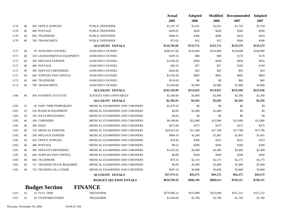|      |    |                               |                                | Actual       | <b>Adopted</b> | Modified  | Recommended | <b>Adopted</b> |
|------|----|-------------------------------|--------------------------------|--------------|----------------|-----------|-------------|----------------|
|      |    |                               |                                | 2005         | 2006           | 2006      | 2007        | 2007           |
| 1170 | 40 | <b>420 OFFICE SUPPLIES</b>    | PUBLIC DEFENDER                | \$1,187.70   | \$1,031        | \$1,031   | \$1,750     | \$1,750        |
| 1170 | 40 | 480 POSTAGE                   | PUBLIC DEFENDER                | \$439.01     | \$430          | \$430     | \$500       | \$500          |
| 1170 | 40 | <b>660 TELEPHONE</b>          | PUBLIC DEFENDER                | \$408.35     | \$406          | \$406     | \$410       | \$410          |
| 1170 | 40 | <b>700 TRANSCRIPTS</b>        | <b>PUBLIC DEFENDER</b>         | \$75.62      | \$12           | \$12      | \$300       | \$300          |
|      |    |                               | <b>ACCOUNT TOTALS</b>          | \$126,786.08 | \$132,715      | \$132,715 | \$133,570   | \$133,570      |
| 1172 | 40 | 30 ASSIGNED COUNSEL           | ASSIGNED COUNSEL               | \$188,357.66 | \$210,000      | \$210,000 | \$220,000   | \$220,000      |
| 1172 | 40 | 320 LEASED/SERVICE EQUIPMENT  | <b>ASSIGNED COUNSEL</b>        | \$109.10     | \$80           | \$80      | \$170       | \$170          |
| 1172 | 40 | 390 MILEAGE EXPENSE           | <b>ASSIGNED COUNSEL</b>        | \$1,030.20   | \$950          | \$950     | \$950       | \$950          |
| 1172 | 40 | 480 POSTAGE                   | <b>ASSIGNED COUNSEL</b>        | \$56.55      | \$37           | \$37      | \$100       | \$100          |
| 1172 | 40 | 590 SERVICE'S RENDERED        | ASSIGNED COUNSEL               | \$420.40     | \$63           | \$63      | \$63        | \$63           |
| 1172 | 40 | 640 SUPPLIES (NOT OFFICE)     | <b>ASSIGNED COUNSEL</b>        | \$1,018.39   | \$803          | \$803     | \$803       | \$803          |
| 1172 | 40 | 660 TELEPHONE                 | <b>ASSIGNED COUNSEL</b>        | \$118.59     | \$0            | \$0       | \$60        | \$60           |
| 1172 | 40 | 700 TRANSCRIPTS               | <b>ASSIGNED COUNSEL</b>        | \$1,050.00   | \$2,900        | \$2,900   | \$2,900     | \$2,900        |
|      |    |                               | <b>ACCOUNT TOTALS</b>          | \$192,160.89 | \$214,833      | \$214,833 | \$225,046   | \$225,046      |
| 1180 | 40 | <b>450 PAYMENT TO STATE</b>   | JUSTICES AND CONSTABLES        | \$2,360.00   | \$2,000        | \$2,000   | \$2,500     | \$2,500        |
|      |    |                               | <b>ACCOUNT TOTALS</b>          | \$2,360.00   | \$2,000        | \$2,000   | \$2,500     | \$2,500        |
| 1185 | 10 | <b>20 PART TIME/TEMPORARY</b> | MEDICAL EXAMINERS AND CORONERS | \$2,479.33   | \$0            | \$0       | \$0         | \$0            |
| 1185 | 20 | 230 RADIO & EQUIPMENT         | MEDICAL EXAMINERS AND CORONERS | \$0.00       | \$1,800        | \$1,800   | $\$0$       | \$0            |
| 1185 | 30 | 100 DATA PROCESSING           | MEDICAL EXAMINERS AND CORONERS | \$0.69       | \$0            | \$0       | \$0         | \$0            |
| 1185 | 40 | 160 CORONERS                  | MEDICAL EXAMINERS AND CORONERS | \$6,180.00   | \$12,000       | \$12,900  | \$12,900    | \$12,900       |
| 1185 | 40 | 180 DUES                      | MEDICAL EXAMINERS AND CORONERS | \$375.00     | \$375          | \$375     | \$375       | \$375          |
| 1185 | 40 | 370 MEDICAL EXPENSE           | MEDICAL EXAMINERS AND CORONERS | \$24,933.50  | \$17,448       | \$17,798  | \$17,798    | \$17,798       |
| 1185 | 40 | 390 MILEAGE EXPENSE           | MEDICAL EXAMINERS AND CORONERS | \$884.19     | \$1,500        | \$1,801   | \$1,801     | \$1,801        |
| 1185 | 40 | <b>420 OFFICE SUPPLIES</b>    | MEDICAL EXAMINERS AND CORONERS | \$19.99      | \$300          | \$323     | \$323       | \$323          |
| 1185 | 40 | 480 POSTAGE                   | MEDICAL EXAMINERS AND CORONERS | \$8.53       | \$200          | \$200     | \$200       | \$200          |
| 1185 | 40 | 590 SERVICE'S RENDERED        | MEDICAL EXAMINERS AND CORONERS | \$1,622.65   | \$2,400        | \$2,400   | \$2,400     | \$2,400        |
| 1185 | 40 | 640 SUPPLIES (NOT OFFICE)     | MEDICAL EXAMINERS AND CORONERS | \$0.00       | \$500          | \$500     | \$500       | \$500          |
| 1185 | 40 | <b>660 TELEPHONE</b>          | MEDICAL EXAMINERS AND CORONERS | \$73.14      | \$2,150        | \$2,175   | \$2,175     | \$2,175        |
| 1185 | 40 | 731 TRAINING/STATE REQUIRED   | MEDICAL EXAMINERS AND CORONERS | \$0.00       | \$1,000        | \$1,000   | \$1,000     | \$1,000        |
| 1185 | 40 | 733 TRAINING/ALL OTHER        | MEDICAL EXAMINERS AND CORONERS | \$997.10     | \$3,000        | \$3,000   | \$3,000     | \$3,000        |
|      |    |                               | <b>ACCOUNT TOTALS</b>          | \$37,574.12  | \$42,673       | \$44,272  | \$42,472    | \$42,472       |
|      |    |                               | <b>BUDGET SECTION TOTALS</b>   | \$628,769.29 | \$686,189      | \$688,015 | \$709,101   | \$709,101      |
|      |    | <b>Budget Section</b>         | <b>FINANCE</b>                 |              |                |           |             |                |
| 1325 | 10 | 10 FULL TIME                  | <b>TREASURER</b>               | \$270,960.14 | \$323,089      | \$323,089 | \$311,132   | \$311,132      |
| 1325 | 10 | <b>30 OVERTIME/OTHER</b>      | <b>TREASURER</b>               | \$1,944.58   | \$1,700        | \$1,700   | \$1,700     | \$1,700        |
|      |    |                               |                                |              |                |           |             |                |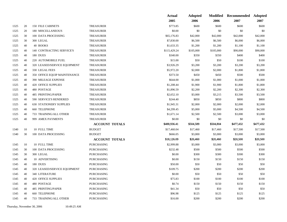|      |    |                                |                       | Actual       | <b>Adopted</b> |           | Modified Recommended Adopted |           |
|------|----|--------------------------------|-----------------------|--------------|----------------|-----------|------------------------------|-----------|
|      |    |                                |                       | 2005         | 2006           | 2006      | 2007                         | 2007      |
| 1325 | 20 | <b>150 FILE CABINETS</b>       | <b>TREASURER</b>      | \$773.85     | \$600          | \$600     | \$600                        | \$600     |
| 1325 | 20 | 180 MISCELLANEOUS              | <b>TREASURER</b>      | \$0.00       | $\$0$          | \$0       | \$0                          | \$0       |
| 1325 | 30 | 100 DATA PROCESSING            | <b>TREASURER</b>      | \$65,176.83  | \$42,000       | \$42,000  | \$42,000                     | \$42,000  |
| 1325 | 30 | 300 LEGAL                      | <b>TREASURER</b>      | \$7,830.00   | \$6,500        | \$6,500   | \$6,000                      | \$6,000   |
| 1325 | 40 | 40 BOOKS                       | <b>TREASURER</b>      | \$1,633.35   | \$1,200        | \$1,200   | \$1,100                      | \$1,100   |
| 1325 | 40 | 140 CONTRACTING SERVICE'S      | <b>TREASURER</b>      | \$115,429.24 | \$105,000      | \$105,000 | \$90,000                     | \$90,000  |
| 1325 | 40 | 180 DUES                       | <b>TREASURER</b>      | \$340.00     | \$350          | \$350     | \$400                        | \$400     |
| 1325 | 40 | 220 AUTOMOBILE FUEL            | <b>TREASURER</b>      | \$15.00      | \$50           | \$50      | \$100                        | \$100     |
| 1325 | 40 | 320 LEASED/SERVICE EQUIPMENT   | <b>TREASURER</b>      | \$3,926.29   | \$3,200        | \$3,200   | \$3,200                      | \$3,200   |
| 1325 | 40 | 330 LEGAL FEES                 | <b>TREASURER</b>      | \$5,972.20   | \$2,000        | \$2,000   | \$1,800                      | \$1,800   |
| 1325 | 40 | 350 OFFICE EQUIP MAINTENANCE   | <b>TREASURER</b>      | \$373.50     | \$450          | \$450     | \$500                        | \$500     |
| 1325 | 40 | 390 MILEAGE EXPENSE            | <b>TREASURER</b>      | \$644.00     | \$1,000        | \$1,000   | \$1,000                      | \$1,000   |
| 1325 | 40 | <b>420 OFFICE SUPPLIES</b>     | <b>TREASURER</b>      | \$1,208.44   | \$1,900        | \$1,900   | \$1,800                      | \$1,800   |
| 1325 | 40 | 480 POSTAGE                    | <b>TREASURER</b>      | \$1,896.59   | \$2,200        | \$2,200   | \$2,300                      | \$2,300   |
| 1325 | 40 | <b>485 PRINTING/PAPER</b>      | <b>TREASURER</b>      | \$2,652.10   | \$3,000        | \$3,215   | \$3,500                      | \$3,500   |
| 1325 | 40 | 590 SERVICE'S RENDERED         | <b>TREASURER</b>      | \$244.40     | \$850          | \$850     | \$800                        | \$800     |
| 1325 | 40 | <b>630 STATIONERY SUPPLIES</b> | <b>TREASURER</b>      | \$1,945.31   | \$2,000        | \$2,000   | \$2,000                      | \$2,000   |
| 1325 | 40 | <b>660 TELEPHONE</b>           | <b>TREASURER</b>      | \$4,299.45   | \$5,000        | \$5,000   | \$4,500                      | \$4,500   |
| 1325 | 40 | 733 TRAINING/ALL OTHER         | <b>TREASURER</b>      | \$1,671.14   | \$2,500        | \$2,500   | \$3,000                      | \$3,000   |
| 1325 | 40 | 999 AMEX PAYMENTS              | <b>TREASURER</b>      | \$0.00       | \$0            | \$0       | \$0                          | \$0       |
|      |    |                                | <b>ACCOUNT TOTALS</b> | \$488,936.41 | \$504,589      | \$504,804 | \$477,432                    | \$477,432 |
| 1340 | 10 | 10 FULL TIME                   | <b>BUDGET</b>         | \$17,460.04  | \$17,460       | \$17,460  | \$17,500                     | \$17,500  |
| 1340 | 30 | 100 DATA PROCESSING            | <b>BUDGET</b>         | \$666.05     | \$3,000        | \$3,000   | \$3,000                      | \$3,000   |
|      |    |                                | <b>ACCOUNT TOTALS</b> | \$18,126.09  | \$20,460       | \$20,460  | \$20,500                     | \$20,500  |
| 1345 | 10 | 10 FULL TIME                   | PURCHASING            | \$2,999.88   | \$3,000        | \$3,000   | \$3,000                      | \$3,000   |
| 1345 | 30 | 100 DATA PROCESSING            | PURCHASING            | \$232.48     | \$500          | \$500     | \$500                        | \$500     |
| 1345 | 30 | 300 LEGAL                      | PURCHASING            | \$0.00       | \$300          | \$300     | \$300                        | \$300     |
| 1345 | 40 | 10 ADVERTISING                 | <b>PURCHASING</b>     | \$0.00       | \$150          | \$150     | \$150                        | \$150     |
| 1345 | 40 | 180 DUES                       | PURCHASING            | \$50.00      | \$50           | \$50      | \$50                         | \$50      |
| 1345 | 40 | 320 LEASED/SERVICE EQUIPMENT   | PURCHASING            | \$109.75     | \$200          | \$200     | \$200                        | \$200     |
| 1345 | 40 | <b>340 LITERATURE</b>          | PURCHASING            | \$0.00       | \$50           | \$50      | \$50                         | \$50      |
| 1345 | 40 | 420 OFFICE SUPPLIES            | PURCHASING            | \$75.83      | \$100          | \$100     | \$100                        | \$100     |
| 1345 | 40 | 480 POSTAGE                    | <b>PURCHASING</b>     | \$0.74       | \$150          | \$150     | \$150                        | \$150     |
| 1345 | 40 | <b>485 PRINTING/PAPER</b>      | <b>PURCHASING</b>     | \$41.34      | \$50           | \$50      | \$50                         | \$50      |
| 1345 | 40 | <b>660 TELEPHONE</b>           | PURCHASING            | \$96.98      | \$125          | \$125     | \$125                        | \$125     |
| 1345 | 40 | 733 TRAINING/ALL OTHER         | PURCHASING            | \$16.00      | \$200          | \$200     | \$200                        | \$200     |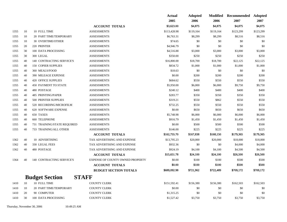|      |    |                                  |                                  | Actual<br>2005 | <b>Adopted</b><br>2006 | 2006      | Modified Recommended Adopted<br>2007 | 2007      |
|------|----|----------------------------------|----------------------------------|----------------|------------------------|-----------|--------------------------------------|-----------|
|      |    |                                  |                                  |                |                        |           |                                      |           |
|      |    |                                  | <b>ACCOUNT TOTALS</b>            | \$3,623.00     | \$4,875                | \$4,875   | \$4,875                              | \$4,875   |
| 1355 | 10 | 10 FULL TIME                     | <b>ASSESSMENTS</b>               | \$113,428.98   | \$119,164              | \$119,164 | \$123,299                            | \$123,299 |
| 1355 | 10 | 20 PART TIME/TEMPORARY           | <b>ASSESSMENTS</b>               | \$6,763.31     | \$8,299                | \$8,299   | \$8,516                              | \$8,516   |
| 1355 | 10 | <b>30 OVERTIME/OTHER</b>         | <b>ASSESSMENTS</b>               | \$74.65        | \$0                    | \$0       | \$0                                  | \$0       |
| 1355 | 20 | 220 PRINTER                      | <b>ASSESSMENTS</b>               | \$4,946.79     | \$0                    | \$0       | \$0                                  | \$0       |
| 1355 | 30 | 100 DATA PROCESSING              | <b>ASSESSMENTS</b>               | \$4,516.88     | \$3,000                | \$3,000   | \$3,000                              | \$3,000   |
| 1355 | 30 | 300 LEGAL                        | <b>ASSESSMENTS</b>               | \$350.00       | \$250                  | \$250     | \$250                                | \$250     |
| 1355 | 40 | <b>140 CONTRACTING SERVICE'S</b> | <b>ASSESSMENTS</b>               | \$16,800.00    | \$18,700               | \$18,700  | \$22,125                             | \$22,125  |
| 1355 | 40 | <b>150 COPIER SUPPLIES</b>       | <b>ASSESSMENTS</b>               | \$834.72       | \$1,000                | \$1,000   | \$1,000                              | \$1,000   |
| 1355 | 40 | 360 MEALS/FOOD                   | <b>ASSESSMENTS</b>               | \$18.63        | \$0                    | \$0       | \$0                                  | \$0       |
| 1355 | 40 | 390 MILEAGE EXPENSE              | <b>ASSESSMENTS</b>               | \$0.00         | \$200                  | \$200     | \$200                                | \$200     |
| 1355 | 40 | <b>420 OFFICE SUPPLIES</b>       | <b>ASSESSMENTS</b>               | \$684.62       | \$550                  | \$550     | \$550                                | \$550     |
| 1355 | 40 | <b>450 PAYMENT TO STATE</b>      | <b>ASSESSMENTS</b>               | \$5,950.00     | \$6,000                | \$6,000   | \$9,750                              | \$9,750   |
| 1355 | 40 | 480 POSTAGE                      | <b>ASSESSMENTS</b>               | \$240.12       | \$400                  | \$400     | \$400                                | \$400     |
| 1355 | 40 | 485 PRINTING/PAPER               | <b>ASSESSMENTS</b>               | \$283.77       | \$350                  | \$350     | \$350                                | \$350     |
| 1355 | 40 | 500 PRINTER SUPPLIES             | <b>ASSESSMENTS</b>               | \$319.21       | \$550                  | \$862     | \$550                                | \$550     |
| 1355 | 40 | 520 RECORDING/MICROFILM          | <b>ASSESSMENTS</b>               | \$732.25       | \$550                  | \$550     | \$550                                | \$550     |
| 1355 | 40 | 620 SOFTWARE EXPENSE             | <b>ASSESSMENTS</b>               | \$0.00         | \$650                  | \$650     | \$650                                | \$650     |
| 1355 | 40 | 650 TAXES                        | <b>ASSESSMENTS</b>               | \$5,748.98     | \$6,000                | \$6,000   | \$6,000                              | \$6,000   |
| 1355 | 40 | 660 TELEPHONE                    | <b>ASSESSMENTS</b>               | \$916.79       | \$1,450                | \$1,450   | \$1,450                              | \$1,450   |
| 1355 | 40 | 731 TRAINING/STATE REQUIRED      | <b>ASSESSMENTS</b>               | \$0.00         | \$500                  | \$500     | \$500                                | \$500     |
| 1355 | 40 | 733 TRAINING/ALL OTHER           | <b>ASSESSMENTS</b>               | \$146.00       | \$225                  | \$225     | \$225                                | \$225     |
|      |    |                                  | <b>ACCOUNT TOTALS</b>            | \$162,755.70   | \$167,838              | \$168,150 | \$179,365                            | \$179,365 |
| 1362 | 40 | 10 ADVERTISING                   | TAX ADVERTISING AND EXPENSE      | \$13,795.23    | \$20,000               | \$20,000  | \$18,000                             | \$18,000  |
| 1362 | 40 | 330 LEGAL FEES                   | TAX ADVERTISING AND EXPENSE      | \$932.36       | \$0                    | \$0       | \$4,000                              | \$4,000   |
| 1362 | 40 | 480 POSTAGE                      | TAX ADVERTISING AND EXPENSE      | \$924.19       | \$4,100                | \$4,100   | \$4,500                              | \$4,500   |
|      |    |                                  | <b>ACCOUNT TOTALS</b>            | \$15,651.78    | \$24,100               | \$24,100  | \$26,500                             | \$26,500  |
| 1364 | 40 | <b>140 CONTRACTING SERVICE'S</b> | EXPENSE OF COUNTY OWNED PROPERTY | \$0.00         | \$100                  | \$100     | \$500                                | \$500     |
|      |    |                                  | <b>ACCOUNT TOTALS</b>            | \$0.00         | \$100                  | \$100     | \$500                                | \$500     |
|      |    |                                  | <b>BUDGET SECTION TOTALS</b>     | \$689,092.98   | \$721,962              | \$722,489 | \$709,172                            | \$709,172 |
|      |    |                                  |                                  |                |                        |           |                                      |           |
|      |    | <b>Budget Section</b>            | <b>STAFF</b>                     |                |                        |           |                                      |           |
| 1410 | 10 | 10 FULL TIME                     | <b>COUNTY CLERK</b>              | \$151,592.41   | \$156,380              | \$156,380 | \$162,503                            | \$162,503 |
| 1410 | 10 | 20 PART TIME/TEMPORARY           | <b>COUNTY CLERK</b>              | \$0.00         | \$0                    | \$0       | \$0                                  | \$0       |
| 1410 | 20 | 90 COMPUTER                      | <b>COUNTY CLERK</b>              | \$1,315.25     | \$0                    | \$0       | \$0                                  | \$0       |
| 1410 | 30 | 100 DATA PROCESSING              | <b>COUNTY CLERK</b>              | \$1,527.42     | \$3,750                | \$3,750   | \$3,750                              | \$3,750   |
|      |    |                                  |                                  |                |                        |           |                                      |           |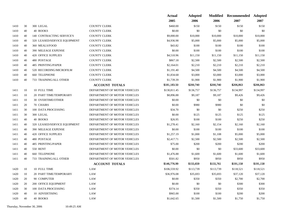|      |    |                                  |                              | Actual       | Adopted   |           | Modified Recommended Adopted |           |
|------|----|----------------------------------|------------------------------|--------------|-----------|-----------|------------------------------|-----------|
|      |    |                                  |                              | 2005         | 2006      | 2006      | 2007                         | 2007      |
| 1410 | 30 | 300 LEGAL                        | <b>COUNTY CLERK</b>          | \$460.00     | \$150     | \$150     | \$150                        | \$150     |
| 1410 | 40 | 40 BOOKS                         | <b>COUNTY CLERK</b>          | \$0.00       | \$0       | \$0       | $\$0$                        | \$0       |
| 1410 | 40 | <b>140 CONTRACTING SERVICE'S</b> | <b>COUNTY CLERK</b>          | \$9,000.00   | \$10,000  | \$10,000  | \$10,000                     | \$10,000  |
| 1410 | 40 | 320 LEASED/SERVICE EQUIPMENT     | <b>COUNTY CLERK</b>          | \$4,936.98   | \$5,000   | \$5,000   | \$5,000                      | \$5,000   |
| 1410 | 40 | 360 MEALS/FOOD                   | <b>COUNTY CLERK</b>          | \$43.82      | \$100     | \$100     | \$100                        | \$100     |
| 1410 | 40 | <b>390 MILEAGE EXPENSE</b>       | <b>COUNTY CLERK</b>          | \$0.00       | \$100     | \$100     | \$100                        | \$100     |
| 1410 | 40 | <b>420 OFFICE SUPPLIES</b>       | <b>COUNTY CLERK</b>          | \$4,510.96   | \$11,150  | \$11,150  | \$11,150                     | \$11,150  |
| 1410 | 40 | 480 POSTAGE                      | <b>COUNTY CLERK</b>          | \$867.18     | \$2,500   | \$2,500   | \$2,500                      | \$2,500   |
| 1410 | 40 | <b>485 PRINTING/PAPER</b>        | <b>COUNTY CLERK</b>          | \$2,164.01   | \$2,210   | \$2,210   | \$2,210                      | \$2,210   |
| 1410 | 40 | 520 RECORDING/MICROFILM          | <b>COUNTY CLERK</b>          | \$1,191.40   | \$4,500   | \$4,500   | \$4,500                      | \$4,500   |
| 1410 | 40 | <b>660 TELEPHONE</b>             | COUNTY CLERK                 | \$1,834.68   | \$3,000   | \$3,000   | \$3,000                      | \$3,000   |
| 1410 | 40 | 733 TRAINING/ALL OTHER           | <b>COUNTY CLERK</b>          | \$1,739.39   | \$1,900   | \$1,900   | \$1,900                      | \$1,900   |
|      |    |                                  | <b>ACCOUNT TOTALS</b>        | \$181,183.50 | \$200,740 | \$200,740 | \$206,863                    | \$206,863 |
| 1411 | 10 | 10 FULL TIME                     | DEPARTMENT OF MOTOR VEHICLES | \$130,811.45 | \$136,757 | \$136,757 | \$134,997                    | \$134,997 |
| 1411 | 10 | 20 PART TIME/TEMPORARY           | DEPARTMENT OF MOTOR VEHICLES | \$8,896.88   | \$9,187   | \$9,187   | \$9,426                      | \$9,426   |
| 1411 | 10 | <b>30 OVERTIME/OTHER</b>         | DEPARTMENT OF MOTOR VEHICLES | \$0.00       | \$0       | \$0       | \$0                          | \$0       |
| 1411 | 20 | 70 CHAIRS                        | DEPARTMENT OF MOTOR VEHICLES | \$0.00       | \$980     | \$980     | \$0                          | \$0       |
| 1411 | 30 | 100 DATA PROCESSING              | DEPARTMENT OF MOTOR VEHICLES | \$34.70      | \$0       | \$0       | \$250                        | \$250     |
| 1411 | 30 | 300 LEGAL                        | DEPARTMENT OF MOTOR VEHICLES | \$0.00       | \$125     | \$125     | \$125                        | \$125     |
| 1411 | 40 | 40 BOOKS                         | DEPARTMENT OF MOTOR VEHICLES | \$26.95      | \$100     | \$100     | \$250                        | \$250     |
| 1411 | 40 | 320 LEASED/SERVICE EQUIPMENT     | DEPARTMENT OF MOTOR VEHICLES | \$1,278.41   | \$2,160   | \$2,154   | \$2,160                      | \$2,160   |
| 1411 | 40 | <b>390 MILEAGE EXPENSE</b>       | DEPARTMENT OF MOTOR VEHICLES | \$0.00       | \$100     | \$100     | \$100                        | \$100     |
| 1411 | 40 | 420 OFFICE SUPPLIES              | DEPARTMENT OF MOTOR VEHICLES | \$1,257.19   | \$1,000   | \$1,108   | \$5,000                      | \$5,000   |
| 1411 | 40 | 480 POSTAGE                      | DEPARTMENT OF MOTOR VEHICLES | \$2,417.71   | \$2,500   | \$2,500   | \$2,500                      | \$2,500   |
| 1411 | 40 | 485 PRINTING/PAPER               | DEPARTMENT OF MOTOR VEHICLES | \$75.00      | \$200     | \$200     | \$200                        | \$200     |
| 1411 | 40 | <b>550 RENT</b>                  | DEPARTMENT OF MOTOR VEHICLES | \$0.00       | \$0       | \$0       | \$33,600                     | \$33,600  |
| 1411 | 40 | <b>660 TELEPHONE</b>             | DEPARTMENT OF MOTOR VEHICLES | \$1,476.88   | \$1,600   | \$1,600   | \$1,600                      | \$1,600   |
| 1411 | 40 | 733 TRAINING/ALL OTHER           | DEPARTMENT OF MOTOR VEHICLES | \$501.82     | \$950     | \$950     | \$950                        | \$950     |
|      |    |                                  | <b>ACCOUNT TOTALS</b>        | \$146,776.99 | \$155,659 | \$155,761 | \$191,158                    | \$191,158 |
| 1420 | 10 | 10 FULL TIME                     | <b>LAW</b>                   | \$106,559.92 | \$113,739 | \$113,739 | \$118,521                    | \$118,521 |
| 1420 | 10 | 20 PART TIME/TEMPORARY           | <b>LAW</b>                   | \$36,976.08  | \$35,693  | \$35,693  | \$37,120                     | \$37,120  |
| 1420 | 20 | 90 COMPUTER                      | LAW                          | \$0.00       | \$350     | \$350     | \$2,700                      | \$2,700   |
| 1420 | 20 | 200 OFFICE EQUIPMENT             | <b>LAW</b>                   | \$0.00       | \$0       | \$0       | \$300                        | \$300     |
| 1420 | 30 | 100 DATA PROCESSING              | <b>LAW</b>                   | \$374.14     | \$350     | \$350     | \$350                        | \$350     |
| 1420 | 40 | 10 ADVERTISING                   | LAW                          | \$965.00     | \$100     | \$100     | \$200                        | \$200     |
| 1420 | 40 | 40 BOOKS                         | LAW                          | \$1,642.65   | \$1,500   | \$1,500   | \$1,750                      | \$1,750   |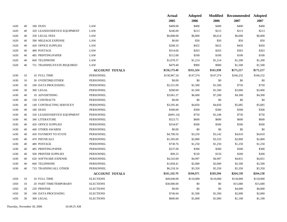|      |    |                                  |                       | Actual       | Adopted   |           | Modified Recommended Adopted |           |
|------|----|----------------------------------|-----------------------|--------------|-----------|-----------|------------------------------|-----------|
|      |    |                                  |                       | 2005         | 2006      | 2006      | 2007                         | 2007      |
| 1420 | 40 | 180 DUES                         | <b>LAW</b>            | \$409.00     | \$400     | \$400     | \$400                        | \$400     |
| 1420 | 40 | 320 LEASED/SERVICE EQUIPMENT     | <b>LAW</b>            | \$246.00     | \$213     | \$213     | \$213                        | \$213     |
| 1420 | 40 | 330 LEGAL FEES                   | LAW                   | \$6,808.08   | \$6,000   | \$6,614   | \$6,000                      | \$6,000   |
| 1420 | 40 | 390 MILEAGE EXPENSE              | <b>LAW</b>            | \$0.00       | \$50      | \$50      | \$50                         | \$50      |
| 1420 | 40 | <b>420 OFFICE SUPPLIES</b>       | <b>LAW</b>            | \$208.19     | \$452     | \$452     | \$450                        | \$450     |
| 1420 | 40 | 480 POSTAGE                      | LAW                   | \$314.66     | \$263     | \$263     | \$363                        | \$363     |
| 1420 | 40 | 485 PRINTING/PAPER               | LAW                   | \$112.00     | \$100     | \$100     | \$100                        | \$100     |
| 1420 | 40 | <b>660 TELEPHONE</b>             | <b>LAW</b>            | \$1,078.37   | \$1,214   | \$1,214   | \$1,200                      | \$1,200   |
| 1420 | 40 | 731 TRAINING/STATE REQUIRED      | <b>LAW</b>            | \$479.40     | \$900     | \$900     | \$1,500                      | \$1,500   |
|      |    |                                  | <b>ACCOUNT TOTALS</b> | \$156,173.49 | \$161,324 | \$161,938 | \$171,217                    | \$171,217 |
| 1430 | 10 | 10 FULL TIME                     | <b>PERSONNEL</b>      | \$130,967.24 | \$147,374 | \$147,374 | \$166,232                    | \$166,232 |
| 1430 | 10 | <b>30 OVERTIME/OTHER</b>         | PERSONNEL             | \$0.00       | \$0       | \$0       | \$0                          | \$0       |
| 1430 | 30 | 100 DATA PROCESSING              | PERSONNEL             | \$2,551.09   | \$1,500   | \$1,500   | \$750                        | \$750     |
| 1430 | 30 | 300 LEGAL                        | PERSONNEL             | \$280.00     | \$1,500   | \$1,500   | \$3,000                      | \$3,000   |
| 1430 | 40 | 10 ADVERTISING                   | <b>PERSONNEL</b>      | \$3,061.37   | \$6,600   | \$7,200   | \$4,300                      | \$4,300   |
| 1430 | 40 | 130 CONTRACTS                    | <b>PERSONNEL</b>      | \$0.00       | \$0       | \$0       | \$0                          | \$0       |
| 1430 | 40 | <b>140 CONTRACTING SERVICE'S</b> | <b>PERSONNEL</b>      | \$3,595.46   | \$4,850   | \$4,850   | \$5,685                      | \$5,685   |
| 1430 | 40 | 180 DUES                         | <b>PERSONNEL</b>      | \$300.00     | \$300     | \$300     | \$300                        | \$300     |
| 1430 | 40 | 320 LEASED/SERVICE EQUIPMENT     | PERSONNEL             | $(\$491.14)$ | \$750     | \$1,248   | \$750                        | \$750     |
| 1430 | 40 | <b>340 LITERATURE</b>            | PERSONNEL             | \$523.75     | \$600     | \$600     | \$600                        | \$600     |
| 1430 | 40 | <b>420 OFFICE SUPPLIES</b>       | <b>PERSONNEL</b>      | \$334.87     | \$500     | \$500     | \$500                        | \$500     |
| 1430 | 40 | 440 OTHER AWARDS                 | <b>PERSONNEL</b>      | \$0.00       | \$0       | \$0       | $\$0$                        | \$0       |
| 1430 | 40 | <b>450 PAYMENT TO STATE</b>      | PERSONNEL             | \$4,700.50   | \$3,250   | \$3,142   | \$4,810                      | \$4,810   |
| 1430 | 40 | 470 PHYSICALS                    | <b>PERSONNEL</b>      | \$1,585.00   | \$2,800   | \$3,333   | \$2,800                      | \$2,800   |
| 1430 | 40 | 480 POSTAGE                      | PERSONNEL             | \$738.76     | \$1,250   | \$1,250   | \$1,250                      | \$1,250   |
| 1430 | 40 | 485 PRINTING/PAPER               | <b>PERSONNEL</b>      | \$237.00     | \$300     | \$300     | \$300                        | \$300     |
| 1430 | 40 | 500 PRINTER SUPPLIES             | <b>PERSONNEL</b>      | \$99.23      | \$150     | \$150     | \$200                        | \$200     |
| 1430 | 40 | 620 SOFTWARE EXPENSE             | <b>PERSONNEL</b>      | \$4,543.00   | \$4,997   | \$4,997   | \$4,831                      | \$4,831   |
| 1430 | 40 | <b>660 TELEPHONE</b>             | PERSONNEL             | \$1,858.41   | \$2,000   | \$2,000   | \$2,500                      | \$2,500   |
| 1430 | 40 | 733 TRAINING/ALL OTHER           | PERSONNEL             | \$6,218.16   | \$5,350   | \$5,350   | \$5,350                      | \$5,350   |
|      |    |                                  | <b>ACCOUNT TOTALS</b> | \$161,102.70 | \$184,071 | \$185,594 | \$204,158                    | \$204,158 |
| 1450 | 10 | 10 FULL TIME                     | <b>ELECTIONS</b>      | \$49,040.00  | \$110,000 | \$110,000 | \$118,000                    | \$118,000 |
| 1450 | 10 | 20 PART TIME/TEMPORARY           | <b>ELECTIONS</b>      | \$30,000.00  | \$0       | \$0       | \$15,680                     | \$15,680  |
| 1450 | 20 | 220 PRINTER                      | <b>ELECTIONS</b>      | \$0.00       | \$0       | \$0       | \$4,000                      | \$4,000   |
| 1450 | 30 | 100 DATA PROCESSING              | <b>ELECTIONS</b>      | \$746.94     | \$1,500   | \$1,500   | \$2,000                      | \$2,000   |
| 1450 | 30 | 300 LEGAL                        | <b>ELECTIONS</b>      | \$600.00     | \$1,000   | \$1,000   | \$1,100                      | \$1,100   |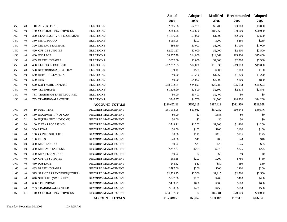|      |    |                                  |                           | Actual       | Adopted   |           | Modified Recommended Adopted |           |
|------|----|----------------------------------|---------------------------|--------------|-----------|-----------|------------------------------|-----------|
|      |    |                                  |                           | 2005         | 2006      | 2006      | 2007                         | 2007      |
| 1450 | 40 | 10 ADVERTISING                   | <b>ELECTIONS</b>          | \$2,765.08   | \$2,700   | \$2,700   | \$3,000                      | \$3,000   |
| 1450 | 40 | <b>140 CONTRACTING SERVICE'S</b> | <b>ELECTIONS</b>          | \$884.25     | \$56,660  | \$84,660  | \$90,000                     | \$90,000  |
| 1450 | 40 | 320 LEASED/SERVICE EQUIPMENT     | <b>ELECTIONS</b>          | \$1,156.25   | \$1,000   | \$1,000   | \$2,500                      | \$2,500   |
| 1450 | 40 | 360 MEALS/FOOD                   | <b>ELECTIONS</b>          | \$165.06     | \$200     | \$200     | \$250                        | \$250     |
| 1450 | 40 | 390 MILEAGE EXPENSE              | <b>ELECTIONS</b>          | \$86.60      | \$1,000   | \$1,000   | \$1,000                      | \$1,000   |
| 1450 | 40 | <b>420 OFFICE SUPPLIES</b>       | <b>ELECTIONS</b>          | \$2,071.27   | \$2,000   | \$2,000   | \$2,500                      | \$2,500   |
| 1450 | 40 | 480 POSTAGE                      | <b>ELECTIONS</b>          | \$8,977.79   | \$14,000  | \$14,669  | \$15,400                     | \$15,400  |
| 1450 | 40 | <b>485 PRINTING/PAPER</b>        | <b>ELECTIONS</b>          | \$652.00     | \$2,000   | \$2,000   | \$2,500                      | \$2,500   |
| 1450 | 40 | <b>490 ELECTION EXPENSE</b>      | <b>ELECTIONS</b>          | \$12,302.05  | \$17,000  | \$18,935  | \$19,000                     | \$19,000  |
| 1450 | 40 | 520 RECORDING/MICROFILM          | <b>ELECTIONS</b>          | \$99.10      | \$500     | \$500     | \$100                        | \$100     |
| 1450 | 40 | 540 REIMBURSEMENTS               | <b>ELECTIONS</b>          | \$0.00       | \$1,260   | \$1,260   | \$1,270                      | \$1,270   |
| 1450 | 40 | <b>550 RENT</b>                  | <b>ELECTIONS</b>          | \$0.00       | \$4,000   | \$4,000   | \$800                        | \$800     |
| 1450 | 40 | 620 SOFTWARE EXPENSE             | <b>ELECTIONS</b>          | \$18,592.55  | \$24,693  | \$25,387  | \$25,693                     | \$25,693  |
| 1450 | 40 | <b>660 TELEPHONE</b>             | <b>ELECTIONS</b>          | \$1,376.90   | \$2,500   | \$2,500   | \$2,575                      | \$2,575   |
| 1450 | 40 | 731 TRAINING/STATE REQUIRED      | <b>ELECTIONS</b>          | \$0.00       | \$9,400   | \$9,400   | \$0                          | \$0       |
| 1450 | 40 | 733 TRAINING/ALL OTHER           | <b>ELECTIONS</b>          | \$946.37     | \$4,700   | \$4,700   | \$14,200                     | \$14,200  |
|      |    |                                  | <b>ACCOUNT TOTALS</b>     | \$130,462.21 | \$256,113 | \$287,411 | \$321,568                    | \$321,568 |
| 1460 | 10 | 10 FULL TIME                     | RECORDS MANAGEMENT        | \$51,938.06  | \$57,082  | \$57,082  | \$60,546                     | \$60,546  |
| 1460 | 20 | 130 EQUIPMENT (NOT CAR)          | RECORDS MANAGEMENT        | \$0.00       | \$0       | \$385     | \$0                          | \$0       |
| 1460 | 21 | 130 EQUIPMENT (NOT CAR)          | RECORDS MANAGEMENT        | \$0.00       | \$0       | \$0       | \$0                          | \$0       |
| 1460 | 30 | 100 DATA PROCESSING              | RECORDS MANAGEMENT        | \$548.21     | \$1,200   | \$1,200   | \$1,200                      | \$1,200   |
| 1460 | 30 | 300 LEGAL                        | RECORDS MANAGEMENT        | \$0.00       | \$100     | \$100     | \$100                        | \$100     |
| 1460 | 40 | <b>150 COPIER SUPPLIES</b>       | RECORDS MANAGEMENT        | \$0.00       | \$110     | \$110     | \$175                        | \$175     |
| 1460 | 40 | 180 DUES                         | RECORDS MANAGEMENT        | \$40.00      | \$40      | \$80      | \$40                         | \$40      |
| 1460 | 40 | 360 MEALS/FOOD                   | RECORDS MANAGEMENT        | \$0.00       | \$25      | \$25      | \$25                         | \$25      |
| 1460 | 40 | 390 MILEAGE EXPENSE              | RECORDS MANAGEMENT        | \$287.37     | \$275     | \$275     | \$275                        | \$275     |
| 1460 | 40 | 400 MISCELLANEOUS                | RECORDS MANAGEMENT        | \$0.00       | \$0       | \$0       | \$0                          | \$0       |
| 1460 | 40 | <b>420 OFFICE SUPPLIES</b>       | RECORDS MANAGEMENT        | \$53.55      | \$200     | \$200     | \$750                        | \$750     |
| 1460 | 40 | 480 POSTAGE                      | RECORDS MANAGEMENT        | \$48.42      | \$80      | \$80      | \$80                         | \$80      |
| 1460 | 40 | <b>485 PRINTING/PAPER</b>        | <b>RECORDS MANAGEMENT</b> | \$597.00     | \$200     | \$200     | \$200                        | \$200     |
| 1460 | 40 | 595 SERVICES RENDERED(OTHER)     | RECORDS MANAGEMENT        | \$2,508.95   | \$2,500   | \$2,115   | \$2,500                      | \$2,500   |
| 1460 | 40 | 640 SUPPLIES (NOT OFFICE)        | RECORDS MANAGEMENT        | \$727.00     | \$200     | \$200     | \$400                        | \$400     |
| 1460 | 40 | <b>660 TELEPHONE</b>             | RECORDS MANAGEMENT        | \$433.21     | \$600     | \$600     | \$600                        | \$600     |
| 1460 | 40 | 733 TRAINING/ALL OTHER           | RECORDS MANAGEMENT        | \$630.88     | \$450     | \$450     | \$500                        | \$500     |
| 1460 | 41 | 140 CONTRACTING SERVICE'S        | RECORDS MANAGEMENT        | \$94,537.00  | \$0       | \$87,081  | \$70,000                     | \$70,000  |
|      |    |                                  | <b>ACCOUNT TOTALS</b>     | \$152,349.65 | \$63,062  | \$150,183 | \$137,391                    | \$137,391 |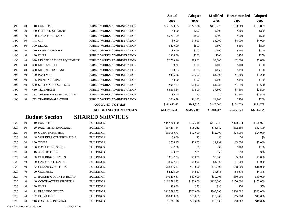|                             |    |                                |                              | Actual         | <b>Adopted</b> | Modified    | Recommended | Adopted     |
|-----------------------------|----|--------------------------------|------------------------------|----------------|----------------|-------------|-------------|-------------|
|                             |    |                                |                              | 2005           | 2006           | 2006        | 2007        | 2007        |
| 1490                        | 10 | 10 FULL TIME                   | PUBLIC WORKS ADMINISTRATION  | \$121,729.95   | \$127,276      | \$127,276   | \$133,869   | \$133,869   |
| 1490                        | 20 | 200 OFFICE EQUIPMENT           | PUBLIC WORKS ADMINISTRATION  | \$0.00         | \$200          | \$200       | \$300       | \$300       |
| 1490                        | 30 | 100 DATA PROCESSING            | PUBLIC WORKS ADMINISTRATION  | \$5,721.09     | \$500          | \$500       | \$500       | \$500       |
| 1490                        | 30 | 141 GIS                        | PUBLIC WORKS ADMINISTRATION  | \$0.00         | \$4,000        | \$4,000     | \$4,000     | \$4,000     |
| 1490                        | 30 | 300 LEGAL                      | PUBLIC WORKS ADMINISTRATION  | \$470.00       | \$500          | \$500       | \$500       | \$500       |
| 1490                        | 40 | <b>150 COPIER SUPPLIES</b>     | PUBLIC WORKS ADMINISTRATION  | \$0.00         | \$100          | \$100       | \$100       | \$100       |
| 1490                        | 40 | 180 DUES                       | PUBLIC WORKS ADMINISTRATION  | \$325.00       | \$200          | \$200       | \$250       | \$250       |
| 1490                        | 40 | 320 LEASED/SERVICE EQUIPMENT   | PUBLIC WORKS ADMINISTRATION  | \$2,728.46     | \$2,800        | \$2,800     | \$2,800     | \$2,800     |
| 1490                        | 40 | 360 MEALS/FOOD                 | PUBLIC WORKS ADMINISTRATION  | \$9.20         | \$100          | \$100       | \$100       | \$100       |
| 1490                        | 40 | 390 MILEAGE EXPENSE            | PUBLIC WORKS ADMINISTRATION  | \$68.03        | \$150          | \$150       | \$150       | \$150       |
| 1490                        | 40 | 480 POSTAGE                    | PUBLIC WORKS ADMINISTRATION  | \$435.56       | \$1,200        | \$1,200     | \$1,200     | \$1,200     |
| 1490                        | 40 | 485 PRINTING/PAPER             | PUBLIC WORKS ADMINISTRATION  | \$0.00         | \$100          | \$100       | \$150       | \$150       |
| 1490                        | 40 | <b>630 STATIONERY SUPPLIES</b> | PUBLIC WORKS ADMINISTRATION  | \$987.54       | \$1,500        | \$1,634     | \$1,650     | \$1,650     |
| 1490                        | 40 | <b>660 TELEPHONE</b>           | PUBLIC WORKS ADMINISTRATION  | \$8,338.14     | \$7,500        | \$7,500     | \$7,500     | \$7,500     |
| 1490                        | 40 | 731 TRAINING/STATE REQUIRED    | PUBLIC WORKS ADMINISTRATION  | \$0.00         | \$0            | \$0         | \$1,500     | \$1,500     |
| 1490                        | 40 | 733 TRAINING/ALL OTHER         | PUBLIC WORKS ADMINISTRATION  | \$610.88       | \$1,100        | \$1,100     | \$200       | \$200       |
|                             |    |                                | <b>ACCOUNT TOTALS</b>        | \$141,423.85   | \$147,226      | \$147,360   | \$154,769   | \$154,769   |
|                             |    |                                | <b>BUDGET SECTION TOTALS</b> | \$1,069,472.39 | \$1,168,195    | \$1,288,987 | \$1,387,124 | \$1,387,124 |
|                             |    | <b>Budget Section</b>          | <b>SHARED SERVICES</b>       |                |                |             |             |             |
|                             |    |                                |                              |                |                |             |             |             |
| 1620                        | 10 | 10 FULL TIME                   | <b>BUILDINGS</b>             | \$347,204.70   | \$417,348      | \$417,348   | \$428,074   | \$428,074   |
| 1620                        | 10 | 20 PART TIME/TEMPORARY         | <b>BUILDINGS</b>             | \$17,297.84    | \$18,382       | \$18,382    | \$32,199    | \$32,199    |
| 1620                        | 10 | 30 OVERTIME/OTHER              | <b>BUILDINGS</b>             | \$13,050.73    | \$12,000       | \$12,000    | \$24,000    | \$24,000    |
| 1620                        | 10 | 40 WORKERS COMPENSATION        | <b>BUILDINGS</b>             | \$0.00         | \$0            | \$0         | \$0         | \$0         |
| 1620                        | 20 | 280 TOOLS                      | <b>BUILDINGS</b>             | \$765.15       | \$2,000        | \$2,999     | \$3,000     | \$3,000     |
| 1620                        | 30 | 100 DATA PROCESSING            | <b>BUILDINGS</b>             | \$37.50        | \$0            | \$0         | \$100       | \$100       |
| 1620                        | 40 | 10 ADVERTISING                 | <b>BUILDINGS</b>             | \$49.37        | \$50           | \$50        | \$50        | \$50        |
| 1620                        | 40 | 60 BUILDING SUPPLIES           | <b>BUILDINGS</b>             | \$3,627.33     | \$5,000        | \$5,000     | \$5,000     | \$5,000     |
| 1620                        | 40 | 70 CAR MAINTENANCE             | <b>BUILDINGS</b>             | \$8,077.34     | \$1,000        | \$1,000     | \$1,000     | \$1,000     |
| 1620                        | 40 | <b>72 CLEANING SUPPLIES</b>    | <b>BUILDINGS</b>             | \$18,896.47    | \$15,000       | \$15,000    | \$18,000    | \$18,000    |
| 1620                        | 40 | 90 CLOTHING                    | <b>BUILDINGS</b>             | \$4,225.00     | \$4,550        | \$4,875     | \$4,875     | \$4,875     |
| 1620                        | 40 | 93 BUILDING MAINT & REPAIR     | <b>BUILDINGS</b>             | \$40,439.61    | \$50,000       | \$50,006    | \$50,000    | \$50,000    |
| 1620                        | 40 | 140 CONTRACTING SERVICE'S      | <b>BUILDINGS</b>             | \$112,582.32   | \$150,000      | \$150,000   | \$150,000   | \$150,000   |
| 1620                        | 40 | 180 DUES                       | <b>BUILDINGS</b>             | \$30.00        | \$50           | \$50        | \$50        | \$50        |
| 1620                        | 40 | 191 ELECTRIC UTILITY           | <b>BUILDINGS</b>             | \$316,882.52   | \$300,000      | \$300,000   | \$320,000   | \$320,000   |
| 1620                        | 40 | 192 ELEVATORS                  | <b>BUILDINGS</b>             | \$10,408.80    | \$15,660       | \$15,660    | \$15,000    | \$15,000    |
| 1620                        | 40 | 210 GARBAGE DISPOSAL           | <b>BUILDINGS</b>             | \$6,801.28     | \$10,000       | \$10,000    | \$10,000    | \$10,000    |
| Thursday, November 30, 2006 |    | 10:49:25 AM                    |                              |                |                |             |             |             |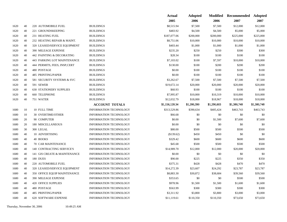|      |    |                                  |                               | Actual         | Adopted     |             | Modified Recommended Adopted |             |
|------|----|----------------------------------|-------------------------------|----------------|-------------|-------------|------------------------------|-------------|
|      |    |                                  |                               | 2005           | 2006        | 2006        | 2007                         | 2007        |
| 1620 | 40 | 220 AUTOMOBILE FUEL              | <b>BUILDINGS</b>              | \$8,515.94     | \$7,500     | \$7,500     | \$12,000                     | \$12,000    |
| 1620 | 40 | 221 GROUNDSKEEPING               | <b>BUILDINGS</b>              | \$483.92       | \$4,500     | \$4,500     | \$5,000                      | \$5,000     |
| 1620 | 40 | 231 HEATING FUEL                 | <b>BUILDINGS</b>              | \$187,077.06   | \$200,000   | \$200,000   | \$225,000                    | \$225,000   |
| 1620 | 40 | 232 HEATING REPAIR & MAINT.      | <b>BUILDINGS</b>              | \$8,751.06     | \$10,000    | \$10,000    | \$10,000                     | \$10,000    |
| 1620 | 40 | 320 LEASED/SERVICE EQUIPMENT     | <b>BUILDINGS</b>              | \$403.44       | \$1,000     | \$1,000     | \$1,000                      | \$1,000     |
| 1620 | 40 | 390 MILEAGE EXPENSE              | <b>BUILDINGS</b>              | \$235.20       | \$250       | \$250       | \$300                        | \$300       |
| 1620 | 40 | 442 PAINTING & DECORATING        | <b>BUILDINGS</b>              | \$28.34        | \$100       | \$100       | \$100                        | \$100       |
| 1620 | 40 | 443 PARKING LOT MAINTENANCE      | <b>BUILDINGS</b>              | \$7,103.02     | \$100       | \$7,597     | \$10,000                     | \$10,000    |
| 1620 | 40 | 444 PERMITS, FEES, INSP, CERT    | <b>BUILDINGS</b>              | \$130.00       | \$100       | \$200       | \$200                        | \$200       |
| 1620 | 40 | 480 POSTAGE                      | <b>BUILDINGS</b>              | \$0.00         | \$100       | \$100       | \$100                        | \$100       |
| 1620 | 40 | 485 PRINTING/PAPER               | <b>BUILDINGS</b>              | \$0.00         | \$100       | \$100       | \$100                        | \$100       |
| 1620 | 40 | 581 SECURITY SYSTEMS & SVC       | <b>BUILDINGS</b>              | \$3,262.67     | \$7,500     | \$7,500     | \$7,500                      | \$7,500     |
| 1620 | 40 | 591 SEWER                        | <b>BUILDINGS</b>              | \$19,672.14    | \$20,000    | \$20,000    | \$20,000                     | \$20,000    |
| 1620 | 40 | <b>630 STATIONERY SUPPLIES</b>   | <b>BUILDINGS</b>              | \$60.93        | \$100       | \$100       | \$100                        | \$100       |
| 1620 | 40 | <b>660 TELEPHONE</b>             | <b>BUILDINGS</b>              | \$7,995.87     | \$10,000    | \$10,319    | \$10,000                     | \$10,000    |
| 1620 | 40 | 751 WATER                        | <b>BUILDINGS</b>              | \$12,032.79    | \$18,000    | \$18,967    | \$18,000                     | \$18,000    |
|      |    |                                  | <b>ACCOUNT TOTALS</b>         | \$1,156,128.34 | \$1,280,390 | \$1,290,603 | \$1,380,748                  | \$1,380,748 |
| 1680 | 10 | 10 FULL TIME                     | <b>INFORMATION TECHNOLOGY</b> | \$313,529.86   | \$390,634   | \$405,424   | \$463,743                    | \$463,743   |
| 1680 | 10 | <b>30 OVERTIME/OTHER</b>         | <b>INFORMATION TECHNOLOGY</b> | \$66.68        | \$0         | \$0         | \$0                          | \$0         |
| 1680 | 20 | 90 COMPUTER                      | <b>INFORMATION TECHNOLOGY</b> | \$0.00         | \$0         | \$1,500     | \$7,600                      | \$7,600     |
| 1680 | 20 | 180 MISCELLANEOUS                | INFORMATION TECHNOLOGY        | \$0.00         | \$0         | \$0         | \$0                          | \$0         |
| 1680 | 30 | 300 LEGAL                        | <b>INFORMATION TECHNOLOGY</b> | \$80.00        | \$500       | \$500       | \$500                        | \$500       |
| 1680 | 40 | 10 ADVERTISING                   | <b>INFORMATION TECHNOLOGY</b> | (\$139.62)     | \$450       | \$450       | \$0                          | \$0         |
| 1680 | 40 | 40 BOOKS                         | <b>INFORMATION TECHNOLOGY</b> | \$329.42       | \$600       | \$600       | \$600                        | \$600       |
| 1680 | 40 | 70 CAR MAINTENANCE               | <b>INFORMATION TECHNOLOGY</b> | \$45.68        | \$500       | \$500       | \$500                        | \$500       |
| 1680 | 40 | <b>140 CONTRACTING SERVICE'S</b> | <b>INFORMATION TECHNOLOGY</b> | \$14,989.70    | \$12,000    | \$12,000    | \$20,000                     | \$20,000    |
| 1680 | 40 | 141 GIS CREATE & MAINTENANCE     | <b>INFORMATION TECHNOLOGY</b> | \$0.00         | \$0         | \$0         | \$0                          | \$0         |
| 1680 | 40 | 180 DUES                         | INFORMATION TECHNOLOGY        | \$90.00        | \$225       | \$225       | \$350                        | \$350       |
| 1680 | 40 | 220 AUTOMOBILE FUEL              | INFORMATION TECHNOLOGY        | \$375.31       | \$428       | \$428       | \$470                        | \$470       |
| 1680 | 40 | 320 LEASED/SERVICE EQUIPMENT     | INFORMATION TECHNOLOGY        | \$14,272.39    | \$23,607    | \$24,292    | \$23,787                     | \$23,787    |
| 1680 | 40 | 350 OFFICE EQUIP MAINTENANCE     | <b>INFORMATION TECHNOLOGY</b> | \$8,883.30     | \$30,872    | \$38,684    | \$39,560                     | \$39,560    |
| 1680 | 40 | 390 MILEAGE EXPENSE              | INFORMATION TECHNOLOGY        | \$353.65       | \$0         | \$0         | \$500                        | \$500       |
| 1680 | 40 | 420 OFFICE SUPPLIES              | <b>INFORMATION TECHNOLOGY</b> | \$978.96       | \$1,500     | \$1,500     | \$1,600                      | \$1,600     |
| 1680 | 40 | 480 POSTAGE                      | INFORMATION TECHNOLOGY        | \$563.99       | \$300       | \$300       | \$300                        | \$300       |
| 1680 | 40 | 485 PRINTING/PAPER               | <b>INFORMATION TECHNOLOGY</b> | \$3,311.92     | \$3,800     | \$3,800     | \$3,000                      | \$3,000     |
| 1680 | 40 | 620 SOFTWARE EXPENSE             | INFORMATION TECHNOLOGY        | \$11,119.61    | \$110,350   | \$110,350   | \$73,650                     | \$73,650    |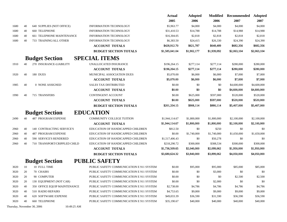|      |    |                              |                                          | <b>Actual</b>  | <b>Adopted</b> | <b>Modified</b> | Recommended | Adopted     |
|------|----|------------------------------|------------------------------------------|----------------|----------------|-----------------|-------------|-------------|
|      |    |                              |                                          | 2005           | 2006           | 2006            | 2007        | 2007        |
| 1680 | 40 | 640 SUPPLIES (NOT OFFICE)    | <b>INFORMATION TECHNOLOGY</b>            | \$5,963.77     | \$4,000        | \$4,000         | \$4,000     | \$4,000     |
| 1680 | 40 | <b>660 TELEPHONE</b>         | <b>INFORMATION TECHNOLOGY</b>            | \$31,410.53    | \$14,788       | \$14,788        | \$14,988    | \$14,988    |
| 1680 | 40 | 661 TELEPHONE MAINTENANCE    | <b>INFORMATION TECHNOLOGY</b>            | \$16,304.05    | \$2,818        | \$2,818         | \$2,818     | \$2,818     |
| 1680 | 40 | 733 TRAINING/ALL OTHER       | <b>INFORMATION TECHNOLOGY</b>            | \$6,383.50     | \$24,415       | \$26,330        | \$24,390    | \$24,390    |
|      |    |                              | <b>ACCOUNT TOTALS</b>                    | \$428,912.70   | \$621,787      | \$648,489       | \$682,356   | \$682,356   |
|      |    |                              | <b>BUDGET SECTION TOTALS</b>             | \$1,585,041.04 | \$1,902,177    | \$1,939,092     | \$2,063,104 | \$2,063,104 |
|      |    | <b>Budget Section</b>        | <b>SPECIAL ITEMS</b>                     |                |                |                 |             |             |
| 1910 | 40 | 270 INSURANCE-LIABILITY      | UNALLOCATED INSURANCE                    | \$196,264.15   | \$277,114      | \$277,114       | \$280,000   | \$280,000   |
|      |    |                              | <b>ACCOUNT TOTALS</b>                    | \$196,264.15   | \$277,114      | \$277,114       | \$280,000   | \$280,000   |
| 1920 | 40 | 180 DUES                     | MUNICIPAL ASSOCIATION DUES               | \$5,070.00     | \$6,000        | \$6,000         | \$7,000     | \$7,000     |
|      |    |                              | <b>ACCOUNT TOTALS</b>                    | \$5,070.00     | \$6,000        | \$6,000         | \$7,000     | \$7,000     |
| 1985 | 40 | 0 NONE ASSIGNED              | SALES TAX DISTRIBUTED                    | \$0.00         | \$0            | \$0             | \$4,600,000 | \$4,600,000 |
|      |    |                              | <b>ACCOUNT TOTALS</b>                    | \$0.00         | \$0            | \$0             | \$4,600,000 | \$4,600,000 |
| 1990 | 40 | 715 TRANSFERS                | CONTINGENT ACCOUNT                       | \$0.00         | \$625,000      | \$597,000       | \$520,000   | \$520,000   |
|      |    |                              | <b>ACCOUNT TOTALS</b>                    | \$0.00         | \$625,000      | \$597,000       | \$520,000   | \$520,000   |
|      |    |                              | <b>BUDGET SECTION TOTALS</b>             | \$201,334.15   | \$908,114      | \$880,114       | \$5,407,000 | \$5,407,000 |
|      |    | <b>Budget Section</b>        | <b>EDUCATION</b>                         |                |                |                 |             |             |
| 2490 | 40 | <b>487 PROGRAM EXPENSE</b>   | COMMUNITY COLLEGE TUITION                | \$1,944,114.67 | \$1,800,000    | \$1,800,000     | \$2,100,000 | \$2,100,000 |
|      |    |                              | <b>ACCOUNT TOTALS</b>                    | \$1,944,114.67 | \$1,800,000    | \$1,800,000     | \$2,100,000 | \$2,100,000 |
| 2960 | 40 | 140 CONTRACTING SERVICE'S    | EDUCATION OF HANDICAPPED CHILDREN        | \$812.50       | \$0            | \$250           | \$0         | \$0         |
| 2960 | 40 | <b>487 PROGRAM EXPENSE</b>   | EDUCATION OF HANDICAPPED CHILDREN        | \$0.00         | \$1,740,000    | \$1,740,000     | \$1,650,000 | \$1,650,000 |
| 2960 | 40 | 590 SERVICE'S RENDERED       | EDUCATION OF HANDICAPPED CHILDREN        | \$1,517,406.43 | \$0            | \$50,278        | \$0         | \$0         |
| 2960 | 40 | 710 TRANSPORT/CRIPPLED CHILD | EDUCATION OF HANDICAPPED CHILDREN        | \$218,290.72   | \$300,000      | \$308,534       | \$300,000   | \$300,000   |
|      |    |                              | <b>ACCOUNT TOTALS</b>                    | \$1,736,509.65 | \$2,040,000    | \$2,099,062     | \$1,950,000 | \$1,950,000 |
|      |    |                              | <b>BUDGET SECTION TOTALS</b>             | \$3,680,624.32 | \$3,840,000    | \$3,899,062     | \$4,050,000 | \$4,050,000 |
|      |    | <b>Budget Section</b>        | <b>PUBLIC SAFETY</b>                     |                |                |                 |             |             |
| 3020 | 10 | 10 FULL TIME                 | PUBLIC SAFETY COMMUNICATION E 911 SYSTEM | \$0.00         | \$95,000       | \$95,000        | \$85,000    | \$85,000    |
| 3020 | 20 | 70 CHAIRS                    | PUBLIC SAFETY COMMUNICATION E 911 SYSTEM | \$0.00         | \$0            | \$3,000         | \$0         | \$0         |
| 3020 | 20 | 90 COMPUTER                  | PUBLIC SAFETY COMMUNICATION E 911 SYSTEM | \$0.00         | \$0            | \$0             | \$2,500     | \$2,500     |
| 3020 | 20 | 130 EQUIPMENT (NOT CAR)      | PUBLIC SAFETY COMMUNICATION E 911 SYSTEM | \$0.00         | \$0            | \$2,000         | \$0         | \$0         |
| 3020 | 40 | 350 OFFICE EQUIP MAINTENANCE | PUBLIC SAFETY COMMUNICATION E 911 SYSTEM | \$2,738.00     | \$4,786        | \$4,786         | \$4,786     | \$4,786     |
| 3020 | 40 | 510 RADIO REPAIRS            | PUBLIC SAFETY COMMUNICATION E 911 SYSTEM | \$4,753.65     | \$9,000        | \$9,000         | \$9,000     | \$9,000     |
| 3020 | 40 | 620 SOFTWARE EXPENSE         | PUBLIC SAFETY COMMUNICATION E 911 SYSTEM | \$49,033.39    | \$36,590       | \$31,590        | \$36,590    | \$36,590    |
| 3020 | 40 | 660 TELEPHONE                | PUBLIC SAFETY COMMUNICATION E 911 SYSTEM | \$35,190.67    | \$40,000       | \$40,000        | \$40,000    | \$40,000    |
|      |    |                              |                                          |                |                |                 |             |             |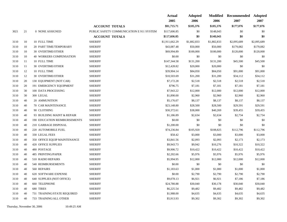|      |    |                                |                                          | Actual<br>2005 | <b>Adopted</b><br>2006 | 2006        | Modified Recommended Adopted<br>2007 | 2007        |
|------|----|--------------------------------|------------------------------------------|----------------|------------------------|-------------|--------------------------------------|-------------|
|      |    |                                | <b>ACCOUNT TOTALS</b>                    | \$91,715.71    | \$185,376              | \$185,376   | \$177,876                            | \$177,876   |
| 3021 | 21 | 0 NONE ASSIGNED                | PUBLIC SAFETY COMMUNICATION E 911 SYSTEM | \$117,606.85   | \$0                    | \$148,043   | $\$0$                                | \$0         |
|      |    |                                | <b>ACCOUNT TOTALS</b>                    | \$117,606.85   | \$0                    | \$148,043   | \$0                                  | \$0         |
| 3110 | 10 | 10 FULL TIME                   | <b>SHERIFF</b>                           | \$1,911,662.29 | \$1,882,833            | \$1,882,833 | \$2,095,689                          | \$2,095,689 |
| 3110 | 10 | 20 PART TIME/TEMPORARY         | <b>SHERIFF</b>                           | \$43,087.48    | \$50,000               | \$50,000    | \$179,082                            | \$179,082   |
| 3110 | 10 | 30 OVERTIME/OTHER              | <b>SHERIFF</b>                           | \$69,994.89    | \$100,000              | \$100,000   | \$120,000                            | \$120,000   |
| 3110 | 10 | <b>40 WORKERS COMPENSATION</b> | <b>SHERIFF</b>                           | \$0.00         | \$0                    | \$0         | \$0                                  | \$0         |
| 3110 | 11 | 10 FULL TIME                   | <b>SHERIFF</b>                           | \$147,344.58   | \$131,200              | \$131,200   | \$45,500                             | \$45,500    |
| 3110 | 11 | 30 OVERTIME/OTHER              | <b>SHERIFF</b>                           | \$12,428.82    | \$20,000               | \$20,000    | \$0                                  | \$0         |
| 3110 | 12 | 10 FULL TIME                   | <b>SHERIFF</b>                           | \$39,904.14    | \$84,050               | \$84,050    | \$91,000                             | \$91,000    |
| 3110 | 12 | 30 OVERTIME/OTHER              | <b>SHERIFF</b>                           | \$10,503.69    | \$31,200               | \$31,200    | \$34,112                             | \$34,112    |
| 3110 | 20 | 130 EQUIPMENT (NOT CAR)        | <b>SHERIFF</b>                           | \$7,172.28     | \$2,518                | \$2,518     | \$2,518                              | \$2,518     |
| 3110 | 20 | 191 EMERGENCY EQUIPMENT        | <b>SHERIFF</b>                           | \$796.75       | \$7,181                | \$7,181     | \$7,181                              | \$7,181     |
| 3110 | 30 | 100 DATA PROCESSING            | <b>SHERIFF</b>                           | \$7,943.22     | \$12,000               | \$12,000    | \$12,000                             | \$12,000    |
| 3110 | 30 | 300 LEGAL                      | <b>SHERIFF</b>                           | \$1,890.00     | \$2,960                | \$2,960     | \$2,960                              | \$2,960     |
| 3110 | 40 | 20 AMMUNITION                  | <b>SHERIFF</b>                           | \$5,176.07     | \$8,137                | \$8,137     | \$8,137                              | \$8,137     |
| 3110 | 40 | 70 CAR MAINTENANCE             | <b>SHERIFF</b>                           | \$23,148.80    | \$28,500               | \$28,500    | \$29,591                             | \$29,591    |
| 3110 | 40 | 90 CLOTHING                    | <b>SHERIFF</b>                           | \$30,372.61    | \$38,000               | \$40,269    | \$39,455                             | \$39,455    |
| 3110 | 40 | 93 BUILDING MAINT & REPAIR     | <b>SHERIFF</b>                           | \$1,186.89     | \$2,634                | \$2,634     | \$2,734                              | \$2,734     |
| 3110 | 40 | 190 EDUCATION REIMBURSEMENTS   | <b>SHERIFF</b>                           | \$0.00         | \$0                    | \$0         | \$0                                  | \$0         |
| 3110 | 40 | 210 GARBAGE DISPOSAL           | <b>SHERIFF</b>                           | \$1,200.00     | \$0                    | \$0         | $\$0$                                | \$0         |
| 3110 | 40 | 220 AUTOMOBILE FUEL            | <b>SHERIFF</b>                           | \$74,236.84    | \$105,920              | \$108,825   | \$112,796                            | \$112,796   |
| 3110 | 40 | 330 LEGAL FEES                 | <b>SHERIFF</b>                           | \$58.42        | \$3,000                | \$3,000     | \$3,000                              | \$3,000     |
| 3110 | 40 | 350 OFFICE EQUIP MAINTENANCE   | <b>SHERIFF</b>                           | \$3,841.56     | \$2,093                | \$2,093     | \$2,173                              | \$2,173     |
| 3110 | 40 | <b>420 OFFICE SUPPLIES</b>     | <b>SHERIFF</b>                           | \$9,943.73     | \$9,942                | \$10,276    | \$10,322                             | \$10,322    |
| 3110 | 40 | 480 POSTAGE                    | <b>SHERIFF</b>                           | \$9,906.72     | \$10,422               | \$10,422    | \$10,422                             | \$10,422    |
| 3110 | 40 | 485 PRINTING/PAPER             | <b>SHERIFF</b>                           | \$2,202.66     | \$5,976                | \$5,976     | \$5,976                              | \$5,976     |
| 3110 | 40 | 510 RADIO REPAIRS              | <b>SHERIFF</b>                           | \$5,994.95     | \$12,000               | \$12,000    | \$12,000                             | \$12,000    |
| 3110 | 40 | 540 REIMBURSEMENTS             | <b>SHERIFF</b>                           | \$0.00         | \$0                    | \$0         | \$0                                  | \$0         |
| 3110 | 40 | 560 REPAIRS                    | <b>SHERIFF</b>                           | \$1,183.63     | \$1,000                | \$1,000     | \$1,000                              | \$1,000     |
| 3110 | 40 | 620 SOFTWARE EXPENSE           | <b>SHERIFF</b>                           | \$0.00         | \$2,790                | \$2,790     | \$2,790                              | \$2,790     |
| 3110 | 40 | 640 SUPPLIES (NOT OFFICE)      | <b>SHERIFF</b>                           | \$9,078.13     | \$6,921                | \$6,921     | \$7,186                              | \$7,186     |
| 3110 | 40 | <b>660 TELEPHONE</b>           | <b>SHERIFF</b>                           | \$24,780.88    | \$30,040               | \$30,178    | \$30,040                             | \$30,040    |
| 3110 | 40 | 680 TIRES                      | <b>SHERIFF</b>                           | \$6,225.54     | \$9,482                | \$9,482     | \$9,482                              | \$9,482     |
| 3110 | 40 | 731 TRAINING/STATE REQUIRED    | <b>SHERIFF</b>                           | \$1,988.00     | \$4,635                | \$4,635     | \$4,635                              | \$4,635     |
| 3110 | 40 | 733 TRAINING/ALL OTHER         | <b>SHERIFF</b>                           | \$5,913.93     | \$9,302                | \$9,302     | \$9,302                              | \$9,302     |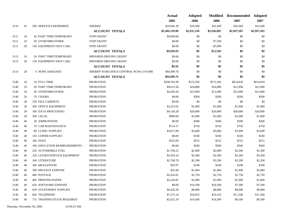|      |        |                                |                                         | <b>Actual</b><br>2005 | <b>Adopted</b><br>2006 | Modified<br>2006 | Recommended Adopted<br>2007 | 2007        |
|------|--------|--------------------------------|-----------------------------------------|-----------------------|------------------------|------------------|-----------------------------|-------------|
| 3110 | 41     | 590 SERVICE'S RENDERED         | <b>SHERIFF</b>                          | \$10,942.38           | \$16,500               | \$16,500         | \$16,500                    | \$16,500    |
|      |        |                                | <b>ACCOUNT TOTALS</b>                   | \$2,480,109.88        | \$2,631,236            | \$2,636,882      | \$2,907,583                 | \$2,907,583 |
| 3111 | 10     | 20 PART TIME/TEMPORARY         | <b>STEP GRANT</b>                       | \$9,000.00            | \$0                    | \$0              | \$0                         | \$0         |
| 3111 | 10     | 30 OVERTIME/OTHER              | <b>STEP GRANT</b>                       | \$0.00                | \$0                    | \$7,500          | \$0                         | \$0         |
| 3111 | 20     | 130 EQUIPMENT (NOT CAR)        | <b>STEP GRANT</b>                       | \$0.00                | \$0                    | \$5,000          | \$0                         | \$0         |
|      |        |                                | <b>ACCOUNT TOTALS</b>                   | \$9,000.00            | \$0                    | \$12,500         | \$0                         | \$0         |
| 3113 | 10     | 20 PART TIME/TEMPORARY         | <b>IMPAIRED DRIVING GRANT</b>           | \$0.00                | \$0                    | \$0              | \$0                         | \$0         |
| 3113 | 20     | 130 EQUIPMENT (NOT CAR)        | <b>IMPAIRED DRIVING GRANT</b>           | \$0.00                | \$0                    | \$0              | \$0                         | \$0         |
|      |        |                                | <b>ACCOUNT TOTALS</b>                   | \$0.00                | \$0                    | \$0              | \$0                         | \$0         |
| 3114 | 20     | 0 NONE ASSIGNED                | SHERIFF-NARCOTICS CONTROL NC04-1119-D00 | \$64,999.70           | \$0                    | \$0              | \$0                         | \$0         |
|      |        |                                | <b>ACCOUNT TOTALS</b>                   | \$64,999.70           | \$0                    | \$0              | \$0                         | \$0         |
| 3140 | 10     | 10 FULL TIME                   | <b>PROBATION</b>                        | \$508,762.89          | \$572,582              | \$572,582        | \$614,818                   | \$614,818   |
| 3140 | 10     | 20 PART TIME/TEMPORARY         | <b>PROBATION</b>                        | \$9,613.58            | \$24,800               | \$24,800         | \$21,896                    | \$21,896    |
| 3140 | 10     | <b>30 OVERTIME/OTHER</b>       | <b>PROBATION</b>                        | \$2,820.20            | \$12,000               | \$12,000         | \$12,000                    | \$12,000    |
| 3140 | 20     | 70 CHAIRS                      | <b>PROBATION</b>                        | \$0.00                | \$200                  | \$200            | \$200                       | \$200       |
| 3140 | 20     | <b>150 FILE CABINETS</b>       | <b>PROBATION</b>                        | \$0.00                | \$0                    | \$0              | \$0                         | \$0         |
| 3140 | 20     | 200 OFFICE EQUIPMENT           | <b>PROBATION</b>                        | \$3,253.02            | \$1,000                | \$1,000          | \$1,000                     | \$1,000     |
| 3140 | 30     | 100 DATA PROCESSING            | <b>PROBATION</b>                        | \$4,156.28            | \$20,000               | \$20,000         | \$20,000                    | \$20,000    |
| 3140 | 30     | 300 LEGAL                      | <b>PROBATION</b>                        | \$980.00              | \$1,000                | \$1,000          | \$1,000                     | \$1,000     |
| 3140 | 40     | 20 AMMUNITION                  | <b>PROBATION</b>                        | \$0.00                | \$300                  | \$300            | \$300                       | \$300       |
| 3140 | 40     | 70 CAR MAINTENANCE             | <b>PROBATION</b>                        | \$714.17              | \$750                  | \$750            | \$750                       | \$750       |
| 3140 | 40     | <b>80 CLINIC SUPPLIES</b>      | <b>PROBATION</b>                        | \$3,071.00            | \$3,600                | \$3,600          | \$3,600                     | \$3,600     |
| 3140 | 40     | 150 COPIER SUPPLIES            | <b>PROBATION</b>                        | \$0.00                | \$100                  | \$100            | \$100                       | \$100       |
| 3140 | $40\,$ | 180 DUES                       | <b>PROBATION</b>                        | \$325.00              | \$525                  | \$525            | \$525                       | \$525       |
| 3140 | 40     | 190 EDUCATION REIMBURSEMENTS   | <b>PROBATION</b>                        | \$0.00                | \$500                  | \$500            | \$500                       | \$500       |
| 3140 | 40     | 220 AUTOMOBILE FUEL            | <b>PROBATION</b>                        | \$1,784.23            | \$2,000                | \$2,000          | \$2,300                     | \$2,300     |
| 3140 | 40     | 320 LEASED/SERVICE EQUIPMENT   | <b>PROBATION</b>                        | \$2,459.14            | \$2,500                | \$2,500          | \$3,200                     | \$3,200     |
| 3140 | 40     | <b>340 LITERATURE</b>          | <b>PROBATION</b>                        | \$2,768.70            | \$2,200                | \$2,200          | \$2,200                     | \$2,200     |
| 3140 | 40     | 360 MEALS/FOOD                 | <b>PROBATION</b>                        | \$93.97               | \$100                  | \$100            | \$100                       | \$100       |
| 3140 | 40     | 390 MILEAGE EXPENSE            | <b>PROBATION</b>                        | \$55.90               | \$1,064                | \$1,064          | \$1,000                     | \$1,000     |
| 3140 | 40     | 480 POSTAGE                    | <b>PROBATION</b>                        | \$2,416.81            | \$2,750                | \$2,750          | \$2,750                     | \$2,750     |
| 3140 | 40     | 485 PRINTING/PAPER             | <b>PROBATION</b>                        | \$2,226.81            | \$1,000                | \$1,000          | \$1,000                     | \$1,000     |
| 3140 | 40     | 620 SOFTWARE EXPENSE           | <b>PROBATION</b>                        | \$0.00                | \$10,500               | \$10,500         | \$7,500                     | \$7,500     |
| 3140 | 40     | <b>630 STATIONERY SUPPLIES</b> | <b>PROBATION</b>                        | \$6,426.20            | \$8,000                | \$8,000          | \$8,000                     | \$8,000     |
| 3140 | 40     | <b>660 TELEPHONE</b>           | <b>PROBATION</b>                        | \$7,375.24            | \$10,055               | \$10,332         | \$11,500                    | \$11,500    |
| 3140 | 40     | 731 TRAINING/STATE REQUIRED    | <b>PROBATION</b>                        | \$2,622.19            | \$14,500               | \$14,500         | \$6,500                     | \$6,500     |
|      |        |                                |                                         |                       |                        |                  |                             |             |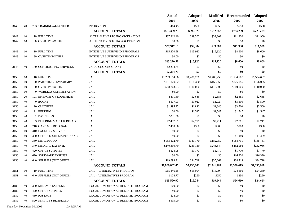|      |    |                                  |                                      | Actual         | <b>Adopted</b> | Modified    | Recommended | Adopted     |
|------|----|----------------------------------|--------------------------------------|----------------|----------------|-------------|-------------|-------------|
|      |    |                                  |                                      | 2005           | 2006           | 2006        | 2007        | 2007        |
| 3140 | 40 | 733 TRAINING/ALL OTHER           | <b>PROBATION</b>                     | \$1,464.45     | \$550          | \$550       | \$550       | \$550       |
|      |    |                                  | <b>ACCOUNT TOTALS</b>                | \$563,389.78   | \$692,576      | \$692,853   | \$723,289   | \$723,289   |
| 3142 | 10 | 10 FULL TIME                     | ALTERNATIVES TO INCARCERATION        | \$37,912.10    | \$39,302       | \$39,302    | \$11,900    | \$11,900    |
| 3142 | 10 | <b>30 OVERTIME/OTHER</b>         | ALTERNATIVES TO INCARCERATION        | \$0.00         | \$0            | \$0         | \$0         | \$0         |
|      |    |                                  | <b>ACCOUNT TOTALS</b>                | \$37,912.10    | \$39,302       | \$39,302    | \$11,900    | \$11,900    |
| 3143 | 10 | 10 FULL TIME                     | <b>INTENSIVE SUPERVISION PROGRAM</b> | \$15,270.58    | \$15,920       | \$15,920    | \$8,600     | \$8,600     |
| 3143 | 10 | <b>30 OVERTIME/OTHER</b>         | <b>INTENSIVE SUPERVISION PROGRAM</b> | \$0.00         | \$0            | \$0         | \$0         | \$0         |
|      |    |                                  | <b>ACCOUNT TOTALS</b>                | \$15,270.58    | \$15,920       | \$15,920    | \$8,600     | \$8,600     |
| 3144 | 40 | <b>140 CONTRACTING SERVICE'S</b> | <b>JAIBG CHOICES GRANT</b>           | \$2,254.75     | \$0            | \$0         | \$0         | \$0         |
|      |    |                                  | <b>ACCOUNT TOTALS</b>                | \$2,254.75     | \$0            | \$0         | \$0         | \$0         |
| 3150 | 10 | 10 FULL TIME                     | <b>JAIL</b>                          | \$1,299,604.06 | \$1,486,256    | \$1,486,256 | \$1,534,607 | \$1,534,607 |
| 3150 | 10 | 20 PART TIME/TEMPORARY           | <b>JAIL</b>                          | \$151,120.02   | \$168,360      | \$168,360   | \$176,055   | \$176,055   |
| 3150 | 10 | <b>30 OVERTIME/OTHER</b>         | JAIL                                 | \$88,263.23    | \$110,000      | \$110,000   | \$110,000   | \$110,000   |
| 3150 | 10 | <b>40 WORKERS COMPENSATION</b>   | JAIL                                 | \$0.00         | \$0            | \$0         | \$0         | \$0         |
| 3150 | 20 | 191 EMERGENCY EQUIPMENT          | JAIL                                 | \$891.40       | \$2,685        | \$2,685     | \$2,685     | \$2,685     |
| 3150 | 40 | 40 BOOKS                         | JAIL                                 | \$507.93       | \$1,027        | \$1,027     | \$3,500     | \$3,500     |
| 3150 | 40 | 90 CLOTHING                      | <b>JAIL</b>                          | \$1,495.95     | \$1,840        | \$1,840     | \$3,500     | \$3,500     |
| 3150 | 40 | 91 BEDDING                       | JAIL                                 | \$0.00         | \$1,547        | \$1,547     | \$1,547     | \$1,547     |
| 3150 | 40 | 92 BATTERIES                     | JAIL                                 | \$231.50       | \$0            | \$0         | \$0         | \$0         |
| 3150 | 40 | 93 BUILDING MAINT & REPAIR       | JAIL                                 | \$2,407.61     | \$2,711        | \$2,711     | \$2,711     | \$2,711     |
| 3150 | 40 | 210 GARBAGE DISPOSAL             | JAIL                                 | \$2,400.00     | \$300          | \$300       | \$300       | \$300       |
| 3150 | 40 | <b>310 LAUNDRY SERVICE</b>       | JAIL                                 | \$0.00         | \$0            | \$0         | \$0         | \$0         |
| 3150 | 40 | 350 OFFICE EQUIP MAINTENANCE     | JAIL                                 | \$0.00         | \$0            | \$0         | \$1,489     | \$1,489     |
| 3150 | 40 | 360 MEALS/FOOD                   | <b>JAIL</b>                          | \$153,302.79   | \$181,770      | \$182,059   | \$188,731   | \$188,731   |
| 3150 | 40 | 370 MEDICAL EXPENSE              | JAIL                                 | \$240,630.70   | \$243,159      | \$248,347   | \$252,086   | \$252,086   |
| 3150 | 40 | <b>420 OFFICE SUPPLIES</b>       | JAIL                                 | \$328.95       | \$1,770        | \$1,770     | \$1,770     | \$1,770     |
| 3150 | 40 | 620 SOFTWARE EXPENSE             | JAIL                                 | \$0.00         | \$0            | \$0         | \$16,320    | \$16,320    |
| 3150 | 40 | 640 SUPPLIES (NOT OFFICE)        | JAIL                                 | \$19,698.31    | \$34,718       | \$35,062    | \$34,718    | \$34,718    |
|      |    |                                  | <b>ACCOUNT TOTALS</b>                | \$1,960,882.45 | \$2,236,143    | \$2,241,964 | \$2,330,019 | \$2,330,019 |
| 3151 | 10 | 10 FULL TIME                     | JAIL - ALTERNATIVES PROGRAM          | \$15,346.15    | \$18,994       | \$18,994    | \$24,360    | \$24,360    |
| 3151 | 40 | 640 SUPPLIES (NOT OFFICE)        | JAIL - ALTERNATIVES PROGRAM          | \$174.77       | \$250          | \$250       | \$250       | \$250       |
|      |    |                                  | <b>ACCOUNT TOTALS</b>                | \$15,520.92    | \$19,244       | \$19,244    | \$24,610    | \$24,610    |
| 3189 | 40 | <b>390 MILEAGE EXPENSE</b>       | LOCAL CONDITIONAL RELEASE PROGRAM    | \$60.00        | \$0            | \$0         | \$0         | \$0         |
| 3189 | 40 | <b>420 OFFICE SUPPLIES</b>       | LOCAL CONDITIONAL RELEASE PROGRAM    | \$0.00         | \$0            | \$0         | \$0         | \$0         |
| 3189 | 40 | 480 POSTAGE                      | LOCAL CONDITIONAL RELEASE PROGRAM    | \$74.00        | \$0            | \$0         | \$0         | \$0         |
| 3189 | 40 | 590 SERVICE'S RENDERED           | LOCAL CONDITIONAL RELEASE PROGRAM    | \$595.00       | \$0            | \$0         | \$0         | \$0         |
|      |    |                                  |                                      |                |                |             |             |             |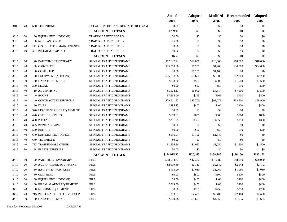|      |    |                                  |                                   | <b>Actual</b> | <b>Adopted</b> |           | Modified Recommended Adopted |           |
|------|----|----------------------------------|-----------------------------------|---------------|----------------|-----------|------------------------------|-----------|
|      |    |                                  |                                   | 2005          | 2006           | 2006      | 2007                         | 2007      |
| 3189 | 40 | 660 TELEPHONE                    | LOCAL CONDITIONAL RELEASE PROGRAM | \$0.00        | \$0            | \$0       | \$0                          | \$0       |
|      |    |                                  | <b>ACCOUNT TOTALS</b>             | \$729.00      | \$0            | \$0       | \$0                          | \$0       |
| 3310 | 20 | 130 EQUIPMENT (NOT CAR)          | <b>TRAFFIC SAFETY BOARD</b>       | \$0.00        | \$0            | \$0       | \$0                          | \$0       |
| 3310 | 40 | 0 NONE ASSIGNED                  | <b>TRAFFIC SAFETY BOARD</b>       | \$6.50        | \$0            | \$0       | \$0                          | \$0       |
| 3310 | 40 | 141 GIS CREATE & MAINTENANCE     | TRAFFIC SAFETY BOARD              | \$0.00        | \$0            | \$0       | \$0                          | \$0       |
| 3310 | 40 | <b>487 PROGRAM EXPENSE</b>       | TRAFFIC SAFETY BOARD              | \$0.00        | \$0            | \$0       | \$0                          | \$0       |
|      |    |                                  | <b>ACCOUNT TOTALS</b>             | \$6.50        | \$0            | \$0       | \$0                          | \$0       |
| 3315 | 10 | 20 PART TIME/TEMPORARY           | SPECIAL TRAFFIC PROGRAMS          | \$17,647.24   | \$18,000       | \$18,000  | \$18,000                     | \$18,000  |
| 3315 | 20 | <b>60 CAR/TRUCK</b>              | SPECIAL TRAFFIC PROGRAMS          | \$25,000.00   | \$1,200        | \$1,200   | \$34,000                     | \$34,000  |
| 3315 | 20 | 90 COMPUTER                      | SPECIAL TRAFFIC PROGRAMS          | \$0.00        | \$1,100        | \$1,100   | \$0                          | \$0       |
| 3315 | 20 | 130 EQUIPMENT (NOT CAR)          | SPECIAL TRAFFIC PROGRAMS          | \$16,658.58   | \$3,600        | \$3,600   | \$2,700                      | \$2,700   |
| 3315 | 30 | 100 DATA PROCESSING              | SPECIAL TRAFFIC PROGRAMS          | \$108.90      | \$500          | \$500     | \$1,500                      | \$1,500   |
| 3315 | 30 | 300 LEGAL                        | SPECIAL TRAFFIC PROGRAMS          | \$0.00        | \$50           | \$50      | \$50                         | \$50      |
| 3315 | 40 | 10 ADVERTISING                   | SPECIAL TRAFFIC PROGRAMS          | \$5,124.13    | \$6,000        | \$8,514   | \$7,500                      | \$7,500   |
| 3315 | 40 | 40 BOOKS                         | SPECIAL TRAFFIC PROGRAMS          | \$7,665.00    | \$165          | \$165     | \$400                        | \$400     |
| 3315 | 40 | <b>140 CONTRACTING SERVICE'S</b> | SPECIAL TRAFFIC PROGRAMS          | \$79,611.82   | \$85,700       | \$93,278  | \$68,900                     | \$68,900  |
| 3315 | 40 | 180 DUES                         | SPECIAL TRAFFIC PROGRAMS          | \$395.25      | \$400          | \$400     | \$400                        | \$400     |
| 3315 | 40 | 320 LEASED/SERVICE EQUIPMENT     | SPECIAL TRAFFIC PROGRAMS          | \$0.60        | \$0            | \$0       | \$0                          | \$0       |
| 3315 | 40 | 420 OFFICE SUPPLIES              | SPECIAL TRAFFIC PROGRAMS          | \$158.82      | \$600          | \$600     | \$800                        | \$800     |
| 3315 | 40 | 480 POSTAGE                      | SPECIAL TRAFFIC PROGRAMS          | \$251.55      | \$350          | \$350     | \$350                        | \$350     |
| 3315 | 40 | 485 PRINTING/PAPER               | SPECIAL TRAFFIC PROGRAMS          | \$0.00        | \$0            | \$0       | \$0                          | \$0       |
| 3315 | 40 | 560 REPAIRS                      | SPECIAL TRAFFIC PROGRAMS          | \$0.00        | \$50           | \$50      | \$50                         | \$50      |
| 3315 | 40 | 640 SUPPLIES (NOT OFFICE)        | SPECIAL TRAFFIC PROGRAMS          | \$656.91      | \$1,700        | \$1,849   | \$0                          | \$0       |
| 3315 | 40 | <b>660 TELEPHONE</b>             | SPECIAL TRAFFIC PROGRAMS          | \$0.00        | \$0            | \$0       | \$0                          | \$0       |
| 3315 | 40 | 733 TRAINING/ALL OTHER           | SPECIAL TRAFFIC PROGRAMS          | \$1,636.56    | \$1,050        | \$1,050   | \$1,500                      | \$1,500   |
| 3315 | 80 | <b>88 FRINGE BENEFITS</b>        | SPECIAL TRAFFIC PROGRAMS          | \$0.00        | \$0            | \$0       | \$0                          | \$0       |
|      |    |                                  | <b>ACCOUNT TOTALS</b>             | \$154,915.36  | \$120,465      | \$130,706 | \$136,150                    | \$136,150 |
| 3410 | 10 | 20 PART TIME/TEMPORARY           | <b>FIRE</b>                       | \$38,584.77   | \$47,382       | \$47,382  | \$48,050                     | \$48,050  |
| 3410 | 20 | 20 AUDIO VISUAL EQUIPMENT        | <b>FIRE</b>                       | \$2,099.49    | \$2,142        | \$2,142   | \$2,142                      | \$2,142   |
| 3410 | 20 | 30 BATTERIES (PORTABLE)          | <b>FIRE</b>                       | \$995.90      | \$1,060        | \$1,060   | \$1,060                      | \$1,060   |
| 3410 | 20 | 80 CLOTHING                      | <b>FIRE</b>                       | \$0.00        | \$500          | \$500     | \$500                        | \$500     |
| 3410 | 20 | 130 EQUIPMENT (NOT CAR)          | <b>FIRE</b>                       | \$0.00        | \$400          | \$400     | \$400                        | \$400     |
| 3410 | 20 | 160 FIRE & ALARMS EQUIPMENT      | <b>FIRE</b>                       | \$213.80      | \$400          | \$400     | \$400                        | \$400     |
| 3410 | 20 | 190 NURSING EQUIPMENT            | <b>FIRE</b>                       | \$0.00        | \$250          | \$250     | \$250                        | \$250     |
| 3410 | 20 | 215 PERSONAL PROTECTIVE EQUP     | <b>FIRE</b>                       | \$1,003.87    | \$2,400        | \$2,400   | \$2,400                      | \$2,400   |
| 3410 | 30 | 100 DATA PROCESSING              | <b>FIRE</b>                       | \$520.78      | \$1,655        | \$1,655   | \$1,655                      | \$1,655   |
|      |    |                                  |                                   |               |                |           |                              |           |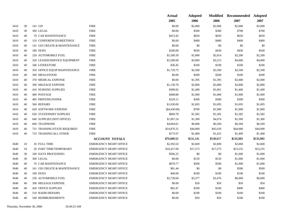|      |    |                                |                              | <b>Actual</b>  | <b>Adopted</b> |           | Modified Recommended Adopted |           |
|------|----|--------------------------------|------------------------------|----------------|----------------|-----------|------------------------------|-----------|
|      |    |                                |                              | 2005           | 2006           | 2006      | 2007                         | 2007      |
| 3410 | 30 | 141 GIS                        | <b>FIRE</b>                  | \$0.00         | \$2,000        | \$2,000   | \$2,000                      | \$2,000   |
| 3410 | 30 | 300 LEGAL                      | <b>FIRE</b>                  | \$0.00         | \$300          | \$300     | \$700                        | \$700     |
| 3410 | 40 | 70 CAR MAINTENANCE             | <b>FIRE</b>                  | \$413.42       | \$650          | \$650     | \$650                        | \$650     |
| 3410 | 40 | 110 CONFERENCES/MEETINGS       | <b>FIRE</b>                  | \$0.00         | \$400          | \$400     | \$400                        | \$400     |
| 3410 | 40 | 141 GIS CREATE & MAINTENANCE   | <b>FIRE</b>                  | \$0.00         | \$0            | \$0       | \$0                          | \$0       |
| 3410 | 40 | 180 DUES                       | <b>FIRE</b>                  | \$240.00       | \$430          | \$430     | \$430                        | \$430     |
| 3410 | 40 | 220 AUTOMOBILE FUEL            | <b>FIRE</b>                  | \$1,560.39     | \$1,800        | \$2,014   | \$2,200                      | \$2,200   |
| 3410 | 40 | 320 LEASED/SERVICE EQUIPMENT   | <b>FIRE</b>                  | \$2,580.00     | \$3,000        | \$3,215   | \$4,000                      | \$4,000   |
| 3410 | 40 | <b>340 LITERATURE</b>          | <b>FIRE</b>                  | \$36.45        | \$100          | \$100     | \$100                        | \$100     |
| 3410 | 40 | 350 OFFICE EQUIP MAINTENANCE   | <b>FIRE</b>                  | \$1,729.75     | \$2,500        | \$2,500   | \$2,500                      | \$2,500   |
| 3410 | 40 | 360 MEALS/FOOD                 | <b>FIRE</b>                  | \$0.00         | \$200          | \$200     | \$200                        | \$200     |
| 3410 | 40 | 370 MEDICAL EXPENSE            | <b>FIRE</b>                  | \$0.00         | \$1,395        | \$1,395   | \$2,000                      | \$2,000   |
| 3410 | 40 | 390 MILEAGE EXPENSE            | <b>FIRE</b>                  | \$1,130.70     | \$2,800        | \$2,800   | \$2,800                      | \$2,800   |
| 3410 | 40 | 410 NURSING SUPPLIES           | <b>FIRE</b>                  | \$389.82       | \$1,400        | \$1,661   | \$1,400                      | \$1,400   |
| 3410 | 40 | 480 POSTAGE                    | <b>FIRE</b>                  | \$408.86       | \$1,000        | \$1,000   | \$1,000                      | \$1,000   |
| 3410 | 40 | 485 PRINTING/PAPER             | <b>FIRE</b>                  | \$229.11       | \$300          | \$300     | \$300                        | \$300     |
| 3410 | 40 | 560 REPAIRS                    | <b>FIRE</b>                  | \$1,030.00     | \$1,695        | \$1,695   | \$1,695                      | \$1,695   |
| 3410 | 40 | 620 SOFTWARE EXPENSE           | <b>FIRE</b>                  | $(\$4,430.00)$ | \$700          | \$1,900   | \$1,900                      | \$1,900   |
| 3410 | 40 | <b>630 STATIONERY SUPPLIES</b> | <b>FIRE</b>                  | \$869.78       | \$1,582        | \$1,582   | \$1,582                      | \$1,582   |
| 3410 | 40 | 640 SUPPLIES (NOT OFFICE)      | <b>FIRE</b>                  | \$1,967.24     | \$1,300        | \$4,074   | \$1,300                      | \$1,300   |
| 3410 | 40 | <b>660 TELEPHONE</b>           | <b>FIRE</b>                  | \$4,064.01     | \$6,000        | \$6,569   | \$6,569                      | \$6,569   |
| 3410 | 40 | 731 TRAINING/STATE REQUIRED    | <b>FIRE</b>                  | \$14,876.31    | \$44,000       | \$45,618  | \$44,000                     | \$44,000  |
| 3410 | 40 | 733 TRAINING/ALL OTHER         | <b>FIRE</b>                  | \$175.07       | \$1,400        | \$1,425   | \$1,400                      | \$1,400   |
|      |    |                                | <b>ACCOUNT TOTALS</b>        | \$70,689.52    | \$131,141      | \$138,017 | \$135,983                    | \$135,983 |
| 3640 | 10 | 10 FULL TIME                   | <b>EMERGENCY MGMT OFFICE</b> | \$2,392.63     | \$2,600        | \$2,600   | \$2,600                      | \$2,600   |
| 3640 | 10 | 20 PART TIME/TEMPORARY         | <b>EMERGENCY MGMT OFFICE</b> | \$16,417.00    | \$17,273       | \$17,273  | \$23,235                     | \$23,235  |
| 3640 | 30 | 100 DATA PROCESSING            | <b>EMERGENCY MGMT OFFICE</b> | \$506.25       | \$0            | \$0       | \$1,000                      | \$1,000   |
| 3640 | 30 | 300 LEGAL                      | <b>EMERGENCY MGMT OFFICE</b> | \$0.00         | \$150          | \$150     | \$1,000                      | \$1,000   |
| 3640 | 40 | 70 CAR MAINTENANCE             | <b>EMERGENCY MGMT OFFICE</b> | \$870.77       | \$500          | \$500     | \$1,000                      | \$1,000   |
| 3640 | 40 | 141 GIS CREATE & MAINTENANCE   | <b>EMERGENCY MGMT OFFICE</b> | \$81.44        | \$0            | \$0       | \$500                        | \$500     |
| 3640 | 40 | 180 DUES                       | <b>EMERGENCY MGMT OFFICE</b> | \$40.00        | \$100          | \$100     | \$100                        | \$100     |
| 3640 | 40 | 220 AUTOMOBILE FUEL            | <b>EMERGENCY MGMT OFFICE</b> | \$2,730.60     | \$3,377        | \$3,476   | \$6,000                      | \$6,000   |
| 3640 | 40 | 390 MILEAGE EXPENSE            | <b>EMERGENCY MGMT OFFICE</b> | \$0.00         | \$50           | \$50      | \$50                         | \$50      |
| 3640 | 40 | <b>420 OFFICE SUPPLIES</b>     | <b>EMERGENCY MGMT OFFICE</b> | \$82.47        | \$100          | \$100     | \$400                        | \$400     |
| 3640 | 40 | 510 RADIO REPAIRS              | <b>EMERGENCY MGMT OFFICE</b> | \$0.00         | \$100          | \$100     | \$100                        | \$100     |
| 3640 | 40 | 540 REIMBURSEMENTS             | <b>EMERGENCY MGMT OFFICE</b> | \$0.00         | \$50           | \$50      | \$100                        | \$100     |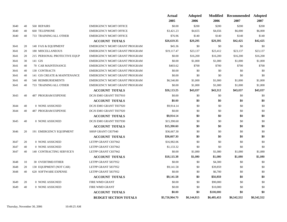|      |    |                                  |                              | Actual         | <b>Adopted</b> | Modified    | Recommended | Adopted     |
|------|----|----------------------------------|------------------------------|----------------|----------------|-------------|-------------|-------------|
|      |    |                                  |                              | 2005           | 2006           | 2006        | 2007        | 2007        |
| 3640 | 40 | 560 REPAIRS                      | <b>EMERGENCY MGMT OFFICE</b> | \$0.00         | \$200          | \$200       | \$200       | \$200       |
| 3640 | 40 | <b>660 TELEPHONE</b>             | <b>EMERGENCY MGMT OFFICE</b> | \$3,421.23     | \$4,655        | \$4,656     | \$6,000     | \$6,000     |
| 3640 | 40 | 733 TRAINING/ALL OTHER           | <b>EMERGENCY MGMT OFFICE</b> | \$76.96        | \$140          | \$140       | \$140       | \$140       |
|      |    |                                  | <b>ACCOUNT TOTALS</b>        | \$26,619.35    | \$29,295       | \$29,395    | \$42,425    | \$42,425    |
| 3641 | 20 | 140 FAX & EQUIPMENT              | EMERGENCY MGMT GRANT PROGRAM | \$45.36        | \$0            | \$0         | \$0         | \$0         |
| 3641 | 20 | <b>180 MISCELLANEOUS</b>         | EMERGENCY MGMT GRANT PROGRAM | \$19,117.47    | \$23,137       | \$23,412    | \$23,137    | \$23,137    |
| 3641 | 20 | 215 PERSONAL PROTECTIVE EQUP     | EMERGENCY MGMT GRANT PROGRAM | \$0.00         | \$16,200       | \$16,200    | \$16,200    | \$16,200    |
| 3641 | 30 | 141 GIS                          | EMERGENCY MGMT GRANT PROGRAM | \$0.00         | \$1,000        | \$1,000     | \$1,000     | \$1,000     |
| 3641 | 40 | 70 CAR MAINTENANCE               | EMERGENCY MGMT GRANT PROGRAM | \$403.62       | \$700          | \$700       | \$700       | \$700       |
| 3641 | 40 | 130 CONTRACTS                    | EMERGENCY MGMT GRANT PROGRAM | \$0.00         | \$0            | \$0         | \$0         | \$0         |
| 3641 | 40 | 141 GIS CREATE & MAINTENANCE     | EMERGENCY MGMT GRANT PROGRAM | \$0.00         | \$0            | \$0         | \$0         | \$0         |
| 3641 | 40 | 540 REIMBURSEMENTS               | EMERGENCY MGMT GRANT PROGRAM | \$6,546.80     | \$1,000        | \$1,000     | \$1,000     | \$1,000     |
| 3641 | 40 | 733 TRAINING/ALL OTHER           | EMERGENCY MGMT GRANT PROGRAM | \$0.00         | \$1,000        | \$1,000     | \$1,000     | \$1,000     |
|      |    |                                  | <b>ACCOUNT TOTALS</b>        | \$26,113.25    | \$43,037       | \$43,312    | \$43,037    | \$43,037    |
| 3643 | 40 | 487 PROGRAM EXPENSE              | DCJS EMO GRANT T837910       | \$0.00         | \$0            | \$0         | \$0         | \$0         |
|      |    |                                  | <b>ACCOUNT TOTALS</b>        | \$0.00         | \$0            | \$0         | \$0         | \$0         |
| 3644 | 40 | 0 NONE ASSIGNED                  | DCJS EMO GRANT T837920       | \$9,914.14     | \$0            | \$0         | \$0         | \$0         |
| 3644 | 40 | <b>487 PROGRAM EXPENSE</b>       | DCJS EMO GRANT T837920       | \$0.00         | \$0            | \$0         | \$0         | \$0         |
|      |    |                                  | <b>ACCOUNT TOTALS</b>        | \$9,914.14     | \$0            | \$0         | \$0         | \$0         |
| 3645 | 40 | 0 NONE ASSIGNED                  | DCJS EMO GRANT T837930       | \$15,390.60    | \$0            | \$0         | \$0         | \$0         |
|      |    |                                  | <b>ACCOUNT TOTALS</b>        | \$15,390.60    | \$0            | \$0         | \$0         | \$0         |
| 3646 | 20 | 191 EMERGENCY EQUIPMENT          | SHSP GRANT C837940           | \$36,667.30    | \$0            | \$0         | \$0         | \$0         |
|      |    |                                  | <b>ACCOUNT TOTALS</b>        | \$36,667.30    | \$0            | \$0         | \$0         | \$0         |
| 3647 | 20 | 0 NONE ASSIGNED                  | LETPP GRANT C837942          | \$16,982.06    | \$0            | \$0         | \$0         | \$0         |
| 3647 | 40 | 0 NONE ASSIGNED                  | LETPP GRANT C837942          | \$1,133.32     | \$0            | \$0         | \$0         | \$0         |
| 3647 | 40 | <b>140 CONTRACTING SERVICE'S</b> | LETPP GRANT C837942          | \$0.00         | \$1,080        | \$1,080     | \$1,080     | \$1,080     |
|      |    |                                  | <b>ACCOUNT TOTALS</b>        | \$18,115.38    | \$1,080        | \$1,080     | \$1,080     | \$1,080     |
| 3648 | 10 | <b>30 OVERTIME/OTHER</b>         | LETPP GRANT 5837952          | \$0.00         | \$0            | \$4,300     | \$0         | \$0         |
| 3648 | 20 | 130 EQUIPMENT (NOT CAR)          | LETPP GRANT 5837952          | \$9,141.58     | \$0            | \$39,859    | \$0         | \$0         |
| 3648 | 40 | 620 SOFTWARE EXPENSE             | LETPP GRANT 5837952          | \$0.00         | \$0            | \$6,700     | \$0         | \$0         |
|      |    |                                  | <b>ACCOUNT TOTALS</b>        | \$9,141.58     | \$0            | \$50,859    | \$0         | \$0         |
| 3649 | 20 | 0 NONE ASSIGNED                  | <b>FIRE WMD GRANT</b>        | \$0.00         | \$0            | \$90,000    | \$0         | \$0         |
| 3649 | 40 | 0 NONE ASSIGNED                  | <b>FIRE WMD GRANT</b>        | \$0.00         | \$0            | \$10,000    | \$0         | \$0         |
|      |    |                                  | <b>ACCOUNT TOTALS</b>        | \$0.00         | \$0            | \$100,000   | \$0         | \$0         |
|      |    |                                  | <b>BUDGET SECTION TOTALS</b> | \$5,726,964.70 | \$6,144,815    | \$6,485,453 | \$6,542,552 | \$6,542,552 |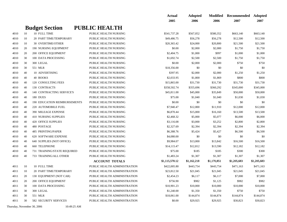|      |    |                               |                              | Actual<br>2005 | <b>Adopted</b><br>2006 | Modified<br>2006 | Recommended<br>2007 | Adopted<br>2007 |
|------|----|-------------------------------|------------------------------|----------------|------------------------|------------------|---------------------|-----------------|
|      |    | <b>Budget Section</b>         | <b>PUBLIC HEALTH</b>         |                |                        |                  |                     |                 |
| 4010 | 10 | 10 FULL TIME                  | PUBLIC HEALTH NURSING        | \$541,737.28   | \$567,052              | \$580,352        | \$663,140           | \$663,140       |
| 4010 | 10 | 20 PART TIME/TEMPORARY        | PUBLIC HEALTH NURSING        | \$49,486.75    | \$56,278               | \$56,278         | \$12,500            | \$12,500        |
| 4010 | 10 | <b>30 OVERTIME/OTHER</b>      | PUBLIC HEALTH NURSING        | \$20,365.42    | \$24,000               | \$20,800         | \$21,500            | \$21,500        |
| 4010 | 20 | 190 NURSING EQUIPMENT         | PUBLIC HEALTH NURSING        | \$0.00         | \$2,000                | \$2,000          | \$1,750             | \$1,750         |
| 4010 | 20 | 200 OFFICE EQUIPMENT          | PUBLIC HEALTH NURSING        | \$2,404.75     | \$1,000                | \$997            | \$1,000             | \$1,000         |
| 4010 | 30 | 100 DATA PROCESSING           | PUBLIC HEALTH NURSING        | \$1,692.74     | \$2,500                | \$2,500          | \$1,750             | \$1,750         |
| 4010 | 30 | 300 LEGAL                     | PUBLIC HEALTH NURSING        | \$0.00         | \$2,000                | \$2,000          | \$750               | \$750           |
| 4010 | 30 | 551 MLR                       | PUBLIC HEALTH NURSING        | \$18,356.00    | \$0                    | \$0              | \$0                 | \$0             |
| 4010 | 40 | 10 ADVERTISING                | PUBLIC HEALTH NURSING        | \$397.95       | \$2,000                | \$2,000          | \$1,250             | \$1,250         |
| 4010 | 40 | 40 BOOKS                      | PUBLIC HEALTH NURSING        | \$2,033.95     | \$1,800                | \$1,869          | \$800               | \$800           |
| 4010 | 40 | 120 CONSULTING FEES           | PUBLIC HEALTH NURSING        | \$15,865.00    | \$31,730               | \$31,730         | \$31,730            | \$31,730        |
| 4010 | 40 | 130 CONTRACTS                 | PUBLIC HEALTH NURSING        | \$358,502.74   | \$355,696              | \$360,292        | \$345,000           | \$345,000       |
| 4010 | 40 | 140 CONTRACTING SERVICE'S     | PUBLIC HEALTH NURSING        | \$45,811.00    | \$45,000               | \$35,849         | \$50,000            | \$50,000        |
| 4010 | 40 | 180 DUES                      | PUBLIC HEALTH NURSING        | \$75.00        | \$1,040                | \$1,040          | \$1,030             | \$1,030         |
| 4010 | 40 | 190 EDUCATION REIMBURSEMENTS  | PUBLIC HEALTH NURSING        | \$0.00         | \$0                    | \$0              | \$0                 | \$0             |
| 4010 | 40 | 220 AUTOMOBILE FUEL           | PUBLIC HEALTH NURSING        | \$7,940.47     | \$12,000               | \$11,910         | \$12,000            | \$12,000        |
| 4010 | 40 | 390 MILEAGE EXPENSE           | PUBLIC HEALTH NURSING        | \$6,870.44     | \$15,000               | \$16,160         | \$13,500            | \$13,500        |
| 4010 | 40 | 410 NURSING SUPPLIES          | PUBLIC HEALTH NURSING        | \$2,468.32     | \$5,000                | \$5,077          | \$6,000             | \$6,000         |
| 4010 | 40 | 420 OFFICE SUPPLIES           | PUBLIC HEALTH NURSING        | \$3,116.08     | \$3,000                | \$3,252          | \$2,800             | \$2,800         |
| 4010 | 40 | 480 POSTAGE                   | PUBLIC HEALTH NURSING        | \$2,327.69     | \$2,394                | \$2,394          | \$2,394             | \$2,394         |
| 4010 | 40 | 485 PRINTING/PAPER            | PUBLIC HEALTH NURSING        | \$6,388.76     | \$5,424                | \$5,427          | \$6,500             | \$6,500         |
| 4010 | 40 | 620 SOFTWARE EXPENSE          | PUBLIC HEALTH NURSING        | \$4,080.00     | \$0                    | \$0              | \$0                 | \$0             |
| 4010 | 40 | 640 SUPPLIES (NOT OFFICE)     | PUBLIC HEALTH NURSING        | \$9,984.07     | \$13,000               | \$13,842         | \$16,500            | \$16,500        |
| 4010 | 40 | <b>660 TELEPHONE</b>          | PUBLIC HEALTH NURSING        | \$14,115.47    | \$12,812               | \$13,590         | \$12,182            | \$12,182        |
| 4010 | 40 | 731 TRAINING/STATE REQUIRED   | PUBLIC HEALTH NURSING        | \$75.00        | \$185                  | \$185            | \$300               | \$300           |
| 4010 | 40 | 733 TRAINING/ALL OTHER        | PUBLIC HEALTH NURSING        | \$1,483.24     | \$1,307                | \$1,307          | \$1,307             | \$1,307         |
|      |    |                               | <b>ACCOUNT TOTALS</b>        | \$1,115,578.12 | \$1,162,218            | \$1,170,851      | \$1,205,683         | \$1,205,683     |
| 4011 | 10 | 10 FULL TIME                  | PUBLIC HEALTH ADMINISTRATION | \$422,005.80   | \$443,754              | \$443,754        | \$471,163           | \$471,163       |
| 4011 | 10 | <b>20 PART TIME/TEMPORARY</b> | PUBLIC HEALTH ADMINISTRATION | \$23,812.50    | \$21,045               | \$21,045         | \$21,045            | \$21,045        |
| 4011 | 20 | 130 EQUIPMENT (NOT CAR)       | PUBLIC HEALTH ADMINISTRATION | \$2,454.23     | \$6,117                | \$6,117          | \$7,000             | \$7,000         |
| 4011 | 20 | 200 OFFICE EQUIPMENT          | PUBLIC HEALTH ADMINISTRATION | \$756.90       | \$982                  | \$1,125          | \$982               | \$982           |
| 4011 | 30 | 100 DATA PROCESSING           | PUBLIC HEALTH ADMINISTRATION | \$10,901.23    | \$10,000               | \$10,000         | \$10,000            | \$10,000        |
| 4011 | 30 | 300 LEGAL                     | PUBLIC HEALTH ADMINISTRATION | \$1,240.00     | \$1,350                | \$1,350          | \$750               | \$750           |
| 4011 | 30 | 551 MLR                       | PUBLIC HEALTH ADMINISTRATION | \$18,061.00    | \$144,874              | \$144,874        | \$144,874           | \$144,874       |
| 4011 | 30 | 582 SECURITY SERVICES         | PUBLIC HEALTH ADMINISTRATION | \$0.00         | \$29,925               | \$29,925         | \$30,823            | \$30,823        |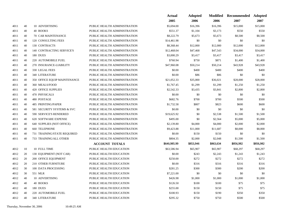|      |    |                                  |                              | Actual<br><b>Adopted</b><br>Modified |           | Recommended Adopted |           |           |
|------|----|----------------------------------|------------------------------|--------------------------------------|-----------|---------------------|-----------|-----------|
|      |    |                                  |                              | 2005                                 | 2006      | 2006                | 2007      | 2007      |
| 4011 | 40 | <b>10 ADVERTISING</b>            | PUBLIC HEALTH ADMINISTRATION | \$5,694.00                           | \$16,396  | \$16,396            | \$15,000  | \$15,000  |
| 4011 | 40 | 40 BOOKS                         | PUBLIC HEALTH ADMINISTRATION | \$551.37                             | \$1,104   | \$3,173             | \$550     | \$550     |
| 4011 | 40 | 70 CAR MAINTENANCE               | PUBLIC HEALTH ADMINISTRATION | \$8,222.79                           | \$5,673   | \$5,673             | \$8,500   | \$8,500   |
| 4011 | 40 | 120 CONSULTING FEES              | PUBLIC HEALTH ADMINISTRATION | \$14,461.98                          | \$0       | \$0                 | \$0       | \$0       |
| 4011 | 40 | 130 CONTRACTS                    | PUBLIC HEALTH ADMINISTRATION | \$8,368.44                           | \$12,000  | \$12,000            | \$12,000  | \$12,000  |
| 4011 | 40 | <b>140 CONTRACTING SERVICE'S</b> | PUBLIC HEALTH ADMINISTRATION | \$12,468.04                          | \$47,468  | \$47,543            | \$34,000  | \$34,000  |
| 4011 | 40 | 180 DUES                         | PUBLIC HEALTH ADMINISTRATION | \$3,000.29                           | \$3,417   | \$3,417             | \$3,417   | \$3,417   |
| 4011 | 40 | 220 AUTOMOBILE FUEL              | PUBLIC HEALTH ADMINISTRATION | \$760.94                             | \$750     | \$871               | \$1,400   | \$1,400   |
| 4011 | 40 | 270 INSURANCE-LIABILITY          | PUBLIC HEALTH ADMINISTRATION | \$47,960.08                          | \$50,214  | \$50,214            | \$43,928  | \$43,928  |
| 4011 | 40 | 330 LEGAL FEES                   | PUBLIC HEALTH ADMINISTRATION | \$0.00                               | \$400     | \$400               | \$400     | \$400     |
| 4011 | 40 | <b>340 LITERATURE</b>            | PUBLIC HEALTH ADMINISTRATION | \$0.00                               | \$86      | \$86                | \$0       | \$0       |
| 4011 | 40 | 350 OFFICE EQUIP MAINTENANCE     | PUBLIC HEALTH ADMINISTRATION | \$21,052.33                          | \$35,000  | \$36,021            | \$28,000  | \$28,000  |
| 4011 | 40 | 360 MEALS/FOOD                   | PUBLIC HEALTH ADMINISTRATION | \$1,767.45                           | \$1,299   | \$1,299             | \$1,250   | \$1,250   |
| 4011 | 40 | <b>420 OFFICE SUPPLIES</b>       | PUBLIC HEALTH ADMINISTRATION | \$2,542.33                           | \$3,435   | \$3,841             | \$2,800   | \$2,800   |
| 4011 | 40 | 470 PHYSICALS                    | PUBLIC HEALTH ADMINISTRATION | \$0.00                               | \$0       | \$0                 | \$0       | \$0       |
| 4011 | 40 | 480 POSTAGE                      | PUBLIC HEALTH ADMINISTRATION | \$682.76                             | \$700     | \$700               | \$500     | \$500     |
| 4011 | 40 | 485 PRINTING/PAPER               | PUBLIC HEALTH ADMINISTRATION | \$1,732.58                           | \$807     | \$823               | \$600     | \$600     |
| 4011 | 40 | 581 SECURITY SYSTEMS & SVC       | PUBLIC HEALTH ADMINISTRATION | \$0.00                               | \$0       | \$0                 | \$0       | \$0       |
| 4011 | 40 | 590 SERVICE'S RENDERED           | PUBLIC HEALTH ADMINISTRATION | \$19,625.92                          | \$0       | \$2,538             | \$1,500   | \$1,500   |
| 4011 | 40 | 620 SOFTWARE EXPENSE             | PUBLIC HEALTH ADMINISTRATION | \$495.00                             | \$0       | \$2,564             | \$5,000   | \$5,000   |
| 4011 | 40 | 640 SUPPLIES (NOT OFFICE)        | PUBLIC HEALTH ADMINISTRATION | \$2,139.80                           | \$4,000   | \$4,000             | \$2,000   | \$2,000   |
| 4011 | 40 | 660 TELEPHONE                    | PUBLIC HEALTH ADMINISTRATION | \$9,423.88                           | \$11,000  | \$11,687            | \$8,000   | \$8,000   |
| 4011 | 40 | 731 TRAINING/STATE REQUIRED      | PUBLIC HEALTH ADMINISTRATION | \$0.00                               | \$150     | \$150               | \$0       | \$0       |
| 4011 | 40 | 733 TRAINING/ALL OTHER           | PUBLIC HEALTH ADMINISTRATION | \$804.35                             | \$2,000   | \$2,048             | \$1,500   | \$1,500   |
|      |    |                                  | <b>ACCOUNT TOTALS</b>        | \$640,985.99                         | \$853,946 | \$863,634           | \$856,982 | \$856,982 |
| 4012 | 10 | 10 FULL TIME                     | PUBLIC HEALTH EDUCATION      | \$63,586.94                          | \$65,907  | \$65,907            | \$68,297  | \$68,297  |
| 4012 | 20 | 130 EQUIPMENT (NOT CAR)          | PUBLIC HEALTH EDUCATION      | \$0.00                               | \$243     | \$2,243             | \$1,243   | \$1,243   |
| 4012 | 20 | 200 OFFICE EQUIPMENT             | PUBLIC HEALTH EDUCATION      | \$250.00                             | \$272     | \$272               | \$272     | \$272     |
| 4012 | 20 | 210 OTHER FURNITURE              | PUBLIC HEALTH EDUCATION      | \$0.00                               | \$316     | \$316               | \$316     | \$316     |
| 4012 | 30 | 100 DATA PROCESSING              | PUBLIC HEALTH EDUCATION      | \$281.25                             | \$300     | \$300               | \$200     | \$200     |
| 4012 | 30 | 551 MLR                          | PUBLIC HEALTH EDUCATION      | \$7,221.00                           | \$0       | \$0                 | \$0       | \$0       |
| 4012 | 40 | 10 ADVERTISING                   | PUBLIC HEALTH EDUCATION      | \$426.98                             | \$1,000   | \$1,000             | \$1,000   | \$1,000   |
| 4012 | 40 | 40 BOOKS                         | PUBLIC HEALTH EDUCATION      | \$126.50                             | \$100     | \$100               | \$75      | \$75      |
| 4012 | 40 | 180 DUES                         | PUBLIC HEALTH EDUCATION      | \$255.00                             | \$150     | \$150               | \$75      | \$75      |
| 4012 | 40 | 220 AUTOMOBILE FUEL              | PUBLIC HEALTH EDUCATION      | \$100.93                             | \$150     | \$190               | \$350     | \$350     |
| 4012 | 40 | <b>340 LITERATURE</b>            | PUBLIC HEALTH EDUCATION      | \$295.32                             | \$750     | \$750               | \$500     | \$500     |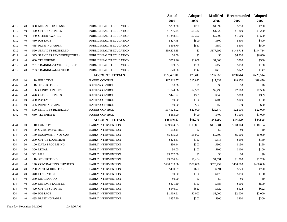|      |    |                                  |                           | <b>Actual</b> | Adopted   |           | Modified Recommended Adopted |           |
|------|----|----------------------------------|---------------------------|---------------|-----------|-----------|------------------------------|-----------|
|      |    |                                  |                           | 2005          | 2006      | 2006      | 2007                         | 2007      |
| 4012 | 40 | 390 MILEAGE EXPENSE              | PUBLIC HEALTH EDUCATION   | \$253.20      | \$250     | \$1,092   | \$250                        | \$250     |
| 4012 | 40 | <b>420 OFFICE SUPPLIES</b>       | PUBLIC HEALTH EDUCATION   | \$1,736.25    | \$1,320   | \$1,320   | \$1,200                      | \$1,200   |
| 4012 | 40 | <b>440 OTHER AWARDS</b>          | PUBLIC HEALTH EDUCATION   | \$1,348.83    | \$2,300   | \$2,300   | \$1,500                      | \$1,500   |
| 4012 | 40 | 480 POSTAGE                      | PUBLIC HEALTH EDUCATION   | \$427.45      | \$500     | \$500     | \$400                        | \$400     |
| 4012 | 40 | <b>485 PRINTING/PAPER</b>        | PUBLIC HEALTH EDUCATION   | \$396.70      | \$550     | \$550     | \$500                        | \$500     |
| 4012 | 40 | 590 SERVICE'S RENDERED           | PUBLIC HEALTH EDUCATION   | \$59,805.35   | \$0       | \$177,992 | \$144,714                    | \$144,714 |
| 4012 | 40 | 595 SERVICES RENDERED(OTHER)     | PUBLIC HEALTH EDUCATION   | \$0.00        | \$0       | \$0       | \$6,830                      | \$6,830   |
| 4012 | 40 | <b>660 TELEPHONE</b>             | PUBLIC HEALTH EDUCATION   | \$879.46      | \$1,008   | \$1,008   | \$500                        | \$500     |
| 4012 | 40 | 731 TRAINING/STATE REQUIRED      | PUBLIC HEALTH EDUCATION   | \$79.85       | \$150     | \$150     | \$150                        | \$150     |
| 4012 | 40 | 733 TRAINING/ALL OTHER           | PUBLIC HEALTH EDUCATION   | \$20.00       | \$142     | \$418     | \$142                        | \$142     |
|      |    |                                  | <b>ACCOUNT TOTALS</b>     | \$137,491.01  | \$75,408  | \$256,558 | \$228,514                    | \$228,514 |
| 4042 | 10 | 10 FULL TIME                     | <b>RABIES CONTROL</b>     | \$17,212.57   | \$17,832  | \$17,832  | \$18,470                     | \$18,470  |
| 4042 | 40 | 10 ADVERTISING                   | <b>RABIES CONTROL</b>     | \$0.00        | \$0       | \$0       | \$0                          | \$0       |
| 4042 | 40 | <b>80 CLINIC SUPPLIES</b>        | <b>RABIES CONTROL</b>     | \$1,744.86    | \$2,500   | \$2,490   | \$2,500                      | \$2,500   |
| 4042 | 40 | <b>420 OFFICE SUPPLIES</b>       | <b>RABIES CONTROL</b>     | \$441.22      | \$389     | \$548     | \$389                        | \$389     |
| 4042 | 40 | 480 POSTAGE                      | <b>RABIES CONTROL</b>     | \$0.00        | \$100     | \$100     | \$100                        | \$100     |
| 4042 | 40 | <b>485 PRINTING/PAPER</b>        | <b>RABIES CONTROL</b>     | \$0.00        | \$50      | \$50      | \$50                         | \$50      |
| 4042 | 40 | 590 SERVICE'S RENDERED           | <b>RABIES CONTROL</b>     | \$17,124.92   | \$22,000  | \$22,870  | \$22,000                     | \$22,000  |
| 4042 | 40 | <b>660 TELEPHONE</b>             | <b>RABIES CONTROL</b>     | \$353.00      | \$400     | \$400     | \$1,000                      | \$1,000   |
|      |    |                                  | <b>ACCOUNT TOTALS</b>     | \$36,876.57   | \$43,271  | \$44,290  | \$44,509                     | \$44,509  |
| 4044 | 10 | 10 FULL TIME                     | <b>EARLY INTERVENTION</b> | \$99,904.05   | \$113,881 | \$113,881 | \$118,104                    | \$118,104 |
| 4044 | 10 | <b>30 OVERTIME/OTHER</b>         | <b>EARLY INTERVENTION</b> | \$52.19       | \$0       | \$0       | \$0                          | \$0       |
| 4044 | 20 | 130 EQUIPMENT (NOT CAR)          | <b>EARLY INTERVENTION</b> | \$5,215.95    | \$8,000   | \$9,500   | \$5,000                      | \$5,000   |
| 4044 | 20 | 200 OFFICE EQUIPMENT             | <b>EARLY INTERVENTION</b> | \$228.81      | \$150     | \$315     | \$150                        | \$150     |
| 4044 | 30 | 100 DATA PROCESSING              | <b>EARLY INTERVENTION</b> | \$50.44       | \$300     | \$300     | \$150                        | \$150     |
| 4044 | 30 | 300 LEGAL                        | <b>EARLY INTERVENTION</b> | \$0.00        | \$100     | \$100     | \$100                        | \$100     |
| 4044 | 30 | 551 MLR                          | <b>EARLY INTERVENTION</b> | \$9,052.00    | \$0       | \$0       | \$0                          | \$0       |
| 4044 | 40 | 10 ADVERTISING                   | <b>EARLY INTERVENTION</b> | \$3,716.24    | \$1,464   | \$1,591   | \$1,200                      | \$1,200   |
| 4044 | 40 | <b>140 CONTRACTING SERVICE'S</b> | <b>EARLY INTERVENTION</b> | \$500,333.00  | \$500,000 | \$525,754 | \$480,000                    | \$480,000 |
| 4044 | 40 | 220 AUTOMOBILE FUEL              | <b>EARLY INTERVENTION</b> | \$410.69      | \$600     | \$591     | \$720                        | \$720     |
| 4044 | 40 | <b>340 LITERATURE</b>            | <b>EARLY INTERVENTION</b> | \$0.00        | \$150     | \$179     | \$150                        | \$150     |
| 4044 | 40 | 360 MEALS/FOOD                   | <b>EARLY INTERVENTION</b> | \$0.00        | \$0       | \$0       | \$0                          | \$0       |
| 4044 | 40 | 390 MILEAGE EXPENSE              | <b>EARLY INTERVENTION</b> | \$371.10      | \$750     | \$885     | \$500                        | \$500     |
| 4044 | 40 | <b>420 OFFICE SUPPLIES</b>       | <b>EARLY INTERVENTION</b> | \$640.07      | \$622     | \$622     | \$622                        | \$622     |
| 4044 | 40 | 480 POSTAGE                      | <b>EARLY INTERVENTION</b> | \$1,969.61    | \$2,000   | \$2,000   | \$2,000                      | \$2,000   |
| 4044 | 40 | <b>485 PRINTING/PAPER</b>        | <b>EARLY INTERVENTION</b> | \$257.90      | \$300     | \$300     | \$300                        | \$300     |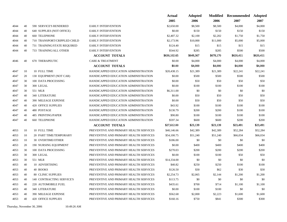|      |    |                              |                                        | Actual       | <b>Adopted</b> |           | Modified Recommended Adopted |           |
|------|----|------------------------------|----------------------------------------|--------------|----------------|-----------|------------------------------|-----------|
|      |    |                              |                                        | 2005         | 2006           | 2006      | 2007                         | 2007      |
| 4044 | 40 | 590 SERVICE'S RENDERED       | <b>EARLY INTERVENTION</b>              | \$2,650.00   | \$8,500        | \$8,500   | \$4,000                      | \$4,000   |
| 4044 | 40 | 640 SUPPLIES (NOT OFFICE)    | <b>EARLY INTERVENTION</b>              | \$0.00       | \$150          | \$150     | \$150                        | \$150     |
| 4044 | 40 | <b>660 TELEPHONE</b>         | <b>EARLY INTERVENTION</b>              | \$2,407.32   | \$2,100        | \$2,202   | \$1,750                      | \$1,750   |
| 4044 | 40 | 710 TRANSPORT/CRIPPLED CHILD | <b>EARLY INTERVENTION</b>              | \$2,173.96   | \$10,000       | \$11,000  | \$5,000                      | \$5,000   |
| 4044 | 40 | 731 TRAINING/STATE REQUIRED  | <b>EARLY INTERVENTION</b>              | \$124.40     | \$15           | \$15      | \$15                         | \$15      |
| 4044 | 40 | 733 TRAINING/ALL OTHER       | <b>EARLY INTERVENTION</b>              | \$544.92     | \$285          | \$285     | \$500                        | \$500     |
|      |    |                              | <b>ACCOUNT TOTALS</b>                  | \$630,102.65 | \$649,367      | \$678,170 | \$620,411                    | \$620,411 |
| 4046 | 40 | 670 THERAPEUTIC              | <b>CARE &amp; TREATMENT</b>            | \$0.00       | \$4,000        | \$4,000   | \$4,000                      | \$4,000   |
|      |    |                              | <b>ACCOUNT TOTALS</b>                  | \$0.00       | \$4,000        | \$4,000   | \$4,000                      | \$4,000   |
| 4047 | 10 | 10 FULL TIME                 | HANDICAPPED EDUCATION ADMINISTRATION   | \$20,438.15  | \$21,389       | \$21,389  | \$22,241                     | \$22,241  |
| 4047 | 20 | 130 EQUIPMENT (NOT CAR)      | HANDICAPPED EDUCATION ADMINISTRATION   | \$0.00       | \$500          | \$500     | \$500                        | \$500     |
| 4047 | 30 | 100 DATA PROCESSING          | HANDICAPPED EDUCATION ADMINISTRATION   | \$0.00       | \$50           | \$50      | \$50                         | \$50      |
| 4047 | 30 | 300 LEGAL                    | HANDICAPPED EDUCATION ADMINISTRATION   | \$0.00       | \$100          | \$100     | \$100                        | \$100     |
| 4047 | 30 | 551 MLR                      | HANDICAPPED EDUCATION ADMINISTRATION   | \$6,311.00   | \$0            | \$0       | \$0                          | \$0       |
| 4047 | 40 | <b>340 LITERATURE</b>        | HANDICAPPED EDUCATION ADMINISTRATION   | \$0.00       | \$50           | \$50      | \$50                         | \$50      |
| 4047 | 40 | <b>390 MILEAGE EXPENSE</b>   | HANDICAPPED EDUCATION ADMINISTRATION   | \$0.00       | \$50           | \$50      | \$50                         | \$50      |
| 4047 | 40 | <b>420 OFFICE SUPPLIES</b>   | HANDICAPPED EDUCATION ADMINISTRATION   | \$43.92      | \$100          | \$100     | \$100                        | \$100     |
| 4047 | 40 | 480 POSTAGE                  | HANDICAPPED EDUCATION ADMINISTRATION   | \$130.79     | \$200          | \$200     | \$100                        | \$100     |
| 4047 | 40 | <b>485 PRINTING/PAPER</b>    | HANDICAPPED EDUCATION ADMINISTRATION   | \$90.80      | \$100          | \$100     | \$100                        | \$100     |
| 4047 | 40 | <b>660 TELEPHONE</b>         | HANDICAPPED EDUCATION ADMINISTRATION   | \$597.34     | \$600          | \$600     | \$200                        | \$200     |
|      |    |                              | <b>ACCOUNT TOTALS</b>                  | \$27,612.00  | \$23,139       | \$23,139  | \$23,491                     | \$23,491  |
| 4053 | 10 | 10 FULL TIME                 | PREVENTIVE AND PRIMARY HEALTH SERVICES | \$40,146.66  | \$42,389       | \$42,389  | \$52,284                     | \$52,284  |
| 4053 | 10 | 20 PART TIME/TEMPORARY       | PREVENTIVE AND PRIMARY HEALTH SERVICES | \$54,100.75  | \$51,240       | \$51,240  | \$66,034                     | \$66,034  |
| 4053 | 10 | 30 OVERTIME/OTHER            | PREVENTIVE AND PRIMARY HEALTH SERVICES | \$186.00     | \$0            | \$0       | \$0                          | \$0       |
| 4053 | 20 | 190 NURSING EQUIPMENT        | PREVENTIVE AND PRIMARY HEALTH SERVICES | \$0.00       | \$400          | \$400     | \$400                        | \$400     |
| 4053 | 30 | 100 DATA PROCESSING          | PREVENTIVE AND PRIMARY HEALTH SERVICES | \$270.03     | \$200          | \$200     | \$200                        | \$200     |
| 4053 | 30 | 300 LEGAL                    | PREVENTIVE AND PRIMARY HEALTH SERVICES | \$0.00       | \$100          | \$100     | \$50                         | \$50      |
| 4053 | 30 | 551 MLR                      | PREVENTIVE AND PRIMARY HEALTH SERVICES | \$14,334.00  | \$0            | \$0       | \$0                          | \$0       |
| 4053 | 40 | 10 ADVERTISING               | PREVENTIVE AND PRIMARY HEALTH SERVICES | \$40.82      | \$250          | \$250     | \$100                        | \$100     |
| 4053 | 40 | 40 BOOKS                     | PREVENTIVE AND PRIMARY HEALTH SERVICES | \$126.50     | \$30           | \$62      | \$30                         | \$30      |
| 4053 | 40 | <b>80 CLINIC SUPPLIES</b>    | PREVENTIVE AND PRIMARY HEALTH SERVICES | \$2,254.73   | \$2,065        | \$2,144   | \$1,200                      | \$1,200   |
| 4053 | 40 | 140 CONTRACTING SERVICE'S    | PREVENTIVE AND PRIMARY HEALTH SERVICES | \$113.75     | \$0            | \$0       | \$0                          | \$0       |
| 4053 | 40 | 220 AUTOMOBILE FUEL          | PREVENTIVE AND PRIMARY HEALTH SERVICES | \$435.61     | \$700          | \$714     | \$1,100                      | \$1,100   |
| 4053 | 40 | <b>340 LITERATURE</b>        | PREVENTIVE AND PRIMARY HEALTH SERVICES | \$0.00       | \$100          | \$100     | \$0                          | \$0       |
| 4053 | 40 | 390 MILEAGE EXPENSE          | PREVENTIVE AND PRIMARY HEALTH SERVICES | \$562.68     | \$2,000        | \$2,223   | \$1,600                      | \$1,600   |
| 4053 | 40 | <b>420 OFFICE SUPPLIES</b>   | PREVENTIVE AND PRIMARY HEALTH SERVICES | \$160.16     | \$750          | \$841     | \$300                        | \$300     |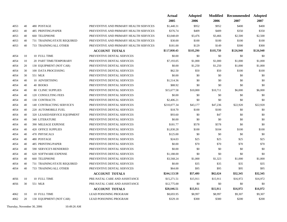|      |    |                              |                                        | Actual<br>Adopted | Modified Recommended Adopted |           |           |           |
|------|----|------------------------------|----------------------------------------|-------------------|------------------------------|-----------|-----------|-----------|
|      |    |                              |                                        | 2005              | 2006                         | 2006      | 2007      | 2007      |
| 4053 | 40 | 480 POSTAGE                  | PREVENTIVE AND PRIMARY HEALTH SERVICES | \$1,440.31        | \$952                        | \$952     | \$400     | \$400     |
| 4053 | 40 | <b>485 PRINTING/PAPER</b>    | PREVENTIVE AND PRIMARY HEALTH SERVICES | \$376.74          | \$409                        | \$409     | \$350     | \$350     |
| 4053 | 40 | <b>660 TELEPHONE</b>         | PREVENTIVE AND PRIMARY HEALTH SERVICES | \$3,048.69        | \$3,476                      | \$3,466   | \$2,500   | \$2,500   |
| 4053 | 40 | 731 TRAINING/STATE REQUIRED  | PREVENTIVE AND PRIMARY HEALTH SERVICES | \$30.00           | \$100                        | \$100     | \$100     | \$100     |
| 4053 | 40 | 733 TRAINING/ALL OTHER       | PREVENTIVE AND PRIMARY HEALTH SERVICES | \$181.00          | \$129                        | \$149     | \$300     | \$300     |
|      |    |                              | <b>ACCOUNT TOTALS</b>                  | \$117,808.43      | \$105,290                    | \$105,739 | \$126,948 | \$126,948 |
| 4054 | 10 | 10 FULL TIME                 | PREVENTIVE DENTAL SERVICES             | \$0.00            | \$0                          | \$0       | \$0       | \$0       |
| 4054 | 10 | 20 PART TIME/TEMPORARY       | PREVENTIVE DENTAL SERVICES             | \$7,193.05        | \$1,000                      | \$1,000   | \$1,000   | \$1,000   |
| 4054 | 20 | 130 EQUIPMENT (NOT CAR)      | PREVENTIVE DENTAL SERVICES             | \$0.00            | \$1,250                      | \$1,250   | \$1,000   | \$1,000   |
| 4054 | 30 | 100 DATA PROCESSING          | PREVENTIVE DENTAL SERVICES             | \$62.50           | \$50                         | \$50      | \$100     | \$100     |
| 4054 | 30 | 551 MLR                      | PREVENTIVE DENTAL SERVICES             | \$0.00            | \$0                          | \$0       | \$0       | \$0       |
| 4054 | 40 | 10 ADVERTISING               | PREVENTIVE DENTAL SERVICES             | \$1,514.36        | \$0                          | \$0       | \$0       | \$0       |
| 4054 | 40 | 40 BOOKS                     | PREVENTIVE DENTAL SERVICES             | \$88.92           | \$0                          | \$0       | \$0       | \$0       |
| 4054 | 40 | <b>80 CLINIC SUPPLIES</b>    | PREVENTIVE DENTAL SERVICES             | \$15,677.58       | \$10,000                     | \$10,711  | \$6,000   | \$6,000   |
| 4054 | 40 | 120 CONSULTING FEES          | PREVENTIVE DENTAL SERVICES             | \$0.00            | \$0                          | \$0       | \$0       | \$0       |
| 4054 | 40 | 130 CONTRACTS                | PREVENTIVE DENTAL SERVICES             | \$2,406.21        | \$0                          | \$0       | \$0       | \$0       |
| 4054 | 40 | 140 CONTRACTING SERVICE'S    | PREVENTIVE DENTAL SERVICES             | \$210,077.34      | \$43,177                     | \$47,236  | \$22,920  | \$22,920  |
| 4054 | 40 | 220 AUTOMOBILE FUEL          | PREVENTIVE DENTAL SERVICES             | \$18.70           | \$100                        | \$100     | \$0       | \$0       |
| 4054 | 40 | 320 LEASED/SERVICE EQUIPMENT | PREVENTIVE DENTAL SERVICES             | \$93.60           | \$0                          | \$47      | \$0       | \$0       |
| 4054 | 40 | <b>340 LITERATURE</b>        | PREVENTIVE DENTAL SERVICES             | \$0.00            | \$0                          | \$0       | \$0       | \$0       |
| 4054 | 40 | <b>390 MILEAGE EXPENSE</b>   | PREVENTIVE DENTAL SERVICES             | \$181.77          | \$578                        | \$578     | \$0       | \$0       |
| 4054 | 40 | <b>420 OFFICE SUPPLIES</b>   | PREVENTIVE DENTAL SERVICES             | \$1,830.28        | \$100                        | \$104     | \$100     | \$100     |
| 4054 | 40 | 470 PHYSICALS                | PREVENTIVE DENTAL SERVICES             | \$125.00          | \$0                          | \$0       | \$0       | \$0       |
| 4054 | 40 | 480 POSTAGE                  | PREVENTIVE DENTAL SERVICES             | \$24.03           | \$25                         | \$25      | \$25      | \$25      |
| 4054 | 40 | 485 PRINTING/PAPER           | PREVENTIVE DENTAL SERVICES             | \$0.00            | \$70                         | \$70      | \$70      | \$70      |
| 4054 | 40 | 590 SERVICE'S RENDERED       | PREVENTIVE DENTAL SERVICES             | \$0.00            | \$0                          | \$0       | \$0       | \$0       |
| 4054 | 40 | 620 SOFTWARE EXPENSE         | PREVENTIVE DENTAL SERVICES             | \$1,188.00        | \$0                          | \$0       | \$0       | \$0       |
| 4054 | 40 | <b>660 TELEPHONE</b>         | PREVENTIVE DENTAL SERVICES             | \$3,568.24        | \$1,000                      | \$1,323   | \$1,000   | \$1,000   |
| 4054 | 40 | 731 TRAINING/STATE REQUIRED  | PREVENTIVE DENTAL SERVICES             | \$0.00            | \$35                         | \$35      | \$35      | \$35      |
| 4054 | 40 | 733 TRAINING/ALL OTHER       | PREVENTIVE DENTAL SERVICES             | \$64.00           | \$95                         | \$95      | \$95      | \$95      |
|      |    |                              | <b>ACCOUNT TOTALS</b>                  | \$244,113.58      | \$57,480                     | \$62,624  | \$32,345  | \$32,345  |
| 4056 | 10 | 10 FULL TIME                 | PRE-NATAL CARE AND ASSISTANCE          | \$15,271.51       | \$15,911                     | \$15,911  | \$16,972  | \$16,972  |
| 4056 | 30 | 551 MLR                      | PRE-NATAL CARE AND ASSISTANCE          | \$12,775.00       | \$0                          | \$0       | \$0       | \$0       |
|      |    |                              | <b>ACCOUNT TOTALS</b>                  | \$28,046.51       | \$15,911                     | \$15,911  | \$16,972  | \$16,972  |
| 4062 | 10 | 10 FULL TIME                 | LEAD POISONING PROGRAM                 | \$8,693.95        | \$8,997                      | \$8,997   | \$9,307   | \$9,307   |
| 4062 | 20 | 130 EQUIPMENT (NOT CAR)      | LEAD POISONING PROGRAM                 | \$329.18          | \$300                        | \$300     | \$200     | \$200     |
|      |    |                              |                                        |                   |                              |           |           |           |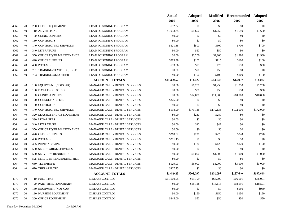|      |    |                                  |                                | <b>Actual</b> | Adopted   |           | Modified Recommended Adopted |           |
|------|----|----------------------------------|--------------------------------|---------------|-----------|-----------|------------------------------|-----------|
|      |    |                                  |                                | 2005          | 2006      | 2006      | 2007                         | 2007      |
| 4062 | 20 | 200 OFFICE EQUIPMENT             | <b>LEAD POISONING PROGRAM</b>  | \$82.32       | \$0       | \$0       | $\$0$                        | \$0       |
| 4062 | 40 | 10 ADVERTISING                   | <b>LEAD POISONING PROGRAM</b>  | \$1,093.75    | \$1,650   | \$1,650   | \$1,650                      | \$1,650   |
| 4062 | 40 | <b>80 CLINIC SUPPLIES</b>        | <b>LEAD POISONING PROGRAM</b>  | \$0.00        | \$0       | \$0       | \$0                          | \$0       |
| 4062 | 40 | 130 CONTRACTS                    | LEAD POISONING PROGRAM         | \$0.00        | \$0       | \$0       | \$0                          | \$0       |
| 4062 | 40 | <b>140 CONTRACTING SERVICE'S</b> | <b>LEAD POISONING PROGRAM</b>  | \$521.88      | \$500     | \$500     | \$700                        | \$700     |
| 4062 | 40 | <b>340 LITERATURE</b>            | <b>LEAD POISONING PROGRAM</b>  | \$0.00        | \$50      | \$50      | \$0                          | \$0       |
| 4062 | 40 | 350 OFFICE EQUIP MAINTENANCE     | <b>LEAD POISONING PROGRAM</b>  | \$0.00        | \$2,200   | \$2,200   | \$1,980                      | \$1,980   |
| 4062 | 40 | <b>420 OFFICE SUPPLIES</b>       | <b>LEAD POISONING PROGRAM</b>  | \$585.38      | \$100     | \$115     | \$100                        | \$100     |
| 4062 | 40 | 480 POSTAGE                      | <b>LEAD POISONING PROGRAM</b>  | \$93.06       | \$75      | \$75      | \$50                         | \$50      |
| 4062 | 40 | 731 TRAINING/STATE REQUIRED      | LEAD POISONING PROGRAM         | \$0.00        | \$50      | \$50      | \$0                          | \$0       |
| 4062 | 40 | 733 TRAINING/ALL OTHER           | LEAD POISONING PROGRAM         | \$0.00        | \$100     | \$100     | \$100                        | \$100     |
|      |    |                                  | <b>ACCOUNT TOTALS</b>          | \$11,399.52   | \$14,022  | \$14,037  | \$14,087                     | \$14,087  |
| 4064 | 20 | 130 EQUIPMENT (NOT CAR)          | MANAGED CARE - DENTAL SERVICES | \$0.00        | \$1,250   | \$1,250   | \$1,250                      | \$1,250   |
| 4064 | 30 | 100 DATA PROCESSING              | MANAGED CARE - DENTAL SERVICES | \$0.00        | \$50      | \$50      | \$50                         | \$50      |
| 4064 | 40 | <b>80 CLINIC SUPPLIES</b>        | MANAGED CARE - DENTAL SERVICES | \$0.00        | \$14,000  | \$14,000  | \$10,000                     | \$10,000  |
| 4064 | 40 | 120 CONSULTING FEES              | MANAGED CARE - DENTAL SERVICES | \$325.00      | \$0       | \$0       | \$0                          | \$0       |
| 4064 | 40 | 130 CONTRACTS                    | MANAGED CARE - DENTAL SERVICES | \$0.00        | \$0       | \$0       | \$0                          | \$0       |
| 4064 | 40 | <b>140 CONTRACTING SERVICE'S</b> | MANAGED CARE - DENTAL SERVICES | \$198.00      | \$179,135 | \$179,135 | \$172,000                    | \$172,000 |
| 4064 | 40 | 320 LEASED/SERVICE EQUIPMENT     | MANAGED CARE - DENTAL SERVICES | \$0.00        | \$280     | \$280     | \$0                          | \$0       |
| 4064 | 40 | 330 LEGAL FEES                   | MANAGED CARE - DENTAL SERVICES | \$0.00        | \$0       | \$0       | \$0                          | \$0       |
| 4064 | 40 | <b>340 LITERATURE</b>            | MANAGED CARE - DENTAL SERVICES | \$0.00        | \$42      | \$42      | \$0                          | \$0       |
| 4064 | 40 | 350 OFFICE EQUIP MAINTENANCE     | MANAGED CARE - DENTAL SERVICES | \$0.00        | \$0       | \$0       | \$0                          | \$0       |
| 4064 | 40 | <b>420 OFFICE SUPPLIES</b>       | MANAGED CARE - DENTAL SERVICES | \$268.02      | \$220     | \$220     | \$220                        | \$220     |
| 4064 | 40 | 480 POSTAGE                      | MANAGED CARE - DENTAL SERVICES | \$201.45      | \$0       | \$0       | \$0                          | \$0       |
| 4064 | 40 | 485 PRINTING/PAPER               | MANAGED CARE - DENTAL SERVICES | \$0.00        | \$120     | \$120     | \$120                        | \$120     |
| 4064 | 40 | 580 SECRETARIAL SERVICE'S        | MANAGED CARE - DENTAL SERVICES | \$0.00        | \$0       | \$0       | \$0                          | \$0       |
| 4064 | 40 | 590 SERVICE'S RENDERED           | MANAGED CARE - DENTAL SERVICES | \$0.00        | \$1,000   | \$1,000   | \$1,000                      | \$1,000   |
| 4064 | 40 | 595 SERVICES RENDERED(OTHER)     | MANAGED CARE - DENTAL SERVICES | \$0.00        | \$0       | \$0       | \$0                          | \$0       |
| 4064 | 40 | <b>660 TELEPHONE</b>             | MANAGED CARE - DENTAL SERVICES | \$129.03      | \$5,000   | \$5,000   | \$3,000                      | \$3,000   |
| 4064 | 40 | 670 THERAPEUTIC                  | MANAGED CARE - DENTAL SERVICES | \$327.75      | \$0       | \$0       | \$0                          | \$0       |
|      |    |                                  | <b>ACCOUNT TOTALS</b>          | \$1,449.25    | \$201,097 | \$201,097 | \$187,640                    | \$187,640 |
| 4070 | 10 | 10 FULL TIME                     | <b>DISEASE CONTROL</b>         | \$61,660.05   | \$63,799  | \$63,799  | \$66,001                     | \$66,001  |
| 4070 | 10 | <b>20 PART TIME/TEMPORARY</b>    | DISEASE CONTROL                | \$0.00        | \$18,118  | \$18,118  | \$18,591                     | \$18,591  |
| 4070 | 20 | 130 EQUIPMENT (NOT CAR)          | DISEASE CONTROL                | \$0.00        | \$0       | \$0       | \$950                        | \$950     |
| 4070 | 20 | 190 NURSING EQUIPMENT            | <b>DISEASE CONTROL</b>         | \$0.00        | \$150     | \$150     | \$150                        | \$150     |
| 4070 | 20 | 200 OFFICE EQUIPMENT             | <b>DISEASE CONTROL</b>         | \$245.00      | \$50      | \$50      | \$50                         | \$50      |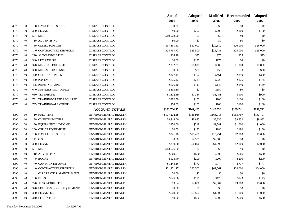|      |    |                                  |                             | Actual       | <b>Adopted</b> | Modified  | Recommended | <b>Adopted</b> |
|------|----|----------------------------------|-----------------------------|--------------|----------------|-----------|-------------|----------------|
|      |    |                                  |                             | 2005         | 2006           | 2006      | 2007        | 2007           |
| 4070 | 30 | 100 DATA PROCESSING              | DISEASE CONTROL             | \$0.00       | \$0            | \$0       | \$0         | \$0            |
| 4070 | 30 | 300 LEGAL                        | DISEASE CONTROL             | \$0.00       | \$200          | \$200     | \$100       | \$100          |
| 4070 | 30 | 551 MLR                          | DISEASE CONTROL             | \$10,568.00  | \$0            | \$0       | \$0         | \$0            |
| 4070 | 40 | 10 ADVERTISING                   | DISEASE CONTROL             | \$0.00       | \$0            | \$0       | \$0         | \$0            |
| 4070 | 40 | <b>80 CLINIC SUPPLIES</b>        | <b>DISEASE CONTROL</b>      | \$17,861.53  | \$30,000       | \$29,612  | \$26,000    | \$26,000       |
| 4070 | 40 | <b>140 CONTRACTING SERVICE'S</b> | <b>DISEASE CONTROL</b>      | \$25,797.73  | \$26,500       | \$26,783  | \$25,000    | \$25,000       |
| 4070 | 40 | 220 AUTOMOBILE FUEL              | DISEASE CONTROL             | \$24.18      | \$75           | \$75      | \$75        | \$75           |
| 4070 | 40 | <b>340 LITERATURE</b>            | <b>DISEASE CONTROL</b>      | \$0.00       | \$175          | \$175     | \$0         | \$0            |
| 4070 | 40 | 370 MEDICAL EXPENSE              | DISEASE CONTROL             | \$2,072.31   | \$1,000        | \$888     | \$1,000     | \$1,000        |
| 4070 | 40 | 390 MILEAGE EXPENSE              | DISEASE CONTROL             | \$0.00       | \$50           | \$50      | \$50        | \$50           |
| 4070 | 40 | <b>420 OFFICE SUPPLIES</b>       | DISEASE CONTROL             | \$867.45     | \$400          | \$461     | \$350       | \$350          |
| 4070 | 40 | 480 POSTAGE                      | DISEASE CONTROL             | \$105.12     | \$225          | \$225     | \$175       | \$175          |
| 4070 | 40 | <b>485 PRINTING/PAPER</b>        | <b>DISEASE CONTROL</b>      | \$166.40     | \$149          | \$149     | \$149       | \$149          |
| 4070 | 40 | 640 SUPPLIES (NOT OFFICE)        | DISEASE CONTROL             | \$635.80     | \$0            | \$150     | \$0         | \$0            |
| 4070 | 40 | <b>660 TELEPHONE</b>             | <b>DISEASE CONTROL</b>      | \$1,402.89   | \$1,334        | \$1,451   | \$900       | \$900          |
| 4070 | 40 | 731 TRAINING/STATE REQUIRED      | DISEASE CONTROL             | \$282.50     | \$100          | \$100     | \$100       | \$100          |
| 4070 | 40 | 733 TRAINING/ALL OTHER           | DISEASE CONTROL             | \$76.00      | \$100          | \$100     | \$100       | \$100          |
|      |    |                                  | <b>ACCOUNT TOTALS</b>       | \$121,764.96 | \$142,425      | \$142,536 | \$139,741   | \$139,741      |
| 4090 | 10 | 10 FULL TIME                     | ENVIRONMENTAL HEALTH        | \$107,272.55 | \$166,916      | \$166,916 | \$163,797   | \$163,797      |
| 4090 | 10 | <b>30 OVERTIME/OTHER</b>         | ENVIRONMENTAL HEALTH        | \$8,844.00   | \$8,832        | \$8,832   | \$8,832     | \$8,832        |
| 4090 | 20 | 130 EQUIPMENT (NOT CAR)          | ENVIRONMENTAL HEALTH        | \$250.00     | \$218          | \$1,781   | \$1,000     | \$1,000        |
| 4090 | 20 | 200 OFFICE EQUIPMENT             | ENVIRONMENTAL HEALTH        | \$0.00       | \$180          | \$180     | \$180       | \$180          |
| 4090 | 30 | 100 DATA PROCESSING              | ENVIRONMENTAL HEALTH        | \$841.10     | \$15,451       | \$15,451  | \$2,000     | \$2,000        |
| 4090 | 30 | 141 GIS                          | ENVIRONMENTAL HEALTH        | \$0.00       | \$2,580        | \$2,580   | \$0         | \$0            |
| 4090 | 30 | 300 LEGAL                        | ENVIRONMENTAL HEALTH        | \$850.00     | \$4,090        | \$4,090   | \$2,000     | \$2,000        |
| 4090 | 30 | 551 MLR                          | ENVIRONMENTAL HEALTH        | \$13,576.00  | \$0            | \$0       | \$0         | \$0            |
| 4090 | 40 | 10 ADVERTISING                   | ENVIRONMENTAL HEALTH        | \$669.21     | \$500          | \$500     | \$500       | \$500          |
| 4090 | 40 | 40 BOOKS                         | ENVIRONMENTAL HEALTH        | \$178.40     | \$200          | \$200     | \$200       | \$200          |
| 4090 | 40 | 70 CAR MAINTENANCE               | ENVIRONMENTAL HEALTH        | \$1,248.16   | \$777          | \$777     | \$777       | \$777          |
| 4090 | 40 | <b>140 CONTRACTING SERVICE'S</b> | ENVIRONMENTAL HEALTH        | \$61,871.27  | \$60,500       | \$62,561  | \$64,000    | \$64,000       |
| 4090 | 40 | 141 GIS CREATE & MAINTENANCE     | ENVIRONMENTAL HEALTH        | \$0.00       | \$0            | \$0       | \$0         | \$0            |
| 4090 | 40 | 180 DUES                         | ENVIRONMENTAL HEALTH        | \$145.00     | \$129          | \$129     | \$143       | \$143          |
| 4090 | 40 | 220 AUTOMOBILE FUEL              | ENVIRONMENTAL HEALTH        | \$1,689.94   | \$2,000        | \$2,004   | \$3,000     | \$3,000        |
| 4090 | 40 | 320 LEASED/SERVICE EQUIPMENT     | <b>ENVIRONMENTAL HEALTH</b> | \$0.00       | \$0            | \$0       | \$0         | \$0            |
| 4090 | 40 | 330 LEGAL FEES                   | ENVIRONMENTAL HEALTH        | \$540.00     | \$1,500        | \$1,500   | \$1,000     | \$1,000        |
| 4090 | 40 | <b>340 LITERATURE</b>            | <b>ENVIRONMENTAL HEALTH</b> | \$0.00       | \$500          | \$500     | \$500       | \$500          |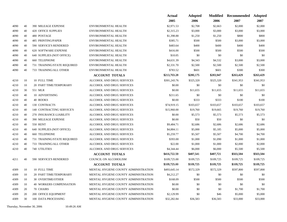|      |    |                                  |                                      | Actual       | <b>Adopted</b> | Modified  | Recommended Adopted |           |
|------|----|----------------------------------|--------------------------------------|--------------|----------------|-----------|---------------------|-----------|
|      |    |                                  |                                      | 2005         | 2006           | 2006      | 2007                | 2007      |
| 4090 | 40 | 390 MILEAGE EXPENSE              | ENVIRONMENTAL HEALTH                 | \$2,971.53   | \$2,708        | \$2,663   | \$2,000             | \$2,000   |
| 4090 | 40 | <b>420 OFFICE SUPPLIES</b>       | <b>ENVIRONMENTAL HEALTH</b>          | \$2,315.23   | \$3,000        | \$3,000   | \$3,000             | \$3,000   |
| 4090 | 40 | 480 POSTAGE                      | ENVIRONMENTAL HEALTH                 | \$1,398.88   | \$1,250        | \$1,250   | \$800               | \$800     |
| 4090 | 40 | 485 PRINTING/PAPER               | ENVIRONMENTAL HEALTH                 | \$385.71     | \$500          | \$500     | \$3,000             | \$3,000   |
| 4090 | 40 | 590 SERVICE'S RENDERED           | ENVIRONMENTAL HEALTH                 | \$483.64     | \$400          | \$400     | \$400               | \$400     |
| 4090 | 40 | 620 SOFTWARE EXPENSE             | ENVIRONMENTAL HEALTH                 | \$416.00     | \$500          | \$500     | \$500               | \$500     |
| 4090 | 40 | 640 SUPPLIES (NOT OFFICE)        | ENVIRONMENTAL HEALTH                 | \$10.05      | \$0            | \$0       | \$0                 | \$0       |
| 4090 | 40 | <b>660 TELEPHONE</b>             | ENVIRONMENTAL HEALTH                 | \$4,631.39   | \$4,343        | \$4,532   | \$3,000             | \$3,000   |
| 4090 | 40 | 731 TRAINING/STATE REQUIRED      | ENVIRONMENTAL HEALTH                 | \$2,331.70   | \$2,500        | \$2,500   | \$2,500             | \$2,500   |
| 4090 | 40 | 733 TRAINING/ALL OTHER           | ENVIRONMENTAL HEALTH                 | \$783.52     | \$601          | \$601     | \$300               | \$300     |
|      |    |                                  | <b>ACCOUNT TOTALS</b>                | \$213,703.28 | \$280,175      | \$283,947 | \$263,429           | \$263,429 |
| 4210 | 10 | 10 FULL TIME                     | ALCOHOL AND DRUG SERVICES            | \$301,243.76 | \$325,320      | \$325,320 | \$341,953           | \$341,953 |
| 4210 | 10 | 20 PART TIME/TEMPORARY           | ALCOHOL AND DRUG SERVICES            | \$0.00       | \$0            | \$0       | \$0                 | \$0       |
| 4210 | 30 | 551 MLR                          | ALCOHOL AND DRUG SERVICES            | \$0.00       | \$11,655       | \$11,655  | \$11,655            | \$11,655  |
| 4210 | 40 | 10 ADVERTISING                   | ALCOHOL AND DRUG SERVICES            | \$211.65     | \$0            | \$0       | \$0                 | \$0       |
| 4210 | 40 | 40 BOOKS                         | ALCOHOL AND DRUG SERVICES            | \$0.00       | \$333          | \$333     | \$100               | \$100     |
| 4210 | 40 | 130 CONTRACTS                    | ALCOHOL AND DRUG SERVICES            | \$74,919.15  | \$103,657      | \$103,657 | \$103,657           | \$103,657 |
| 4210 | 40 | <b>140 CONTRACTING SERVICE'S</b> | ALCOHOL AND DRUG SERVICES            | \$15,960.00  | \$19,760       | \$19,665  | \$19,760            | \$19,760  |
| 4210 | 40 | 270 INSURANCE-LIABILITY          | ALCOHOL AND DRUG SERVICES            | \$0.00       | \$5,573        | \$5,573   | \$5,573             | \$5,573   |
| 4210 | 40 | <b>390 MILEAGE EXPENSE</b>       | ALCOHOL AND DRUG SERVICES            | \$0.00       | \$50           | \$50      | $\$0$               | \$0       |
| 4210 | 40 | <b>550 RENT</b>                  | ALCOHOL AND DRUG SERVICES            | \$9,484.71   | \$2,686        | \$2,686   | \$2,686             | \$2,686   |
| 4210 | 40 | 640 SUPPLIES (NOT OFFICE)        | ALCOHOL AND DRUG SERVICES            | \$4,884.11   | \$5,000        | \$5,185   | \$5,000             | \$5,000   |
| 4210 | 40 | <b>660 TELEPHONE</b>             | ALCOHOL AND DRUG SERVICES            | \$5,259.77   | \$5,507        | \$5,507   | \$4,700             | \$4,700   |
| 4210 | 40 | 731 TRAINING/STATE REQUIRED      | ALCOHOL AND DRUG SERVICES            | \$393.00     | \$1,000        | \$1,090   | \$1,000             | \$1,000   |
| 4210 | 40 | 733 TRAINING/ALL OTHER           | ALCOHOL AND DRUG SERVICES            | \$22.00      | \$1,000        | \$1,000   | \$2,000             | \$2,000   |
| 4210 | 40 | 740 UTILITIES                    | ALCOHOL AND DRUG SERVICES            | \$4,344.44   | \$6,000        | \$6,000   | \$5,500             | \$5,500   |
|      |    |                                  | <b>ACCOUNT TOTALS</b>                | \$416,722.59 | \$487,541      | \$487,721 | \$503,584           | \$503,584 |
| 4211 | 40 | 590 SERVICE'S RENDERED           | COUNCIL ON ALCOHOLISM                | \$109,725.00 | \$109,725      | \$109,725 | \$109,725           | \$109,725 |
|      |    |                                  | <b>ACCOUNT TOTALS</b>                | \$109,725.00 | \$109,725      | \$109,725 | \$109,725           | \$109,725 |
| 4309 | 10 | 10 FULL TIME                     | MENTAL HYGIENE COUNTY ADMINISTRATION | \$493,645.14 | \$572,329      | \$572,329 | \$597,800           | \$597,800 |
| 4309 | 10 | 20 PART TIME/TEMPORARY           | MENTAL HYGIENE COUNTY ADMINISTRATION | \$4,212.27   | \$0            | \$0       | \$0                 | \$0       |
| 4309 | 10 | <b>30 OVERTIME/OTHER</b>         | MENTAL HYGIENE COUNTY ADMINISTRATION | \$168.09     | \$500          | \$500     | \$500               | \$500     |
| 4309 | 10 | <b>40 WORKERS COMPENSATION</b>   | MENTAL HYGIENE COUNTY ADMINISTRATION | \$0.00       | \$0            | \$0       | \$0                 | \$0       |
| 4309 | 20 | 70 CHAIRS                        | MENTAL HYGIENE COUNTY ADMINISTRATION | \$0.00       | \$0            | \$0       | \$1,700             | \$1,700   |
| 4309 | 20 | 200 OFFICE EQUIPMENT             | MENTAL HYGIENE COUNTY ADMINISTRATION | \$2,129.99   | \$0            | \$46      | \$5,000             | \$5,000   |
| 4309 | 30 | 100 DATA PROCESSING              | MENTAL HYGIENE COUNTY ADMINISTRATION | \$32,282.84  | \$36,583       | \$36,583  | \$33,000            | \$33,000  |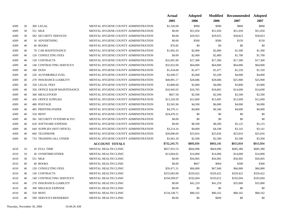|      |    |                                  |                                      | <b>Actual</b> | <b>Adopted</b> | Modified  | Recommended | Adopted   |
|------|----|----------------------------------|--------------------------------------|---------------|----------------|-----------|-------------|-----------|
|      |    |                                  |                                      | 2005          | 2006           | 2006      | 2007        | 2007      |
| 4309 | 30 | 300 LEGAL                        | MENTAL HYGIENE COUNTY ADMINISTRATION | \$1,320.00    | \$990          | \$990     | \$800       | \$800     |
| 4309 | 30 | 551 MLR                          | MENTAL HYGIENE COUNTY ADMINISTRATION | \$0.00        | \$51,050       | \$51,050  | \$51,050    | \$51,050  |
| 4309 | 30 | <b>582 SECURITY SERVICES</b>     | MENTAL HYGIENE COUNTY ADMINISTRATION | \$0.00        | \$29,925       | \$29,925  | \$30,823    | \$30,823  |
| 4309 | 40 | 10 ADVERTISING                   | MENTAL HYGIENE COUNTY ADMINISTRATION | \$0.00        | \$500          | \$500     | \$150       | \$150     |
| 4309 | 40 | 40 BOOKS                         | MENTAL HYGIENE COUNTY ADMINISTRATION | \$76.85       | \$0            | \$0       | \$0         | \$0       |
| 4309 | 40 | <b>70 CAR MAINTENANCE</b>        | MENTAL HYGIENE COUNTY ADMINISTRATION | \$1,902.43    | \$2,000        | \$2,000   | \$1,500     | \$1,500   |
| 4309 | 40 | 120 CONSULTING FEES              | MENTAL HYGIENE COUNTY ADMINISTRATION | \$0.00        | \$2,400        | \$2,400   | \$1,700     | \$1,700   |
| 4309 | 40 | 130 CONTRACTS                    | MENTAL HYGIENE COUNTY ADMINISTRATION | \$32,091.00   | \$17,300       | \$17,300  | \$17,300    | \$17,300  |
| 4309 | 40 | <b>140 CONTRACTING SERVICE'S</b> | MENTAL HYGIENE COUNTY ADMINISTRATION | \$32,022.00   | \$64,000       | \$64,000  | \$64,000    | \$64,000  |
| 4309 | 40 | 180 DUES                         | MENTAL HYGIENE COUNTY ADMINISTRATION | \$1,434.00    | \$1,477        | \$1,477   | \$1,550     | \$1,550   |
| 4309 | 40 | 220 AUTOMOBILE FUEL              | MENTAL HYGIENE COUNTY ADMINISTRATION | \$2,690.57    | \$5,000        | \$5,209   | \$4,000     | \$4,000   |
| 4309 | 40 | 270 INSURANCE-LIABILITY          | MENTAL HYGIENE COUNTY ADMINISTRATION | \$40,891.17   | \$28,686       | \$28,686  | \$25,900    | \$25,900  |
| 4309 | 40 | 330 LEGAL FEES                   | MENTAL HYGIENE COUNTY ADMINISTRATION | \$3,800.00    | \$2,000        | \$4,000   | \$3,800     | \$3,800   |
| 4309 | 40 | 350 OFFICE EQUIP MAINTENANCE     | MENTAL HYGIENE COUNTY ADMINISTRATION | \$10,945.02   | \$16,765       | \$18,865  | \$14,690    | \$14,690  |
| 4309 | 40 | 360 MEALS/FOOD                   | MENTAL HYGIENE COUNTY ADMINISTRATION | \$827.58      | \$2,500        | \$2,500   | \$2,500     | \$2,500   |
| 4309 | 40 | <b>420 OFFICE SUPPLIES</b>       | MENTAL HYGIENE COUNTY ADMINISTRATION | \$13,320.28   | \$12,609       | \$13,495  | \$12,609    | \$12,609  |
| 4309 | 40 | 480 POSTAGE                      | MENTAL HYGIENE COUNTY ADMINISTRATION | \$3,565.96    | \$4,500        | \$6,000   | \$4,000     | \$4,000   |
| 4309 | 40 | 485 PRINTING/PAPER               | MENTAL HYGIENE COUNTY ADMINISTRATION | \$4,370.11    | \$4,000        | \$4,346   | \$4,000     | \$4,000   |
| 4309 | 40 | <b>550 RENT</b>                  | MENTAL HYGIENE COUNTY ADMINISTRATION | \$24,478.31   | \$0            | \$0       | \$0         | \$0       |
| 4309 | 40 | 581 SECURITY SYSTEMS & SVC       | MENTAL HYGIENE COUNTY ADMINISTRATION | \$0.00        | \$0            | \$0       | \$0         | \$0       |
| 4309 | 40 | 620 SOFTWARE EXPENSE             | MENTAL HYGIENE COUNTY ADMINISTRATION | \$0.00        | \$8,500        | \$8,500   | \$5,125     | \$5,125   |
| 4309 | 40 | 640 SUPPLIES (NOT OFFICE)        | MENTAL HYGIENE COUNTY ADMINISTRATION | \$3,214.16    | \$4,000        | \$4,108   | \$3,141     | \$3,141   |
| 4309 | 40 | <b>660 TELEPHONE</b>             | MENTAL HYGIENE COUNTY ADMINISTRATION | \$20,896.69   | \$25,816       | \$25,836  | \$25,816    | \$25,816  |
| 4309 | 40 | 733 TRAINING/ALL OTHER           | MENTAL HYGIENE COUNTY ADMINISTRATION | \$1,961.29    | \$2,500        | \$2,500   | \$3,500     | \$3,500   |
|      |    |                                  | <b>ACCOUNT TOTALS</b>                | \$732,245.75  | \$895,930      | \$903,145 | \$915,954   | \$915,954 |
| 4310 | 10 | 10 FULL TIME                     | MENTAL HEALTH CLINIC                 | \$657,955.53  | \$664,996      | \$664,996 | \$685,380   | \$685,380 |
| 4310 | 10 | <b>30 OVERTIME/OTHER</b>         | MENTAL HEALTH CLINIC                 | \$13,004.02   | \$14,000       | \$14,000  | \$14,000    | \$14,000  |
| 4310 | 30 | 551 MLR                          | MENTAL HEALTH CLINIC                 | \$0.00        | \$56,905       | \$56,905  | \$56,905    | \$56,905  |
| 4310 | 40 | 40 BOOKS                         | MENTAL HEALTH CLINIC                 | \$0.00        | \$667          | \$904     | \$300       | \$300     |
| 4310 | 40 | 120 CONSULTING FEES              | MENTAL HEALTH CLINIC                 | \$59,471.31   | \$66,000       | \$67,940  | \$66,000    | \$66,000  |
| 4310 | 40 | 130 CONTRACTS                    | MENTAL HEALTH CLINIC                 | \$255,683.00  | \$329,422      | \$329,422 | \$329,422   | \$329,422 |
| 4310 | 40 | <b>140 CONTRACTING SERVICE'S</b> | <b>MENTAL HEALTH CLINIC</b>          | \$194,589.67  | \$192,694      | \$193,012 | \$192,694   | \$192,694 |
| 4310 | 40 | 270 INSURANCE-LIABILITY          | MENTAL HEALTH CLINIC                 | \$0.00        | \$41,259       | \$41,259  | \$35,000    | \$35,000  |
| 4310 | 40 | 390 MILEAGE EXPENSE              | MENTAL HEALTH CLINIC                 | \$0.00        | \$0            | \$0       | \$0         | \$0       |
| 4310 | 40 | <b>550 RENT</b>                  | MENTAL HEALTH CLINIC                 | \$134,338.71  | \$80,162       | \$80,162  | \$80,162    | \$80,162  |
| 4310 | 40 | 590 SERVICE'S RENDERED           | MENTAL HEALTH CLINIC                 | \$0.00        | \$0            | \$699     | \$0         | \$0       |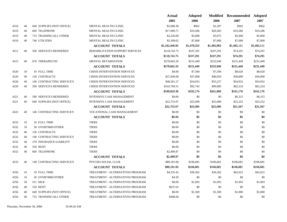|      |    |                                  |                                     | Actual         | <b>Adopted</b> |             | Modified Recommended Adopted |             |
|------|----|----------------------------------|-------------------------------------|----------------|----------------|-------------|------------------------------|-------------|
|      |    |                                  |                                     | 2005           | 2006           | 2006        | 2007                         | 2007        |
| 4310 | 40 | 640 SUPPLIES (NOT OFFICE)        | MENTAL HEALTH CLINIC                | \$2,688.38     | \$962          | \$1,207     | \$962                        | \$962       |
| 4310 | 40 | <b>660 TELEPHONE</b>             | MENTAL HEALTH CLINIC                | \$17,090.71    | \$19,286       | \$20,382    | \$19,286                     | \$19,286    |
| 4310 | 40 | 733 TRAINING/ALL OTHER           | <b>MENTAL HEALTH CLINIC</b>         | \$2,226.00     | \$5,000        | \$5,075     | \$5,000                      | \$5,000     |
| 4310 | 40 | 740 UTILITIES                    | MENTAL HEALTH CLINIC                | \$5,399.62     | \$7,000        | \$7,000     | \$7,000                      | \$7,000     |
|      |    |                                  | <b>ACCOUNT TOTALS</b>               | \$1,342,446.95 | \$1,478,353    | \$1,482,963 | \$1,492,111                  | \$1,492,111 |
| 4311 | 40 | 590 SERVICE'S RENDERED           | REHABILITATION SUPPORT SERVICES     | \$118,742.75   | \$107,291      | \$107,291   | \$74,291                     | \$74,291    |
|      |    |                                  | <b>ACCOUNT TOTALS</b>               | \$118,742.75   | \$107,291      | \$107,291   | \$74,291                     | \$74,291    |
| 4315 | 40 | 670 THERAPEUTIC                  | <b>MENTAL RETARDATION</b>           | \$278,665.20   | \$231,449      | \$232,949   | \$231,449                    | \$231,449   |
|      |    |                                  | <b>ACCOUNT TOTALS</b>               | \$278,665.20   | \$231,449      | \$232,949   | \$231,449                    | \$231,449   |
| 4320 | 10 | 10 FULL TIME                     | <b>CRISIS INTERVENTION SERVICES</b> | \$0.00         | \$7,500        | \$7,500     | \$8,020                      | \$8,020     |
| 4320 | 40 | 130 CONTRACTS                    | <b>CRISIS INTERVENTION SERVICES</b> | \$37,849.60    | \$37,000       | \$40,059    | \$36,000                     | \$36,000    |
| 4320 | 40 | 140 CONTRACTING SERVICE'S        | <b>CRISIS INTERVENTION SERVICES</b> | \$48,201.27    | \$54,932       | \$55,227    | \$54,932                     | \$54,932    |
| 4320 | 40 | 590 SERVICE'S RENDERED           | <b>CRISIS INTERVENTION SERVICES</b> | \$103,769.51   | \$92,742       | \$99,083    | \$62,224                     | \$62,224    |
|      |    |                                  | <b>ACCOUNT TOTALS</b>               | \$189,820.38   | \$192,174      | \$201,869   | \$161,176                    | \$161,176   |
| 4321 | 40 | 590 SERVICE'S RENDERED           | <b>INTENSIVE CASE MANAGEMENT</b>    | \$0.00         | \$0            | \$0         | \$6,315                      | \$6,315     |
| 4321 | 40 | 640 SUPPLIES (NOT OFFICE)        | <b>INTENSIVE CASE MANAGEMENT</b>    | \$22,753.07    | \$25,090       | \$25,090    | \$25,252                     | \$25,252    |
|      |    |                                  | <b>ACCOUNT TOTALS</b>               | \$22,753.07    | \$25,090       | \$25,090    | \$31,567                     | \$31,567    |
| 4322 | 40 | <b>140 CONTRACTING SERVICE'S</b> | VOCATIONAL CASE MANAGEMENT          | \$0.00         | \$0            | \$0         | \$0                          | \$0         |
|      |    |                                  | <b>ACCOUNT TOTALS</b>               | \$0.00         | <b>SO</b>      | \$0         | \$0                          | \$0         |
| 4332 | 10 | 10 FULL TIME                     | <b>TIERS</b>                        | \$0.00         | \$0            | \$0         | \$0                          | \$0         |
| 4332 | 10 | <b>30 OVERTIME/OTHER</b>         | <b>TIERS</b>                        | \$0.00         | \$0            | \$0         | \$0                          | \$0         |
| 4332 | 40 | 130 CONTRACTS                    | <b>TIERS</b>                        | \$0.00         | \$0            | \$0         | \$0                          | \$0         |
| 4332 | 40 | 140 CONTRACTING SERVICE'S        | <b>TIERS</b>                        | \$0.00         | \$0            | \$0         | \$0                          | \$0         |
| 4332 | 40 | 270 INSURANCE-LIABILITY          | <b>TIERS</b>                        | \$0.00         | \$0            | \$0         | \$0                          | \$0         |
| 4332 | 40 | <b>550 RENT</b>                  | <b>TIERS</b>                        | \$0.00         | \$0            | \$0         | \$0                          | \$0         |
| 4332 | 40 | <b>660 TELEPHONE</b>             | <b>TIERS</b>                        | \$2,489.87     | \$0            | \$0         | \$0                          | \$0         |
|      |    |                                  | <b>ACCOUNT TOTALS</b>               | \$2,489.87     | \$0            | \$0         | \$0                          | \$0         |
| 4333 | 40 | <b>140 CONTRACTING SERVICE'S</b> | PSYCHO SOCIAL CLUB                  | \$89,181.00    | \$106,681      | \$106,681   | \$106,681                    | \$106,681   |
|      |    |                                  | <b>ACCOUNT TOTALS</b>               | \$89,181.00    | \$106,681      | \$106,681   | \$106,681                    | \$106,681   |
| 4356 | 10 | 10 FULL TIME                     | TREATMENT - ALTERNATIVES PROGRAM    | \$4,335.43     | \$36,362       | \$36,362    | \$42,622                     | \$42,622    |
| 4356 | 10 | <b>30 OVERTIME/OTHER</b>         | TREATMENT - ALTERNATIVES PROGRAM    | \$4.39         | \$0            | \$0         | \$0                          | \$0         |
| 4356 | 30 | 551 MLR                          | TREATMENT - ALTERNATIVES PROGRAM    | \$0.00         | \$1,093        | \$1,093     | \$1,093                      | \$1,093     |
| 4356 | 40 | <b>550 RENT</b>                  | TREATMENT - ALTERNATIVES PROGRAM    | \$637.63       | \$0            | \$0         | \$0                          | \$0         |
| 4356 | 40 | 640 SUPPLIES (NOT OFFICE)        | TREATMENT - ALTERNATIVES PROGRAM    | \$0.00         | \$1,500        | \$1,500     | \$1,000                      | \$1,000     |
| 4356 | 40 | 733 TRAINING/ALL OTHER           | TREATMENT - ALTERNATIVES PROGRAM    | \$448.00       | \$0            | \$0         | \$0                          | \$0         |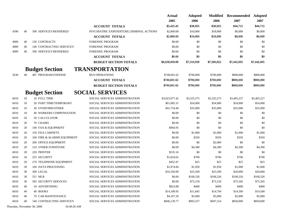|      |    |                                |                                           | Actual<br>2005 | <b>Adopted</b><br>2006 | 2006        | Modified Recommended<br>2007 | Adopted<br>2007 |
|------|----|--------------------------------|-------------------------------------------|----------------|------------------------|-------------|------------------------------|-----------------|
|      |    |                                | <b>ACCOUNT TOTALS</b>                     | \$5,425.45     | \$38,955               | \$38,955    | \$44,715                     | \$44,715        |
| 4390 | 40 | 590 SERVICE'S RENDERED         | PSYCHIATRIC EXPENDITURE, CRIMINAL ACTIONS | \$2,860.00     | \$10,000               | \$18,000    | \$6,000                      | \$6,000         |
|      |    |                                | <b>ACCOUNT TOTALS</b>                     | \$2,860.00     | \$10,000               | \$18,000    | \$6,000                      | \$6,000         |
| 4989 | 40 | 130 CONTRACTS                  | <b>FORENSIC PROGRAM</b>                   | \$0.00         | \$0                    | \$0         | \$0                          | \$0             |
| 4989 | 40 | 140 CONTRACTING SERVICE'S      | FORENSIC PROGRAM                          | \$0.00         | \$0                    | \$0         | \$0                          | \$0             |
| 4989 | 40 | 590 SERVICE'S RENDERED         | <b>FORENSIC PROGRAM</b>                   | \$0.00         | \$0                    | \$0         | \$0                          | \$0             |
|      |    |                                | <b>ACCOUNT TOTALS</b>                     | \$0.00         | S <sub>0</sub>         | \$0         | \$0                          | \$0             |
|      |    |                                | <b>BUDGET SECTION TOTALS</b>              | \$6,638,009.88 | \$7,310,938            | \$7,580,922 | \$7,442,005                  | \$7,442,005     |
|      |    | <b>Budget Section</b>          | <b>TRANSPORTATION</b>                     |                |                        |             |                              |                 |
| 5630 | 40 | <b>487 PROGRAM EXPENSE</b>     | <b>BUS OPERATIONS</b>                     | \$740,601.62   | \$700,000              | \$700,000   | \$800,000                    | \$800,000       |
|      |    |                                | <b>ACCOUNT TOTALS</b>                     | \$740,601.62   | \$700,000              | \$700,000   | \$800,000                    | \$800,000       |
|      |    |                                | <b>BUDGET SECTION TOTALS</b>              | \$740,601.62   | \$700,000              | \$700,000   | \$800,000                    | \$800,000       |
|      |    | <b>Budget Section</b>          | <b>SOCIAL SERVICES</b>                    |                |                        |             |                              |                 |
| 6010 | 10 | 10 FULL TIME                   | SOCIAL SERVICES ADMINISTRATION            | \$3,023,977.42 | \$3,325,575            | \$3,325,575 | \$3,465,227                  | \$3,465,227     |
| 6010 | 10 | <b>20 PART TIME/TEMPORARY</b>  | SOCIAL SERVICES ADMINISTRATION            | \$61,085.31    | \$54,900               | \$54,900    | \$54,900                     | \$54,900        |
| 6010 | 10 | 30 OVERTIME/OTHER              | SOCIAL SERVICES ADMINISTRATION            | \$41,754.40    | \$35,000               | \$35,000    | \$35,000                     | \$35,000        |
| 6010 | 10 | <b>40 WORKERS COMPENSATION</b> | SOCIAL SERVICES ADMINISTRATION            | \$0.00         | \$0                    | \$0         | \$0                          | \$0             |
| 6010 | 20 | 50 CALCULATOR                  | SOCIAL SERVICES ADMINISTRATION            | \$0.00         | \$0                    | \$0         | \$0                          | \$0             |
| 6010 | 20 | 70 CHAIRS                      | SOCIAL SERVICES ADMINISTRATION            | \$0.00         | \$0                    | \$0         | \$0                          | \$0             |
| 6010 | 20 | 140 FAX & EQUIPMENT            | SOCIAL SERVICES ADMINISTRATION            | \$944.95       | \$0                    | \$0         | \$0                          | \$0             |
| 6010 | 20 | <b>150 FILE CABINETS</b>       | SOCIAL SERVICES ADMINISTRATION            | \$0.00         | \$1,000                | \$1,000     | \$1,000                      | \$1,000         |
| 6010 | 20 | 160 FIRE & ALARMS EQUIPMENT    | SOCIAL SERVICES ADMINISTRATION            | \$0.00         | \$350                  | \$350       | \$350                        | \$350           |
| 6010 | 20 | 200 OFFICE EQUIPMENT           | SOCIAL SERVICES ADMINISTRATION            | \$0.00         | \$0                    | \$2,000     | \$0                          | \$0             |
| 6010 | 20 | 210 OTHER FURNITURE            | SOCIAL SERVICES ADMINISTRATION            | \$0.00         | \$4,300                | \$4,300     | \$4,300                      | \$4,300         |
| 6010 | 20 | 220 PRINTER                    | SOCIAL SERVICES ADMINISTRATION            | \$535.16       | \$0                    | \$0         | \$0                          | \$0             |
| 6010 | 20 | 255 SECURITY                   | SOCIAL SERVICES ADMINISTRATION            | \$1,824.65     | \$700                  | \$700       | \$700                        | \$700           |
| 6010 | 20 | 270 TELEPHONE EQUIPMENT        | SOCIAL SERVICES ADMINISTRATION            | \$452.47       | \$25                   | \$25        | \$25                         | \$25            |
| 6010 | 30 | 100 DATA PROCESSING            | SOCIAL SERVICES ADMINISTRATION            | \$1,974.84     | \$1,950                | \$1,950     | \$1,000                      | \$1,000         |
| 6010 | 30 | 300 LEGAL                      | SOCIAL SERVICES ADMINISTRATION            | \$16,350.00    | \$25,500               | \$25,500    | \$20,000                     | \$20,000        |
| 6010 | 30 | 551 MLR                        | SOCIAL SERVICES ADMINISTRATION            | \$0.00         | \$168,326              | \$168,326   | \$168,326                    | \$168,326       |
| 6010 | 30 | 582 SECURITY SERVICES          | SOCIAL SERVICES ADMINISTRATION            | \$0.00         | \$73,150               | \$73,150    | \$75,345                     | \$75,345        |
| 6010 | 40 | 10 ADVERTISING                 | SOCIAL SERVICES ADMINISTRATION            | \$823.88       | \$400                  | \$400       | \$400                        | \$400           |
| 6010 | 40 | 40 BOOKS                       | SOCIAL SERVICES ADMINISTRATION            | \$14,108.95    | \$11,845               | \$14,794    | \$14,500                     | \$14,500        |
| 6010 | 40 | 70 CAR MAINTENANCE             | SOCIAL SERVICES ADMINISTRATION            | \$4,107.20     | \$5,000                | \$5,000     | \$5,000                      | \$5,000         |
| 6010 | 40 | 140 CONTRACTING SERVICE'S      | SOCIAL SERVICES ADMINISTRATION            | \$846,139.77   | \$903,357              | \$947,314   | \$850,000                    | \$850,000       |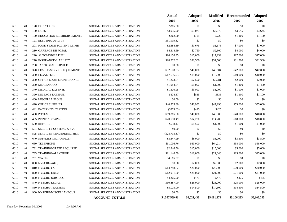|      |    |                                     |                                | Actual          | <b>Adopted</b> | Modified    | Recommended | Adopted     |
|------|----|-------------------------------------|--------------------------------|-----------------|----------------|-------------|-------------|-------------|
|      |    |                                     |                                | 2005            | 2006           | 2006        | 2007        | 2007        |
| 6010 | 40 | 170 DONATIONS                       | SOCIAL SERVICES ADMINISTRATION | \$365.00        | \$0            | \$0         | \$0         | \$0         |
| 6010 | 40 | 180 DUES                            | SOCIAL SERVICES ADMINISTRATION | \$3,095.00      | \$3,075        | \$3,075     | \$3,645     | \$3,645     |
| 6010 | 40 | <b>190 EDUCATION REIMBURSEMENTS</b> | SOCIAL SERVICES ADMINISTRATION | \$362.00        | \$725          | \$725       | \$1,100     | \$1,100     |
| 6010 | 40 | 191 ELECTRIC UTILITY                | SOCIAL SERVICES ADMINISTRATION | \$31,999.62     | \$0            | \$0         | \$0         | \$0         |
| 6010 | 40 | 201 FOOD STAMPS/CLIENT REIMB        | SOCIAL SERVICES ADMINISTRATION | \$2,684.39      | \$1,675        | \$1,675     | \$7,000     | \$7,000     |
| 6010 | 40 | 210 GARBAGE DISPOSAL                | SOCIAL SERVICES ADMINISTRATION | \$4,314.59      | \$2,750        | \$2,800     | \$4,000     | \$4,000     |
| 6010 | 40 | 220 AUTOMOBILE FUEL                 | SOCIAL SERVICES ADMINISTRATION | \$16,156.35     | \$17,000       | \$17,239    | \$17,000    | \$17,000    |
| 6010 | 40 | 270 INSURANCE-LIABILITY             | SOCIAL SERVICES ADMINISTRATION | \$28,202.02     | \$31,500       | \$31,500    | \$31,500    | \$31,500    |
| 6010 | 40 | 290 JANITORIAL SERVICES             | SOCIAL SERVICES ADMINISTRATION | \$0.00          | \$0            | \$0         | \$0         | \$0         |
| 6010 | 40 | 320 LEASED/SERVICE EQUIPMENT        | SOCIAL SERVICES ADMINISTRATION | \$32,678.33     | \$40,000       | \$40,504    | \$42,000    | \$42,000    |
| 6010 | 40 | 330 LEGAL FEES                      | SOCIAL SERVICES ADMINISTRATION | \$17,696.93     | \$15,000       | \$15,000    | \$10,000    | \$10,000    |
| 6010 | 40 | 350 OFFICE EQUIP MAINTENANCE        | SOCIAL SERVICES ADMINISTRATION | \$1,203.54      | \$7,500        | \$8,281     | \$2,000     | \$2,000     |
| 6010 | 40 | 360 MEALS/FOOD                      | SOCIAL SERVICES ADMINISTRATION | \$1,084.64      | \$1,000        | \$1,000     | \$1,400     | \$1,400     |
| 6010 | 40 | 370 MEDICAL EXPENSE                 | SOCIAL SERVICES ADMINISTRATION | \$1,300.98      | \$3,000        | \$3,000     | \$1,000     | \$1,000     |
| 6010 | 40 | <b>390 MILEAGE EXPENSE</b>          | SOCIAL SERVICES ADMINISTRATION | \$374.37        | \$835          | \$835       | \$1,100     | \$1,100     |
| 6010 | 40 | 400 MISCELLANEOUS                   | SOCIAL SERVICES ADMINISTRATION | \$0.00          | \$0            | \$0         | \$0         | \$0         |
| 6010 | 40 | <b>420 OFFICE SUPPLIES</b>          | SOCIAL SERVICES ADMINISTRATION | \$40,805.80     | \$42,900       | \$47,296    | \$55,000    | \$55,000    |
| 6010 | 40 | <b>441 PATERNITY TESTING</b>        | SOCIAL SERVICES ADMINISTRATION | $($ \$979.03)   | \$425          | \$425       | \$0         | \$0         |
| 6010 | 40 | 480 POSTAGE                         | SOCIAL SERVICES ADMINISTRATION | \$59,865.60     | \$40,000       | \$40,000    | \$40,000    | \$40,000    |
| 6010 | 40 | 485 PRINTING/PAPER                  | SOCIAL SERVICES ADMINISTRATION | \$20,590.49     | \$14,200       | \$14,200    | \$18,000    | \$18,000    |
| 6010 | 40 | 560 REPAIRS                         | SOCIAL SERVICES ADMINISTRATION | \$538.47        | \$1,500        | \$1,500     | \$1,000     | \$1,000     |
| 6010 | 40 | 581 SECURITY SYSTEMS & SVC          | SOCIAL SERVICES ADMINISTRATION | \$0.00          | \$0            | \$0         | \$0         | \$0         |
| 6010 | 40 | 595 SERVICES RENDERED(OTHER)        | SOCIAL SERVICES ADMINISTRATION | $(\$28,798.67)$ | \$0            | \$0         | \$0         | \$0         |
| 6010 | 40 | 640 SUPPLIES (NOT OFFICE)           | SOCIAL SERVICES ADMINISTRATION | \$3,647.99      | \$8,000        | \$8,000     | \$3,500     | \$3,500     |
| 6010 | 40 | <b>660 TELEPHONE</b>                | SOCIAL SERVICES ADMINISTRATION | \$61,006.76     | \$63,000       | \$64,214    | \$58,000    | \$58,000    |
| 6010 | 40 | 731 TRAINING/STATE REQUIRED         | SOCIAL SERVICES ADMINISTRATION | \$2,846.56      | \$15,000       | \$15,000    | \$5,000     | \$5,000     |
| 6010 | 40 | 733 TRAINING/ALL OTHER              | SOCIAL SERVICES ADMINISTRATION | \$21,146.59     | \$18,000       | \$21,646    | \$25,000    | \$25,000    |
| 6010 | 40 | 751 WATER                           | SOCIAL SERVICES ADMINISTRATION | \$4,665.97      | \$0            | \$0         | \$0         | \$0         |
| 6010 | 40 | 800 NYSCHG-A&QC                     | SOCIAL SERVICES ADMINISTRATION | \$0.00          | \$2,000        | \$2,000     | \$2,000     | \$2,000     |
| 6010 | 40 | 810 NYSCHG-CSEU                     | SOCIAL SERVICES ADMINISTRATION | \$14,788.52     | \$20,000       | \$20,000    | \$20,000    | \$20,000    |
| 6010 | 40 | 820 NYSCHG-EBICS                    | SOCIAL SERVICES ADMINISTRATION | \$12,091.00     | \$21,000       | \$21,000    | \$21,000    | \$21,000    |
| 6010 | 40 | 830 NYSCHG JOBS-DOL                 | SOCIAL SERVICES ADMINISTRATION | \$4,265.00      | \$475          | \$475       | \$475       | \$475       |
| 6010 | 40 | 840 NYSCHG-LEGAL                    | SOCIAL SERVICES ADMINISTRATION | \$10,487.00     | \$25,000       | \$25,000    | \$25,000    | \$25,000    |
| 6010 | 40 | 850 NYSCHG-TRAINING                 | SOCIAL SERVICES ADMINISTRATION | \$5,005.00      | \$14,500       | \$14,500    | \$14,500    | \$14,500    |
| 6010 | 40 | 900 NYSCHG-MISCELLANEOUS            | SOCIAL SERVICES ADMINISTRATION | \$0.00          | \$0            | \$0         | \$0         | \$0         |
|      |    |                                     | <b>ACCOUNT TOTALS</b>          | \$4,387,569.81  | \$5,021,438    | \$5,081,174 | \$5,106,293 | \$5,106,293 |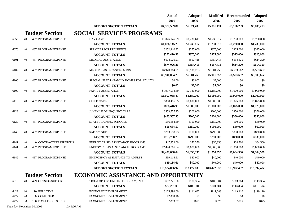|      |    |                                  |                                         | <b>Actual</b><br>2005 | <b>Adopted</b><br>2006 | <b>Modified</b><br>2006 | Recommended<br>2007 | Adopted<br>2007 |
|------|----|----------------------------------|-----------------------------------------|-----------------------|------------------------|-------------------------|---------------------|-----------------|
|      |    |                                  | <b>BUDGET SECTION TOTALS</b>            | \$4,387,569.81        | \$5,021,438            | \$5,081,174             | \$5,106,293         | \$5,106,293     |
|      |    | <b>Budget Section</b>            | <b>SOCIAL SERVICES PROGRAMS</b>         |                       |                        |                         |                     |                 |
| 6055 | 40 | <b>487 PROGRAM EXPENSE</b>       | DAY CARE                                | \$1,076,145.29        | \$1,230,617            | \$1,230,617             | \$1,230,000         | \$1,230,000     |
|      |    |                                  | <b>ACCOUNT TOTALS</b>                   | \$1,076,145.29        | \$1,230,617            | \$1,230,617             | \$1,230,000         | \$1,230,000     |
| 6070 | 40 | <b>487 PROGRAM EXPENSE</b>       | SERVICES FOR RECIPIENTS                 | \$252,410.32          | \$375,000              | \$375,000               | \$325,000           | \$325,000       |
|      |    |                                  | <b>ACCOUNT TOTALS</b>                   | \$252,410.32          | \$375,000              | \$375,000               | \$325,000           | \$325,000       |
| 6101 | 40 | <b>487 PROGRAM EXPENSE</b>       | MEDICAL ASSISTANCE                      | \$674,026.21          | \$557,418              | \$557,418               | \$614,320           | \$614,320       |
|      |    |                                  | <b>ACCOUNT TOTALS</b>                   | \$674,026.21          | \$557,418              | \$557,418               | \$614,320           | \$614,320       |
| 6102 | 40 | <b>487 PROGRAM EXPENSE</b>       | MEDICAL ASSISTANCE - MMIS               | \$6,940,064.79        | \$5,901,253            | \$5,901,253             | \$6,503,662         | \$6,503,662     |
|      |    |                                  | <b>ACCOUNT TOTALS</b>                   | \$6,940,064.79        | \$5,901,253            | \$5,901,253             | \$6,503,662         | \$6,503,662     |
| 6106 | 40 | <b>487 PROGRAM EXPENSE</b>       | SPECIAL NEEDS - FAMILY HOMES FOR ADULTS | \$0.00                | \$3,000                | \$3,000                 | \$0                 | \$0             |
|      |    |                                  | <b>ACCOUNT TOTALS</b>                   | \$0.00                | \$3,000                | \$3,000                 | \$0                 | \$0             |
| 6109 | 40 | <b>487 PROGRAM EXPENSE</b>       | FAMILY ASSISTANCE                       | \$1,997,038.89        | \$2,180,000            | \$2,180,000             | \$1,900,000         | \$1,900,000     |
|      |    |                                  | <b>ACCOUNT TOTALS</b>                   | \$1,997,038.89        | \$2,180,000            | \$2,180,000             | \$1,900,000         | \$1,900,000     |
| 6119 | 40 | <b>487 PROGRAM EXPENSE</b>       | <b>CHILD CARE</b>                       | \$858,416.95          | \$1,000,000            | \$1,000,000             | \$1,075,000         | \$1,075,000     |
|      |    |                                  | <b>ACCOUNT TOTALS</b>                   | \$858,416.95          | \$1,000,000            | \$1,000,000             | \$1,075,000         | \$1,075,000     |
| 6123 | 40 | <b>487 PROGRAM EXPENSE</b>       | JUVENILE DELINQUENT CARE                | \$453,557.95          | \$200,000              | \$200,000               | \$350,000           | \$350,000       |
|      |    |                                  | <b>ACCOUNT TOTALS</b>                   | \$453,557.95          | \$200,000              | \$200,000               | \$350,000           | \$350,000       |
| 6129 | 40 | <b>487 PROGRAM EXPENSE</b>       | STATE TRAINING SCHOOLS                  | \$56,684.59           | \$150,000              | \$150,000               | \$60,000            | \$60,000        |
|      |    |                                  | <b>ACCOUNT TOTALS</b>                   | \$56,684.59           | \$150,000              | \$150,000               | \$60,000            | \$60,000        |
| 6140 | 40 | <b>487 PROGRAM EXPENSE</b>       | <b>SAFETY NET</b>                       | \$763,758.73          | \$790,000              | \$790,000               | \$830,000           | \$830,000       |
|      |    |                                  | <b>ACCOUNT TOTALS</b>                   | \$763,758.73          | \$790,000              | \$790,000               | \$830,000           | \$830,000       |
| 6141 | 40 | <b>140 CONTRACTING SERVICE'S</b> | ENERGY CRISIS ASSISTANCE PROGRAMS       | \$47,952.00           | \$50,350               | \$50,350                | \$64,500            | \$64,500        |
| 6141 | 40 | <b>487 PROGRAM EXPENSE</b>       | ENERGY CRISIS ASSISTANCE PROGRAMS       | \$2,424,886.64        | \$1,000,000            | \$1,000,000             | \$1,000,000         | \$1,000,000     |
|      |    |                                  | <b>ACCOUNT TOTALS</b>                   | \$2,472,838.64        | \$1,050,350            | \$1,050,350             | \$1,064,500         | \$1,064,500     |
| 6142 | 40 | <b>487 PROGRAM EXPENSE</b>       | EMERGENCY ASSISTANCE TO ADULTS          | \$39,114.61           | \$40,000               | \$40,000                | \$40,000            | \$40,000        |
|      |    |                                  | <b>ACCOUNT TOTALS</b>                   | \$39,114.61           | \$40,000               | \$40,000                | \$40,000            | \$40,000        |
|      |    |                                  | <b>BUDGET SECTION TOTALS</b>            | \$15,584,056.97       | \$13,477,638           | \$13,477,638            | \$13,992,482        | \$13,992,482    |
|      |    | <b>Budget Section</b>            | ECONOMIC ASSISTANCE AND OPPORTUNITY     |                       |                        |                         |                     |                 |
| 6310 | 40 | 429 OUTSIDE SUPPORT              | TIOGA OPPORTUNITIES PROGRAM, INC.       | \$87,221.00           | \$100,304              | \$100,304               | \$113,304           | \$113,304       |
|      |    |                                  | <b>ACCOUNT TOTALS</b>                   | \$87,221.00           | \$100,304              | \$100,304               | \$113,304           | \$113,304       |
| 6422 | 10 | 10 FULL TIME                     | ECONOMIC DEVELOPMENT                    | \$105,890.60          | \$111,683              | \$111,683               | \$119,110           | \$119,110       |
| 6422 | 20 | 90 COMPUTER                      | ECONOMIC DEVELOPMENT                    | \$2,088.16            | \$0                    | \$0                     | \$0                 | \$0             |
| 6422 | 30 | 100 DATA PROCESSING              | ECONOMIC DEVELOPMENT                    | \$393.97              | \$875                  | \$875                   | \$875               | \$875           |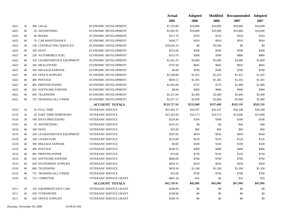|      |        |                                  |                                | <b>Actual</b> | <b>Adopted</b> |           | Modified Recommended Adopted |           |
|------|--------|----------------------------------|--------------------------------|---------------|----------------|-----------|------------------------------|-----------|
|      |        |                                  |                                | 2005          | 2006           | 2006      | 2007                         | 2007      |
| 6422 | 30     | 300 LEGAL                        | ECONOMIC DEVELOPMENT           | \$7,310.00    | \$10,000       | \$10,000  | \$10,000                     | \$10,000  |
| 6422 | 40     | 10 ADVERTISING                   | ECONOMIC DEVELOPMENT           | \$5,965.92    | \$16,000       | \$16,000  | \$16,000                     | \$16,000  |
| 6422 | 40     | 40 BOOKS                         | ECONOMIC DEVELOPMENT           | \$211.70      | \$310          | \$310     | \$310                        | \$310     |
| 6422 | 40     | 70 CAR MAINTENANCE               | ECONOMIC DEVELOPMENT           | \$436.77      | \$910          | \$910     | \$910                        | \$910     |
| 6422 | 40     | <b>140 CONTRACTING SERVICE'S</b> | ECONOMIC DEVELOPMENT           | \$18,642.35   | \$0            | \$3,500   | \$0                          | \$0       |
| 6422 | 40     | 180 DUES                         | ECONOMIC DEVELOPMENT           | \$522.00      | \$500          | \$500     | \$500                        | \$500     |
| 6422 | 40     | 220 AUTOMOBILE FUEL              | ECONOMIC DEVELOPMENT           | \$513.76      | \$500          | \$500     | \$800                        | \$800     |
| 6422 | 40     | 320 LEASED/SERVICE EQUIPMENT     | ECONOMIC DEVELOPMENT           | \$1,361.25    | \$3,000        | \$3,000   | \$3,000                      | \$3,000   |
| 6422 | 40     | 360 MEALS/FOOD                   | ECONOMIC DEVELOPMENT           | \$791.90      | \$845          | \$845     | \$845                        | \$845     |
| 6422 | 40     | <b>390 MILEAGE EXPENSE</b>       | ECONOMIC DEVELOPMENT           | \$6.00        | \$500          | \$500     | \$700                        | \$700     |
| 6422 | 40     | <b>420 OFFICE SUPPLIES</b>       | ECONOMIC DEVELOPMENT           | \$2,340.88    | \$1,435        | \$1,435   | \$1,435                      | \$1,435   |
| 6422 | 40     | 480 POSTAGE                      | ECONOMIC DEVELOPMENT           | \$859.12      | \$1,365        | \$1,365   | \$1,365                      | \$1,365   |
| 6422 | 40     | <b>485 PRINTING/PAPER</b>        | ECONOMIC DEVELOPMENT           | \$1,665.00    | \$725          | \$725     | \$1,000                      | \$1,000   |
| 6422 | 40     | 620 SOFTWARE EXPENSE             | ECONOMIC DEVELOPMENT           | \$0.00        | \$900          | \$900     | \$900                        | \$900     |
| 6422 | 40     | <b>660 TELEPHONE</b>             | ECONOMIC DEVELOPMENT           | \$2,311.04    | \$2,400        | \$2,400   | \$2,400                      | \$2,400   |
| 6422 | 40     | 733 TRAINING/ALL OTHER           | ECONOMIC DEVELOPMENT           | \$2,417.12    | \$2,000        | \$2,000   | \$2,000                      | \$2,000   |
|      |        |                                  | <b>ACCOUNT TOTALS</b>          | \$153,727.54  | \$153,948      | \$157,448 | \$162,150                    | \$162,150 |
| 6510 | 10     | 10 FULL TIME                     | <b>VETERANS' SERVICE</b>       | \$23,493.37   | \$24,347       | \$24,347  | \$30,348                     | \$30,348  |
| 6510 | 10     | 20 PART TIME/TEMPORARY           | <b>VETERANS' SERVICE</b>       | \$15,202.00   | \$16,173       | \$16,173  | \$13,000                     | \$13,000  |
| 6510 | 30     | 100 DATA PROCESSING              | <b>VETERANS' SERVICE</b>       | \$220.40      | \$100          | \$100     | \$100                        | \$100     |
| 6510 | 40     | 10 ADVERTISING                   | <b>VETERANS' SERVICE</b>       | \$141.63      | \$0            | \$0       | \$40                         | \$40      |
| 6510 | 40     | 180 DUES                         | <b>VETERANS' SERVICE</b>       | \$55.00       | \$60           | \$60      | \$60                         | \$60      |
| 6510 | $40\,$ | 320 LEASED/SERVICE EQUIPMENT     | <b>VETERANS' SERVICE</b>       | \$547.02      | \$650          | \$650     | \$650                        | \$650     |
| 6510 | 40     | <b>340 LITERATURE</b>            | <b>VETERANS' SERVICE</b>       | \$155.00      | \$150          | \$150     | \$126                        | \$126     |
| 6510 | 40     | <b>390 MILEAGE EXPENSE</b>       | <b>VETERANS' SERVICE</b>       | \$0.00        | \$100          | \$100     | \$100                        | \$100     |
| 6510 | 40     | 480 POSTAGE                      | <b>VETERANS' SERVICE</b>       | \$268.55      | \$400          | \$400     | \$400                        | \$400     |
| 6510 | 40     | <b>485 PRINTING/PAPER</b>        | <b>VETERANS' SERVICE</b>       | \$74.00       | \$150          | \$150     | \$150                        | \$150     |
| 6510 | 40     | 620 SOFTWARE EXPENSE             | <b>VETERANS' SERVICE</b>       | \$600.00      | \$700          | \$700     | \$700                        | \$700     |
| 6510 | 40     | <b>630 STATIONERY SUPPLIES</b>   | <b>VETERANS' SERVICE</b>       | \$456.52      | \$434          | \$450     | \$450                        | \$450     |
| 6510 | 40     | <b>660 TELEPHONE</b>             | <b>VETERANS' SERVICE</b>       | \$659.36      | \$1,100        | \$1,100   | \$1,100                      | \$1,100   |
| 6510 | 40     | 731 TRAINING/ALL OTHER           | <b>VETERANS' SERVICE</b>       | \$16.00       | \$700          | \$700     | \$700                        | \$700     |
| 6510 | 40     | 733 COMPUTER                     | VETERANS' SERVICE GRANT        | \$861.56      | \$16           | \$0       | \$16                         | \$16      |
|      |        |                                  | <b>ACCOUNT TOTALS</b>          | \$42,750.41   | \$45,080       | \$45,080  | \$47,940                     | \$47,940  |
| 6511 | 20     | 130 EQUIPMENT (NOT CAR)          | VETERANS' SERVICE GRANT        | \$208.99      | \$0            | \$0       | \$0                          | \$0       |
| 6511 | 20     | 290 TYPEWRITER                   | VETERANS' SERVICE GRANT        | \$198.90      | \$0            | \$0       | \$0                          | \$0       |
| 6511 | 40     | <b>420 OFFICE SUPPLIES</b>       | <b>VETERANS' SERVICE GRANT</b> | \$180.70      | \$0            | \$0       | \$0                          | \$0       |
|      |        |                                  |                                |               |                |           |                              |           |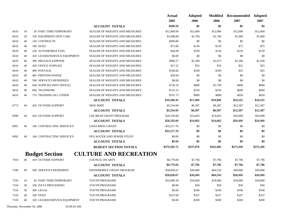|      |    |                              |                                       | Actual<br>2005 | <b>Adopted</b><br>2006 | Modified<br>2006 | Recommended Adopted<br>2007 | 2007      |
|------|----|------------------------------|---------------------------------------|----------------|------------------------|------------------|-----------------------------|-----------|
|      |    |                              | <b>ACCOUNT TOTALS</b>                 | \$588.59       | \$0                    | \$0              | \$0                         | \$0       |
| 6610 | 10 | 20 PART TIME/TEMPORARY       | SEALER OF WEIGHTS AND MEASURES        | \$12,000.04    | \$12,000               | \$12,000         | \$12,000                    | \$12,000  |
| 6610 | 20 | 130 EQUIPMENT (NOT CAR)      | SEALER OF WEIGHTS AND MEASURES        | \$3,948.80     | \$1,784                | \$1,784          | \$1,000                     | \$1,000   |
| 6610 | 40 | 130 CONTRACTS                | SEALER OF WEIGHTS AND MEASURES        | \$490.00       | \$0                    | \$0              | \$0                         | \$0       |
| 6610 | 40 | 180 DUES                     | SEALER OF WEIGHTS AND MEASURES        | \$75.00        | \$130                  | \$130            | \$75                        | \$75      |
| 6610 | 40 | 220 AUTOMOBILE FUEL          | SEALER OF WEIGHTS AND MEASURES        | \$44.09        | \$100                  | \$130            | \$150                       | \$150     |
| 6610 | 40 | 320 LEASED/SERVICE EQUIPMENT | SEALER OF WEIGHTS AND MEASURES        | \$0.00         | \$0                    | \$0              | \$0                         | \$0       |
| 6610 | 40 | <b>390 MILEAGE EXPENSE</b>   | <b>SEALER OF WEIGHTS AND MEASURES</b> | \$900.27       | \$1,500                | \$1,672          | \$1,200                     | \$1,200   |
| 6610 | 40 | 420 OFFICE SUPPLIES          | SEALER OF WEIGHTS AND MEASURES        | \$17.52        | \$32                   | \$33             | \$25                        | \$25      |
| 6610 | 40 | 480 POSTAGE                  | SEALER OF WEIGHTS AND MEASURES        | \$140.66       | \$100                  | \$100            | \$25                        | \$25      |
| 6610 | 40 | <b>485 PRINTING/PAPER</b>    | SEALER OF WEIGHTS AND MEASURES        | \$39.00        | \$0                    | \$0              | \$0                         | \$0       |
| 6610 | 40 | 590 SERVICE'S RENDERED       | SEALER OF WEIGHTS AND MEASURES        | \$0.00         | \$0                    | \$0              | \$0                         | \$0       |
| 6610 | 40 | 640 SUPPLIES (NOT OFFICE)    | SEALER OF WEIGHTS AND MEASURES        | \$736.19       | \$800                  | \$1,709          | \$800                       | \$800     |
| 6610 | 40 | 660 TELEPHONE                | SEALER OF WEIGHTS AND MEASURES        | \$133.15       | \$250                  | \$250            | \$600                       | \$600     |
| 6610 | 40 | 733 TRAINING/ALL OTHER       | SEALER OF WEIGHTS AND MEASURES        | \$761.73       | \$800                  | \$800            | \$650                       | \$650     |
|      |    |                              | <b>ACCOUNT TOTALS</b>                 | \$19,286.45    | \$17,496               | \$18,608         | \$16,525                    | \$16,525  |
| 6773 | 40 | 429 OUTSIDE SUPPORT          | <b>NEW HOPE</b>                       | \$5,554.00     | \$6,387                | \$6,387          | \$12,387                    | \$12,387  |
|      |    |                              | <b>ACCOUNT TOTALS</b>                 | \$5,554.00     | \$6,387                | \$6,387          | \$12,387                    | \$12,387  |
| 6990 | 40 | 429 OUTSIDE SUPPORT          | LDC/REAP GRANT PROGRAM                | \$28,250.00    | \$14,663               | \$14,663         | \$20,000                    | \$20,000  |
|      |    |                              | <b>ACCOUNT TOTALS</b>                 | \$28,250.00    | \$14,663               | \$14,663         | \$20,000                    | \$20,000  |
| 6991 | 40 | 140 CONTRACTING SERVICE'S    | <b>USDA RBOG GRANT</b>                | \$33,217.76    | \$0                    | \$0              | \$0                         | \$0       |
|      |    |                              | <b>ACCOUNT TOTALS</b>                 | \$33,217.76    | \$0                    | \$0              | \$0                         | \$0       |
| 6992 | 40 | 140 CONTRACTING SERVICE'S    | EPA WATER AND SEWER STUDY             | \$0.00         | \$0                    | \$0              | \$0                         | \$0       |
|      |    |                              | <b>ACCOUNT TOTALS</b>                 | \$0.00         | \$0                    | \$0              | \$0                         | \$0       |
|      |    |                              | <b>BUDGET SECTION TOTALS</b>          | \$370,595.75   | \$337,878              | \$342,490        | \$372,306                   | \$372,306 |
|      |    |                              |                                       |                |                        |                  |                             |           |
|      |    | <b>Budget Section</b>        | <b>CULTURE AND RECREATION</b>         |                |                        |                  |                             |           |
| 7010 | 40 | 429 OUTSIDE SUPPORT          | <b>COUNCIL ON ARTS</b>                | \$6,779.00     | \$7,796                | \$7,796          | \$7,796                     | \$7,796   |
|      |    |                              | <b>ACCOUNT TOTALS</b>                 | \$6,779.00     | \$7,796                | \$7,796          | \$7,796                     | \$7,796   |
| 7180 | 40 | 590 SERVICE'S RENDERED       | SNOWMOBILE GRANT PROGRAM              | \$58,836.67    | \$30,000               | \$64,550         | \$30,000                    | \$30,000  |
|      |    |                              | <b>ACCOUNT TOTALS</b>                 | \$58,836.67    | \$30,000               | \$64,550         | \$30,000                    | \$30,000  |
| 7310 | 10 | 20 PART TIME/TEMPORARY       | YOUTH PROGRAMS                        | \$16,900.36    | \$18,000               | \$18,000         | \$18,000                    | \$18,000  |
| 7310 | 30 | 100 DATA PROCESSING          | YOUTH PROGRAMS                        | \$0.00         | \$30                   | \$30             | \$30                        | \$30      |
| 7310 | 30 | 300 LEGAL                    | YOUTH PROGRAMS                        | \$0.00         | \$100                  | \$100            | \$100                       | \$100     |
| 7310 | 40 | 180 DUES                     | YOUTH PROGRAMS                        | \$167.00       | \$167                  | \$167            | \$167                       | \$167     |
| 7310 | 40 | 320 LEASED/SERVICE EQUIPMENT | YOUTH PROGRAMS                        | \$0.00         | \$200                  | \$200            | \$200                       | \$200     |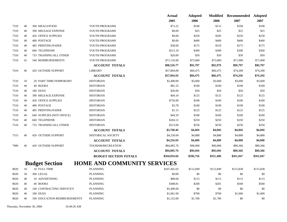|      |    |                                     |                                    | <b>Actual</b> | <b>Adopted</b> |           | Modified Recommended Adopted |           |
|------|----|-------------------------------------|------------------------------------|---------------|----------------|-----------|------------------------------|-----------|
|      |    |                                     |                                    | 2005          | 2006           | 2006      | 2007                         | 2007      |
| 7310 | 40 | 360 MEALS/FOOD                      | YOUTH PROGRAMS                     | \$73.22       | \$100          | \$112     | \$100                        | \$100     |
| 7310 | 40 | 390 MILEAGE EXPENSE                 | YOUTH PROGRAMS                     | \$0.00        | \$25           | \$25      | \$25                         | \$25      |
| 7310 | 40 | 420 OFFICE SUPPLIES                 | YOUTH PROGRAMS                     | \$0.00        | \$250          | \$285     | \$250                        | \$250     |
| 7310 | 40 | 480 POSTAGE                         | YOUTH PROGRAMS                     | \$0.00        | \$400          | \$400     | \$400                        | \$400     |
| 7310 | 40 | <b>485 PRINTING/PAPER</b>           | YOUTH PROGRAMS                     | \$38.00       | \$175          | \$310     | \$175                        | \$175     |
| 7310 | 40 | <b>660 TELEPHONE</b>                | YOUTH PROGRAMS                     | \$212.19      | \$300          | \$300     | \$300                        | \$300     |
| 7310 | 40 | 733 TRAINING/ALL OTHER              | YOUTH PROGRAMS                     | \$20.00       | \$50           | \$50      | \$50                         | \$50      |
| 7310 | 41 | 540 REIMBURSEMENTS                  | YOUTH PROGRAMS                     | \$71,116.00   | \$73,000       | \$73,000  | \$71,000                     | \$71,000  |
|      |    |                                     | <b>ACCOUNT TOTALS</b>              | \$88,526.77   | \$92,797       | \$92,979  | \$90,797                     | \$90,797  |
| 7410 | 40 | 429 OUTSIDE SUPPORT                 | <b>LIBRARY</b>                     | \$57,804.00   | \$66,475       | \$66,475  | \$74,200                     | \$74,200  |
|      |    |                                     | <b>ACCOUNT TOTALS</b>              | \$57,804.00   | \$66,475       | \$66,475  | \$74,200                     | \$74,200  |
| 7510 | 10 | 20 PART TIME/TEMPORARY              | <b>HISTORIAN</b>                   | \$2,400.00    | \$3,600        | \$3,600   | \$3,600                      | \$3,600   |
| 7510 | 40 | 40 BOOKS                            | <b>HISTORIAN</b>                   | \$81.25       | \$100          | \$100     | \$100                        | \$100     |
| 7510 | 40 | 180 DUES                            | <b>HISTORIAN</b>                   | \$20.00       | \$50           | \$50      | \$50                         | \$50      |
| 7510 | 40 | 390 MILEAGE EXPENSE                 | <b>HISTORIAN</b>                   | \$44.10       | \$125          | \$125     | \$125                        | \$125     |
| 7510 | 40 | 420 OFFICE SUPPLIES                 | <b>HISTORIAN</b>                   | \$756.90      | \$100          | \$100     | \$100                        | \$100     |
| 7510 | 40 | 480 POSTAGE                         | <b>HISTORIAN</b>                   | \$3.78        | \$100          | \$100     | \$100                        | \$100     |
| 7510 | 40 | <b>485 PRINTING/PAPER</b>           | <b>HISTORIAN</b>                   | \$1.15        | \$125          | \$125     | \$125                        | \$125     |
| 7510 | 40 | 640 SUPPLIES (NOT OFFICE)           | <b>HISTORIAN</b>                   | \$44.10       | \$100          | \$100     | \$100                        | \$100     |
| 7510 | 40 | <b>660 TELEPHONE</b>                | <b>HISTORIAN</b>                   | \$204.12      | \$250          | \$250     | \$250                        | \$250     |
| 7510 | 40 | 733 TRAINING/ALL OTHER              | <b>HISTORIAN</b>                   | \$213.00      | \$250          | \$250     | \$250                        | \$250     |
|      |    |                                     | <b>ACCOUNT TOTALS</b>              | \$3,768.40    | \$4,800        | \$4,800   | \$4,800                      | \$4,800   |
| 7515 | 40 | 429 OUTSIDE SUPPORT                 | HISTORICAL SOCIETY                 | \$4,250.00    | \$4,888        | \$4,888   | \$4,888                      | \$4,888   |
|      |    |                                     | <b>ACCOUNT TOTALS</b>              | \$4,250.00    | \$4,888        | \$4,888   | \$4,888                      | \$4,888   |
| 7989 | 40 | 429 OUTSIDE SUPPORT                 | TOURISM/RECREATION                 | \$84,885.76   | \$90,000       | \$90,000  | \$89,366                     | \$89,366  |
|      |    |                                     | <b>ACCOUNT TOTALS</b>              | \$84,885.76   | \$90,000       | \$90,000  | \$89,366                     | \$89,366  |
|      |    |                                     | <b>BUDGET SECTION TOTALS</b>       | \$304,850.60  | \$296,756      | \$331,488 | \$301,847                    | \$301,847 |
|      |    |                                     | <b>HOME AND COMMUNITY SERVICES</b> |               |                |           |                              |           |
|      |    | <b>Budget Section</b>               |                                    |               |                |           |                              |           |
| 8020 | 10 | 10 FULL TIME                        | <b>PLANNING</b>                    | \$107,465.03  | \$112,849      | \$112,849 | \$115,838                    | \$115,838 |
| 8020 | 30 | 300 LEGAL                           | <b>PLANNING</b>                    | \$0.00        | \$0            | \$0       | \$0                          | \$0       |
| 8020 | 40 | 10 ADVERTISING                      | <b>PLANNING</b>                    | \$88.60       | \$115          | \$115     | \$115                        | \$115     |
| 8020 | 40 | 40 BOOKS                            | <b>PLANNING</b>                    | \$388.81      | \$200          | \$281     | \$500                        | \$500     |
| 8020 | 40 | 140 CONTRACTING SERVICE'S           | <b>PLANNING</b>                    | \$5,490.00    | \$0            | \$0       | \$0                          | \$0       |
| 8020 | 40 | 180 DUES                            | <b>PLANNING</b>                    | \$1,061.00    | \$700          | \$700     | \$1,000                      | \$1,000   |
| 8020 | 40 | <b>190 EDUCATION REIMBURSEMENTS</b> | <b>PLANNING</b>                    | \$1,152.00    | \$1,700        | \$1,700   | \$0                          | \$0       |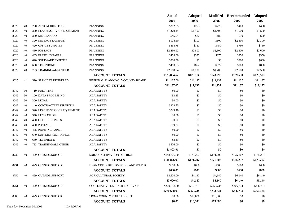|      |    |                              |                                   | Actual       | Adopted   |           | Modified Recommended Adopted |           |
|------|----|------------------------------|-----------------------------------|--------------|-----------|-----------|------------------------------|-----------|
|      |    |                              |                                   | 2005         | 2006      | 2006      | 2007                         | 2007      |
| 8020 | 40 | 220 AUTOMOBILE FUEL          | <b>PLANNING</b>                   | \$302.55     | \$273     | \$273     | \$400                        | \$400     |
| 8020 | 40 | 320 LEASED/SERVICE EQUIPMENT | <b>PLANNING</b>                   | \$1,370.45   | \$1,400   | \$1,400   | \$1,500                      | \$1,500   |
| 8020 | 40 | 360 MEALS/FOOD               | <b>PLANNING</b>                   | \$45.04      | \$80      | \$80      | \$50                         | \$50      |
| 8020 | 40 | <b>390 MILEAGE EXPENSE</b>   | <b>PLANNING</b>                   | \$104.10     | \$100     | \$100     | \$2,300                      | \$2,300   |
| 8020 | 40 | <b>420 OFFICE SUPPLIES</b>   | <b>PLANNING</b>                   | \$668.75     | \$750     | \$750     | \$750                        | \$750     |
| 8020 | 40 | 480 POSTAGE                  | <b>PLANNING</b>                   | \$2,450.92   | \$2,800   | \$2,800   | \$2,600                      | \$2,600   |
| 8020 | 40 | 485 PRINTING/PAPER           | <b>PLANNING</b>                   | \$458.00     | \$375     | \$375     | \$350                        | \$350     |
| 8020 | 40 | 620 SOFTWARE EXPENSE         | <b>PLANNING</b>                   | \$220.00     | \$0       | \$0       | \$800                        | \$800     |
| 8020 | 40 | 660 TELEPHONE                | <b>PLANNING</b>                   | \$480.63     | \$872     | \$872     | \$800                        | \$800     |
| 8020 | 40 | 733 TRAINING/ALL OTHER       | <b>PLANNING</b>                   | \$2,118.74   | \$1,700   | \$1,700   | \$2,500                      | \$2,500   |
|      |    |                              | <b>ACCOUNT TOTALS</b>             | \$123,864.62 | \$123,914 | \$123,995 | \$129,503                    | \$129,503 |
| 8025 | 41 | 590 SERVICE'S RENDERED       | REGIONAL PLANNING 7-COUNTY BOARD  | \$11,137.00  | \$11,137  | \$11,137  | \$11,137                     | \$11,137  |
|      |    |                              | <b>ACCOUNT TOTALS</b>             | \$11,137.00  | \$11,137  | \$11,137  | \$11,137                     | \$11,137  |
| 8042 | 10 | 10 FULL TIME                 | <b>ADA/SAFETY</b>                 | \$0.00       | \$0       | \$0       | \$0                          | \$0       |
| 8042 | 30 | 100 DATA PROCESSING          | <b>ADA/SAFETY</b>                 | \$3.35       | \$0       | \$0       | \$0                          | \$0       |
| 8042 | 30 | 300 LEGAL                    | <b>ADA/SAFETY</b>                 | \$0.00       | \$0       | \$0       | \$0                          | \$0       |
| 8042 | 40 | 140 CONTRACTING SERVICE'S    | <b>ADA/SAFETY</b>                 | \$908.50     | \$0       | \$0       | \$0                          | \$0       |
| 8042 | 40 | 320 LEASED/SERVICE EQUIPMENT | <b>ADA/SAFETY</b>                 | \$243.40     | \$0       | \$0       | \$0                          | \$0       |
| 8042 | 40 | <b>340 LITERATURE</b>        | <b>ADA/SAFETY</b>                 | \$0.00       | \$0       | \$0       | \$0                          | \$0       |
| 8042 | 40 | <b>420 OFFICE SUPPLIES</b>   | <b>ADA/SAFETY</b>                 | \$0.00       | \$0       | \$0       | \$0                          | \$0       |
| 8042 | 40 | 480 POSTAGE                  | <b>ADA/SAFETY</b>                 | \$69.27      | \$0       | \$0       | \$0                          | \$0       |
| 8042 | 40 | 485 PRINTING/PAPER           | <b>ADA/SAFETY</b>                 | \$0.00       | \$0       | \$0       | \$0                          | \$0       |
| 8042 | 40 | 640 SUPPLIES (NOT OFFICE)    | <b>ADA/SAFETY</b>                 | \$0.00       | \$0       | \$0       | \$0                          | \$0       |
| 8042 | 40 | <b>660 TELEPHONE</b>         | <b>ADA/SAFETY</b>                 | \$3.39       | \$0       | \$0       | \$0                          | \$0       |
| 8042 | 40 | 733 TRAINING/ALL OTHER       | <b>ADA/SAFETY</b>                 | \$576.00     | \$0       | \$0       | \$0                          | \$0       |
|      |    |                              | <b>ACCOUNT TOTALS</b>             | \$1,803.91   | \$0       | \$0       | \$0                          | \$0       |
| 8730 | 40 | 429 OUTSIDE SUPPORT          | SOIL CONSERVATION DISTRICT        | \$148,876.00 | \$171,207 | \$171,207 | \$175,207                    | \$175,207 |
|      |    |                              | <b>ACCOUNT TOTALS</b>             | \$148,876.00 | \$171,207 | \$171,207 | \$175,207                    | \$175,207 |
| 8731 | 40 | 429 OUTSIDE SUPPORT          | DEAN CREEK RESERVE/SOIL AND WATER | \$600.00     | \$600     | \$600     | \$600                        | \$600     |
|      |    |                              | <b>ACCOUNT TOTALS</b>             | \$600.00     | \$600     | \$600     | \$600                        | \$600     |
| 8750 | 40 | 429 OUTSIDE SUPPORT          | <b>AGRICULTURAL SOCIETY</b>       | \$3,600.00   | \$4,140   | \$4,140   | \$6,140                      | \$6,140   |
|      |    |                              | <b>ACCOUNT TOTALS</b>             | \$3,600.00   | \$4,140   | \$4,140   | \$6,140                      | \$6,140   |
| 8751 | 40 | 429 OUTSIDE SUPPORT          | COOPERATIVE EXTENSION SERVICE     | \$220,638.00 | \$253,734 | \$253,734 | \$266,734                    | \$266,734 |
|      |    |                              | <b>ACCOUNT TOTALS</b>             | \$220,638.00 | \$253,734 | \$253,734 | \$266,734                    | \$266,734 |
| 8989 | 40 | 429 OUTSIDE SUPPORT          | TIOGA COUNTY YOUTH COURT          | \$0.00       | \$13,000  | \$13,000  | \$0                          | \$0       |
|      |    |                              | <b>ACCOUNT TOTALS</b>             | \$0.00       | \$13,000  | \$13,000  | \$0                          | \$0       |
|      |    |                              |                                   |              |           |           |                              |           |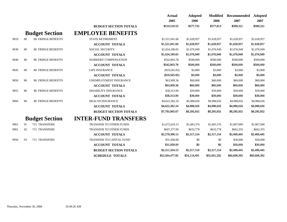|      |    |                           |                                | <b>Actual</b><br>2005 | <b>Adopted</b><br>2006 | <b>Modified</b><br>2006 | Recommended<br>2007 | Adopted<br>2007 |
|------|----|---------------------------|--------------------------------|-----------------------|------------------------|-------------------------|---------------------|-----------------|
|      |    |                           | <b>BUDGET SECTION TOTALS</b>   | \$510,519.53          | \$577,732              | \$577,813               | \$589,321           | \$589,321       |
|      |    | <b>Budget Section</b>     | <b>EMPLOYEE BENEFITS</b>       |                       |                        |                         |                     |                 |
| 9010 | 80 | <b>88 FRINGE BENEFITS</b> | <b>STATE RETIREMENT</b>        | \$1,521,941.66        | \$1,628,957            | \$1,628,957             | \$1,628,957         | \$1,628,957     |
|      |    |                           | <b>ACCOUNT TOTALS</b>          | \$1,521,941.66        | \$1,628,957            | \$1,628,957             | \$1,628,957         | \$1,628,957     |
| 9030 | 80 | <b>88 FRINGE BENEFITS</b> | <b>SOCIAL SECURITY</b>         | \$1,024,180.65        | \$1,076,949            | \$1,076,949             | \$1,076,949         | \$1,076,949     |
|      |    |                           | <b>ACCOUNT TOTALS</b>          | \$1,024,180.65        | \$1,076,949            | \$1,076,949             | \$1,076,949         | \$1,076,949     |
| 9040 | 80 | <b>88 FRINGE BENEFITS</b> | <b>WORKERS' COMPENSATION</b>   | \$542,803.78          | \$500,000              | \$500,000               | \$500,000           | \$500,000       |
|      |    |                           | <b>ACCOUNT TOTALS</b>          | \$542,803.78          | \$500,000              | \$500,000               | \$500,000           | \$500,000       |
| 9045 | 80 | <b>88 FRINGE BENEFITS</b> | <b>LIFE INSURANCE</b>          | (\$19,565.92)         | \$3,000                | \$3,000                 | \$3,000             | \$3,000         |
|      |    |                           | <b>ACCOUNT TOTALS</b>          | (\$19,565.92)         | \$3,000                | \$3,000                 | \$3,000             | \$3,000         |
| 9050 | 80 | <b>88 FRINGE BENEFITS</b> | UNEMPLOYMENT INSURANCE         | \$63,909.36           | \$60,000               | \$60,000                | \$60,000            | \$60,000        |
|      |    |                           | <b>ACCOUNT TOTALS</b>          | \$63,909.36           | \$60,000               | \$60,000                | \$60,000            | \$60,000        |
| 9055 | 80 | <b>88 FRINGE BENEFITS</b> | <b>DISABILITY INSURANCE</b>    | \$38,313.90           | \$39,000               | \$39,000                | \$39,000            | \$39,000        |
|      |    |                           | <b>ACCOUNT TOTALS</b>          | \$38,313.90           | \$39,000               | \$39,000                | \$39,000            | \$39,000        |
| 9060 | 80 | <b>88 FRINGE BENEFITS</b> | HEALTH INSURANCE               | \$4,622,382.24        | \$4,988,026            | \$4,988,026             | \$4,988,026         | \$4,988,026     |
|      |    |                           | <b>ACCOUNT TOTALS</b>          | \$4,622,382.24        | \$4,988,026            | \$4,988,026             | \$4,988,026         | \$4,988,026     |
|      |    |                           | <b>BUDGET SECTION TOTALS</b>   | \$7,793,965.67        | \$8,295,932            | \$8,295,932             | \$8,295,932         | \$8,295,932     |
|      |    | <b>Budget Section</b>     | <b>INTER-FUND TRANSFERS</b>    |                       |                        |                         |                     |                 |
| 9901 | 91 | 715 TRANSFERS             | <b>TRANSFER TO OTHER FUNDS</b> | \$1,672,019.13        | \$1,683,376            | \$1,683,376             | \$1,807,090         | \$1,807,090     |
| 9901 | 92 | 715 TRANSFERS             | TRANSFER TO OTHER FUNDS        | \$607,377.00          | \$633,778              | \$633,778               | \$662,355           | \$662,355       |
|      |    |                           | <b>ACCOUNT TOTALS</b>          | \$2,279,396.13        | \$2,317,154            | \$2,317,154             | \$2,469,445         | \$2,469,445     |
| 9950 | 93 | 715 TRANSFERS             | TRANSFER TO CAPITAL FUND       | \$31,958.00           | \$0                    | \$0                     | \$30,000            | \$30,000        |
|      |    |                           | <b>ACCOUNT TOTALS</b>          | \$31,958.00           | \$0                    | \$0                     | \$30,000            | \$30,000        |
|      |    |                           | <b>BUDGET SECTION TOTALS</b>   | \$2,311,354.13        | \$2,317,154            | \$2,317,154             | \$2,499,445         | \$2,499,445     |
|      |    |                           | <b>SCHEDULE TOTALS</b>         | \$52,564,477.82       | \$54,116,491           | \$55,001,292            | \$60,608,392        | \$60,608,392    |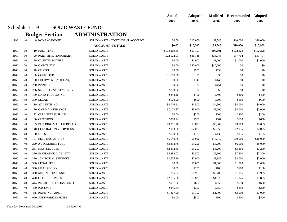|                  |    |                               |                                  | Actual<br>2005 | <b>Adopted</b><br>2006 | <b>Modified</b><br>2006 | Recommended<br>2007 | Adopted<br>2007 |
|------------------|----|-------------------------------|----------------------------------|----------------|------------------------|-------------------------|---------------------|-----------------|
| Schedule $1 - B$ |    |                               | <b>SOLID WASTE FUND</b>          |                |                        |                         |                     |                 |
|                  |    | <b>Budget Section</b>         | <b>ADMINISTRATION</b>            |                |                        |                         |                     |                 |
| 1990             | 40 | 0 NONE ASSIGNED               | SOLID WASTE - CONTINGENT ACCOUNT | \$0.00         | \$10,000               | \$9,546                 | \$10,000            | \$10,000        |
|                  |    |                               | <b>ACCOUNT TOTALS</b>            | \$0.00         | \$10,000               | \$9,546                 | \$10,000            | \$10,000        |
| 8160             | 10 | 10 FULL TIME                  | <b>SOLID WASTE</b>               | \$104,269.85   | \$93,101               | \$93,101                | \$102,328           | \$102,328       |
| 8160             | 10 | 20 PART TIME/TEMPORARY        | <b>SOLID WASTE</b>               | \$22,922.03    | \$36,748               | \$36,748                | \$37,704            | \$37,704        |
| 8160             | 10 | 30 OVERTIME/OTHER             | <b>SOLID WASTE</b>               | \$0.00         | \$1,000                | \$1,000                 | \$1,000             | \$1,000         |
| 8160             | 20 | 60 CAR/TRUCK                  | <b>SOLID WASTE</b>               | \$0.00         | \$40,000               | \$40,000                | \$0                 | \$0             |
| 8160             | 20 | 70 CHAIRS                     | <b>SOLID WASTE</b>               | \$0.00         | \$550                  | \$550                   | \$0                 | \$0             |
| 8160             | 20 | 90 COMPUTER                   | <b>SOLID WASTE</b>               | \$1,186.60     | \$0                    | \$0                     | \$0                 | \$0             |
| 8160             | 20 | 130 EQUIPMENT (NOT CAR)       | <b>SOLID WASTE</b>               | \$0.00         | \$145                  | \$145                   | \$0                 | \$0             |
| 8160             | 20 | 220 PRINTER                   | <b>SOLID WASTE</b>               | \$0.00         | \$0                    | \$454                   | \$0                 | \$0             |
| 8160             | 20 | 256 SECURITY SYSTEMS & SVC    | <b>SOLID WASTE</b>               | \$719.00       | \$0                    | \$0                     | \$0                 | \$0             |
| 8160             | 30 | 100 DATA PROCESSING           | <b>SOLID WASTE</b>               | \$344.46       | \$400                  | \$400                   | \$400               | \$400           |
| 8160             | 30 | 300 LEGAL                     | <b>SOLID WASTE</b>               | \$100.00       | \$600                  | \$600                   | \$600               | \$600           |
| 8160             | 40 | 10 ADVERTISING                | <b>SOLID WASTE</b>               | \$4,716.61     | \$4,500                | \$4,500                 | \$4,000             | \$4,000         |
| 8160             | 40 | 70 CAR MAINTENANCE            | <b>SOLID WASTE</b>               | \$7,102.27     | \$3,000                | \$3,000                 | \$3,000             | \$3,000         |
| 8160             | 40 | 72 CLEANING SUPPLIES          | <b>SOLID WASTE</b>               | \$0.00         | \$200                  | \$200                   | \$200               | \$200           |
| 8160             | 40 | 90 CLOTHING                   | <b>SOLID WASTE</b>               | \$318.14       | \$500                  | \$507                   | \$650               | \$650           |
| 8160             | 40 | 93 BUILDING MAINT & REPAIR    | <b>SOLID WASTE</b>               | \$3,051.10     | \$3,803                | \$3,803                 | \$3,803             | \$3,803         |
| 8160             | 40 | 140 CONTRACTING SERVICE'S     | <b>SOLID WASTE</b>               | \$2,003.80     | \$2,055                | \$2,055                 | \$2,055             | \$2,055         |
| 8160             | 40 | 180 DUES                      | <b>SOLID WASTE</b>               | \$100.00       | \$135                  | \$135                   | \$135               | \$135           |
| 8160             | 40 | 191 ELECTRIC UTILITY          | <b>SOLID WASTE</b>               | \$5,140.75     | \$8,000                | \$13,512                | \$10,000            | \$10,000        |
| 8160             | 40 | 220 AUTOMOBILE FUEL           | <b>SOLID WASTE</b>               | \$3,252.76     | \$3,200                | \$3,200                 | \$6,000             | \$6,000         |
| 8160             | 40 | 231 HEATING FUEL              | <b>SOLID WASTE</b>               | \$2,312.69     | \$3,200                | \$3,200                 | \$3,200             | \$3,200         |
| 8160             | 40 | 270 INSURANCE-LIABILITY       | SOLID WASTE                      | \$5,288.03     | \$6,500                | \$6,500                 | \$7,300             | \$7,300         |
| 8160             | 40 | 290 JANITORIAL SERVICES       | <b>SOLID WASTE</b>               | \$2,735.96     | \$2,900                | \$2,945                 | \$3,000             | \$3,000         |
| 8160             | 40 | 330 LEGAL FEES                | <b>SOLID WASTE</b>               | \$0.00         | \$1,000                | \$1,000                 | \$1,000             | \$1,000         |
| 8160             | 40 | 360 MEALS/FOOD                | <b>SOLID WASTE</b>               | \$0.00         | \$100                  | \$100                   | \$100               | \$100           |
| 8160             | 40 | 390 MILEAGE EXPENSE           | <b>SOLID WASTE</b>               | \$1,805.62     | \$1,955                | \$2,206                 | \$1,955             | \$1,955         |
| 8160             | 40 | 420 OFFICE SUPPLIES           | <b>SOLID WASTE</b>               | \$2,135.08     | \$1,825                | \$1,825                 | \$1,825             | \$1,825         |
| 8160             | 40 | 444 PERMITS, FEES, INSP, CERT | <b>SOLID WASTE</b>               | \$511.00       | \$650                  | \$650                   | \$650               | \$650           |
| 8160             | 40 | 480 POSTAGE                   | <b>SOLID WASTE</b>               | \$245.69       | \$350                  | \$350                   | \$350               | \$350           |
| 8160             | 40 | <b>485 PRINTING/PAPER</b>     | <b>SOLID WASTE</b>               | \$1,867.90     | \$1,700                | \$1,700                 | \$3,000             | \$3,000         |
| 8160             | 40 | 620 SOFTWARE EXPENSE          | <b>SOLID WASTE</b>               | \$0.00         | \$500                  | \$500                   | \$500               | \$500           |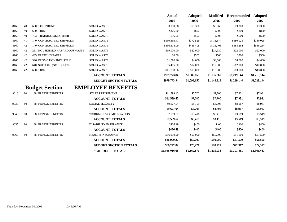|      |    |                                  |                              | <b>Actual</b>  | <b>Adopted</b> | <b>Modified</b> | Recommended | Adopted     |
|------|----|----------------------------------|------------------------------|----------------|----------------|-----------------|-------------|-------------|
|      |    |                                  |                              | 2005           | 2006           | 2006            | 2007        | 2007        |
| 8160 | 40 | <b>660 TELEPHONE</b>             | <b>SOLID WASTE</b>           | \$3,090.38     | \$3,300        | \$3,668         | \$3,300     | \$3,300     |
| 8160 | 40 | 680 TIRES                        | <b>SOLID WASTE</b>           | \$376.00       | \$800          | \$800           | \$800       | \$800       |
| 8160 | 40 | 733 TRAINING/ALL OTHER           | <b>SOLID WASTE</b>           | \$96.00        | \$500          | \$500           | \$500       | \$500       |
| 8160 | 41 | <b>140 CONTRACTING SERVICE'S</b> | <b>SOLID WASTE</b>           | \$330,393.47   | \$372,525      | \$415,577       | \$380,025   | \$380,025   |
| 8160 | 42 | <b>140 CONTRACTING SERVICE'S</b> | <b>SOLID WASTE</b>           | \$436,318.09   | \$435,408      | \$435,408       | \$588,264   | \$588,264   |
| 8160 | 42 | 261 HOUSEHOLD HAZARDOUSWASTE     | <b>SOLID WASTE</b>           | \$19,070.00    | \$22,000       | \$24,930        | \$22,000    | \$22,000    |
| 8160 | 42 | <b>485 PRINTING/PAPER</b>        | <b>SOLID WASTE</b>           | \$0.00         | \$500          | \$500           | \$500       | \$500       |
| 8160 | 42 | 596 PROMOTION INDUSTRY           | <b>SOLID WASTE</b>           | \$1,086.90     | \$4,000        | \$4,000         | \$4,000     | \$4,000     |
| 8160 | 42 | 640 SUPPLIES (NOT OFFICE)        | <b>SOLID WASTE</b>           | \$5,475.00     | \$12,000       | \$12,000        | \$12,000    | \$12,000    |
| 8160 | 42 | 680 TIRES                        | <b>SOLID WASTE</b>           | \$11,738.66    | \$13,000       | \$13,000        | \$13,000    | \$13,000    |
|      |    |                                  | <b>ACCOUNT TOTALS</b>        | \$979,773.84   | \$1,082,650    | \$1,135,269     | \$1,219,144 | \$1,219,144 |
|      |    |                                  | <b>BUDGET SECTION TOTALS</b> | \$979,773.84   | \$1,092,650    | \$1,144,815     | \$1,229,144 | \$1,229,144 |
|      |    | <b>Budget Section</b>            | <b>EMPLOYEE BENEFITS</b>     |                |                |                 |             |             |
| 9010 | 80 | <b>88 FRINGE BENEFITS</b>        | <b>STATE RETIREMENT</b>      | \$11,599.42    | \$7,700        | \$7,700         | \$7,931     | \$7,931     |
|      |    |                                  | <b>ACCOUNT TOTALS</b>        | \$11,599.42    | \$7,700        | \$7,700         | \$7,931     | \$7,931     |
| 9030 | 80 | <b>88 FRINGE BENEFITS</b>        | <b>SOCIAL SECURITY</b>       | \$9,627.04     | \$8,705        | \$8,705         | \$8,967     | \$8,967     |
|      |    |                                  | <b>ACCOUNT TOTALS</b>        | \$9,627.04     | \$8,705        | \$8,705         | \$8,967     | \$8,967     |
| 9040 | 80 | <b>88 FRINGE BENEFITS</b>        | WORKMEN'S COMPENSATION       | \$7,599.67     | \$3,416        | \$3,416         | \$3,519     | \$3,519     |
|      |    |                                  | <b>ACCOUNT TOTALS</b>        | \$7,599.67     | \$3,416        | \$3,416         | \$3,519     | \$3,519     |
| 9055 | 80 | <b>88 FRINGE BENEFITS</b>        | <b>DISABILITY INSURANCE</b>  | \$426.49       | \$400          | \$400           | \$400       | \$400       |
|      |    |                                  | <b>ACCOUNT TOTALS</b>        | \$426.49       | \$400          | \$400           | \$400       | \$400       |
| 9060 | 80 | <b>88 FRINGE BENEFITS</b>        | HEALTH INSURANCE             | \$36,990.20    | \$50,000       | \$50,000        | \$51,500    | \$51,500    |
|      |    |                                  | <b>ACCOUNT TOTALS</b>        | \$36,990.20    | \$50,000       | \$50,000        | \$51,500    | \$51,500    |
|      |    |                                  | <b>BUDGET SECTION TOTALS</b> | \$66,242.82    | \$70,221       | \$70,221        | \$72,317    | \$72,317    |
|      |    |                                  | <b>SCHEDULE TOTALS</b>       | \$1,046,016.66 | \$1,162,871    | \$1,215,036     | \$1,301,461 | \$1,301,461 |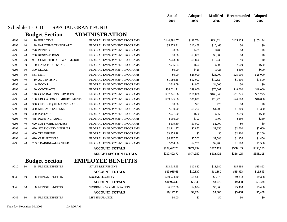|      |    |                                              |                              | Actual<br>2005 | <b>Adopted</b><br>2006 | 2006      | Modified Recommended Adopted<br>2007 | 2007      |
|------|----|----------------------------------------------|------------------------------|----------------|------------------------|-----------|--------------------------------------|-----------|
|      |    | Schedule 1 - CD<br><b>SPECIAL GRANT FUND</b> |                              |                |                        |           |                                      |           |
|      |    | <b>Budget Section</b>                        | <b>ADMINISTRATION</b>        |                |                        |           |                                      |           |
| 6293 | 10 | 10 FULL TIME                                 | FEDERAL EMPLOYMENT PROGRAMS  | \$140,891.57   | \$148,784              | \$154,224 | \$165,124                            | \$165,124 |
| 6293 | 10 | 20 PART TIME/TEMPORARY                       | FEDERAL EMPLOYMENT PROGRAMS  | \$5,273.91     | \$10,468               | \$10,468  | \$0                                  | \$0       |
| 6293 | 20 | 220 PRINTER                                  | FEDERAL EMPLOYMENT PROGRAMS  | \$0.00         | \$400                  | \$400     | \$0                                  | \$0       |
| 6293 | 20 | 250 RENOVATIONS                              | FEDERAL EMPLOYMENT PROGRAMS  | \$0.00         | \$3,000                | \$3,000   | \$0                                  | \$0       |
| 6293 | 20 | 901 COMPUTER SOFTWARE/EQUIP                  | FEDERAL EMPLOYMENT PROGRAMS  | \$543.58       | \$1,800                | \$10,236  | \$0                                  | \$0       |
| 6293 | 30 | 100 DATA PROCESSING                          | FEDERAL EMPLOYMENT PROGRAMS  | \$595.64       | \$600                  | \$600     | \$600                                | \$600     |
| 6293 | 30 | 300 LEGAL                                    | FEDERAL EMPLOYMENT PROGRAMS  | \$0.00         | \$425                  | \$425     | \$600                                | \$600     |
| 6293 | 30 | 551 MLR                                      | FEDERAL EMPLOYMENT PROGRAMS  | \$0.00         | \$25,000               | \$25,000  | \$25,000                             | \$25,000  |
| 6293 | 40 | 10 ADVERTISING                               | FEDERAL EMPLOYMENT PROGRAMS  | \$1,186.58     | \$12,000               | \$10,524  | \$1,500                              | \$1,500   |
| 6293 | 40 | 40 BOOKS                                     | FEDERAL EMPLOYMENT PROGRAMS  | \$618.09       | \$4,000                | \$4,000   | \$0                                  | \$0       |
| 6293 | 40 | 130 CONTRACTS                                | FEDERAL EMPLOYMENT PROGRAMS  | \$34,061.71    | \$49,000               | \$70,007  | \$48,000                             | \$48,000  |
| 6293 | 40 | <b>140 CONTRACTING SERVICE'S</b>             | FEDERAL EMPLOYMENT PROGRAMS  | \$37,241.06    | \$171,800              | \$168,046 | \$61,225                             | \$61,225  |
| 6293 | 40 | 190 EDUCATION REIMBURSEMENTS                 | FEDERAL EMPLOYMENT PROGRAMS  | \$59,525.68    | \$31,000               | \$28,728  | \$46,000                             | \$46,000  |
| 6293 | 40 | 350 OFFICE EQUIP MAINTENANCE                 | FEDERAL EMPLOYMENT PROGRAMS  | \$0.00         | \$75                   | \$75      | \$0                                  | \$0       |
| 6293 | 40 | <b>390 MILEAGE EXPENSE</b>                   | FEDERAL EMPLOYMENT PROGRAMS  | \$690.90       | \$1,200                | \$1,200   | \$1,300                              | \$1,300   |
| 6293 | 40 | 480 POSTAGE                                  | FEDERAL EMPLOYMENT PROGRAMS  | \$521.00       | \$650                  | \$650     | \$650                                | \$650     |
| 6293 | 40 | <b>485 PRINTING/PAPER</b>                    | FEDERAL EMPLOYMENT PROGRAMS  | \$156.00       | \$700                  | \$700     | \$350                                | \$350     |
| 6293 | 40 | 620 SOFTWARE EXPENSE                         | FEDERAL EMPLOYMENT PROGRAMS  | \$519.80       | \$1,000                | \$1,000   | \$0                                  | \$0       |
| 6293 | 40 | <b>630 STATIONERY SUPPLIES</b>               | FEDERAL EMPLOYMENT PROGRAMS  | \$2,311.37     | \$2,850                | \$2,850   | \$2,600                              | \$2,600   |
| 6293 | 40 | <b>660 TELEPHONE</b>                         | FEDERAL EMPLOYMENT PROGRAMS  | \$3,254.28     | \$0                    | \$0       | \$2,200                              | \$2,200   |
| 6293 | 40 | <b>690 CLIENT TOOLS</b>                      | FEDERAL EMPLOYMENT PROGRAMS  | \$4,887.53     | \$7,500                | \$7,588   | \$1,456                              | \$1,456   |
| 6293 | 40 | 733 TRAINING/ALL OTHER                       | FEDERAL EMPLOYMENT PROGRAMS  | \$214.00       | \$2,700                | \$2,700   | \$1,500                              | \$1,500   |
|      |    |                                              | <b>ACCOUNT TOTALS</b>        | \$292,492.70   | \$474,952              | \$502,421 | \$358,105                            | \$358,105 |
|      |    |                                              | <b>BUDGET SECTION TOTALS</b> | \$292,492.70   | \$474,952              | \$502,421 | \$358,105                            | \$358,105 |
|      |    | <b>Budget Section</b>                        | <b>EMPLOYEE BENEFITS</b>     |                |                        |           |                                      |           |
| 9010 | 80 | <b>88 FRINGE BENEFITS</b>                    | <b>STATE RETIREMENT</b>      | \$13,915.65    | \$10,832               | \$11,380  | \$15,893                             | \$15,893  |
|      |    |                                              | <b>ACCOUNT TOTALS</b>        | \$13,915.65    | \$10,832               | \$11,380  | \$15,893                             | \$15,893  |
| 9030 | 80 | <b>88 FRINGE BENEFITS</b>                    | <b>SOCIAL SECURITY</b>       | \$10,974.40    | \$8,543                | \$8,975   | \$9,338                              | \$9,338   |
|      |    |                                              | <b>ACCOUNT TOTALS</b>        | \$10,974.40    | \$8,543                | \$8,975   | \$9,338                              | \$9,338   |
| 9040 | 80 | <b>88 FRINGE BENEFITS</b>                    | WORKMEN'S COMPENSATION       | \$6,197.58     | \$4,824                | \$5,068   | \$5,408                              | \$5,408   |
|      |    |                                              | <b>ACCOUNT TOTALS</b>        | \$6,197.58     | \$4,824                | \$5,068   | \$5,408                              | \$5,408   |
| 9045 | 80 | <b>88 FRINGE BENEFITS</b>                    | <b>LIFE INSURANCE</b>        | \$0.00         | \$0                    | \$0       | \$0                                  | \$0       |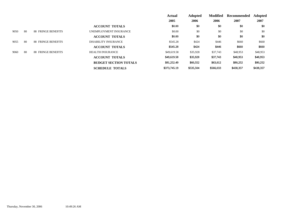|      |    |                    |                               | Actual       |                | <b>Adopted</b> | <b>Modified</b> | Recommended | <b>Adopted</b> |
|------|----|--------------------|-------------------------------|--------------|----------------|----------------|-----------------|-------------|----------------|
|      |    |                    |                               | 2005         | 2006           | 2006           | 2007            | 2007        |                |
|      |    |                    | <b>ACCOUNT TOTALS</b>         | \$0.00       | S <sub>0</sub> | \$0            | \$0             | \$0         |                |
| 9050 | 80 | 88 FRINGE BENEFITS | <b>UNEMPLOYMENT INSURANCE</b> | \$0.00       | \$0            | \$0            | \$0             | \$0         |                |
|      |    |                    | <b>ACCOUNT TOTALS</b>         | \$0.00       | S <sub>0</sub> | \$0            | \$0             | \$0         |                |
| 9055 | 80 | 88 FRINGE BENEFITS | DISABILITY INSURANCE          | \$545.28     | \$424          | \$446          | \$660           | \$660       |                |
|      |    |                    | <b>ACCOUNT TOTALS</b>         | \$545.28     | \$424          | \$446          | \$660           | \$660       |                |
| 9060 | 80 | 88 FRINGE BENEFITS | <b>HEALTH INSURANCE</b>       | \$49,619.58  | \$35,928       | \$37,743       | \$48,953        | \$48,953    |                |
|      |    |                    | <b>ACCOUNT TOTALS</b>         | \$49,619.58  | \$35,928       | \$37,743       | \$48,953        | \$48,953    |                |
|      |    |                    | <b>BUDGET SECTION TOTALS</b>  | \$81,252.49  | \$60,552       | \$63,612       | \$80,252        | \$80,252    |                |
|      |    |                    | <b>SCHEDULE TOTALS</b>        | \$373,745.19 | \$535,504      | \$566,033      | \$438,357       | \$438,357   |                |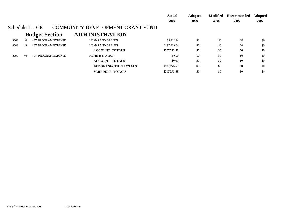|      |    |                            |                                         | Actual<br>2005 | <b>Adopted</b><br>2006 | <b>Modified</b><br>2006 | Recommended<br>2007 | <b>Adopted</b><br>2007 |
|------|----|----------------------------|-----------------------------------------|----------------|------------------------|-------------------------|---------------------|------------------------|
|      |    | Schedule 1 - CE            | <b>COMMUNITY DEVELOPMENT GRANT FUND</b> |                |                        |                         |                     |                        |
|      |    | <b>Budget Section</b>      | <b>ADMINISTRATION</b>                   |                |                        |                         |                     |                        |
| 8668 | 40 | PROGRAM EXPENSE<br>487     | <b>LOANS AND GRANTS</b>                 | \$9,612.94     | \$0                    | \$0                     | \$0                 | \$0                    |
| 8668 | 43 | <b>487 PROGRAM EXPENSE</b> | <b>LOANS AND GRANTS</b>                 | \$197,660.64   | \$0                    | \$0                     | \$0                 | \$0                    |
|      |    |                            | <b>ACCOUNT TOTALS</b>                   | \$207,273.58   | \$0                    | \$0                     | \$0                 | \$0                    |
| 8686 | 40 | PROGRAM EXPENSE<br>487     | <b>ADMINISTRATION</b>                   | \$0.00         | \$0                    | \$0                     | \$0                 | \$0                    |
|      |    |                            | <b>ACCOUNT TOTALS</b>                   | \$0.00         | \$0                    | \$0                     | \$0                 | \$0                    |
|      |    |                            | <b>BUDGET SECTION TOTALS</b>            | \$207,273.58   | \$0                    | \$0                     | \$0                 | \$0                    |
|      |    |                            | <b>SCHEDULE TOTALS</b>                  | \$207,273.58   | \$0                    | \$0                     | \$0                 | \$0                    |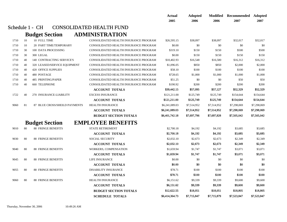|      |    |                               |                                       | <b>Actual</b><br>2005 | <b>Adopted</b><br>2006 | 2006        | Modified Recommended<br>2007 | Adopted<br>2007 |
|------|----|-------------------------------|---------------------------------------|-----------------------|------------------------|-------------|------------------------------|-----------------|
|      |    | Schedule 1 - CH               | <b>CONSOLIDATED HEALTH FUND</b>       |                       |                        |             |                              |                 |
|      |    | <b>Budget Section</b>         | <b>ADMINISTRATION</b>                 |                       |                        |             |                              |                 |
| 1710 | 10 | 10 FULL TIME                  | CONSOLIDATED HEALTH INSURANCE PROGRAM | \$26,595.15           | \$38,097               | \$38,097    | \$32,017                     | \$32,017        |
| 1710 | 10 | 20 PART TIME/TEMPORARY        | CONSOLIDATED HEALTH INSURANCE PROGRAM | \$0.00                | \$0                    | \$0         | \$0                          | \$0             |
| 1710 | 30 | 100 DATA PROCESSING           | CONSOLIDATED HEALTH INSURANCE PROGRAM | \$319.10              | \$150                  | \$150       | \$500                        | \$500           |
| 1710 | 30 | 300 LEGAL                     | CONSOLIDATED HEALTH INSURANCE PROGRAM | \$0.00                | \$150                  | \$150       | \$150                        | \$150           |
| 1710 | 40 | 140 CONTRACTING SERVICE'S     | CONSOLIDATED HEALTH INSURANCE PROGRAM | \$10,402.93           | \$16,548               | \$16,580    | \$16,312                     | \$16,312        |
| 1710 | 40 | 320 LEASED/SERVICE EQUIPMENT  | CONSOLIDATED HEALTH INSURANCE PROGRAM | \$1,096.05            | \$850                  | \$850       | \$2,000                      | \$2,000         |
| 1710 | 40 | <b>420 OFFICE SUPPLIES</b>    | CONSOLIDATED HEALTH INSURANCE PROGRAM | \$58.10               | \$100                  | \$100       | \$100                        | \$100           |
| 1710 | 40 | 480 POSTAGE                   | CONSOLIDATED HEALTH INSURANCE PROGRAM | \$728.65              | \$1,000                | \$1,000     | \$1,000                      | \$1,000         |
| 1710 | 40 | 485 PRINTING/PAPER            | CONSOLIDATED HEALTH INSURANCE PROGRAM | \$51.25               | \$0                    | \$0         | \$50                         | \$50            |
| 1710 | 40 | 660 TELEPHONE                 | CONSOLIDATED HEALTH INSURANCE PROGRAM | \$190.92              | \$200                  | \$200       | \$200                        | \$200           |
|      |    |                               | <b>ACCOUNT TOTALS</b>                 | \$39,442.15           | \$57,095               | \$57,127    | \$52,329                     | \$52,329        |
| 1722 | 40 | 270 INSURANCE-LIABILITY       | <b>EXCESS INSURANCE</b>               | \$121,211.00          | \$125,749              | \$125,749   | \$154,644                    | \$154,644       |
|      |    |                               | <b>ACCOUNT TOTALS</b>                 | \$121,211.00          | \$125,749              | \$125,749   | \$154,644                    | \$154,644       |
| 9060 | 81 | 87 BLUE CROSS/SHEILD PAYMENTS | <b>HEALTH INSURANCE</b>               | \$6,241,089.03        | \$7,514,952            | \$7,514,952 | \$7,298,069                  | \$7,298,069     |
|      |    |                               | <b>ACCOUNT TOTALS</b>                 | \$6,241,089.03        | \$7,514,952            | \$7,514,952 | \$7,298,069                  | \$7,298,069     |
|      |    |                               | <b>BUDGET SECTION TOTALS</b>          | \$6,401,742.18        | \$7,697,796            | \$7,697,828 | \$7,505,042                  | \$7,505,042     |
|      |    | <b>Budget Section</b>         | <b>EMPLOYEE BENEFITS</b>              |                       |                        |             |                              |                 |
| 9010 | 80 | <b>88 FRINGE BENEFITS</b>     | <b>STATE RETIREMENT</b>               | \$2,700.18            | \$4,192                | \$4,192     | \$3,685                      | \$3,685         |
|      |    |                               | <b>ACCOUNT TOTALS</b>                 | \$2,700.18            | \$4,192                | \$4,192     | \$3,685                      | \$3,685         |
| 9030 | 80 | <b>88 FRINGE BENEFITS</b>     | <b>SOCIAL SECURITY</b>                | \$2,032.10            | \$2,673                | \$2,673     | \$2,349                      | \$2,349         |
|      |    |                               | <b>ACCOUNT TOTALS</b>                 | \$2,032.10            | \$2,673                | \$2,673     | \$2,349                      | \$2,349         |
| 9040 | 80 | <b>88 FRINGE BENEFITS</b>     | WORKERS, COMPENSATION                 | \$1,659.94            | \$1,747                | \$1,747     | \$3,071                      | \$3,071         |
|      |    |                               | <b>ACCOUNT TOTALS</b>                 | \$1,659.94            | \$1,747                | \$1,747     | \$3,071                      | \$3,071         |
| 9045 | 80 | <b>88 FRINGE BENEFITS</b>     | <b>LIFE INSURANCE</b>                 | \$0.00                | \$0                    | \$0         | \$0                          | \$0             |
|      |    |                               | <b>ACCOUNT TOTALS</b>                 | \$0.00                | \$0                    | \$0         | \$0                          | \$0             |
| 9055 | 80 | <b>88 FRINGE BENEFITS</b>     | DISABILITY INSURANCE                  | \$78.71               | \$100                  | \$100       | \$100                        | \$100           |
|      |    |                               | <b>ACCOUNT TOTALS</b>                 | \$78.71               | \$100                  | \$100       | \$100                        | \$100           |
| 9060 | 80 | <b>88 FRINGE BENEFITS</b>     | HEALTH INSURANCE                      | \$6,151.62            | \$9,339                | \$9,339     | \$9,600                      | \$9,600         |
|      |    |                               | <b>ACCOUNT TOTALS</b>                 | \$6,151.62            | \$9,339                | \$9,339     | \$9,600                      | \$9,600         |
|      |    |                               | <b>BUDGET SECTION TOTALS</b>          | \$12,622.55           | \$18,051               | \$18,051    | \$18,805                     | \$18,805        |
|      |    |                               | <b>SCHEDULE TOTALS</b>                | \$6,414,364.73        | \$7,715,847            | \$7,715,879 | \$7,523,847                  | \$7,523,847     |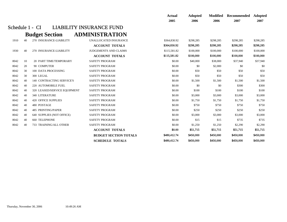|                 |    |                                  |                                 | Actual<br>2005 | <b>Adopted</b><br>2006 | <b>Modified</b><br>2006 | Recommended<br>2007 | <b>Adopted</b><br>2007 |
|-----------------|----|----------------------------------|---------------------------------|----------------|------------------------|-------------------------|---------------------|------------------------|
| Schedule 1 - CI |    |                                  | <b>LIABILITY INSURANCE FUND</b> |                |                        |                         |                     |                        |
|                 |    | <b>Budget Section</b>            | <b>ADMINISTRATION</b>           |                |                        |                         |                     |                        |
| 1910            | 40 | 270 INSURANCE-LIABILITY          | UNALLOCATED INSURANCE           | \$364,830.92   | \$298,285              | \$298,285               | \$298,285           | \$298,285              |
|                 |    |                                  | <b>ACCOUNT TOTALS</b>           | \$364,830.92   | \$298,285              | \$298,285               | \$298,285           | \$298,285              |
| 1930            | 40 | 270 INSURANCE-LIABILITY          | <b>JUDGEMENTS AND CLAIMS</b>    | \$115,581.82   | \$100,000              | \$100,000               | \$100,000           | \$100,000              |
|                 |    |                                  | <b>ACCOUNT TOTALS</b>           | \$115,581.82   | \$100,000              | \$100,000               | \$100,000           | \$100,000              |
| 8042            | 10 | 20 PART TIME/TEMPORARY           | <b>SAFETY PROGRAM</b>           | \$0.00         | \$40,000               | \$38,000                | \$37,940            | \$37,940               |
| 8042            | 20 | 90 COMPUTER                      | <b>SAFETY PROGRAM</b>           | \$0.00         | \$0                    | \$2,000                 | \$0                 | \$0                    |
| 8042            | 30 | 100 DATA PROCESSING              | <b>SAFETY PROGRAM</b>           | \$0.00         | \$50                   | \$50                    | \$50                | \$50                   |
| 8042            | 30 | 300 LEGAL                        | <b>SAFETY PROGRAM</b>           | \$0.00         | \$50                   | \$50                    | \$50                | \$50                   |
| 8042            | 40 | <b>140 CONTRACTING SERVICE'S</b> | <b>SAFETY PROGRAM</b>           | \$0.00         | \$1,500                | \$1,500                 | \$1,500             | \$1,500                |
| 8042            | 40 | 220 AUTOMOBILE FUEL              | <b>SAFETY PROGRAM</b>           | \$0.00         | \$0                    | \$0                     | \$300               | \$300                  |
| 8042            | 40 | 320 LEASED/SERVICE EQUIPMENT     | <b>SAFETY PROGRAM</b>           | \$0.00         | \$100                  | \$100                   | \$100               | \$100                  |
| 8042            | 40 | <b>340 LITERATURE</b>            | <b>SAFETY PROGRAM</b>           | \$0.00         | \$3,000                | \$3,000                 | \$3,000             | \$3,000                |
| 8042            | 40 | <b>420 OFFICE SUPPLIES</b>       | <b>SAFETY PROGRAM</b>           | \$0.00         | \$1,750                | \$1,750                 | \$1,750             | \$1,750                |
| 8042            | 40 | 480 POSTAGE                      | <b>SAFETY PROGRAM</b>           | \$0.00         | \$750                  | \$750                   | \$750               | \$750                  |
| 8042            | 40 | 485 PRINTING/PAPER               | <b>SAFETY PROGRAM</b>           | \$0.00         | \$250                  | \$250                   | \$250               | \$250                  |
| 8042            | 40 | 640 SUPPLIES (NOT OFFICE)        | <b>SAFETY PROGRAM</b>           | \$0.00         | \$3,000                | \$3,000                 | \$3,000             | \$3,000                |
| 8042            | 40 | <b>660 TELEPHONE</b>             | <b>SAFETY PROGRAM</b>           | \$0.00         | \$15                   | \$15                    | \$735               | \$735                  |
| 8042            | 40 | 733 TRAINING/ALL OTHER           | <b>SAFETY PROGRAM</b>           | \$0.00         | \$1,250                | \$1,250                 | \$2,290             | \$2,290                |
|                 |    |                                  | <b>ACCOUNT TOTALS</b>           | \$0.00         | \$51,715               | \$51,715                | \$51,715            | \$51,715               |
|                 |    |                                  | <b>BUDGET SECTION TOTALS</b>    | \$480,412.74   | \$450,000              | \$450,000               | \$450,000           | \$450,000              |
|                 |    |                                  | <b>SCHEDULE TOTALS</b>          | \$480,412.74   | \$450,000              | \$450,000               | \$450,000           | \$450,000              |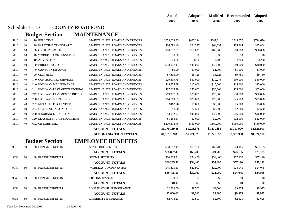|                |    |                              |                                | Actual<br>2005 | <b>Adopted</b><br>2006 | Modified<br>2006 | Recommended<br>2007 | <b>Adopted</b><br>2007 |
|----------------|----|------------------------------|--------------------------------|----------------|------------------------|------------------|---------------------|------------------------|
| Schedule 1 - D |    | <b>COUNTY ROAD FUND</b>      |                                |                |                        |                  |                     |                        |
|                |    | <b>Budget Section</b>        | <b>MAINTENANCE</b>             |                |                        |                  |                     |                        |
| 5110           | 10 | 10 FULL TIME                 | MAINTENANCE, ROADS AND BRIDGES | \$659,624.33   | \$687,214              | \$687,214        | \$714,676           | \$714,676              |
| 5110           | 10 | 20 PART TIME/TEMPORARY       | MAINTENANCE, ROADS AND BRIDGES | \$66,092.40    | \$64,337               | \$64,337         | \$85,864            | \$85,864               |
| 5110           | 10 | 30 OVERTIME/OTHER            | MAINTENANCE, ROADS AND BRIDGES | \$70,537.37    | \$60,000               | \$60,000         | \$60,000            | \$60,000               |
| 5110           | 10 | 40 WORKERS COMPENSATION      | MAINTENANCE, ROADS AND BRIDGES | \$0.00         | \$0                    | \$0              | \$0                 | \$0                    |
| 5110           | 40 | 10 ADVERTISING               | MAINTENANCE, ROADS AND BRIDGES | \$20.90        | \$200                  | \$200            | \$200               | \$200                  |
| 5110           | 40 | 50 BRIDGE PROJECTS           | MAINTENANCE, ROADS AND BRIDGES | \$53,027.17    | \$40,000               | \$40,000         | \$40,000            | \$40,000               |
| 5110           | 40 | 70 CAR MAINTENANCE           | MAINTENANCE, ROADS AND BRIDGES | \$0.00         | \$1,000                | \$1,000          | \$1,000             | \$1,000                |
| 5110           | 40 | 90 CLOTHING                  | MAINTENANCE, ROADS AND BRIDGES | \$7,800.00     | \$8,125                | \$8,125          | \$9,750             | \$9,750                |
| 5110           | 40 | 140 CONTRACTING SERVICE'S    | MAINTENANCE, ROADS AND BRIDGES | \$29,699.78    | \$30,000               | \$30,276         | \$30,000            | \$30,000               |
| 5110           | 40 | 240 HIGHWAY MAINTENANCE      | MAINTENANCE, ROADS AND BRIDGES | \$14,955.89    | \$15,000               | \$15,000         | \$15,000            | \$15,000               |
| 5110           | 40 | 241 HIGHWAY PAVEMENTPATCHING | MAINTENANCE, ROADS AND BRIDGES | \$37,065.39    | \$50,000               | \$50,000         | \$65,000            | \$65,000               |
| 5110           | 40 | 242 HIGHWAY PAVEMENTSTRIPING | MAINTENANCE, ROADS AND BRIDGES | \$19,987.60    | \$25,000               | \$25,000         | \$50,000            | \$50,000               |
| 5110           | 40 | 260 HIGHWAY SUPPLIES/SIGNS   | MAINTENANCE, ROADS AND BRIDGES | \$14,760.85    | \$25,000               | \$25,000         | \$25,000            | \$25,000               |
| 5110           | 40 | 262 METAL PIPES/CULVERTS     | MAINTENANCE, ROADS AND BRIDGES | \$462.20       | \$5,000                | \$5,000          | \$5,000             | \$5,000                |
| 5110           | 40 | 264 HEAVY STONE/GABIONS      | MAINTENANCE, ROADS AND BRIDGES | \$0.00         | \$2,500                | \$2,500          | \$2,500             | \$2,500                |
| 5110           | 40 | 270 INSURANCE-LIABILITY      | MAINTENANCE, ROADS AND BRIDGES | \$3,052.97     | \$46,000               | \$46,000         | \$46,000            | \$46,000               |
| 5110           | 40 | 320 LEASED/SERVICE EQUIPMENT | MAINTENANCE, ROADS AND BRIDGES | \$1,268.57     | \$2,000                | \$2,000          | \$12,000            | \$12,000               |
| 5110           | 40 | 602 CINDERS/SALT             | MAINTENANCE, ROADS AND BRIDGES | \$200,814.46   | \$160,000              | \$160,000        | \$160,000           | \$160,000              |
|                |    |                              | <b>ACCOUNT TOTALS</b>          | \$1,179,169.88 | \$1,221,376            | \$1,221,652      | \$1,321,990         | \$1,321,990            |
|                |    |                              | <b>BUDGET SECTION TOTALS</b>   | \$1,179,169.88 | \$1,221,376            | \$1,221,652      | \$1,321,990         | \$1,321,990            |
|                |    | <b>Budget Section</b>        | <b>EMPLOYEE BENEFITS</b>       |                |                        |                  |                     |                        |
| 9010           | 80 | <b>88 FRINGE BENEFITS</b>    | <b>STATE RETIREMENT</b>        | \$88,887.49    | \$69,700               | \$69,700         | \$73,185            | \$73,185               |
|                |    |                              | <b>ACCOUNT TOTALS</b>          | \$88,887.49    | \$69,700               | \$69,700         | \$73,185            | \$73,185               |
| 9030           | 80 | <b>88 FRINGE BENEFITS</b>    | <b>SOCIAL SECURITY</b>         | \$60,235.91    | \$54,400               | \$54,400         | \$57,120            | \$57,120               |
|                |    |                              | <b>ACCOUNT TOTALS</b>          | \$60,235.91    | \$54,400               | \$54,400         | \$57,120            | \$57,120               |
| 9040           | 80 | <b>88 FRINGE BENEFITS</b>    | WORKERS' COMPENSATION          | \$45,405.53    | \$22,900               | \$22,900         | \$24,045            | \$24,045               |
|                |    |                              | <b>ACCOUNT TOTALS</b>          | \$45,405.53    | \$22,900               | \$22,900         | \$24,045            | \$24,045               |
| 9045           | 80 | <b>88 FRINGE BENEFITS</b>    | LIFE INSURANCE                 | \$0.00         | \$0                    | \$0              | \$0                 | \$0                    |
|                |    |                              | <b>ACCOUNT TOTALS</b>          | \$0.00         | \$0                    | \$0              | \$0                 | \$0                    |
| 9050           | 80 | <b>88 FRINGE BENEFITS</b>    | UNEMPLOYMENT INSURANCE         | \$2,800.00     | \$9,500                | \$9,500          | \$9,975             | \$9,975                |
|                |    |                              | <b>ACCOUNT TOTALS</b>          | \$2,800.00     | \$9,500                | \$9,500          | \$9,975             | \$9,975                |
|                | 80 | <b>88 FRINGE BENEFITS</b>    | DISABILITY INSURANCE           |                |                        |                  |                     |                        |
| 9055           |    |                              |                                | \$2,794.23     | \$2,500                | \$2,500          | \$2,625             | \$2,625                |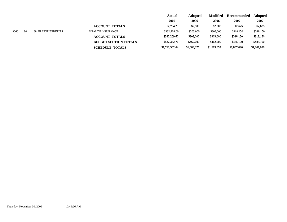|      |     |                    |                              | <b>Actual</b>  | <b>Adopted</b> | Modified    | Recommended | <b>Adopted</b> |
|------|-----|--------------------|------------------------------|----------------|----------------|-------------|-------------|----------------|
|      |     |                    |                              | 2005           | 2006           | 2006        | 2007        | 2007           |
|      |     |                    | <b>ACCOUNT TOTALS</b>        | \$2,794.23     | \$2,500        | \$2,500     | \$2,625     | \$2,625        |
| 9060 | -80 | 88 FRINGE BENEFITS | <b>HEALTH INSURANCE</b>      | \$332,209.60   | \$303,000      | \$303,000   | \$318,150   | \$318,150      |
|      |     |                    | <b>ACCOUNT TOTALS</b>        | \$332,209.60   | \$303,000      | \$303,000   | \$318,150   | \$318,150      |
|      |     |                    | <b>BUDGET SECTION TOTALS</b> | \$532,332.76   | \$462,000      | \$462,000   | \$485,100   | \$485,100      |
|      |     |                    | <b>SCHEDULE TOTALS</b>       | \$1,711,502.64 | \$1,683,376    | \$1,683,652 | \$1,807,090 | \$1,807,090    |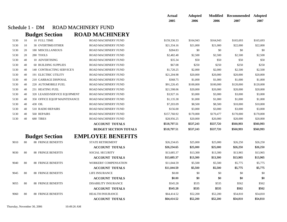|      |    |                                               |                              | Actual<br>2005 | <b>Adopted</b><br>2006 | <b>Modified</b><br>2006 | Recommended Adopted<br>2007 | 2007      |
|------|----|-----------------------------------------------|------------------------------|----------------|------------------------|-------------------------|-----------------------------|-----------|
|      |    | Schedule 1 - DM<br><b>ROAD MACHINERY FUND</b> |                              |                |                        |                         |                             |           |
|      |    | <b>Budget Section</b>                         | <b>ROAD MACHINERY</b>        |                |                        |                         |                             |           |
| 5130 | 10 | 10 FULL TIME                                  | ROAD MACHINERY FUND          | \$159,336.33   | \$164,943              | \$164,943               | \$165,693                   | \$165,693 |
| 5130 | 10 | <b>30 OVERTIME/OTHER</b>                      | ROAD MACHINERY FUND          | \$21,334.16    | \$21,000               | \$21,000                | \$22,000                    | \$22,000  |
| 5130 | 20 | 180 MISCELLANEOUS                             | ROAD MACHINERY FUND          | \$284.83       | \$0                    | \$0                     | $\$0$                       | \$0       |
| 5130 | 20 | 280 TOOLS                                     | ROAD MACHINERY FUND          | \$2,482.48     | \$2,500                | \$2,500                 | \$2,500                     | \$2,500   |
| 5130 | 40 | 10 ADVERTISING                                | ROAD MACHINERY FUND          | \$35.34        | \$50                   | \$50                    | \$50                        | \$50      |
| 5130 | 40 | <b>60 BUILDING SUPPLIES</b>                   | ROAD MACHINERY FUND          | \$67.08        | \$250                  | \$250                   | \$250                       | \$250     |
| 5130 | 40 | 140 CONTRACTING SERVICE'S                     | ROAD MACHINERY FUND          | \$1,720.25     | \$2,000                | \$2,000                 | \$2,500                     | \$2,500   |
| 5130 | 40 | 191 ELECTRIC UTILITY                          | ROAD MACHINERY FUND          | \$21,204.98    | \$20,000               | \$20,000                | \$20,000                    | \$20,000  |
| 5130 | 40 | 210 GARBAGE DISPOSAL                          | ROAD MACHINERY FUND          | \$368.75       | \$1,000                | \$1,000                 | \$1,000                     | \$1,000   |
| 5130 | 40 | 220 AUTOMOBILE FUEL                           | ROAD MACHINERY FUND          | \$91,226.45    | \$100,000              | \$100,000               | \$120,000                   | \$120,000 |
| 5130 | 40 | 231 HEATING FUEL                              | ROAD MACHINERY FUND          | \$21,598.06    | \$20,000               | \$20,000                | \$20,000                    | \$20,000  |
| 5130 | 40 | 320 LEASED/SERVICE EQUIPMENT                  | ROAD MACHINERY FUND          | \$3,927.16     | \$3,000                | \$3,000                 | \$3,000                     | \$3,000   |
| 5130 | 40 | 350 OFFICE EQUIP MAINTENANCE                  | ROAD MACHINERY FUND          | \$1,135.38     | \$1,000                | \$1,000                 | \$1,000                     | \$1,000   |
| 5130 | 40 | 430 OIL                                       | ROAD MACHINERY FUND          | \$7,203.09     | \$8,500                | \$8,500                 | \$10,000                    | \$10,000  |
| 5130 | 40 | 510 RADIO REPAIRS                             | ROAD MACHINERY FUND          | \$156.00       | \$3,000                | \$3,000                 | \$3,000                     | \$3,000   |
| 5130 | 40 | 560 REPAIRS                                   | ROAD MACHINERY FUND          | \$157,760.92   | \$170,000              | \$170,477               | \$170,000                   | \$170,000 |
| 5130 | 40 | 680 TIRES                                     | ROAD MACHINERY FUND          | \$28,956.25    | \$20,000               | \$20,000                | \$20,000                    | \$20,000  |
|      |    |                                               | <b>ACCOUNT TOTALS</b>        | \$518,797.51   | \$537,243              | \$537,720               | \$560,993                   | \$560,993 |
|      |    |                                               | <b>BUDGET SECTION TOTALS</b> | \$518,797.51   | \$537,243              | \$537,720               | \$560,993                   | \$560,993 |
|      |    | <b>Budget Section</b>                         | <b>EMPLOYEE BENEFITS</b>     |                |                        |                         |                             |           |
| 9010 | 80 | <b>88 FRINGE BENEFITS</b>                     | STATE RETIREMENT             | \$26,234.65    | \$25,000               | \$25,000                | \$26,250                    | \$26,250  |
|      |    |                                               | <b>ACCOUNT TOTALS</b>        | \$26,234.65    | \$25,000               | \$25,000                | \$26,250                    | \$26,250  |
| 9030 | 80 | <b>88 FRINGE BENEFITS</b>                     | <b>SOCIAL SECURITY</b>       | \$13,685.37    | \$13,300               | \$13,300                | \$13,965                    | \$13,965  |
|      |    |                                               | <b>ACCOUNT TOTALS</b>        | \$13,685.37    | \$13,300               | \$13,300                | \$13,965                    | \$13,965  |
| 9040 | 80 | <b>88 FRINGE BENEFITS</b>                     | <b>WORKERS' COMPENSATION</b> | \$11,044.59    | \$5,500                | \$5,500                 | \$5,775                     | \$5,775   |
|      |    |                                               | <b>ACCOUNT TOTALS</b>        | \$11,044.59    | \$5,500                | \$5,500                 | \$5,775                     | \$5,775   |
| 9045 | 80 | <b>88 FRINGE BENEFITS</b>                     | <b>LIFE INSURANCE</b>        | \$0.00         | \$0                    | \$0                     | \$0                         | \$0       |
|      |    |                                               | <b>ACCOUNT TOTALS</b>        | \$0.00         | \$0                    | \$0                     | \$0                         | \$0       |
| 9055 | 80 | <b>88 FRINGE BENEFITS</b>                     | <b>DISABILITY INSURANCE</b>  | \$545.28       | \$535                  | \$535                   | \$562                       | \$562     |
|      |    |                                               | <b>ACCOUNT TOTALS</b>        | \$545.28       | \$535                  | \$535                   | \$562                       | \$562     |
| 9060 | 80 | <b>88 FRINGE BENEFITS</b>                     | HEALTH INSURANCE             | \$64,414.52    | \$52,200               | \$52,200                | \$54,810                    | \$54,810  |
|      |    |                                               | <b>ACCOUNT TOTALS</b>        | \$64,414.52    | \$52,200               | \$52,200                | \$54,810                    | \$54,810  |
|      |    |                                               |                              |                |                        |                         |                             |           |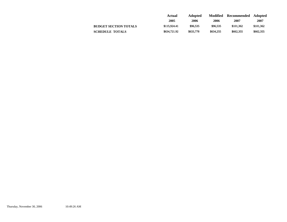|                              | Actual       | Adopted   |           | Modified Recommended Adopted |           |
|------------------------------|--------------|-----------|-----------|------------------------------|-----------|
|                              | 2005         | 2006      | 2006      | 2007                         | 2007      |
| <b>BUDGET SECTION TOTALS</b> | \$115,924.41 | \$96.535  | \$96,535  | \$101.362                    | \$101.362 |
| <b>SCHEDULE TOTALS</b>       | \$634,721.92 | \$633,778 | \$634,255 | \$662,355                    | \$662,355 |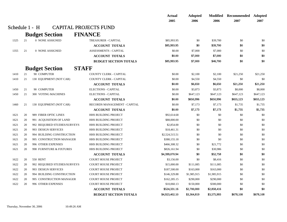|                |    |                              |                               | Actual<br>2005 | <b>Adopted</b><br>2006 | <b>Modified</b><br>2006 | Recommended<br>2007 | Adopted<br>2007 |
|----------------|----|------------------------------|-------------------------------|----------------|------------------------|-------------------------|---------------------|-----------------|
| Schedule 1 - H |    |                              | <b>CAPITAL PROJECTS FUND</b>  |                |                        |                         |                     |                 |
|                |    |                              | <b>FINANCE</b>                |                |                        |                         |                     |                 |
|                |    | <b>Budget Section</b>        |                               |                |                        |                         |                     |                 |
| 1325           | 21 | 0 NONE ASSIGNED              | TREASURER - CAPITAL           | \$85,993.95    | \$0                    | \$39,700                | \$0                 | \$0             |
|                |    |                              | <b>ACCOUNT TOTALS</b>         | \$85,993.95    | \$0                    | \$39,700                | \$0                 | \$0             |
| 1355           | 21 | 0 NONE ASSIGNED              | <b>ASSESSMENTS - CAPITAL</b>  | \$0.00         | \$7,000                | \$7,000                 | \$0                 | \$0             |
|                |    |                              | <b>ACCOUNT TOTALS</b>         | \$0.00         | \$7,000                | \$7,000                 | \$0                 | \$0             |
|                |    |                              | <b>BUDGET SECTION TOTALS</b>  | \$85,993.95    | \$7,000                | \$46,700                | \$0                 | \$0             |
|                |    | <b>Budget Section</b>        | <b>STAFF</b>                  |                |                        |                         |                     |                 |
| 1410           | 21 | 90 COMPUTER                  | <b>COUNTY CLERK - CAPITAL</b> | \$0.00         | \$2,100                | \$2,100                 | \$21,250            | \$21,250        |
| 1410           | 21 | 130 EQUIPMENT (NOT CAR)      | <b>COUNTY CLERK - CAPITAL</b> | \$0.00         | \$4,550                | \$4,550                 | \$0                 | \$0             |
|                |    |                              | <b>ACCOUNT TOTALS</b>         | \$0.00         | \$6,650                | \$6,650                 | \$21,250            | \$21,250        |
| 1450           | 21 | 90 COMPUTER                  | <b>ELECTIONS - CAPITAL</b>    | \$0.00         | \$3,873                | \$3,873                 | \$8,000             | \$8,000         |
| 1450           | 21 | <b>300 VOTING MACHINES</b>   | <b>ELECTIONS - CAPITAL</b>    | \$0.00         | \$647,123              | \$647,123               | \$647,123           | \$647,123       |
|                |    |                              | <b>ACCOUNT TOTALS</b>         | \$0.00         | \$650,996              | \$650,996               | \$655,123           | \$655,123       |
| 1460           | 21 | 130 EQUIPMENT (NOT CAR)      | RECORDS MANAGEMENT - CAPITAL  | \$0.00         | \$7,173                | \$7,173                 | \$1,735             | \$1,735         |
|                |    |                              | <b>ACCOUNT TOTALS</b>         | \$0.00         | \$7,173                | \$7,173                 | \$1,735             | \$1,735         |
| 1621           | 20 | 989 FIBER OPTIC LINES        | HHS BUILDING PROJECT          | \$92,614.68    | \$0                    | \$0                     | \$0                 | \$0             |
| 1621           | 20 | 991 ACQUISITION OF LAND      | HHS BUILDING PROJECT          | \$88,000.00    | \$0                    | \$0                     | \$0                 | \$0             |
| 1621           | 20 | 992 REQUIRED STUDIES/SURVEYS | HHS BUILDING PROJECT          | \$2,854.00     | \$0                    | \$0                     | \$0                 | \$0             |
| 1621           | 20 | 993 DESIGN SERVICES          | HHS BUILDING PROJECT          | \$18,461.31    | \$0                    | \$0                     | \$0                 | \$0             |
| 1621           | 20 | 994 BUILDING CONSTRUCTION    | HHS BUILDING PROJECT          | \$2,524,515.51 | \$0                    | \$0                     | \$0                 | \$0             |
| 1621           | 20 | 995 CONSTRUCTION MANAGER     | HHS BUILDING PROJECT          | \$380,155.18   | \$0                    | \$0                     | \$0                 | \$0             |
| 1621           | 20 | 996 OTHER EXPENSES           | HHS BUILDING PROJECT          | \$466,308.32   | \$0                    | \$21,772                | \$0                 | \$0             |
| 1621           | 20 | 998 FURNITURE & FIXTURES     | HHS BUILDING PROJECT          | \$826,161.94   | \$0                    | \$30,986                | \$0                 | \$0             |
|                |    |                              | <b>ACCOUNT TOTALS</b>         | \$4,399,070.94 | \$0                    | \$52,758                | \$0                 | \$0             |
| 1622           | 20 | <b>550 RENT</b>              | <b>COURT HOUSE PROJECT</b>    | \$3,156.00     | \$0                    | \$8,416                 | \$0                 | \$0             |
| 1622           | 20 | 992 REQUIRED STUDIES/SURVEYS | <b>COURT HOUSE PROJECT</b>    | \$15,000.00    | \$111,085              | \$111,085               | \$0                 | \$0             |
| 1622           | 20 | 993 DESIGN SERVICES          | <b>COURT HOUSE PROJECT</b>    | \$187,500.00   | \$163,000              | \$163,000               | \$0                 | \$0             |
| 1622           | 20 | 994 BUILDING CONSTRUCTION    | <b>COURT HOUSE PROJECT</b>    | \$146,329.88   | \$1,985,915            | \$1,985,915             | \$0                 | \$0             |
| 1622           | 20 | 995 CONSTRUCTION MANAGER     | <b>COURT HOUSE PROJECT</b>    | \$162,285.15   | \$290,000              | \$290,000               | \$0                 | \$0             |
| 1622           | 20 | 996 OTHER EXPENSES           | <b>COURT HOUSE PROJECT</b>    | \$10,060.13    | \$150,000              | \$300,000               | \$0                 | \$0             |
|                |    |                              | <b>ACCOUNT TOTALS</b>         | \$524,331.16   | \$2,700,000            | \$2,858,416             | \$0                 | \$0             |
|                |    |                              | <b>BUDGET SECTION TOTALS</b>  | \$4,923,402.10 | \$3,364,819            | \$3,575,993             | \$678,108           | \$678,108       |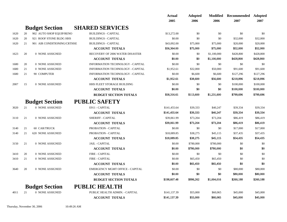|      |        |                             |                                  | Actual<br>2005 | <b>Adopted</b><br>2006 | <b>Modified</b><br>2006 | Recommended<br>2007 | Adopted<br>2007 |
|------|--------|-----------------------------|----------------------------------|----------------|------------------------|-------------------------|---------------------|-----------------|
|      |        | <b>Budget Section</b>       | <b>SHARED SERVICES</b>           |                |                        |                         |                     |                 |
| 1620 | 20     | 902 AUTO SHOP EQUIP/RENO    | <b>BUILDINGS - CAPITAL</b>       | \$13,272.00    | \$0                    | \$0                     | \$0                 | \$0             |
| 1620 | 20     | 921 ROOF STONE BLDG HHS     | <b>BUILDINGS - CAPITAL</b>       | \$0.00         | \$0                    | \$0                     | \$32,000            | \$32,000        |
| 1620 | 21     | 901 AIR CONDITIONING/CRTHSE | <b>BUILDINGS - CAPITAL</b>       | \$43,092.00    | \$75,000               | \$75,000                | \$20,000            | \$20,000        |
|      |        |                             | <b>ACCOUNT TOTALS</b>            | \$56,364.00    | \$75,000               | \$75,000                | \$52,000            | \$52,000        |
| 1623 | $20\,$ | 0 NONE ASSIGNED             | RECOVERY OF 2006 WATER DISASTER  | \$0.00         | \$0                    | \$1,100,000             | \$428,800           | \$428,800       |
|      |        |                             | <b>ACCOUNT TOTALS</b>            | \$0.00         | S <sub>0</sub>         | \$1,100,000             | \$428,800           | \$428,800       |
| 1680 | 20     | 0 NONE ASSIGNED             | INFORMATION TECHNOLOGY - CAPITAL | \$0.00         | \$0                    | \$0                     | \$0                 | \$0             |
| 1680 | 21     | 0 NONE ASSIGNED             | INFORMATION TECHNOLOGY - CAPITAL | \$1,952.61     | \$32,000               | \$50,000                | \$91,600            | \$91,600        |
| 1680 | 21     | 90 COMPUTER                 | INFORMATION TECHNOLOGY - CAPITAL | \$0.00         | \$6,600                | \$6,600                 | \$127,296           | \$127,296       |
|      |        |                             | <b>ACCOUNT TOTALS</b>            | \$1,952.61     | \$38,600               | \$56,600                | \$218,896           | \$218,896       |
| 2007 | 15     | 0 NONE ASSIGNED             | HHS FLEET STORAGE BUILDING       | \$0.00         | \$0                    | \$0                     | \$100,000           | \$100,000       |
|      |        |                             | <b>ACCOUNT TOTALS</b>            | \$0.00         | \$0                    | \$0                     | \$100,000           | \$100,000       |
|      |        |                             | <b>BUDGET SECTION TOTALS</b>     | \$58,316.61    | \$113,600              | \$1,231,600             | \$799,696           | \$799,696       |
|      |        | <b>Budget Section</b>       | <b>PUBLIC SAFETY</b>             |                |                        |                         |                     |                 |
| 3020 | 21     | 0 NONE ASSIGNED             | E911 - CAPITAL                   | \$141,455.64   | \$39,333               | \$40,247                | \$39,334            | \$39,334        |
|      |        |                             | <b>ACCOUNT TOTALS</b>            | \$141,455.64   | \$39,333               | \$40,247                | \$39,334            | \$39,334        |
| 3110 | 21     | 0 NONE ASSIGNED             | SHERIFF - CAPITAL                | \$39,061.99    | \$73,204               | \$73,204                | \$86,419            | \$86,419        |
|      |        |                             | <b>ACCOUNT TOTALS</b>            | \$39,061.99    | \$73,204               | \$73,204                | \$86,419            | \$86,419        |
| 3140 | 21     | 60 CAR/TRUCK                | PROBATION - CAPITAL              | \$0.00         | \$0                    | \$0                     | \$17,000            | \$17,000        |
| 3140 | 21     | 620 NONE ASSIGNED           | PROBATION - CAPITAL              | \$18,089.85    | \$38,275               | \$45,115                | \$37,435            | \$37,435        |
|      |        |                             | <b>ACCOUNT TOTALS</b>            | \$18,089.85    | \$38,275               | \$45,115                | \$54,435            | \$54,435        |
| 3150 | 21     | 0 NONE ASSIGNED             | JAIL - CAPITAL                   | \$0.00         | \$780,000              | \$780,000               | \$0                 | \$0             |
|      |        |                             | <b>ACCOUNT TOTALS</b>            | \$0.00         | \$780,000              | \$780,000               | \$0                 | \$0             |
| 3410 | 20     | 0 NONE ASSIGNED             | FIRE - CAPITAL                   | \$0.00         | \$0                    | \$0                     | \$0                 | \$0             |
| 3410 | 21     | 0 NONE ASSIGNED             | FIRE - CAPITAL                   | \$0.00         | \$65,450               | \$65,450                | \$0                 | \$0             |
|      |        |                             | <b>ACCOUNT TOTALS</b>            | \$0.00         | \$65,450               | \$65,450                | \$0                 | \$0             |
| 3640 | 20     | 0 NONE ASSIGNED             | EMERGENCY MGMT OFFICE - CAPITAL  | \$0.00         | \$0                    | \$0                     | \$80,000            | \$80,000        |
|      |        |                             | <b>ACCOUNT TOTALS</b>            | \$0.00         | \$0                    | \$0                     | \$80,000            | \$80,000        |
|      |        |                             | <b>BUDGET SECTION TOTALS</b>     | \$198,607.48   | \$996,262              | \$1,004,016             | \$260,188           | \$260,188       |
|      |        | <b>Budget Section</b>       | <b>PUBLIC HEALTH</b>             |                |                        |                         |                     |                 |
| 4011 | 21     | 0 NONE ASSIGNED             | PUBLIC HEALTH ADMIN. - CAPITAL   | \$141,137.39   | \$55,000               | \$60,065                | \$45,000            | \$45,000        |
|      |        |                             | <b>ACCOUNT TOTALS</b>            | \$141,137.39   | \$55,000               | \$60,065                | \$45,000            | \$45,000        |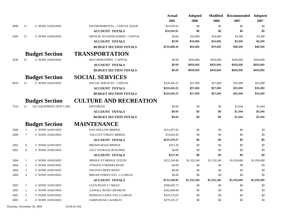|      |                |                         |                                 | Actual<br>2005 | <b>Adopted</b><br>2006 | Modified<br>2006 | Recommended<br>2007 | Adopted<br>2007 |
|------|----------------|-------------------------|---------------------------------|----------------|------------------------|------------------|---------------------|-----------------|
| 4090 | 21             | 0 NONE ASSIGNED         | ENVIRONMENTAL - CAPITAL EQUIP   | \$14,550.91    | \$0                    | \$0              | \$0                 | \$0             |
|      |                |                         | <b>ACCOUNT TOTALS</b>           | \$14,550.91    | \$0                    | \$0              | \$0                 | \$0             |
| 4309 | 21             | 0 NONE ASSIGNED         | MENTAL HYGIENE/ADMIN - CAPITAL  | \$0.00         | \$10,000               | \$10,000         | \$3,300             | \$3,300         |
|      |                |                         | <b>ACCOUNT TOTALS</b>           | \$0.00         | \$10,000               | \$10,000         | \$3,300             | \$3,300         |
|      |                |                         | <b>BUDGET SECTION TOTALS</b>    | \$155,688.30   | \$65,000               | \$70,065         | \$48,300            | \$48,300        |
|      |                | <b>Budget Section</b>   | <b>TRANSPORTATION</b>           |                |                        |                  |                     |                 |
| 5630 | 21             | 0 NONE ASSIGNED         | <b>BUS OPERATIONS - CAPITAL</b> | \$0.00         | \$450,000              | \$450,000        | \$450,000           | \$450,000       |
|      |                |                         | <b>ACCOUNT TOTALS</b>           | \$0.00         | \$450,000              | \$450,000        | \$450,000           | \$450,000       |
|      |                |                         | <b>BUDGET SECTION TOTALS</b>    | \$0.00         | \$450,000              | \$450,000        | \$450,000           | \$450,000       |
|      |                | <b>Budget Section</b>   | <b>SOCIAL SERVICES</b>          |                |                        |                  |                     |                 |
| 6010 | 21             | 0 NONE ASSIGNED         | SOCIAL SERVICES - CAPITAL       | \$220,456.25   | \$57,000               | \$57,000         | \$35,000            | \$35,000        |
|      |                |                         | <b>ACCOUNT TOTALS</b>           | \$220,456.25   | \$57,000               | \$57,000         | \$35,000            | \$35,000        |
|      |                |                         | <b>BUDGET SECTION TOTALS</b>    | \$220,456.25   | \$57,000               | \$57,000         | \$35,000            | \$35,000        |
|      |                | <b>Budget Section</b>   | <b>CULTURE AND RECREATION</b>   |                |                        |                  |                     |                 |
| 7510 | 21             | 130 EQUIPMENT (NOT CAR) | <b>HISTORIAN</b>                | \$0.00         | \$0                    | \$0              | \$1,044             | \$1,044         |
|      |                |                         | <b>ACCOUNT TOTALS</b>           | \$0.00         | \$0                    | \$0              | \$1,044             | \$1,044         |
|      |                |                         | <b>BUDGET SECTION TOTALS</b>    | \$0.00         | \$0                    | \$0              | \$1,044             | \$1,044         |
|      |                | <b>Budget Section</b>   | <b>MAINTENANCE</b>              |                |                        |                  |                     |                 |
| 2000 | 3              | 0 NONE ASSIGNED         | DAY HOLLOW BRIDGE               | \$151,457.82   | \$0                    | \$0              | \$0                 | \$0             |
| 2000 | $\tau$         | 0 NONE ASSIGNED         | TALCOTT STREET BRIDGE           | \$74,020.45    | \$0                    | \$0              | \$0                 | \$0             |
|      |                |                         | <b>ACCOUNT TOTALS</b>           | \$225,478.27   | \$0                    | \$0              | \$0                 | \$0             |
| 2002 | 8              | 0 NONE ASSIGNED         | <b>BROWN ROAD BRIDGE</b>        | \$315.36       | \$0                    | \$0              | \$0                 | \$0             |
| 2002 | 9              | 0 NONE ASSIGNED         | SALT STORAGE BUILDING           | \$0.00         | \$0                    | \$0              | \$0                 | \$0             |
|      |                |                         | <b>ACCOUNT TOTALS</b>           | \$315.36       | \$0                    | \$0              | \$0                 | \$0             |
| 2004 | -1             | 0 NONE ASSIGNED         | <b>BRIDGE ST BRIDGE 3335250</b> | \$122,249.86   | \$1,332,240            | \$1,332,240      | \$1,050,000         | \$1,050,000     |
| 2004 | 2              | 0 NONE ASSIGNED         | <b>STRAITS CORNERS ROAD</b>     | \$0.00         | \$0                    | \$0              | \$0                 | \$0             |
| 2004 | 3              | 0 NONE ASSIGNED         | WILSON CREEK ROAD               | \$0.00         | \$0                    | \$0              | \$0                 | \$0             |
| 2004 | $\overline{4}$ | 0 NONE ASSIGNED         | BROAD STREET EXT. 1.23 MILES    | \$0.00         | \$0                    | \$0              | \$0                 | \$0             |
|      |                |                         | <b>ACCOUNT TOTALS</b>           | \$122,249.86   | \$1,332,240            | \$1,332,240      | \$1,050,000         | \$1,050,000     |
| 2005 | $\mathbf{1}$   | 0 NONE ASSIGNED         | <b>GLEN ROAD 3.7 MILES</b>      | \$396,893.73   | \$0                    | \$0              | \$0                 | \$0             |
| 2005 | 2              | 0 NONE ASSIGNED         | <b>GASKILL ROAD 5.88 MILES</b>  | \$362,000.00   | \$0                    | \$0              | \$0                 | \$0             |
| 2005 | 3              | 0 NONE ASSIGNED         | PENNSYLVANIA AVE 2.4 MILES      | \$319,276.05   | \$0                    | \$0              | \$0                 | \$0             |
| 2005 | $\overline{4}$ | 0 NONE ASSIGNED         | <b>SABIN ROAD 2.44 MILES</b>    | \$279,105.27   | \$0                    | \$0              | \$0                 | \$0             |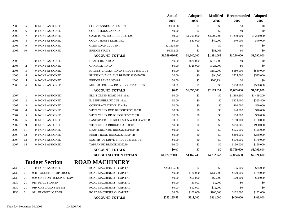| 2007<br>\$0<br>\$0<br>\$1,250,000<br>\$40,000<br>\$0<br>\$0<br>\$1,290,000<br>\$0 | 2007<br>\$0<br>\$0<br>\$1,250,000<br>\$40,000<br>\$0<br>\$0<br>\$1,290,000 |
|-----------------------------------------------------------------------------------|----------------------------------------------------------------------------|
|                                                                                   |                                                                            |
|                                                                                   |                                                                            |
|                                                                                   |                                                                            |
|                                                                                   |                                                                            |
|                                                                                   |                                                                            |
|                                                                                   |                                                                            |
|                                                                                   |                                                                            |
|                                                                                   |                                                                            |
|                                                                                   | \$0                                                                        |
| \$0                                                                               | \$0                                                                        |
| \$580,000                                                                         | \$580,000                                                                  |
| \$525,000                                                                         | \$525,000                                                                  |
| \$0                                                                               | \$0                                                                        |
| \$580,000                                                                         | \$580,000                                                                  |
| \$1,685,000                                                                       | \$1,685,000                                                                |
| \$1,469,200                                                                       | \$1,469,200                                                                |
| \$325,400                                                                         | \$325,400                                                                  |
| \$60,000                                                                          | \$60,000                                                                   |
| \$40,000                                                                          | \$40,000                                                                   |
| \$50,000                                                                          | \$50,000                                                                   |
| \$180,000                                                                         | \$180,000                                                                  |
| \$950,000                                                                         | \$950,000                                                                  |
| \$125,000                                                                         | \$125,000                                                                  |
| \$280,000                                                                         | \$280,000                                                                  |
| \$170,000                                                                         | \$170,000                                                                  |
| \$150,000                                                                         | \$150,000                                                                  |
| \$3,799,600                                                                       | \$3,799,600                                                                |
| \$7,824,600                                                                       | \$7,824,600                                                                |
|                                                                                   |                                                                            |
|                                                                                   | \$35,000                                                                   |
|                                                                                   | \$179,000                                                                  |
|                                                                                   | \$60,000                                                                   |
|                                                                                   | \$0                                                                        |
|                                                                                   | \$0                                                                        |
|                                                                                   | \$132,000                                                                  |
| \$406,000                                                                         | \$406,000                                                                  |
|                                                                                   | \$35,000<br>\$179,000<br>\$60,000<br>\$0<br>\$0<br>\$132,000               |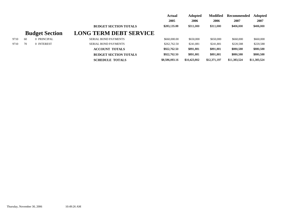|      |    |                       |                               | Actual         | <b>Adopted</b> | <b>Modified</b> | Recommended  | Adopted      |
|------|----|-----------------------|-------------------------------|----------------|----------------|-----------------|--------------|--------------|
|      |    |                       |                               | 2005           | 2006           | 2006            | 2007         | 2007         |
|      |    |                       | <b>BUDGET SECTION TOTALS</b>  | \$283,135.88   | \$311,000      | \$311,000       | \$406,000    | \$406,000    |
|      |    | <b>Budget Section</b> | <b>LONG TERM DEBT SERVICE</b> |                |                |                 |              |              |
| 9710 | 60 | 0 PRINCIPAL           | <b>SERIAL BOND PAYMENTS</b>   | \$660,000.00   | \$650,000      | \$650,000       | \$660,000    | \$660,000    |
| 9710 | 70 | 0 INTEREST            | <b>SERIAL BOND PAYMENTS</b>   | \$262,762.50   | \$241,881      | \$241,881       | \$220,588    | \$220,588    |
|      |    |                       | <b>ACCOUNT TOTALS</b>         | \$922,762.50   | \$891,881      | \$891,881       | \$880,588    | \$880,588    |
|      |    |                       | <b>BUDGET SECTION TOTALS</b>  | \$922,762.50   | \$891,881      | \$891,881       | \$880,588    | \$880,588    |
|      |    |                       | <b>SCHEDULE TOTALS</b>        | \$8,586,093.16 | \$10,423,802   | \$12,371,197    | \$11,383,524 | \$11,383,524 |
|      |    |                       |                               |                |                |                 |              |              |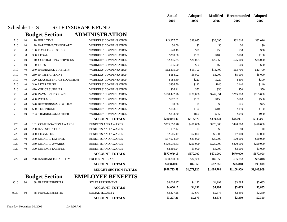|                |    |                              |                              | Actual<br>2005 | <b>Adopted</b><br>2006 | 2006        | Modified Recommended Adopted<br>2007 | 2007        |
|----------------|----|------------------------------|------------------------------|----------------|------------------------|-------------|--------------------------------------|-------------|
| Schedule 1 - S |    |                              | <b>SELF INSURANCE FUND</b>   |                |                        |             |                                      |             |
|                |    | <b>Budget Section</b>        | <b>ADMINISTRATION</b>        |                |                        |             |                                      |             |
| 1710           | 10 | 10 FULL TIME                 | <b>WORKERS' COMPENSATION</b> | \$43,277.02    | \$38,095               | \$38,095    | \$32,016                             | \$32,016    |
| 1710           | 10 | 20 PART TIME/TEMPORARY       | <b>WORKERS' COMPENSATION</b> | \$0.00         | \$0                    | \$0         | \$0                                  | \$0         |
| 1710           | 30 | 100 DATA PROCESSING          | <b>WORKERS' COMPENSATION</b> | \$48.48        | \$50                   | \$50        | \$50                                 | \$50        |
| 1710           | 30 | 300 LEGAL                    | <b>WORKERS' COMPENSATION</b> | \$200.00       | \$100                  | \$100       | \$100                                | \$100       |
| 1710           | 40 | 140 CONTRACTING SERVICE'S    | <b>WORKERS' COMPENSATION</b> | \$2,315.35     | \$26,055               | \$29,568    | \$25,000                             | \$25,000    |
| 1710           | 40 | 180 DUES                     | <b>WORKERS' COMPENSATION</b> | \$55.00        | \$60                   | \$60        | \$60                                 | \$60        |
| 1710           | 40 | 270 INSURANCE-LIABILITY      | <b>WORKERS' COMPENSATION</b> | \$12,315.00    | \$13,700               | \$13,700    | \$13,700                             | \$13,700    |
| 1710           | 40 | 280 INVESTIGATIONS           | <b>WORKERS' COMPENSATION</b> | \$584.92       | \$5,000                | \$5,000     | \$5,000                              | \$5,000     |
| 1710           | 40 | 320 LEASED/SERVICE EQUIPMENT | <b>WORKERS' COMPENSATION</b> | \$188.40       | \$220                  | \$220       | \$300                                | \$300       |
| 1710           | 40 | <b>340 LITERATURE</b>        | <b>WORKERS' COMPENSATION</b> | \$336.50       | \$140                  | \$140       | \$140                                | \$140       |
| 1710           | 40 | <b>420 OFFICE SUPPLIES</b>   | <b>WORKERS' COMPENSATION</b> | \$26.41        | \$50                   | \$50        | \$50                                 | \$50        |
| 1710           | 40 | <b>450 PAYMENT TO STATE</b>  | <b>WORKERS' COMPENSATION</b> | \$160,422.76   | \$230,000              | \$242,351   | \$265,000                            | \$265,000   |
| 1710           | 40 | 480 POSTAGE                  | <b>WORKERS' COMPENSATION</b> | \$107.81       | \$150                  | \$150       | \$500                                | \$500       |
| 1710           | 40 | 520 RECORDING/MICROFILM      | <b>WORKERS' COMPENSATION</b> | \$0.00         | \$0                    | \$0         | \$75                                 | \$75        |
| 1710           | 40 | <b>660 TELEPHONE</b>         | <b>WORKERS' COMPENSATION</b> | \$113.51       | \$100                  | \$100       | \$150                                | \$150       |
| 1710           | 40 | 733 TRAINING/ALL OTHER       | <b>WORKERS' COMPENSATION</b> | \$853.30       | \$850                  | \$850       | \$950                                | \$950       |
|                |    |                              | <b>ACCOUNT TOTALS</b>        | \$220,844.46   | \$314,570              | \$330,434   | \$343,091                            | \$343,091   |
| 1720           | 40 | 101 COMPENSATION AWARDS      | BENEFITS AND AWARDS          | \$375,092.78   | \$420,000              | \$420,000   | \$420,000                            | \$420,000   |
| 1720           | 40 | 280 INVESTIGATIONS           | <b>BENEFITS AND AWARDS</b>   | \$1,037.12     | \$0                    | \$0         | \$0                                  | \$0         |
| 1720           | 40 | 330 LEGAL FEES               | <b>BENEFITS AND AWARDS</b>   | \$2,565.17     | \$7,000                | \$8,000     | \$7,000                              | \$7,000     |
| 1720           | 40 | 370 MEDICAL EXPENSE          | <b>BENEFITS AND AWARDS</b>   | \$17,004.29    | \$20,000               | \$20,000    | \$20,000                             | \$20,000    |
| 1720           | 40 | 380 MEDICAL AWARDS           | BENEFITS AND AWARDS          | \$179,019.53   | \$220,000              | \$220,000   | \$220,000                            | \$220,000   |
| 1720           | 40 | <b>390 MILEAGE EXPENSE</b>   | <b>BENEFITS AND AWARDS</b>   | \$2,360.24     | \$3,000                | \$3,000     | \$3,000                              | \$3,000     |
|                |    |                              | <b>ACCOUNT TOTALS</b>        | \$577,079.13   | \$670,000              | \$671,000   | \$670,000                            | \$670,000   |
| 1722           | 40 | 270 INSURANCE-LIABILITY      | <b>EXCESS INSURANCE</b>      | \$90,870.00    | \$87,350               | \$87,350    | \$95,818                             | \$95,818    |
|                |    |                              | <b>ACCOUNT TOTALS</b>        | \$90,870.00    | \$87,350               | \$87,350    | \$95,818                             | \$95,818    |
|                |    |                              | <b>BUDGET SECTION TOTALS</b> | \$888,793.59   | \$1,071,920            | \$1,088,784 | \$1,108,909                          | \$1,108,909 |
|                |    | <b>Budget Section</b>        | <b>EMPLOYEE BENEFITS</b>     |                |                        |             |                                      |             |
| 9010           | 80 | <b>88 FRINGE BENEFITS</b>    | STATE RETIREMENT             | \$4,066.17     | \$4,192                | \$4,192     | \$3,685                              | \$3,685     |
|                |    |                              | <b>ACCOUNT TOTALS</b>        | \$4,066.17     | \$4,192                | \$4,192     | \$3,685                              | \$3,685     |
| 9030           | 80 | <b>88 FRINGE BENEFITS</b>    | <b>SOCIAL SECURITY</b>       | \$3,227.26     | \$2,673                | \$2,673     | \$2,350                              | \$2,350     |
|                |    |                              | <b>ACCOUNT TOTALS</b>        | \$3,227.26     | \$2,673                | \$2,673     | \$2,350                              | \$2,350     |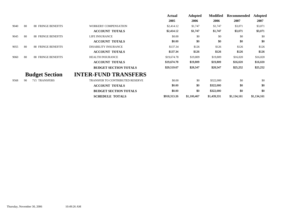|      |    |                           |                                 | Actual       | <b>Adopted</b> | <b>Modified</b> | Recommended | Adopted     |
|------|----|---------------------------|---------------------------------|--------------|----------------|-----------------|-------------|-------------|
|      |    |                           |                                 | 2005         | 2006           | 2006            | 2007        | 2007        |
| 9040 | 80 | <b>88 FRINGE BENEFITS</b> | <b>WORKERS' COMPENSATION</b>    | \$2,414.12   | \$1,747        | \$1,747         | \$3,071     | \$3,071     |
|      |    |                           | <b>ACCOUNT TOTALS</b>           | \$2,414.12   | \$1,747        | \$1,747         | \$3,071     | \$3,071     |
| 9045 | 80 | <b>88 FRINGE BENEFITS</b> | LIFE INSURANCE                  | \$0.00       | \$0            | \$0             | \$0         | \$0         |
|      |    |                           | <b>ACCOUNT TOTALS</b>           | \$0.00       | \$0            | \$0             | \$0         | \$0         |
| 9055 | 80 | <b>88 FRINGE BENEFITS</b> | <b>DISABILITY INSURANCE</b>     | \$137.34     | \$126          | \$126           | \$126       | \$126       |
|      |    |                           | <b>ACCOUNT TOTALS</b>           | \$137.34     | \$126          | \$126           | \$126       | \$126       |
| 9060 | 80 | <b>88 FRINGE BENEFITS</b> | <b>HEALTH INSURANCE</b>         | \$19,674.78  | \$19,809       | \$19,809        | \$16,020    | \$16,020    |
|      |    |                           | <b>ACCOUNT TOTALS</b>           | \$19,674.78  | \$19,809       | \$19,809        | \$16,020    | \$16,020    |
|      |    |                           | <b>BUDGET SECTION TOTALS</b>    | \$29,519.67  | \$28,547       | \$28,547        | \$25,252    | \$25,252    |
|      |    | <b>Budget Section</b>     | <b>INTER-FUND TRANSFERS</b>     |              |                |                 |             |             |
| 9568 | 90 | 715 TRANSFERS             | TRANSFER TO CONTRIBUTED RESERVE | \$0.00       | \$0            | \$322,000       | \$0         | \$0         |
|      |    |                           | <b>ACCOUNT TOTALS</b>           | \$0.00       | \$0            | \$322,000       | \$0         | \$0         |
|      |    |                           | <b>BUDGET SECTION TOTALS</b>    | \$0.00       | \$0            | \$322,000       | \$0         | \$0         |
|      |    |                           | <b>SCHEDULE TOTALS</b>          | \$918,313.26 | \$1,100,467    | \$1,439,331     | \$1,134,161 | \$1,134,161 |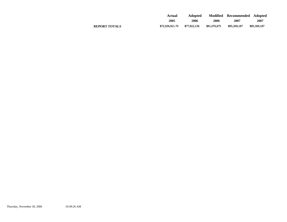|                      | Actual          | <b>Adopted</b> |              | Modified Recommended Adopted |              |
|----------------------|-----------------|----------------|--------------|------------------------------|--------------|
|                      | 2005            | 2006           | 2006         | 2007                         | 2007         |
| <b>REPORT TOTALS</b> | \$72,936,921.70 | \$77.822.136   | \$81,076,675 | \$85,309,187                 | \$85,309,187 |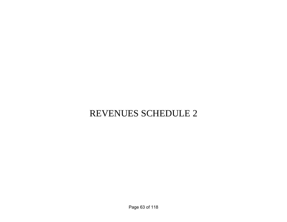## REVENUES SCHEDULE 2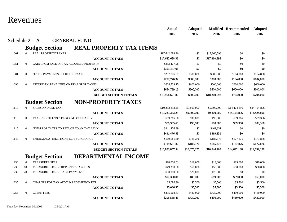## Revenues

|                |                |                                                    |                                | <b>Actual</b><br>2005 | <b>Adopted</b><br>2006 | 2006         | Modified Recommended<br>2007 | Adopted<br>2007 |
|----------------|----------------|----------------------------------------------------|--------------------------------|-----------------------|------------------------|--------------|------------------------------|-----------------|
| Schedule 2 - A |                |                                                    | <b>GENERAL FUND</b>            |                       |                        |              |                              |                 |
|                |                | <b>Budget Section</b>                              | <b>REAL PROPERTY TAX ITEMS</b> |                       |                        |              |                              |                 |
| 1001           | $\mathbf{0}$   | REAL PROPERTY TAXES                                |                                | \$17,642,688.36       | \$0                    | \$17,360,598 | \$0                          | \$0             |
|                |                |                                                    | <b>ACCOUNT TOTALS</b>          | \$17,642,688.36       | \$0                    | \$17,360,598 | \$0                          | \$0             |
| 1051           | $\overline{0}$ | GAIN FROM SALE OF TAX ACQUIRED PROPERTY            |                                | \$353,477.98          | \$0                    | \$0          | \$0                          | \$0             |
|                |                |                                                    | <b>ACCOUNT TOTALS</b>          | \$353,477.98          | \$0                    | \$0          | \$0                          | \$0             |
| 1081           | $\Omega$       | OTHER PAYMENTS IN LIEU OF TAXES                    |                                | \$297,776.37          | \$300,000              | \$300,000    | \$104,000                    | \$104,000       |
|                |                |                                                    | <b>ACCOUNT TOTALS</b>          | \$297,776.37          | \$300,000              | \$300,000    | \$104,000                    | \$104,000       |
| 1090           | $\mathbf{0}$   | <b>INTEREST &amp; PENALTIES ON REAL PROP TAXES</b> |                                | \$664,729.15          | \$600,000              | \$600,000    | \$600,000                    | \$600,000       |
|                |                |                                                    | <b>ACCOUNT TOTALS</b>          | \$664,729.15          | \$600,000              | \$600,000    | \$600,000                    | \$600,000       |
|                |                |                                                    | <b>BUDGET SECTION TOTALS</b>   | \$18,958,671.86       | \$900,000              | \$18,260,598 | \$704,000                    | \$704,000       |
|                |                | <b>Budget Section</b>                              | <b>NON-PROPERTY TAXES</b>      |                       |                        |              |                              |                 |
| 1110           | $\Omega$       | <b>SALES AND USE TAX</b>                           |                                | \$10,233,333.25       | \$9,800,000            | \$9,800,000  | \$14,424,896                 | \$14,424,896    |
|                |                |                                                    | <b>ACCOUNT TOTALS</b>          | \$10,233,333.25       | \$9,800,000            | \$9,800,000  | \$14,424,896                 | \$14,424,896    |
| 1113           | $\Omega$       | TAX ON HOTEL/MOTEL ROOM OCCUPANCY                  |                                | \$89,365.60           | \$90,000               | \$90,000     | \$89,366                     | \$89,366        |
|                |                |                                                    | <b>ACCOUNT TOTALS</b>          | \$89,365.60           | \$90,000               | \$90,000     | \$89,366                     | \$89,366        |
| 1115           | $\mathbf{0}$   | NON-PROP TAXES TO REDUCE TOWN TAX LEVY             |                                | \$441,476.89          | \$0                    | \$469,331    | \$0                          | \$0             |
|                |                |                                                    | <b>ACCOUNT TOTALS</b>          | \$441,476.89          | \$0                    | \$469,331    | \$0                          | \$0             |
| 1140           | $\Omega$       | EMERGENCY TELEPHONE E911 SURCHARGE                 |                                | \$119,681.80          | \$185,376              | \$185,376    | \$177,876                    | \$177,876       |
|                |                |                                                    | <b>ACCOUNT TOTALS</b>          | \$119,681.80          | \$185,376              | \$185,376    | \$177,876                    | \$177,876       |
|                |                |                                                    | <b>BUDGET SECTION TOTALS</b>   | \$10,883,857.54       | \$10,075,376           | \$10,544,707 | \$14,692,138                 | \$14,692,138    |
|                |                | <b>Budget Section</b>                              | DEPARTMENTAL INCOME            |                       |                        |              |                              |                 |
| 1230           | $\theta$       | <b>TREASURER FEES</b>                              |                                | \$18,000.01           | \$19,000               | \$19,000     | \$19,000                     | \$19,000        |
| 1230           | 10             | TREASURER FEES - PROPERTY SEARCHES                 |                                | \$49,350.00           | \$50,000               | \$50,000     | \$50,000                     | \$50,000        |
| 1230           | 20             | TREASURER FEES - IDA REPAYMENT                     |                                | \$30,000.00           | \$20,000               | \$20,000     | \$0                          | \$0             |
|                |                |                                                    | <b>ACCOUNT TOTALS</b>          | \$97,350.01           | \$89,000               | \$89,000     | \$69,000                     | \$69,000        |
| 1235           | $\mathbf{0}$   | CHARGES FOR TAX ADVT & REDEMPTION EXP              |                                | \$5,086.30            | \$5,500                | \$5,500      | \$5,500                      | \$5,500         |
|                |                |                                                    | <b>ACCOUNT TOTALS</b>          | \$5,086.30            | \$5,500                | \$5,500      | \$5,500                      | \$5,500         |
| 1255           | $\Omega$       | <b>CLERK FEES</b>                                  |                                | \$295,568.43          | \$430,000              | \$430,000    | \$430,000                    | \$430,000       |
|                |                |                                                    | <b>ACCOUNT TOTALS</b>          | \$295,568.43          | \$430,000              | \$430,000    | \$430,000                    | \$430,000       |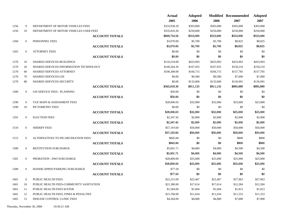|      |                  |                                         |                       | Actual       | <b>Adopted</b> |            | <b>Modified Recommended</b> | <b>Adopted</b> |
|------|------------------|-----------------------------------------|-----------------------|--------------|----------------|------------|-----------------------------|----------------|
|      |                  |                                         |                       | 2005         | 2006           | 2006       | 2007                        | 2007           |
| 1256 | $\mathbf{0}$     | DEPARTMENT OF MOTOR VEHICLES FEES       |                       | \$333,938.20 | \$303,000      | \$303,000  | \$303,000                   | \$303,000      |
| 1256 | 10               | DEPARTMENT OF MOTOR VEHICLES USER FEES  |                       | \$335,816.36 | \$250,000      | \$250,000  | \$250,000                   | \$250,000      |
|      |                  |                                         | <b>ACCOUNT TOTALS</b> | \$669,754.56 | \$553,000      | \$553,000  | \$553,000                   | \$553,000      |
| 1260 | $\overline{0}$   | PERSONNEL FEES                          |                       | \$3,070.00   | \$5,700        | \$5,700    | \$8,825                     | \$8,825        |
|      |                  |                                         | <b>ACCOUNT TOTALS</b> | \$3,070.00   | \$5,700        | \$5,700    | \$8,825                     | \$8,825        |
| 1265 | $\mathbf{0}$     | <b>ATTORNEY FEES</b>                    |                       | \$0.00       | \$0            | \$0        | \$0                         | \$0            |
|      |                  |                                         | <b>ACCOUNT TOTALS</b> | \$0.00       | S <sub>0</sub> | \$0        | \$0                         | \$0            |
| 1270 | 10               | SHARED SERVICES-BUILDINGS               |                       | \$110,254.00 | \$433,903      | \$433,903  | \$433,903                   | \$433,903      |
| 1270 | 20               | SHARED SERVICES-INFORMATION TECHNOLOGY  |                       | \$149,264.36 | \$167,935      | \$167,935  | \$150,210                   | \$150,210      |
| 1270 | 60               | SHARED SERVICES-ATTORNEY                |                       | \$106,300.00 | \$166,715      | \$166,715  | \$157,785                   | \$157,785      |
| 1270 | 70               | <b>SHARED SERVICES-GIS</b>              |                       | \$0.00       | \$9,580        | \$9,580    | \$7,000                     | \$7,000        |
| 1270 | 80               | SHARED SERVICES-SECURITY                |                       | \$0.00       | \$133,000      | \$133,000  | \$136,991                   | \$136,991      |
|      |                  |                                         | <b>ACCOUNT TOTALS</b> | \$365,818.36 | \$911,133      | \$911,133  | \$885,889                   | \$885,889      |
| 1289 | $\mathbf{0}$     | <b>GIS SERVICE FEES - PLANNING</b>      |                       | \$50.00      | \$0            | \$0        | \$0                         | \$0            |
|      |                  |                                         | <b>ACCOUNT TOTALS</b> | \$50.00      | \$0            | \$0        | \$0                         | \$0            |
| 1290 | $\overline{0}$   | TAX MAPS & ASSESSMENT FEES              |                       | \$28,006.03  | \$32,000       | \$32,000   | \$25,000                    | \$25,000       |
| 1290 | 10               | PICTOMETRY FEES                         |                       | \$0.00       | \$0            | \$0        | \$0                         | \$0            |
|      |                  |                                         | <b>ACCOUNT TOTALS</b> | \$28,006.03  | \$32,000       | \$32,000   | \$25,000                    | \$25,000       |
| 1291 | $\overline{0}$   | <b>ELECTION FEES</b>                    |                       | \$2,347.42   | \$2,000        | \$2,000    | \$2,000                     | \$2,000        |
|      |                  |                                         | <b>ACCOUNT TOTALS</b> | \$2,347.42   | \$2,000        | \$2,000    | \$2,000                     | \$2,000        |
| 1510 | $\mathbf{0}$     | <b>SHERIFF FEES</b>                     |                       | \$57,193.60  | \$50,000       | \$50,000   | \$50,000                    | \$50,000       |
|      |                  |                                         | <b>ACCOUNT TOTALS</b> | \$57,193.60  | \$50,000       | \$50,000   | \$50,000                    | \$50,000       |
|      |                  |                                         |                       |              |                |            |                             |                |
| 1515 | $\mathbf{0}$     | ALTERNATIVES TO INCARCERATION FEES      |                       | \$845.84     | \$0            | \$0<br>\$0 | \$800                       | \$800          |
|      |                  |                                         | <b>ACCOUNT TOTALS</b> | \$845.84     | \$0            |            | \$800                       | \$800          |
| 1580 | $\mathbf{0}$     | <b>RESTITUTION SURCHARGE</b>            |                       | \$5,001.71   | \$4,000        | \$4,000    | \$4,500                     | \$4,500        |
|      |                  |                                         | <b>ACCOUNT TOTALS</b> | \$5,001.71   | \$4,000        | \$4,000    | \$4,500                     | \$4,500        |
| 1581 | $\overline{0}$   | PROBATION - DWI SURCHARGE               |                       | \$28,800.00  | \$25,000       | \$25,000   | \$25,000                    | \$25,000       |
|      |                  |                                         | <b>ACCOUNT TOTALS</b> | \$28,800.00  | \$25,000       | \$25,000   | \$25,000                    | \$25,000       |
| 1589 | $\mathbf{0}$     | HANDICAPPED PARKING SURCHARGE           |                       | \$77.50      | \$0            | \$0        | \$0                         | \$0            |
|      |                  |                                         | <b>ACCOUNT TOTALS</b> | \$77.50      | \$0            | \$0        | \$0                         | \$0            |
| 1601 | $\boldsymbol{0}$ | PUBLIC HEALTH FEES                      |                       | \$22,215.00  | \$22,467       | \$22,467   | \$27,963                    | \$27,963       |
| 1601 | 10               | PUBLIC HEALTH FEES-COMMUNITY SANITATION |                       | \$21,380.00  | \$17,614       | \$17,614   | \$12,284                    | \$12,284       |
| 1601 | 11               | PUBLIC HEALTH FEES-WATER                |                       | \$1,584.00   | \$1,604        | \$1,604    | \$1,813                     | \$1,813        |
| 1601 | 12               | PUBLIC HEALTH FEES, FINES & PENALTIES   |                       | \$15,760.00  | \$11,634       | \$11,634   | \$11,353                    | \$11,353       |
| 1601 | 13               | DISEASE CONTROL CLINIC FEES             |                       | \$4,364.00   | \$4,000        | \$4,000    | \$7,000                     | \$7,000        |
|      |                  |                                         |                       |              |                |            |                             |                |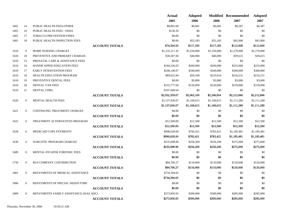|      |                |                                        |                       | Actual         | <b>Adopted</b> |             | Modified Recommended | <b>Adopted</b> |
|------|----------------|----------------------------------------|-----------------------|----------------|----------------|-------------|----------------------|----------------|
|      |                |                                        |                       | 2005           | 2006           | 2006        | 2007                 | 2007           |
| 1601 | 14             | PUBLIC HEALTH FEES-OTHER               |                       | \$8,865.00     | \$6,681        | \$6,681     | \$6,587              | \$6,587        |
| 1601 | 16             | PUBLIC HEALTH FEES - OSHA              |                       | \$136.50       | \$0            | \$0         | \$0                  | \$0            |
| 1601 | 17             | TOBACCO PREVENTION FINES               |                       | \$0.00         | \$0            | \$0         | \$0                  | \$0            |
| 1601 | 18             | PUBLIC HEALTH INSPECTION FEES          |                       | \$0.00         | \$53,183       | \$53,183    | \$45,000             | \$45,000       |
|      |                |                                        | <b>ACCOUNT TOTALS</b> | \$74,304.50    | \$117,183      | \$117,183   | \$112,000            | \$112,000      |
| 1610 | $\overline{0}$ | HOME NURSING CHARGES                   |                       | \$1,135,217.45 | \$1,250,000    | \$1,250,000 | \$1,270,000          | \$1,270,000    |
| 1610 | 10             | PREVENTIVE AND PRIMARY CHARGES         |                       | \$30,307.00    | \$40,000       | \$40,000    | \$39,615             | \$39,615       |
| 1610 | 13             | PRENATAL CARE & ASSISTANCE FEES        |                       | \$0.00         | \$0            | \$0         | \$0                  | \$0            |
| 1610 | 16             | HANDICAPPED EDUCATION FEES             |                       | \$184,226.03   | \$260,000      | \$260,000   | \$225,000            | \$225,000      |
| 1610 | 17             | <b>EARLY INTERVENTION FEES</b>         |                       | \$240,148.07   | \$340,000      | \$340,000   | \$300,000            | \$300,000      |
| 1610 | 18             | HEALTH EDUCATION PROGRAM               |                       | \$89,022.84    | \$50,100       | \$233,654   | \$216,231            | \$216,231      |
| 1610 | 19             | PREVENTIVE DENTAL FEES                 |                       | \$0.00         | \$3,000        | \$3,000     | \$3,000              | \$3,000        |
| 1610 | 20             | <b>DENTAL VAN FEES</b>                 |                       | \$155,777.04   | \$120,000      | \$120,000   | \$159,000            | \$159,000      |
| 1610 | 21             | <b>DENTAL CDBG</b>                     |                       | \$197,660.64   | \$0            | \$0         | \$0                  | \$0            |
|      |                |                                        | <b>ACCOUNT TOTALS</b> | \$2,032,359.07 | \$2,063,100    | \$2,246,654 | \$2,212,846          | \$2,212,846    |
| 1620 | $\mathbf{0}$   | MENTAL HEALTH FEES                     |                       | \$1,137,936.07 | \$1,169,615    | \$1,169,615 | \$1,111,289          | \$1,111,289    |
|      |                |                                        | <b>ACCOUNT TOTALS</b> | \$1,137,936.07 | \$1,169,615    | \$1,169,615 | \$1,111,289          | \$1,111,289    |
| 1621 | $\overline{0}$ | CONTINUING TREATMENT CHARGES           |                       | \$0.00         | \$0            | \$0         | \$0                  | \$0            |
|      |                |                                        | <b>ACCOUNT TOTALS</b> | \$0.00         | \$0            | \$0         | \$0                  | \$0            |
| 1622 | $\overline{0}$ | TREATMENT ALTERNATIVES PROGRAM         |                       | \$12,500.00    | \$12,500       | \$12,500    | \$12,500             | \$12,500       |
|      |                |                                        | <b>ACCOUNT TOTALS</b> | \$12,500.00    | \$12,500       | \$12,500    | \$12,500             | \$12,500       |
| 1628 | $\mathbf{0}$   | MEDICAID COPS PAYMENTS                 |                       | \$990,628.00   | \$782,421      | \$782,421   | \$1,185,481          | \$1,185,481    |
|      |                |                                        | <b>ACCOUNT TOTALS</b> | \$990,628.00   | \$782,421      | \$782,421   | \$1,185,481          | \$1,185,481    |
| 1630 | $\mathbf{0}$   | NARCOTIC PROGRAM CHARGES               |                       | \$235,698.96   | \$256,200      | \$256,200   | \$275,000            | \$275,000      |
|      |                |                                        | <b>ACCOUNT TOTALS</b> | \$235,698.96   | \$256,200      | \$256,200   | \$275,000            | \$275,000      |
| 1689 | $\mathbf{0}$   | MENTAL HYGIENE FORENSIC FEES           |                       | \$0.00         | \$0            | \$0         | \$0                  | \$0            |
|      |                |                                        |                       | \$0.00         | \$0            | \$0         | \$0                  | \$0            |
|      |                |                                        | <b>ACCOUNT TOTALS</b> |                |                |             |                      |                |
| 1750 | $\mathbf{0}$   | <b>BUS COMPANY CONTRIBUTION</b>        |                       | \$84,766.27    | \$110,000      | \$110,000   | \$120,000            | \$120,000      |
|      |                |                                        | <b>ACCOUNT TOTALS</b> | \$84,766.27    | \$110,000      | \$110,000   | \$120,000            | \$120,000      |
| 1801 | $\overline{0}$ | REPAYMENTS OF MEDICAL ASSISTANCE       |                       | \$734,394.05   | \$0            | \$0         | \$0                  | \$0            |
|      |                |                                        | <b>ACCOUNT TOTALS</b> | \$734,394.05   | \$0            | \$0         | \$0                  | \$0            |
| 1806 | $\mathbf{0}$   | REPAYMENTS OF SPECIAL NEEDS FTBH       |                       | \$0.00         | \$0            | \$0         | \$0                  | \$0            |
|      |                |                                        | <b>ACCOUNT TOTALS</b> | \$0.00         | \$0            | \$0         | \$0                  | \$0            |
| 1809 | $\mathbf{0}$   | REPAYMENTS FAMILY ASSISTANCE (WAS ADC) |                       | \$273,856.05   | \$300,000      | \$300,000   | \$285,000            | \$285,000      |
|      |                |                                        | <b>ACCOUNT TOTALS</b> | \$273,856.05   | \$300,000      | \$300,000   | \$285,000            | \$285,000      |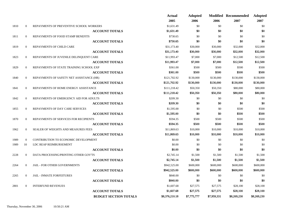|      |                  |                                          |                              | Actual<br>2005 | <b>Adopted</b><br>2006 | 2006        | <b>Modified Recommended</b><br>2007 | <b>Adopted</b><br>2007 |
|------|------------------|------------------------------------------|------------------------------|----------------|------------------------|-------------|-------------------------------------|------------------------|
| 1810 | $\mathbf{0}$     | REPAYMENTS OF PREVENTIVE SCHOOL WORKERS  |                              | \$1,631.49     | \$0                    | \$0         | \$0                                 | \$0                    |
|      |                  |                                          | <b>ACCOUNT TOTALS</b>        | \$1,631.49     | \$0                    | \$0         | \$0                                 | \$0                    |
| 1811 | $\mathbf{0}$     | REPAYMENTS OF FOOD STAMP BENEFITS        |                              | \$730.65       | \$0                    | \$0         | \$0                                 | \$0                    |
|      |                  |                                          | <b>ACCOUNT TOTALS</b>        | \$730.65       | \$0                    | \$0         | \$0                                 | \$0                    |
| 1819 | $\boldsymbol{0}$ | REPAYMENTS OF CHILD CARE                 |                              | \$31,173.40    | \$30,000               | \$30,000    | \$32,000                            | \$32,000               |
|      |                  |                                          | <b>ACCOUNT TOTALS</b>        | \$31,173.40    | \$30,000               | \$30,000    | \$32,000                            | \$32,000               |
| 1823 | $\boldsymbol{0}$ | REPAYMENTS OF JUVENILE DELINQUENT CARE   |                              | \$11,993.47    | \$7,000                | \$7,000     | \$12,500                            | \$12,500               |
|      |                  |                                          | <b>ACCOUNT TOTALS</b>        | \$11,993.47    | \$7,000                | \$7,000     | \$12,500                            | \$12,500               |
| 1829 | $\mathbf{0}$     | REPAYMENTS OF STATE TRAINING SCHOOL EXP  |                              | \$361.00       | \$500                  | \$500       | \$500                               | \$500                  |
|      |                  |                                          | <b>ACCOUNT TOTALS</b>        | \$361.00       | \$500                  | \$500       | \$500                               | \$500                  |
| 1840 | $\mathbf{0}$     | REPAYMENTS OF SAFETY NET ASSISTANCE (HR) |                              | \$121,702.92   | \$130,000              | \$130,000   | \$130,000                           | \$130,000              |
|      |                  |                                          | <b>ACCOUNT TOTALS</b>        | \$121,702.92   | \$130,000              | \$130,000   | \$130,000                           | \$130,000              |
| 1841 | $\boldsymbol{0}$ | REPAYMENTS OF HOME ENERGY ASSISTANCE     |                              | \$111,218.42   | \$50,350               | \$50,350    | \$80,000                            | \$80,000               |
|      |                  |                                          | <b>ACCOUNT TOTALS</b>        | \$111,218.42   | \$50,350               | \$50,350    | \$80,000                            | \$80,000               |
| 1842 | $\mathbf{0}$     | REPAYMENTS OF EMERGENCY AID FOR ADULTS   |                              | \$209.30       | \$0                    | \$0         | \$0                                 | \$0                    |
|      |                  |                                          | <b>ACCOUNT TOTALS</b>        | \$209.30       | \$0                    | \$0         | \$0                                 | \$0                    |
| 1855 | $\boldsymbol{0}$ | REPAYMENTS OF DAY CARE SERVICES          |                              | \$1,595.00     | \$0                    | \$0         | \$500                               | \$500                  |
|      |                  |                                          | <b>ACCOUNT TOTALS</b>        | \$1,595.00     | \$0                    | \$0         | \$500                               | \$500                  |
| 1870 | $\mathbf{0}$     | REPAYMENTS OF SERVICES FOR RECIPIENTS    |                              | \$594.35       | \$500                  | \$500       | \$500                               | \$500                  |
|      |                  |                                          | <b>ACCOUNT TOTALS</b>        | \$594.35       | \$500                  | \$500       | \$500                               | \$500                  |
| 1962 | $\mathbf{0}$     | SEALER OF WEIGHTS AND MEASURES FEES      |                              | \$11,869.63    | \$10,000               | \$10,000    | \$10,000                            | \$10,000               |
|      |                  |                                          | <b>ACCOUNT TOTALS</b>        | \$11,869.63    | \$10,000               | \$10,000    | \$10,000                            | \$10,000               |
| 1989 | $\mathbf{0}$     | CONTRIBUTION TO ECONOMIC DEVELOPMENT     |                              | \$0.00         | \$0                    | \$0         | \$0                                 | \$0                    |
| 1989 | 10               | LDC REAP REIMBURSEMENT                   |                              | \$0.00         | \$0                    | \$0         | \$0                                 | \$0                    |
|      |                  |                                          | <b>ACCOUNT TOTALS</b>        | \$0.00         | \$0                    | \$0         | \$0                                 | \$0                    |
| 2228 | $\mathbf{0}$     | DATA PROCESSING/PRINTING OTHER GOV'TS    |                              | \$2,745.14     | \$1,500                | \$1,500     | \$1,500                             | \$1,500                |
|      |                  |                                          | <b>ACCOUNT TOTALS</b>        | \$2,745.14     | \$1,500                | \$1,500     | \$1,500                             | \$1,500                |
| 2264 | $\boldsymbol{0}$ | JAIL - FOR OTHER GOVERNMENTS             |                              | \$942,525.00   | \$600,000              | \$600,000   | \$600,000                           | \$600,000              |
|      |                  |                                          | <b>ACCOUNT TOTALS</b>        | \$942,525.00   | \$600,000              | \$600,000   | \$600,000                           | \$600,000              |
| 2265 | $\mathbf{0}$     | <b>JAIL - INMATE FORFEITURES</b>         |                              | \$840.00       | \$0                    | \$0         | \$0                                 | \$0                    |
|      |                  |                                          | <b>ACCOUNT TOTALS</b>        | \$840.00       | \$0                    | \$0         | \$0                                 | \$0                    |
| 2801 | $\mathbf{0}$     | <b>INTERFUND REVENUES</b>                |                              | \$1,607.68     | \$27,575               | \$27,575    | \$28,100                            | \$28,100               |
|      |                  |                                          | <b>ACCOUNT TOTALS</b>        | \$1,607.68     | \$27,575               | \$27,575    | \$28,100                            | \$28,100               |
|      |                  |                                          | <b>BUDGET SECTION TOTALS</b> | \$8,376,210.18 | \$7,775,777            | \$7,959,331 | \$8,269,230                         | \$8,269,230            |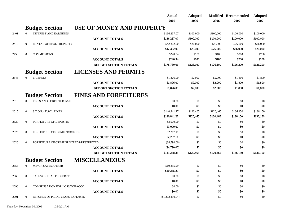|      |                |                                         |                                  | Actual<br>2005   | <b>Adopted</b><br>2006 | 2006      | <b>Modified Recommended</b><br>2007 | <b>Adopted</b><br>2007 |
|------|----------------|-----------------------------------------|----------------------------------|------------------|------------------------|-----------|-------------------------------------|------------------------|
|      |                | <b>Budget Section</b>                   | <b>USE OF MONEY AND PROPERTY</b> |                  |                        |           |                                     |                        |
| 2401 | $\Omega$       | <b>INTEREST AND EARNINGS</b>            |                                  | \$136,237.07     | \$100,000              | \$100,000 | \$100,000                           | \$100,000              |
|      |                |                                         | <b>ACCOUNT TOTALS</b>            | \$136,237.07     | \$100,000              | \$100,000 | \$100,000                           | \$100,000              |
| 2410 | $\mathbf{0}$   | RENTAL OF REAL PROPERTY                 |                                  | \$42,302.00      | \$26,000               | \$26,000  | \$26,000                            | \$26,000               |
|      |                |                                         | <b>ACCOUNT TOTALS</b>            | \$42,302.00      | \$26,000               | \$26,000  | \$26,000                            | \$26,000               |
| 2450 | $\overline{0}$ | <b>COMMISSIONS</b>                      |                                  | \$240.94         | \$100                  | \$100     | \$200                               | \$200                  |
|      |                |                                         | <b>ACCOUNT TOTALS</b>            | \$240.94         | \$100                  | \$100     | \$200                               | \$200                  |
|      |                |                                         | <b>BUDGET SECTION TOTALS</b>     | \$178,780.01     | \$126,100              | \$126,100 | \$126,200                           | \$126,200              |
|      |                | <b>Budget Section</b>                   | <b>LICENSES AND PERMITS</b>      |                  |                        |           |                                     |                        |
| 2545 | $\Omega$       | <b>LICENSES</b>                         |                                  | \$1,826.00       | \$2,000                | \$2,000   | \$1,800                             | \$1,800                |
|      |                |                                         | <b>ACCOUNT TOTALS</b>            | \$1,826.00       | \$2,000                | \$2,000   | \$1,800                             | \$1,800                |
|      |                |                                         | <b>BUDGET SECTION TOTALS</b>     | \$1,826.00       | \$2,000                | \$2,000   | \$1,800                             | \$1,800                |
|      |                | <b>Budget Section</b>                   | <b>FINES AND FORFEITURES</b>     |                  |                        |           |                                     |                        |
| 2610 | $\Omega$       | FINES AND FORFEITED BAIL                |                                  | \$0.00           | \$0                    | \$0       | \$0                                 | \$0                    |
|      |                |                                         | <b>ACCOUNT TOTALS</b>            | \$0.00           | \$0                    | \$0       | \$0                                 | \$0                    |
| 2615 | $\overline{0}$ | S.T.O.P. - D.W.I. FINES                 |                                  | \$140,841.27     | \$120,465              | \$120,465 | \$136,150                           | \$136,150              |
|      |                |                                         | <b>ACCOUNT TOTALS</b>            | \$140,841.27     | \$120,465              | \$120,465 | \$136,150                           | \$136,150              |
| 2620 | $\overline{0}$ | <b>FORFEITURE OF DEPOSITS</b>           |                                  | \$3,000.00       | \$0                    | \$0       | \$0                                 | \$0                    |
|      |                |                                         | <b>ACCOUNT TOTALS</b>            | \$3,000.00       | \$0                    | \$0       | \$0                                 | \$0                    |
| 2625 | $\overline{0}$ | FORFEITURE OF CRIME PROCEEDS            |                                  | \$2,207.11       | \$0                    | \$0       | \$0                                 | \$0                    |
|      |                |                                         | <b>ACCOUNT TOTALS</b>            | \$2,207.11       | \$0                    | \$0       | \$0                                 | \$0                    |
| 2626 | $\overline{0}$ | FORFEITURE OF CRIME PROCEEDS-RESTRICTED |                                  | $(\$4,790.00)$   | \$0                    | \$0       | \$0                                 | \$0                    |
|      |                |                                         | <b>ACCOUNT TOTALS</b>            | $(\$4,790.00)$   | \$0                    | \$0       | \$0                                 | \$0                    |
|      |                |                                         | <b>BUDGET SECTION TOTALS</b>     | \$141,258.38     | \$120,465              | \$120,465 | \$136,150                           | \$136,150              |
|      |                | <b>Budget Section</b>                   | <b>MISCELLANEOUS</b>             |                  |                        |           |                                     |                        |
| 2655 | $\mathbf{0}$   | <b>MINOR SALES, OTHER</b>               |                                  | \$10,255.29      | \$0                    | \$0       | \$0                                 | \$0                    |
|      |                |                                         | <b>ACCOUNT TOTALS</b>            | \$10,255.29      | \$0                    | \$0       | \$0                                 | \$0                    |
| 2660 | $\mathbf{0}$   | <b>SALES OF REAL PROPERTY</b>           |                                  | \$0.00           | \$0                    | \$0       | \$0                                 | \$0                    |
|      |                |                                         | <b>ACCOUNT TOTALS</b>            | \$0.00           | \$0                    | \$0       | \$0                                 | \$0                    |
| 2690 | $\mathbf{0}$   | COMPENSATION FOR LOSS/TOBACCO           |                                  | \$0.00           | \$0                    | \$0       | \$0                                 | \$0                    |
|      |                |                                         | <b>ACCOUNT TOTALS</b>            | \$0.00           | \$0                    | \$0       | \$0                                 | \$0                    |
| 2701 | $\mathbf{0}$   | REFUNDS OF PRIOR YEARS EXPENSES         |                                  | (\$1,202,430.04) | \$0                    | \$0       | \$0                                 | \$0                    |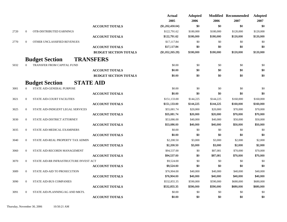|      |                  |                                        |                              | Actual<br>2005   | <b>Adopted</b><br>2006 | 2006      | <b>Modified Recommended</b><br>2007 | Adopted<br>2007 |
|------|------------------|----------------------------------------|------------------------------|------------------|------------------------|-----------|-------------------------------------|-----------------|
|      |                  |                                        | <b>ACCOUNT TOTALS</b>        | (\$1,202,430.04) | \$0                    | \$0       | \$0                                 | \$0             |
| 2720 | $\boldsymbol{0}$ | OTB-DISTRIBUTED EARNINGS               |                              | \$122,791.62     | \$180,000              | \$180,000 | \$120,000                           | \$120,000       |
|      |                  |                                        | <b>ACCOUNT TOTALS</b>        | \$122,791.62     | \$180,000              | \$180,000 | \$120,000                           | \$120,000       |
| 2770 | $\boldsymbol{0}$ | OTHER UNCLASSIFIED REVENUES            |                              | \$17,117.84      | \$0                    | \$0       | \$0                                 | \$0             |
|      |                  |                                        | <b>ACCOUNT TOTALS</b>        | \$17,117.84      | \$0                    | \$0       | \$0                                 | \$0             |
|      |                  |                                        | <b>BUDGET SECTION TOTALS</b> | (\$1,052,265.29) | \$180,000              | \$180,000 | \$120,000                           | \$120,000       |
|      |                  | <b>Budget Section</b>                  | <b>TRANSFERS</b>             |                  |                        |           |                                     |                 |
| 5032 | $\mathbf{0}$     | TRANSFER FROM CAPITAL FUND             |                              | \$0.00           | \$0                    | \$0       | \$0                                 | \$0             |
|      |                  |                                        | <b>ACCOUNT TOTALS</b>        | \$0.00           | \$0                    | \$0       | \$0                                 | \$0             |
|      |                  |                                        | <b>BUDGET SECTION TOTALS</b> | \$0.00           | \$0                    | \$0       | \$0                                 | \$0             |
|      |                  | <b>Budget Section</b>                  | <b>STATE AID</b>             |                  |                        |           |                                     |                 |
| 3001 | $\Omega$         | STATE AID-GENERAL PURPOSE              |                              | \$0.00           | \$0                    | \$0       | \$0                                 | \$0             |
|      |                  |                                        | <b>ACCOUNT TOTALS</b>        | \$0.00           | \$0                    | \$0       | \$0                                 | \$0             |
| 3021 | $\mathbf{0}$     | STATE AID-COURT FACILITIES             |                              | \$151,133.00     | \$144,225              | \$144,225 | \$160,000                           | \$160,000       |
|      |                  |                                        | <b>ACCOUNT TOTALS</b>        | \$151,133.00     | \$144,225              | \$144,225 | \$160,000                           | \$160,000       |
| 3025 | $\mathbf{0}$     | STATE AID-INDIGENT LEGAL SERVICES      |                              | \$55,081.74      | \$20,000               | \$20,000  | \$70,000                            | \$70,000        |
|      |                  |                                        | <b>ACCOUNT TOTALS</b>        | \$55,081.74      | \$20,000               | \$20,000  | \$70,000                            | \$70,000        |
| 3030 | $\boldsymbol{0}$ | STATE AID-DISTRICT ATTORNEY            |                              | \$53,086.00      | \$40,000               | \$40,000  | \$50,000                            | \$50,000        |
|      |                  |                                        | <b>ACCOUNT TOTALS</b>        | \$53,086.00      | \$40,000               | \$40,000  | \$50,000                            | \$50,000        |
| 3035 | $\mathbf{0}$     | STATE AID-MEDICAL EXAMINERS            |                              | \$0.00           | \$0                    | \$0       | \$0                                 | \$0             |
|      |                  |                                        | <b>ACCOUNT TOTALS</b>        | \$0.00           | \$0                    | \$0       | \$0                                 | \$0             |
| 3040 | $\mathbf{0}$     | STATE AID-REAL PROPERTY TAX ADMIN      |                              | \$2,200.50       | \$3,000                | \$3,000   | \$2,000                             | \$2,000         |
|      |                  |                                        | <b>ACCOUNT TOTALS</b>        | \$2,200.50       | \$3,000                | \$3,000   | \$2,000                             | \$2,000         |
| 3060 | $\mathbf{0}$     | STATE AID-RECORDS MANAGEMENT           |                              | \$94,537.00      | \$0                    | \$87,081  | \$70,000                            | \$70,000        |
|      |                  |                                        | <b>ACCOUNT TOTALS</b>        | \$94,537.00      | \$0                    | \$87,081  | \$70,000                            | \$70,000        |
| 3070 | $\mathbf{0}$     | STATE AID-RR INFRASTRUCTURE INVEST ACT |                              | \$9,524.00       | \$0                    | \$0       | \$0                                 | \$0             |
|      |                  |                                        | <b>ACCOUNT TOTALS</b>        | \$9,524.00       | \$0                    | \$0       | \$0                                 | \$0             |
| 3089 | $\mathbf{0}$     | STATE AID-AID TO PROSECUTION           |                              | \$76,904.00      | \$40,000               | \$40,000  | \$40,000                            | \$40,000        |
|      |                  |                                        | <b>ACCOUNT TOTALS</b>        | \$76,904.00      | \$40,000               | \$40,000  | \$40,000                            | \$40,000        |
| 3090 | $\mathbf{0}$     | STATE AID-BUS COMPANIES                |                              | \$532,855.35     | \$590,000              | \$590,000 | \$680,000                           | \$680,000       |
|      |                  |                                        | <b>ACCOUNT TOTALS</b>        | \$532,855.35     | \$590,000              | \$590,000 | \$680,000                           | \$680,000       |
| 3091 | $\boldsymbol{0}$ | STATE AID-PLANNING/AG AND MKTS.        |                              | \$0.00           | \$0                    | \$0       | \$0                                 | \$0             |
|      |                  |                                        | <b>ACCOUNT TOTALS</b>        | \$0.00           | \$0                    | \$0       | \$0                                 | \$0             |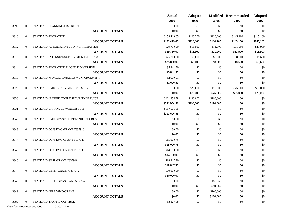|                             |                |                                          |                       | <b>Actual</b> | <b>Adopted</b> |           | <b>Modified Recommended</b> | <b>Adopted</b> |
|-----------------------------|----------------|------------------------------------------|-----------------------|---------------|----------------|-----------|-----------------------------|----------------|
|                             |                |                                          |                       | 2005          | 2006           | 2006      | 2007                        | 2007           |
| 3092                        | $\overline{0}$ | STATE AID-PLANNING/GIS PROJECT           |                       | \$0.00        | \$0            | \$0       | \$0                         | \$0            |
|                             |                |                                          | <b>ACCOUNT TOTALS</b> | \$0.00        | \$0            | \$0       | \$0                         | \$0            |
| 3310                        | $\mathbf{0}$   | <b>STATE AID-PROBATION</b>               |                       | \$153,419.65  | \$120,200      | \$120,200 | \$145,100                   | \$145,100      |
|                             |                |                                          | <b>ACCOUNT TOTALS</b> | \$153,419.65  | \$120,200      | \$120,200 | \$145,100                   | \$145,100      |
| 3312                        | $\overline{0}$ | STATE AID-ALTERNATIVES TO INCARCERATION  |                       | \$29,750.00   | \$11,900       | \$11,900  | \$11,900                    | \$11,900       |
|                             |                |                                          | <b>ACCOUNT TOTALS</b> | \$29,750.00   | \$11,900       | \$11,900  | \$11,900                    | \$11,900       |
| 3313                        | $\overline{0}$ | STATE AID-INTENSIVE SUPERVISION PROGRAM  |                       | \$25,800.00   | \$8,600        | \$8,600   | \$8,600                     | \$8,600        |
|                             |                |                                          | <b>ACCOUNT TOTALS</b> | \$25,800.00   | \$8,600        | \$8,600   | \$8,600                     | \$8,600        |
| 3314                        | $\overline{0}$ | STATE AID-PROBATION ELIGIBLE DIVERSION   |                       | \$5,841.50    | \$0            | \$0       | \$0                         | \$0            |
|                             |                |                                          | <b>ACCOUNT TOTALS</b> | \$5,841.50    | \$0            | \$0       | \$0                         | \$0            |
| 3315                        | $\overline{0}$ | STATE AID-NAVIGATIONAL LAW ENFORCEMENT   |                       | \$2,600.51    | \$0            | \$0       | \$0                         | \$0            |
|                             |                |                                          | <b>ACCOUNT TOTALS</b> | \$2,600.51    | \$0            | \$0       | \$0                         | \$0            |
| 3320                        | $\mathbf{0}$   | STATE AID-EMERGENCY MEDICAL SERVICE      |                       | \$0.00        | \$25,000       | \$25,000  | \$25,000                    | \$25,000       |
|                             |                |                                          | <b>ACCOUNT TOTALS</b> | \$0.00        | \$25,000       | \$25,000  | \$25,000                    | \$25,000       |
| 3330                        | $\overline{0}$ | STATE AID-UNIFIED COURT SECURITY SERVICE |                       | \$221,954.58  | \$190,000      | \$190,000 | \$0                         | \$0            |
|                             |                |                                          | <b>ACCOUNT TOTALS</b> | \$221,954.58  | \$190,000      | \$190,000 | \$0                         | \$0            |
| 3331                        | $\overline{0}$ | STATE AID-ENHANCED WIRELESS 911          |                       | \$117,606.85  | \$0            | \$0       | \$0                         | $\$0$          |
|                             |                |                                          | <b>ACCOUNT TOTALS</b> | \$117,606.85  | \$0            | \$0       | \$0                         | \$0            |
| 3342                        | $\overline{0}$ | STATE AID-EMO GRANT HOMELAND SECURITY    |                       | \$0.00        | \$0            | \$0       | \$0                         | $\$0$          |
|                             |                |                                          | ACCOUNT TOTALS        | \$0.00        | \$0            | \$0       | \$0                         | \$0            |
| 3343                        | $\theta$       | STATE AID-DCJS EMO GRANT T837910         |                       | \$0.00        | \$0            | \$0       | \$0                         | \$0            |
|                             |                |                                          | <b>ACCOUNT TOTALS</b> | \$0.00        | \$0            | \$0       | \$0                         | \$0            |
| 3344                        | $\overline{0}$ | STATE AID-DCJS EMO GRANT T837920         |                       | \$15,000.76   | \$0            | \$0       | \$0                         | $\$0$          |
|                             |                |                                          | <b>ACCOUNT TOTALS</b> | \$15,000.76   | \$0            | \$0       | \$0                         | \$0            |
| 3345                        | $\overline{0}$ | STATE AID-DCJS EMO GRANT T837930         |                       | \$14,100.00   | \$0            | \$0       | \$0                         | $\$0$          |
|                             |                |                                          | <b>ACCOUNT TOTALS</b> | \$14,100.00   | \$0            | \$0       | \$0                         | \$0            |
| 3346                        | $\overline{0}$ | STATE AID-SHSP GRANT C837940             |                       | \$18,847.30   | \$0            | \$0       | \$0                         | \$0            |
|                             |                |                                          | <b>ACCOUNT TOTALS</b> | \$18,847.30   | \$0            | \$0       | \$0                         | \$0            |
| 3347                        | $\theta$       | STATE AID-LETPP GRANT C837942            |                       | \$60,000.00   | \$0            | \$0       | \$0                         | \$0            |
|                             |                |                                          | <b>ACCOUNT TOTALS</b> | \$60,000.00   | \$0            | \$0       | \$0                         | \$0            |
| 3348                        | $\mathbf{0}$   | STATE AID-LETPP GRANT WM05837952         |                       | \$0.00        | \$0            | \$50,859  | \$0                         | \$0            |
|                             |                |                                          | <b>ACCOUNT TOTALS</b> | \$0.00        | \$0            | \$50,859  | \$0                         | \$0            |
| 3349                        | $\overline{0}$ | STATE AID- FIRE WMD GRANT                |                       | \$0.00        | \$0            | \$100,000 | \$0                         | \$0            |
|                             |                |                                          | <b>ACCOUNT TOTALS</b> | \$0.00        | SO.            | \$100,000 | \$0                         | \$0            |
| 3389                        | $\overline{0}$ | STATE AID-TRAFFIC CONTROL                |                       | \$3,827.68    | \$0            | \$0       | \$0                         | \$0            |
| Thursday, November 30, 2006 |                | 10:50:21 AM                              |                       |               |                |           |                             |                |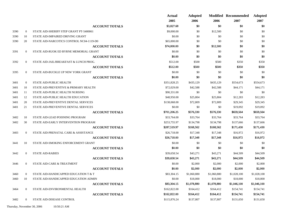|      |                  |                                          | <b>Actual</b><br>2005 | <b>Adopted</b><br>2006 | 2006        | <b>Modified Recommended</b><br>2007 | Adopted<br>2007 |
|------|------------------|------------------------------------------|-----------------------|------------------------|-------------|-------------------------------------|-----------------|
|      |                  | <b>ACCOUNT TOTALS</b>                    | \$3,827.68            | \$0                    | \$0         | \$0                                 | \$0             |
| 3390 | $\overline{0}$   | STATE AID-SHERIFF STEP GRANT PT-5400061  | \$9,000.00            | \$0                    | \$12,500    | \$0                                 | \$0             |
| 3390 | 10               | STATE AID-IMPAIRED DRIVING GRANT         | \$0.00                | \$0                    | \$0         | \$0                                 | \$0             |
| 3390 | 20               | STATE AID-NARCOTICS CONTROL NC04-1119-D0 | \$65,000.00           | \$0                    | \$0         | \$0                                 | \$0             |
|      |                  | <b>ACCOUNT TOTALS</b>                    | \$74,000.00           | \$0                    | \$12,500    | \$0                                 | \$0             |
| 3391 | $\boldsymbol{0}$ | STATE AID-RUOK ED BYRNE MEMORIAL GRANT   | \$0.00                | \$0                    | \$0         | \$0                                 | \$0             |
|      |                  | <b>ACCOUNT TOTALS</b>                    | \$0.00                | \$0                    | \$0         | \$0                                 | \$0             |
| 3392 | $\overline{0}$   | STATE AID-JAIL/BREAKFAST & LUNCH PROG.   | \$512.00              | \$500                  | \$500       | \$350                               | \$350           |
|      |                  | <b>ACCOUNT TOTALS</b>                    | \$512.00              | \$500                  | \$500       | \$350                               | \$350           |
| 3395 | $\mathbf{0}$     | STATE AID-BUCKLE UP NEW YORK GRANT       | \$0.00                | \$0                    | \$0         | \$0                                 | \$0             |
|      |                  | <b>ACCOUNT TOTALS</b>                    | \$0.00                | \$0                    | \$0         | \$0                                 | \$0             |
| 3401 | $\mathbf{0}$     | STATE AID-PUBLIC HEALTH                  | \$351,828.25          | \$435,129              | \$435,129   | \$554,673                           | \$554,673       |
| 3401 | 10               | STATE AID-PREVENTIVE & PRIMARY HEALTH    | \$72,029.00           | \$42,588               | \$42,588    | \$44,171                            | \$44,171        |
| 3401 | 11               | STATE AID-PUBLIC HEALTH NURSING          | \$90,331.00           | \$0                    | \$0         | \$0                                 | \$0             |
| 3401 | 12               | STATE AID-PUBLIC HEALTH EDUCATION        | \$48,950.00           | \$25,804               | \$25,804    | \$12,283                            | \$12,283        |
| 3401 | 20               | STATE AID-PREVENTIVE DENTAL SERVICES     | \$138,068.00          | \$72,809               | \$72,809    | \$29,345                            | \$29,345        |
| 3401 | 21               | STATE AID-PREVENTIVE DENTAL SERVICES     | \$0.00                | \$0                    | \$0         | \$19,092                            | \$19,092        |
|      |                  | <b>ACCOUNT TOTALS</b>                    | \$701,206.25          | \$576,330              | \$576,330   | \$659,564                           | \$659,564       |
| 3402 | 10               | STATE AID-LEAD POISNING PROGRAM          | \$33,764.00           | \$33,764               | \$33,764    | \$33,764                            | \$33,764        |
| 3402 | 30               | STATE AID-EARLY INTERVENTION PROGRAM     | \$253,755.97          | \$134,798              | \$134,798   | \$137,666                           | \$137,666       |
|      |                  | <b>ACCOUNT TOTALS</b>                    | \$287,519.97          | \$168,562              | \$168,562   | \$171,430                           | \$171,430       |
| 3403 | $\mathbf{0}$     | STATE AID-PRENATAL CARE & ASSISTANCE     | \$26,718.00           | \$17,348               | \$17,348    | \$16,972                            | \$16,972        |
|      |                  | <b>ACCOUNT TOTALS</b>                    | \$26,718.00           | \$17,348               | \$17,348    | \$16,972                            | \$16,972        |
| 3441 | 10               | STATE AID-SMOKING ENFORCEMENT GRANT      | \$0.00                | \$0                    | \$0         | \$0                                 | \$0             |
|      |                  | <b>ACCOUNT TOTALS</b>                    | \$0.00                | \$0                    | \$0         | \$0                                 | \$0             |
| 3442 | $\mathbf{0}$     | <b>STATE AID-RABIES</b>                  | \$39,658.54           | \$43,271               | \$43,271    | \$44,509                            | \$44,509        |
|      |                  | <b>ACCOUNT TOTALS</b>                    | \$39,658.54           | \$43,271               | \$43,271    | \$44,509                            | \$44,509        |
| 3446 | $\mathbf{0}$     | STATE AID-CARE & TREATMENT               | \$0.00                | \$2,000                | \$2,000     | \$2,000                             | \$2,000         |
|      |                  | <b>ACCOUNT TOTALS</b>                    | \$0.00                | \$2,000                | \$2,000     | \$2,000                             | \$2,000         |
| 3460 | $\mathbf{0}$     | STATE AID-HANDICAPPED EDUCATION T & T    | \$83,304.15           | \$1,060,880            | \$1,060,880 | \$1,028,100                         | \$1,028,100     |
| 3460 | 10               | STATE AID-HANDICAPPED EDUCATION ADMIN    | \$0.00                | \$18,000               | \$18,000    | \$18,000                            | \$18,000        |
|      |                  | <b>ACCOUNT TOTALS</b>                    | \$83,304.15           | \$1,078,880            | \$1,078,880 | \$1,046,100                         | \$1,046,100     |
| 3464 | $\mathbf{0}$     | STATE AID-ENVIRONMENTAL HEALTH           | \$162,822.00          | \$164,412              | \$164,412   | \$154,741                           | \$154,741       |
|      |                  | <b>ACCOUNT TOTALS</b>                    | \$162,822.00          | \$164,412              | \$164,412   | \$154,741                           | \$154,741       |
| 3482 | $\theta$         | STATE AID-DISEASE CONTROL                | \$115,876.24          | \$137,807              | \$137,807   | \$131,650                           | \$131,650       |
|      |                  |                                          |                       |                        |             |                                     |                 |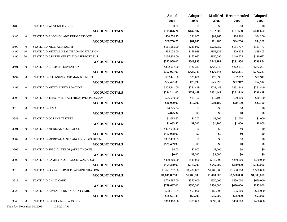|      |                  |                                          | Actual         | <b>Adopted</b> |             | <b>Modified Recommended</b> | <b>Adopted</b> |
|------|------------------|------------------------------------------|----------------|----------------|-------------|-----------------------------|----------------|
|      |                  |                                          | 2005           | 2006           | 2006        | 2007                        | 2007           |
| 3482 | 1                | STATE AID-WEST NILE VIRUS                | \$0.00         | \$0            | \$0         | \$0                         | \$0            |
|      |                  | <b>ACCOUNT TOTALS</b>                    | \$115,876.24   | \$137,807      | \$137,807   | \$131,650                   | \$131,650      |
| 3486 | $\mathbf{0}$     | STATE AID-ALCOHOL AND DRUG SERVICES      | \$60,750.25    | \$81,965       | \$81,965    | \$84,260                    | \$84,260       |
|      |                  | <b>ACCOUNT TOTALS</b>                    | \$60,750.25    | \$81,965       | \$81,965    | \$84,260                    | \$84,260       |
| 3490 | $\overline{0}$   | STATE AID-MENTAL HEALTH                  | \$161,585.00   | \$233,952      | \$233,952   | \$151,777                   | \$151,777      |
| 3490 | 10               | STATE AID-MENTAL HEALTH ADMINISTRATION   | \$85,172.00    | \$158,939      | \$158,939   | \$29,405                    | \$29,405       |
| 3490 | 30               | STATE AID-CSS REHABILITATION SUPPORT SVS | \$136,202.00   | \$150,092      | \$150,092   | \$110,672                   | \$110,672      |
|      |                  | <b>ACCOUNT TOTALS</b>                    | \$382,959.00   | \$542,983      | \$542,983   | \$291,854                   | \$291,854      |
| 3491 | $\mathbf{0}$     | STATE AID-CRISIS INTERVENTION            | \$352,027.00   | \$426,343      | \$426,343   | \$272,231                   | \$272,231      |
|      |                  | <b>ACCOUNT TOTALS</b>                    | \$352,027.00   | \$426,343      | \$426,343   | \$272,231                   | \$272,231      |
| 3497 | $\boldsymbol{0}$ | STATE AID-INTENSIVE CASE MANAGEMENT      | \$52,421.00    | \$25,090       | \$25,090    | \$52,912                    | \$52,912       |
|      |                  | <b>ACCOUNT TOTALS</b>                    | \$52,421.00    | \$25,090       | \$25,090    | \$52,912                    | \$52,912       |
| 3498 | $\boldsymbol{0}$ | STATE AID-MENTAL RETARDATION             | \$224,241.00   | \$231,449      | \$231,449   | \$231,449                   | \$231,449      |
|      |                  | <b>ACCOUNT TOTALS</b>                    | \$224,241.00   | \$231,449      | \$231,449   | \$231,449                   | \$231,449      |
| 3500 | $\mathbf{0}$     | STATE AID-TREATMENT ALTERNATIVES PROGRAM | \$26,050.00    | \$19,100       | \$19,100    | \$20,100                    | \$20,100       |
|      |                  | <b>ACCOUNT TOTALS</b>                    | \$26,050.00    | \$19,100       | \$19,100    | \$20,100                    | \$20,100       |
| 3510 | $\boldsymbol{0}$ | <b>STATE AID-FEMA</b>                    | \$4,825.34     | \$0            | \$0         | \$0                         | \$0            |
|      |                  | <b>ACCOUNT TOTALS</b>                    | \$4,825.34     | \$0            | \$0         | \$0                         | \$0            |
| 3589 | $\boldsymbol{0}$ | STATE AID-OCTANE TESTING                 | \$1,083.82     | \$1,200        | \$1,200     | \$1,000                     | \$1,000        |
|      |                  | <b>ACCOUNT TOTALS</b>                    | \$1,083.82     | \$1,200        | \$1,200     | \$1,000                     | \$1,000        |
| 3601 | $\mathbf{0}$     | STATE AID-MEDICAL ASSISTANCE             | \$467,058.00   | \$0            | \$0         | \$0                         | \$0            |
|      |                  | <b>ACCOUNT TOTALS</b>                    | \$467,058.00   | SO.            | \$0         | \$0                         | \$0            |
| 3602 | $\mathbf{0}$     | STATE AID-MEDICAL ASSISTANCE, OVERBURDEN | \$937,459.99   | \$0            | \$0         | \$0                         | \$0            |
|      |                  | <b>ACCOUNT TOTALS</b>                    | \$937,459.99   | \$0            | \$0         | \$0                         | \$0            |
| 3606 | $\mathbf{0}$     | STATE AID-SPECIAL NEEDS (ADULT HOMES)    | \$0.00         | \$2,000        | \$2,000     | \$0                         | \$0            |
|      |                  | <b>ACCOUNT TOTALS</b>                    | \$0.00         | \$2,000        | \$2,000     | \$0                         | \$0            |
| 3609 | $\boldsymbol{0}$ | STATE AID-FAMILY ASSISTANCE (WAS ADC)    | \$409,369.00   | \$545,000      | \$545,000   | \$380,000                   | \$380,000      |
|      |                  | <b>ACCOUNT TOTALS</b>                    | \$409,369.00   | \$545,000      | \$545,000   | \$380,000                   | \$380,000      |
| 3610 | $\theta$         | STATE AID-SOCIAL SERVICES ADMINISTRATION | \$1,641,857.00 | \$1,400,000    | \$1,400,000 | \$1,500,000                 | \$1,500,000    |
|      |                  | <b>ACCOUNT TOTALS</b>                    | \$1,641,857.00 | \$1,400,000    | \$1,400,000 | \$1,500,000                 | \$1,500,000    |
| 3619 | $\boldsymbol{0}$ | STATE AID-CHILD CARE                     | \$779,687.00   | \$550,000      | \$550,000   | \$650,000                   | \$650,000      |
|      |                  | <b>ACCOUNT TOTALS</b>                    | \$779,687.00   | \$550,000      | \$550,000   | \$650,000                   | \$650,000      |
| 3623 | $\boldsymbol{0}$ | STATE AID-JUVENILE DELINQUENT CARE       | \$68,691.89    | \$55,000       | \$55,000    | \$55,000                    | \$55,000       |
|      |                  | <b>ACCOUNT TOTALS</b>                    | \$68,691.89    | \$55,000       | \$55,000    | \$55,000                    | \$55,000       |
| 3640 | $\boldsymbol{0}$ | STATE AID-SAFETY NET (WAS HR)            | \$313,488.00   | \$395,000      | \$395,000   | \$400,000                   | \$400,000      |
|      |                  |                                          |                |                |             |                             |                |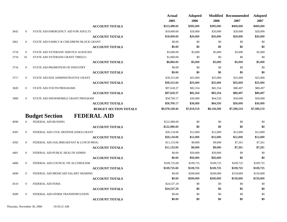|      |                  |                                          |                              | Actual<br>2005 | <b>Adopted</b><br>2006 | 2006        | <b>Modified Recommended</b><br>2007 | Adopted<br>2007 |
|------|------------------|------------------------------------------|------------------------------|----------------|------------------------|-------------|-------------------------------------|-----------------|
|      |                  |                                          | <b>ACCOUNT TOTALS</b>        | \$313,488.00   | \$395,000              | \$395,000   | \$400,000                           | \$400,000       |
| 3642 | $\overline{0}$   | STATE AID-EMERGENCY AID FOR ADULTS       |                              | \$18,009.00    | \$20,000               | \$20,000    | \$20,000                            | \$20,000        |
|      |                  |                                          | <b>ACCOUNT TOTALS</b>        | \$18,009.00    | \$20,000               | \$20,000    | \$20,000                            | \$20,000        |
| 3661 | $\theta$         | STATE AID-FAMILY & CHILDRENS BLOCK GRANT |                              | \$0.00         | \$0                    | \$0         | \$0                                 | \$0             |
|      |                  |                                          | <b>ACCOUNT TOTALS</b>        | \$0.00         | \$0                    | \$0         | \$0                                 | \$0             |
| 3710 | $\theta$         | STATE AID-VETERANS' SERVICE AGENCIES     |                              | \$5,000.00     | \$5,000                | \$5,000     | \$5,000                             | \$5,000         |
| 3710 | 10               | STATE AID-VETERANS GRANT TM03211         |                              | \$1,860.00     | \$0                    | \$0         | \$0                                 | \$0             |
|      |                  |                                          | <b>ACCOUNT TOTALS</b>        | \$6,860.00     | \$5,000                | \$5,000     | \$5,000                             | \$5,000         |
| 3716 | $\theta$         | STATE AID-PROMOTION OF INDUSTRY          |                              | \$0.00         | \$0                    | \$0         | \$0                                 | \$0             |
|      |                  |                                          | <b>ACCOUNT TOTALS</b>        | \$0.00         | S <sub>0</sub>         | \$0         | \$0                                 | \$0             |
| 3717 | $\mathbf{0}$     | STATE AID-EDZ ADMINISTRATIVE GRANT       |                              | \$39,315.00    | \$25,000               | \$25,000    | \$25,000                            | \$25,000        |
|      |                  |                                          | <b>ACCOUNT TOTALS</b>        | \$39,315.00    | \$25,000               | \$25,000    | \$25,000                            | \$25,000        |
| 3820 | $\mathbf{0}$     | STATE AID-YOUTH PROGRAMS                 |                              | \$97,628.37    | \$82,354               | \$82,354    | \$80,497                            | \$80,497        |
|      |                  |                                          | <b>ACCOUNT TOTALS</b>        | \$97,628.37    | \$82,354               | \$82,354    | \$80,497                            | \$80,497        |
| 3989 | $\theta$         | STATE AID-SNOWMOBILE GRANT PROGRAM       |                              | \$58,700.17    | \$30,000               | \$64,550    | \$30,000                            | \$30,000        |
|      |                  |                                          | <b>ACCOUNT TOTALS</b>        | \$58,700.17    | \$30,000               | \$64,550    | \$30,000                            | \$30,000        |
|      |                  |                                          | <b>BUDGET SECTION TOTALS</b> | \$9,078,168.40 | \$7,819,519            | \$8,104,509 | \$7,589,219                         | \$7,589,219     |
|      |                  | <b>Budget Section</b>                    | <b>FEDERAL AID</b>           |                |                        |             |                                     |                 |
| 4090 | $\Omega$         | FEDERAL AID-BUSSING                      |                              | \$122,980.00   | \$0                    | \$0         | \$0                                 | \$0             |
|      |                  |                                          | <b>ACCOUNT TOTALS</b>        | \$122,980.00   | \$0                    | \$0         | \$0                                 | \$0             |
| 4305 | $\theta$         | FEDERAL AID-CIVIL DEFENSE (EMO) GRANT    |                              | \$26,134.06    | \$12,000               | \$12,000    | \$12,000                            | \$12,000        |
|      |                  |                                          | <b>ACCOUNT TOTALS</b>        | \$26,134.06    | \$12,000               | \$12,000    | \$12,000                            | \$12,000        |
| 4392 | $\overline{0}$   | FEDERAL AID-JAIL/BREAKFAST & LUNCH PROG. |                              | \$11,133.00    | \$9,000                | \$9,000     | \$7,261                             | \$7,261         |
|      |                  |                                          | <b>ACCOUNT TOTALS</b>        | \$11,133.00    | \$9,000                | \$9,000     | \$7,261                             | \$7,261         |
| 4401 | $\theta$         | FEDERAL AID-PUBLIC HEALTH ADMIN          |                              | \$0.00         | \$50,000               | \$50,000    | \$0                                 | \$0             |
|      |                  |                                          | <b>ACCOUNT TOTALS</b>        | \$0.00         | \$50,000               | \$50,000    | \$0                                 | \$0             |
| 4486 | $\boldsymbol{0}$ | FEDERAL AID-COUNCIL ON ALCOHOLISM        |                              | \$109,725.00   | \$109,725              | \$109,725   | \$109,725                           | \$109,725       |
|      |                  |                                          | <b>ACCOUNT TOTALS</b>        | \$109,725.00   | \$109,725              | \$109,725   | \$109,725                           | \$109,725       |
| 4490 | $\theta$         | FEDERAL AID-MEDICAID SALARY SHARING      |                              | \$0.00         | \$200,000              | \$200,000   | \$150,000                           | \$150,000       |
|      |                  |                                          | <b>ACCOUNT TOTALS</b>        | \$0.00         | \$200,000              | \$200,000   | \$150,000                           | \$150,000       |
| 4510 | $\boldsymbol{0}$ | FEDERAL AID-FEMA                         |                              | \$24,537.29    | \$0                    | \$0         | \$0                                 | \$0             |
|      |                  |                                          | <b>ACCOUNT TOTALS</b>        | \$24,537.29    | \$0                    | \$0         | \$0                                 | \$0             |
| 4589 | $\Omega$         | FEDERAL AID-OTHER TRANSPORTATION         |                              | \$0.00         | \$0                    | \$0         | \$0                                 | \$0             |
|      |                  |                                          | <b>ACCOUNT TOTALS</b>        | \$0.00         | \$0                    | \$0         | \$0                                 | \$0             |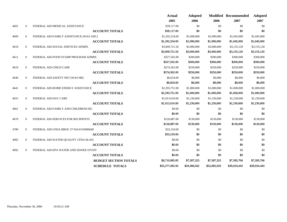|      |                |                                         |                              | <b>Actual</b>   | <b>Adopted</b> |              | <b>Modified Recommended</b> | <b>Adopted</b> |
|------|----------------|-----------------------------------------|------------------------------|-----------------|----------------|--------------|-----------------------------|----------------|
|      |                |                                         |                              | 2005            | 2006           | 2006         | 2007                        | 2007           |
| 4601 | $\overline{0}$ | FEDERAL AID-MEDICAL ASSISTANCE          |                              | \$39,117.00     | \$0            | \$0          | \$0                         | \$0            |
|      |                |                                         | <b>ACCOUNT TOTALS</b>        | \$39,117.00     | \$0            | \$0          | \$0                         | \$0            |
| 4609 | $\mathbf{0}$   | FEDERAL AID-FAMILY ASSISTANCE (WAS ADC) |                              | \$1,292,254.00  | \$1,090,000    | \$1,090,000  | \$1,045,000                 | \$1,045,000    |
|      |                |                                         | <b>ACCOUNT TOTALS</b>        | \$1,292,254.00  | \$1,090,000    | \$1,090,000  | \$1,045,000                 | \$1,045,000    |
| 4610 | $\mathbf{0}$   | FEDERAL AID-SOCIAL SERVICES ADMIN.      |                              | \$3,009,721.50  | \$3,000,000    | \$3,000,000  | \$3,155,120                 | \$3,155,120    |
|      |                |                                         | <b>ACCOUNT TOTALS</b>        | \$3,009,721.50  | \$3,000,000    | \$3,000,000  | \$3,155,120                 | \$3,155,120    |
| 4611 | $\theta$       | FEDERAL AID-FOOD STAMP PROGRAM ADMIN.   |                              | \$327,502.00    | \$300,000      | \$300,000    | \$300,000                   | \$300,000      |
|      |                |                                         | <b>ACCOUNT TOTALS</b>        | \$327,502.00    | \$300,000      | \$300,000    | \$300,000                   | \$300,000      |
| 4619 | $\theta$       | FEDERAL AID-CHILD CARE                  |                              | \$274,362.00    | \$250,000      | \$250,000    | \$250,000                   | \$250,000      |
|      |                |                                         | <b>ACCOUNT TOTALS</b>        | \$274,362.00    | \$250,000      | \$250,000    | \$250,000                   | \$250,000      |
| 4640 | $\mathbf{0}$   | FEDERAL AID-SAFETY NET (WAS HR)         |                              | \$6,654.00      | \$6,000        | \$6,000      | \$6,000                     | \$6,000        |
|      |                |                                         | <b>ACCOUNT TOTALS</b>        | \$6,654.00      | \$6,000        | \$6,000      | \$6,000                     | \$6,000        |
| 4641 | $\overline{0}$ | FEDERAL AID-HOME ENERGY ASSISTANCE      |                              | \$2,293,751.00  | \$1,000,000    | \$1,000,000  | \$1,000,000                 | \$1,000,000    |
|      |                |                                         | <b>ACCOUNT TOTALS</b>        | \$2,293,751.00  | \$1,000,000    | \$1,000,000  | \$1,000,000                 | \$1,000,000    |
| 4655 | $\mathbf{0}$   | FEDERAL AID-DAY CARE                    |                              | \$1,013,010.00  | \$1,230,600    | \$1,230,600  | \$1,230,600                 | \$1,230,600    |
|      |                |                                         | <b>ACCOUNT TOTALS</b>        | \$1,013,010.00  | \$1,230,600    | \$1,230,600  | \$1,230,600                 | \$1,230,600    |
| 4661 | $\overline{0}$ | FEDERAL AID-FAMILY AND CHILDRENS BG     |                              | \$0.00          | \$0            | \$0          | \$0                         | \$0            |
|      |                |                                         | <b>ACCOUNT TOTALS</b>        | \$0.00          | \$0            | \$0          | \$0                         | \$0            |
| 4670 | $\overline{0}$ | FEDERAL AID-SERVICES FOR RECIPIENTS     |                              | \$126,887.00    | \$130,000      | \$130,000    | \$130,000                   | \$130,000      |
|      |                |                                         | <b>ACCOUNT TOTALS</b>        | \$126,887.00    | \$130,000      | \$130,000    | \$130,000                   | \$130,000      |
| 4789 | $\overline{0}$ | FEDERAL AID-USDA RBOG 37-054-0156000648 |                              | \$33,218.00     | \$0            | \$0          | \$0                         | \$0            |
|      |                |                                         | <b>ACCOUNT TOTALS</b>        | \$33,218.00     | <b>SO</b>      | \$0          | \$0                         | \$0            |
| 4902 | $\overline{0}$ | FEDERAL AID-WATER QUALITY CFDA 66.454   |                              | \$0.00          | \$0            | \$0          | \$0                         | \$0            |
|      |                |                                         | <b>ACCOUNT TOTALS</b>        | \$0.00          | \$0            | \$0          | \$0                         | \$0            |
| 4992 | $\overline{0}$ | FEDERAL AID-EPA WATER AND SEWER STUDY   |                              | \$0.00          | \$0            | \$0          | \$0                         | \$0            |
|      |                |                                         | <b>ACCOUNT TOTALS</b>        | \$0.00          | \$0            | \$0          | \$0                         | \$0            |
|      |                |                                         | <b>BUDGET SECTION TOTALS</b> | \$8,710,985.85  | \$7,387,325    | \$7,387,325  | \$7,395,706                 | \$7,395,706    |
|      |                |                                         | <b>SCHEDULE TOTALS</b>       | \$55,277,492.93 | \$34,386,562   | \$52,685,035 | \$39,034,443                | \$39,034,443   |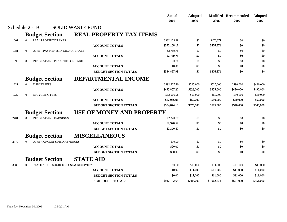|                |              |                                        |                                  | <b>Actual</b><br>2005 | <b>Adopted</b><br>2006 | 2006        | <b>Modified Recommended</b><br>2007 | Adopted<br>2007 |
|----------------|--------------|----------------------------------------|----------------------------------|-----------------------|------------------------|-------------|-------------------------------------|-----------------|
| Schedule 2 - B |              |                                        | <b>SOLID WASTE FUND</b>          |                       |                        |             |                                     |                 |
|                |              | <b>Budget Section</b>                  | <b>REAL PROPERTY TAX ITEMS</b>   |                       |                        |             |                                     |                 |
| 1001           | $\Omega$     | REAL PROPERTY TAXES                    |                                  | \$382,108.18          | \$0                    | \$476,871   | \$0                                 | \$0             |
|                |              |                                        | <b>ACCOUNT TOTALS</b>            | \$382,108.18          | \$0                    | \$476,871   | \$0                                 | \$0             |
| 1081           | $\Omega$     | OTHER PAYMENTS IN LIEU OF TAXES        |                                  | \$2,789.75            | \$0                    | \$0         | \$0                                 | \$0             |
|                |              |                                        | <b>ACCOUNT TOTALS</b>            | \$2,789.75            | \$0                    | \$0         | \$0                                 | \$0             |
| 1090           | $\mathbf{0}$ | <b>INTEREST AND PENALTIES ON TAXES</b> |                                  | \$0.00                | \$0                    | \$0         | \$0                                 | \$0             |
|                |              |                                        | <b>ACCOUNT TOTALS</b>            | \$0.00                | \$0                    | \$0         | \$0                                 | \$0             |
|                |              |                                        | <b>BUDGET SECTION TOTALS</b>     | \$384,897.93          | \$0                    | \$476,871   | \$0                                 | \$0             |
|                |              | <b>Budget Section</b>                  | DEPARTMENTAL INCOME              |                       |                        |             |                                     |                 |
| 1221           | $\Omega$     | <b>TIPPING FEES</b>                    |                                  | \$492,807.20          | \$525,000              | \$525,000   | \$490,000                           | \$490,000       |
|                |              |                                        | <b>ACCOUNT TOTALS</b>            | \$492,807.20          | \$525,000              | \$525,000   | \$490,000                           | \$490,000       |
| 1222           | $\theta$     | RECYCLING FEES                         |                                  | \$62,066.98           | \$50,000               | \$50,000    | \$50,000                            | \$50,000        |
|                |              |                                        | <b>ACCOUNT TOTALS</b>            | \$62,066.98           | \$50,000               | \$50,000    | \$50,000                            | \$50,000        |
|                |              |                                        | <b>BUDGET SECTION TOTALS</b>     | \$554,874.18          | \$575,000              | \$575,000   | \$540,000                           | \$540,000       |
|                |              | <b>Budget Section</b>                  | <b>USE OF MONEY AND PROPERTY</b> |                       |                        |             |                                     |                 |
| 2401           | $\Omega$     | <b>INTEREST AND EARNINGS</b>           |                                  | \$2,320.57            | \$0                    | \$0         | \$0                                 | \$0             |
|                |              |                                        | <b>ACCOUNT TOTALS</b>            | \$2,320.57            | \$0                    | \$0         | \$0                                 | \$0             |
|                |              |                                        | <b>BUDGET SECTION TOTALS</b>     | \$2,320.57            | \$0                    | \$0         | \$0                                 | \$0             |
|                |              | <b>Budget Section</b>                  | <b>MISCELLANEOUS</b>             |                       |                        |             |                                     |                 |
| 2770           | $\Omega$     | OTHER UNCLASSIFIED REVENUES            |                                  | \$90.00               | \$0                    | \$0         | \$0                                 | \$0             |
|                |              |                                        | <b>ACCOUNT TOTALS</b>            | \$90.00               | \$0                    | \$0         | \$0                                 | \$0             |
|                |              |                                        | <b>BUDGET SECTION TOTALS</b>     | \$90.00               | \$0                    | \$0         | \$0                                 | \$0             |
|                |              | <b>Budget Section</b>                  | <b>STATE AID</b>                 |                       |                        |             |                                     |                 |
| 3989           | $\Omega$     | STATE AID-RESOURCE REUSE & RECOVERY    |                                  | \$0.00                | \$11,000               | \$11,000    | \$11,000                            | \$11,000        |
|                |              |                                        | <b>ACCOUNT TOTALS</b>            | \$0.00                | \$11,000               | \$11,000    | \$11,000                            | \$11,000        |
|                |              |                                        | <b>BUDGET SECTION TOTALS</b>     | \$0.00                | \$11,000               | \$11,000    | \$11,000                            | \$11,000        |
|                |              |                                        | <b>SCHEDULE TOTALS</b>           | \$942,182.68          | \$586,000              | \$1,062,871 | \$551,000                           | \$551,000       |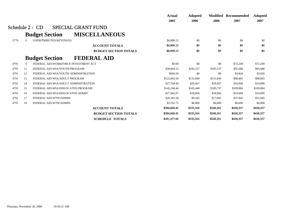|      |          |                                               | <b>Actual</b><br>2005 | <b>Adopted</b><br>2006 | 2006      | <b>Modified Recommended</b><br>2007 | <b>Adopted</b><br>2007 |
|------|----------|-----------------------------------------------|-----------------------|------------------------|-----------|-------------------------------------|------------------------|
|      |          | <b>SPECIAL GRANT FUND</b><br>Schedule 2 - CD  |                       |                        |           |                                     |                        |
|      |          | <b>MISCELLANEOUS</b><br><b>Budget Section</b> |                       |                        |           |                                     |                        |
| 2770 |          | <b>UNDISTRIBUTED REVENUES</b>                 | \$6,808.15            | \$0                    | \$0       | \$0                                 | \$0                    |
|      |          | <b>ACCOUNT TOTALS</b>                         | \$6,808.15            | \$0                    | \$0       | \$0                                 | \$0                    |
|      |          | <b>BUDGET SECTION TOTALS</b>                  | \$6,808.15            | \$0                    | \$0       | \$0                                 | \$0                    |
|      |          | <b>Budget Section</b><br><b>FEDERAL AID</b>   |                       |                        |           |                                     |                        |
| 4791 | $\Omega$ | FEDERAL AID-WORKFORCE INVESTMENT ACT          | \$0.00                | \$0                    | \$0       | \$72,249                            | \$72,249               |
| 4791 | 11       | FEDERAL AID-WIA/YOUTH PROGRAM                 | \$30,844.15           | \$185,537              | \$185,537 | \$95,688                            | \$95,688               |
| 4791 | 12       | FEDERAL AID-WIA/YOUTH ADMINISTRATION          | \$604.59              | \$0                    | \$0       | \$3,826                             | \$3,826                |
| 4791 | 13       | FEDERAL AID-WIA/ADULT PROGRAM                 | \$122,092.56          | \$131,849              | \$131,849 | \$98,865                            | \$98,865               |
| 4791 | 14       | FEDERAL AID-WIA/ADULT ADMINISTRATION          | \$27,768.49           | \$18,667               | \$18,667  | \$10,000                            | \$10,000               |
| 4791 | 15       | FEDERAL AID-WIA/DISLOCATED PROGRAM            | \$145,268.44          | \$165,440              | \$169,737 | \$109,884                           | \$109,884              |
| 4791 | 16       | FEDERAL AID-WIA/DISLOCATED ADMIN              | \$27,945.97           | \$18,666               | \$18,666  | \$10,000                            | \$10,000               |
| 4791 | 17       | FEDERAL AID-WTW/ADMIN                         | \$26,382.50           | \$9,345                | \$17,845  | \$31,845                            | \$31,845               |
| 4791 | 18       | FEDERAL AID-WTW/ADMIN                         | \$3,762.75            | \$6,000                | \$6,000   | \$6,000                             | \$6,000                |
|      |          | <b>ACCOUNT TOTALS</b>                         | \$384,669.45          | \$535,504              | \$548,301 | \$438,357                           | \$438,357              |
|      |          | <b>BUDGET SECTION TOTALS</b>                  | \$384,669.45          | \$535,504              | \$548,301 | \$438,357                           | \$438,357              |
|      |          | <b>SCHEDULE TOTALS</b>                        | \$391,477.60          | \$535,504              | \$548,301 | \$438,357                           | \$438,357              |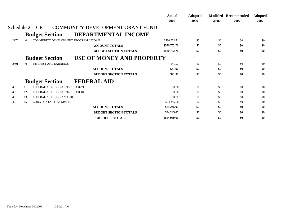|      |    |                                      |                                         | Actual<br>2005 | <b>Adopted</b><br>2006 | 2006 | <b>Modified Recommended</b><br>2007 | <b>Adopted</b><br>2007 |
|------|----|--------------------------------------|-----------------------------------------|----------------|------------------------|------|-------------------------------------|------------------------|
|      |    | Schedule 2 - CE                      | <b>COMMUNITY DEVELOPMENT GRANT FUND</b> |                |                        |      |                                     |                        |
|      |    | <b>Budget Section</b>                | DEPARTMENTAL INCOME                     |                |                        |      |                                     |                        |
| 2170 |    | COMMUNITY DEVELOPMENT PROGRAM INCOME |                                         | \$580,702.71   | \$0                    | \$0  | \$0                                 | \$0                    |
|      |    |                                      | <b>ACCOUNT TOTALS</b>                   | \$580,702.71   | \$0                    | \$0  | \$0                                 | \$0                    |
|      |    |                                      | <b>BUDGET SECTION TOTALS</b>            | \$580,702.71   | S <sub>0</sub>         | \$0  | \$0                                 | \$0                    |
|      |    | <b>Budget Section</b>                | USE OF MONEY AND PROPERTY               |                |                        |      |                                     |                        |
| 2401 |    | <b>INTEREST AND EARNINGS</b>         |                                         | \$41.97        | \$0                    | \$0  | \$0                                 | \$0                    |
|      |    |                                      | <b>ACCOUNT TOTALS</b>                   | \$41.97        | S <sub>0</sub>         | \$0  | \$0                                 | \$0                    |
|      |    |                                      | <b>BUDGET SECTION TOTALS</b>            | \$41.97        | S <sub>0</sub>         | \$0  | \$0                                 | \$0                    |
|      |    | <b>Budget Section</b>                | <b>FEDERAL AID</b>                      |                |                        |      |                                     |                        |
| 4910 | 11 | FEDERAL AID-CDBG # B-96-DH-360271    |                                         | \$0.00         | \$0                    | \$0  | \$0                                 | \$0                    |
| 4910 | 12 | FEDERAL AID-CDBG # B-97-DH-360084    |                                         | \$0.00         | \$0                    | \$0  | \$0                                 | \$0                    |
| 4910 | 13 | FEDERAL AID-CDBG #2000-311           |                                         | \$0.00         | \$0                    | \$0  | \$0                                 | \$0                    |
| 4910 | 15 | CDBG DENTAL 1142P5198-01             |                                         | \$84,245.00    | \$0                    | \$0  | \$0                                 | \$0                    |
|      |    |                                      | <b>ACCOUNT TOTALS</b>                   | \$84,245.00    | \$0                    | \$0  | \$0                                 | \$0                    |
|      |    |                                      | <b>BUDGET SECTION TOTALS</b>            | \$84,245.00    | \$0                    | \$0  | \$0                                 | \$0                    |
|      |    |                                      | <b>SCHEDULE TOTALS</b>                  | \$664,989.68   | \$0                    | \$0  | \$0                                 | \$0                    |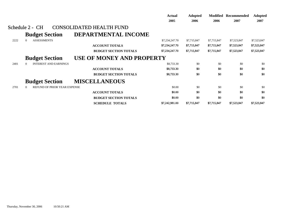|      |                                          |                                  | Actual<br>2005 | <b>Adopted</b><br>2006 | Modified<br>2006 | Recommended<br>2007 | <b>Adopted</b><br>2007 |
|------|------------------------------------------|----------------------------------|----------------|------------------------|------------------|---------------------|------------------------|
|      | Schedule 2 - CH                          | <b>CONSOLIDATED HEALTH FUND</b>  |                |                        |                  |                     |                        |
|      | <b>Budget Section</b>                    | <b>DEPARTMENTAL INCOME</b>       |                |                        |                  |                     |                        |
| 2222 | <b>ASSESSMENTS</b><br>$\Omega$           |                                  | \$7,234,247.70 | \$7,715,847            | \$7,715,847      | \$7,523,847         | \$7,523,847            |
|      |                                          | <b>ACCOUNT TOTALS</b>            | \$7,234,247.70 | \$7,715,847            | \$7,715,847      | \$7,523,847         | \$7,523,847            |
|      |                                          | <b>BUDGET SECTION TOTALS</b>     | \$7,234,247.70 | \$7,715,847            | \$7,715,847      | \$7,523,847         | \$7,523,847            |
|      | <b>Budget Section</b>                    | <b>USE OF MONEY AND PROPERTY</b> |                |                        |                  |                     |                        |
| 2401 | <b>INTEREST AND EARNINGS</b><br>$\Omega$ |                                  | \$8,733.30     | \$0                    | \$0              | \$0                 | \$0                    |
|      |                                          | <b>ACCOUNT TOTALS</b>            | \$8,733.30     | \$0                    | \$0              | \$0                 | \$0                    |
|      |                                          | <b>BUDGET SECTION TOTALS</b>     | \$8,733.30     | \$0                    | \$0              | \$0                 | \$0                    |
|      | <b>Budget Section</b>                    | <b>MISCELLANEOUS</b>             |                |                        |                  |                     |                        |
| 2701 | REFUND OF PRIOR YEAR EXPENSE<br>$\Omega$ |                                  | \$0.00         | \$0                    | \$0              | \$0                 | \$0                    |
|      |                                          | <b>ACCOUNT TOTALS</b>            | \$0.00         | S <sub>0</sub>         | \$0              | \$0                 | \$0                    |
|      |                                          | <b>BUDGET SECTION TOTALS</b>     | \$0.00         | \$0                    | \$0              | \$0                 | \$0                    |
|      |                                          | <b>SCHEDULE TOTALS</b>           | \$7,242,981.00 | \$7,715,847            | \$7,715,847      | \$7,523,847         | \$7,523,847            |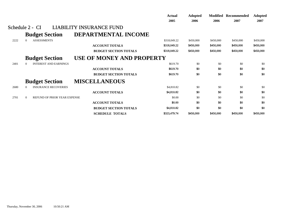|      |                                          |                                  | Actual<br>2005 | <b>Adopted</b><br>2006 | 2006      | <b>Modified Recommended</b><br>2007 | <b>Adopted</b><br>2007 |
|------|------------------------------------------|----------------------------------|----------------|------------------------|-----------|-------------------------------------|------------------------|
|      | Schedule 2 - CI                          | <b>LIABILITY INSURANCE FUND</b>  |                |                        |           |                                     |                        |
|      | <b>Budget Section</b>                    | <b>DEPARTMENTAL INCOME</b>       |                |                        |           |                                     |                        |
| 2222 | <b>ASSESSMENTS</b><br>$\Omega$           |                                  | \$318,049.22   | \$450,000              | \$450,000 | \$450,000                           | \$450,000              |
|      |                                          | <b>ACCOUNT TOTALS</b>            | \$318,049.22   | \$450,000              | \$450,000 | \$450,000                           | \$450,000              |
|      |                                          | <b>BUDGET SECTION TOTALS</b>     | \$318,049.22   | \$450,000              | \$450,000 | \$450,000                           | \$450,000              |
|      | <b>Budget Section</b>                    | <b>USE OF MONEY AND PROPERTY</b> |                |                        |           |                                     |                        |
| 2401 | <b>INTEREST AND EARNINGS</b><br>0        |                                  | \$619.70       | \$0                    | \$0       | \$0                                 | \$0                    |
|      |                                          | <b>ACCOUNT TOTALS</b>            | \$619.70       | \$0                    | \$0       | \$0                                 | \$0                    |
|      |                                          | <b>BUDGET SECTION TOTALS</b>     | \$619.70       | \$0                    | \$0       | \$0                                 | \$0                    |
|      | <b>Budget Section</b>                    | <b>MISCELLANEOUS</b>             |                |                        |           |                                     |                        |
| 2680 | <b>INSURANCE RECOVERIES</b><br>$\Omega$  |                                  | \$4,810.82     | \$0                    | \$0       | \$0                                 | \$0                    |
|      |                                          | <b>ACCOUNT TOTALS</b>            | \$4,810.82     | \$0                    | \$0       | \$0                                 | \$0                    |
| 2701 | REFUND OF PRIOR YEAR EXPENSE<br>$\Omega$ |                                  | \$0.00         | \$0                    | \$0       | \$0                                 | \$0                    |
|      |                                          | <b>ACCOUNT TOTALS</b>            | \$0.00         | \$0                    | \$0       | \$0                                 | \$0                    |
|      |                                          | <b>BUDGET SECTION TOTALS</b>     | \$4,810.82     | \$0                    | \$0       | \$0                                 | \$0                    |
|      |                                          | <b>SCHEDULE TOTALS</b>           | \$323,479.74   | \$450,000              | \$450,000 | \$450,000                           | \$450,000              |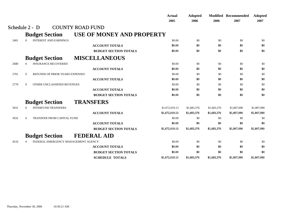|                |                |                                     |                                  | <b>Actual</b><br>2005 | <b>Adopted</b><br>2006 | 2006        | Modified Recommended<br>2007 | <b>Adopted</b><br>2007 |
|----------------|----------------|-------------------------------------|----------------------------------|-----------------------|------------------------|-------------|------------------------------|------------------------|
| Schedule 2 - D |                |                                     | <b>COUNTY ROAD FUND</b>          |                       |                        |             |                              |                        |
|                |                | <b>Budget Section</b>               | <b>USE OF MONEY AND PROPERTY</b> |                       |                        |             |                              |                        |
| 2401           | $\Omega$       | <b>INTEREST AND EARNINGS</b>        |                                  | \$0.00                | \$0                    | \$0         | \$0                          | \$0                    |
|                |                |                                     | <b>ACCOUNT TOTALS</b>            | \$0.00                | \$0                    | \$0         | \$0                          | \$0                    |
|                |                |                                     | <b>BUDGET SECTION TOTALS</b>     | \$0.00                | \$0                    | \$0         | \$0                          | \$0                    |
|                |                | <b>Budget Section</b>               | <b>MISCELLANEOUS</b>             |                       |                        |             |                              |                        |
| 2680           | $\Omega$       | <b>INSURANCE RECOVERIES</b>         |                                  | \$0.00                | \$0                    | \$0         | \$0                          | \$0                    |
|                |                |                                     | <b>ACCOUNT TOTALS</b>            | \$0.00                | \$0                    | \$0         | \$0                          | \$0                    |
| 2701           | $\overline{0}$ | REFUNDS OF PRIOR YEARS EXPENSES     |                                  | \$0.00                | \$0                    | \$0         | \$0                          | \$0                    |
|                |                |                                     | <b>ACCOUNT TOTALS</b>            | \$0.00                | \$0                    | \$0         | \$0                          | \$0                    |
| 2770           | $\Omega$       | OTHER UNCLASSIFIED REVENUES         |                                  | \$0.00                | \$0                    | \$0         | \$0                          | \$0                    |
|                |                |                                     | <b>ACCOUNT TOTALS</b>            | \$0.00                | \$0                    | \$0         | \$0                          | \$0                    |
|                |                |                                     | <b>BUDGET SECTION TOTALS</b>     | \$0.00                | \$0                    | \$0         | \$0                          | \$0                    |
|                |                | <b>Budget Section</b>               | <b>TRANSFERS</b>                 |                       |                        |             |                              |                        |
| 5031           | $\Omega$       | <b>INTERFUND TRANSFERS</b>          |                                  | \$1,672,019.13        | \$1,683,376            | \$1,683,376 | \$1,807,090                  | \$1,807,090            |
|                |                |                                     | <b>ACCOUNT TOTALS</b>            | \$1,672,019.13        | \$1,683,376            | \$1,683,376 | \$1,807,090                  | \$1,807,090            |
| 5032           | $\theta$       | TRANSFER FROM CAPITAL FUND          |                                  | \$0.00                | \$0                    | \$0         | \$0                          | \$0                    |
|                |                |                                     | <b>ACCOUNT TOTALS</b>            | \$0.00                | \$0                    | \$0         | \$0                          | \$0                    |
|                |                |                                     | <b>BUDGET SECTION TOTALS</b>     | \$1,672,019.13        | \$1,683,376            | \$1,683,376 | \$1,807,090                  | \$1,807,090            |
|                |                | <b>Budget Section</b>               | <b>FEDERAL AID</b>               |                       |                        |             |                              |                        |
| 4510           | $\Omega$       | FEDERAL EMERGENCY MANAGEMENT AGENCY |                                  | \$0.00                | \$0                    | \$0         | \$0                          | \$0                    |
|                |                |                                     | <b>ACCOUNT TOTALS</b>            | \$0.00                | \$0                    | \$0         | \$0                          | \$0                    |
|                |                |                                     | <b>BUDGET SECTION TOTALS</b>     | \$0.00                | \$0                    | \$0         | \$0                          | \$0                    |
|                |                |                                     | <b>SCHEDULE TOTALS</b>           | \$1,672,019.13        | \$1,683,376            | \$1,683,376 | \$1,807,090                  | \$1,807,090            |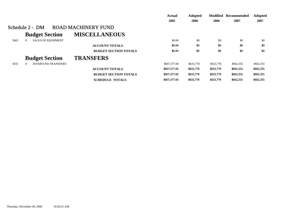|      |                                        |                              | Actual       | <b>Adopted</b> | Modified  | Recommended | <b>Adopted</b> |
|------|----------------------------------------|------------------------------|--------------|----------------|-----------|-------------|----------------|
|      |                                        |                              | 2005         | 2006           | 2006      | 2007        | 2007           |
|      | Schedule 2 - DM                        | <b>ROAD MACHINERY FUND</b>   |              |                |           |             |                |
|      | <b>Budget Section</b>                  | <b>MISCELLANEOUS</b>         |              |                |           |             |                |
| 2665 | <b>SALES OF EQUIPMENT</b><br>$\Omega$  |                              | \$0.00       | \$0            | \$0       | \$0         | \$0            |
|      |                                        | <b>ACCOUNT TOTALS</b>        | \$0.00       | \$0            | \$0       | \$0         | \$0            |
|      |                                        | <b>BUDGET SECTION TOTALS</b> | \$0.00       | \$0            | \$0       | \$0         | \$0            |
|      | <b>Budget Section</b>                  | <b>TRANSFERS</b>             |              |                |           |             |                |
| 5031 | <b>INTERFUND TRANSFERS</b><br>$\Omega$ |                              | \$607,377.00 | \$633,778      | \$633,778 | \$662,355   | \$662,355      |
|      |                                        | <b>ACCOUNT TOTALS</b>        | \$607,377.00 | \$633,778      | \$633,778 | \$662,355   | \$662,355      |
|      |                                        | <b>BUDGET SECTION TOTALS</b> | \$607,377.00 | \$633,778      | \$633,778 | \$662,355   | \$662,355      |
|      |                                        | <b>SCHEDULE TOTALS</b>       | \$607,377.00 | \$633,778      | \$633,778 | \$662,355   | \$662,355      |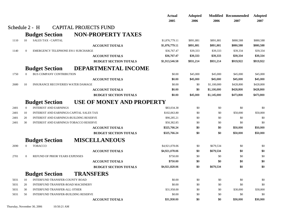|                |                |                                         |                                  | Actual<br>2005 | <b>Adopted</b><br>2006 | 2006        | Modified Recommended<br>2007 | Adopted<br>2007 |
|----------------|----------------|-----------------------------------------|----------------------------------|----------------|------------------------|-------------|------------------------------|-----------------|
| Schedule 2 - H |                |                                         | <b>CAPITAL PROJECTS FUND</b>     |                |                        |             |                              |                 |
|                |                | <b>Budget Section</b>                   | <b>NON-PROPERTY TAXES</b>        |                |                        |             |                              |                 |
| 1110           | 10             | SALES TAX - CAPITAL                     |                                  | \$1,876,779.11 | \$891,881              | \$891,881   | \$880,588                    | \$880,588       |
|                |                |                                         | <b>ACCOUNT TOTALS</b>            | \$1,876,779.11 | \$891,881              | \$891,881   | \$880,588                    | \$880,588       |
| 1140           | $\theta$       | EMERGENCY TELEPHONE E911 SURCHARGE      |                                  | \$36,767.47    | \$39,333               | \$39,333    | \$39,334                     | \$39,334        |
|                |                |                                         | <b>ACCOUNT TOTALS</b>            | \$36,767.47    | \$39,333               | \$39,333    | \$39,334                     | \$39,334        |
|                |                |                                         | <b>BUDGET SECTION TOTALS</b>     | \$1,913,546.58 | \$931,214              | \$931,214   | \$919,922                    | \$919,922       |
|                |                | <b>Budget Section</b>                   | <b>DEPARTMENTAL INCOME</b>       |                |                        |             |                              |                 |
| 1750           | $\Omega$       | <b>BUS COMPANY CONTRIBUTION</b>         |                                  | \$0.00         | \$45,000               | \$45,000    | \$45,000                     | \$45,000        |
|                |                |                                         | <b>ACCOUNT TOTALS</b>            | \$0.00         | \$45,000               | \$45,000    | \$45,000                     | \$45,000        |
| 2680           | 10             | INSURANCE RECOVERIES WATER DAMAGE       |                                  | \$0.00         | \$0                    | \$1,100,000 | \$428,800                    | \$428,800       |
|                |                |                                         | <b>ACCOUNT TOTALS</b>            | \$0.00         | S <sub>0</sub>         | \$1,100,000 | \$428,800                    | \$428,800       |
|                |                |                                         | <b>BUDGET SECTION TOTALS</b>     | \$0.00         | \$45,000               | \$1,145,000 | \$473,800                    | \$473,800       |
|                |                | <b>Budget Section</b>                   | <b>USE OF MONEY AND PROPERTY</b> |                |                        |             |                              |                 |
| 2401           | $\theta$       | <b>INTEREST AND EARNINGS</b>            |                                  | \$83,034.38    | \$0                    | \$0         | \$0                          | \$0             |
| 2401           | 10             | INTEREST AND EARNINGS-CAPITAL SALES TAX |                                  | \$102,063.80   | \$0                    | \$0         | \$50,000                     | \$50,000        |
| 2401           | 20             | INTEREST AND EARNINGS-BUILDING RESERVE  |                                  | \$90,285.21    | \$0                    | \$0         | \$0                          | \$0             |
| 2401           | 30             | INTEREST AND EARNINGS-TOBACCO RESERVE   |                                  | \$50,382.85    | \$0                    | \$0         | \$0                          | \$0             |
|                |                |                                         | <b>ACCOUNT TOTALS</b>            | \$325,766.24   | \$0                    | \$0         | \$50,000                     | \$50,000        |
|                |                |                                         | <b>BUDGET SECTION TOTALS</b>     | \$325,766.24   | S <sub>0</sub>         | \$0         | \$50,000                     | \$50,000        |
|                |                | <b>Budget Section</b>                   | <b>MISCELLANEOUS</b>             |                |                        |             |                              |                 |
| 2690           | $\Omega$       | <b>TOBACCO</b>                          |                                  | \$4,921,078.06 | \$0                    | \$679,534   | \$0                          | \$0             |
|                |                |                                         | <b>ACCOUNT TOTALS</b>            | \$4,921,078.06 | \$0                    | \$679,534   | \$0                          | \$0             |
| 2701           | $\overline{0}$ | REFUND OF PRIOR YEARS EXPENSES          |                                  | \$750.00       | \$0                    | \$0         | \$0                          | \$0             |
|                |                |                                         | <b>ACCOUNT TOTALS</b>            | \$750.00       | \$0                    | \$0         | \$0                          | \$0             |
|                |                |                                         | <b>BUDGET SECTION TOTALS</b>     | \$4,921,828.06 | \$0                    | \$679,534   | \$0                          | \$0             |
|                |                | <b>Budget Section</b>                   | <b>TRANSFERS</b>                 |                |                        |             |                              |                 |
| 5031           | 10             | INTERFUND TRANSFER-COUNTY ROAD          |                                  | \$0.00         | \$0                    | \$0         | \$0                          | \$0             |
| 5031           | 20             | INTERFUND TRANSFER-ROAD MACHINERY       |                                  | \$0.00         | \$0                    | \$0         | \$0                          | \$0             |
| 5031           | 30             | INTERFUND TRANSFER-ALL OTHER            |                                  | \$31,958.00    | \$0                    | \$0         | \$30,000                     | \$30,000        |
| 5031           | 50             | INTERFUND TRANSFER-BUILDING RESERVE     |                                  | \$0.00         | \$0                    | \$0         | \$0                          | \$0             |
|                |                |                                         | <b>ACCOUNT TOTALS</b>            | \$31,958.00    | \$0                    | \$0         | \$30,000                     | \$30,000        |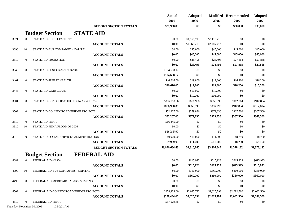|      |                |                                          |                              | Actual<br>2005 | <b>Adopted</b><br>2006 | 2006        | <b>Modified Recommended</b><br>2007 | Adopted<br>2007 |
|------|----------------|------------------------------------------|------------------------------|----------------|------------------------|-------------|-------------------------------------|-----------------|
|      |                |                                          | <b>BUDGET SECTION TOTALS</b> | \$31,958.00    | \$0                    | \$0         | \$30,000                            | \$30,000        |
|      |                | <b>Budget Section</b>                    | <b>STATE AID</b>             |                |                        |             |                                     |                 |
| 3021 | $\overline{0}$ | STATE AID-COURT FACILITY                 |                              | \$0.00         | \$1,965,713            | \$2,115,713 | \$0                                 | \$0             |
|      |                |                                          | <b>ACCOUNT TOTALS</b>        | \$0.00         | \$1,965,713            | \$2,115,713 | \$0                                 | \$0             |
| 3090 | 10             | STATE AID-BUS COMPANIES - CAPITAL        |                              | \$0.00         | \$45,000               | \$45,000    | \$45,000                            | \$45,000        |
|      |                |                                          | <b>ACCOUNT TOTALS</b>        | \$0.00         | \$45,000               | \$45,000    | \$45,000                            | \$45,000        |
| 3310 | $\overline{0}$ | STATE AID-PROBATION                      |                              | \$0.00         | \$28,498               | \$28,498    | \$27,868                            | \$27,868        |
|      |                |                                          | <b>ACCOUNT TOTALS</b>        | \$0.00         | \$28,498               | \$28,498    | \$27,868                            | \$27,868        |
| 3346 | $\overline{0}$ | STATE AID-SHSP GRANT C837940             |                              | \$104,688.17   | \$0                    | \$0         | \$0                                 | \$0             |
|      |                |                                          | <b>ACCOUNT TOTALS</b>        | \$104,688.17   | \$0                    | \$0         | \$0                                 | \$0             |
| 3401 | $\overline{0}$ | STATE AID-PUBLIC HEALTH                  |                              | \$46,616.00    | \$19,800               | \$19,800    | \$16,200                            | \$16,200        |
|      |                |                                          | <b>ACCOUNT TOTALS</b>        | \$46,616.00    | \$19,800               | \$19,800    | \$16,200                            | \$16,200        |
| 3448 | $\overline{0}$ | STATE AID-WMD GRANT                      |                              | \$0.00         | \$10,000               | \$10,000    | \$0                                 | \$0             |
|      |                |                                          | <b>ACCOUNT TOTALS</b>        | \$0.00         | \$10,000               | \$10,000    | \$0                                 | \$0             |
| 3501 | $\overline{0}$ | STATE AID-CONSOLIDATED HIGHWAY (CHIPS)   |                              | \$856,998.36   | \$856,998              | \$856,998   | \$912,804                           | \$912,804       |
|      |                |                                          | <b>ACCOUNT TOTALS</b>        | \$856,998.36   | \$856,998              | \$856,998   | \$912,804                           | \$912,804       |
| 3502 | $\overline{0}$ | STATE AID-COUNTY ROAD BRIDGE PROJECTS    |                              | \$52,207.00    | \$379,836              | \$379,836   | \$367,500                           | \$367,500       |
|      |                |                                          | <b>ACCOUNT TOTALS</b>        | \$52,207.00    | \$379,836              | \$379,836   | \$367,500                           | \$367,500       |
| 3510 | $\overline{0}$ | <b>STATE AID-FEMA</b>                    |                              | \$16,245.90    | \$0                    | \$0         | \$0                                 | \$0             |
| 3510 | 10             | STATE AID-FEMA FLOOD OF 2006             |                              | \$0.00         | \$0                    | \$0         | \$0                                 | \$0             |
|      |                |                                          | <b>ACCOUNT TOTALS</b>        | \$16,245.90    | \$0                    | \$0         | \$0                                 | \$0             |
| 3610 | $\overline{0}$ | STATE AID-SOCIAL SERVICES ADMINISTRATION |                              | \$9,929.00     | \$11,000               | \$11,000    | \$8,750                             | \$8,750         |
|      |                |                                          | <b>ACCOUNT TOTALS</b>        | \$9,929.00     | \$11,000               | \$11,000    | \$8,750                             | \$8,750         |
|      |                |                                          | <b>BUDGET SECTION TOTALS</b> | \$1,086,684.43 | \$3,316,845            | \$3,466,845 | \$1,378,122                         | \$1,378,122     |
|      |                | <b>Budget Section</b>                    | <b>FEDERAL AID</b>           |                |                        |             |                                     |                 |
| 4089 | $\overline{0}$ | FEDERAL AID-HAVA                         |                              | \$0.00         | \$615,923              | \$615,923   | \$615,923                           | \$615,923       |
|      |                |                                          | <b>ACCOUNT TOTALS</b>        | \$0.00         | \$615,923              | \$615,923   | \$615,923                           | \$615,923       |
| 4090 | 10             | FEDERAL AID-BUS COMPANIES - CAPITAL      |                              | \$0.00         | \$360,000              | \$360,000   | \$360,000                           | \$360,000       |
|      |                |                                          | <b>ACCOUNT TOTALS</b>        | \$0.00         | \$360,000              | \$360,000   | \$360,000                           | \$360,000       |
| 4490 | $\overline{0}$ | FEDERAL AID-MEDICAID SALARY SHARING      |                              | \$0.00         | \$0                    | \$0         | \$0                                 | \$0             |
|      |                |                                          | <b>ACCOUNT TOTALS</b>        | \$0.00         | \$0                    | \$0         | \$0                                 | \$0             |
| 4502 | $\mathbf{0}$   | FEDERAL AID-COUNTY ROAD BRIDGE PROJECTS  |                              | \$278,434.00   | \$2,025,792            | \$2,025,792 | \$2,082,500                         | \$2,082,500     |
|      |                |                                          | <b>ACCOUNT TOTALS</b>        | \$278,434.00   | \$2,025,792            | \$2,025,792 | \$2,082,500                         | \$2,082,500     |
| 4510 | $\mathbf{0}$   | FEDERAL AID-FEMA                         |                              | \$37,579.46    | \$0                    | \$0         | \$0                                 | \$0             |
|      |                |                                          |                              |                |                        |             |                                     |                 |

Thursday, November 30, 2006 10:50:21 AM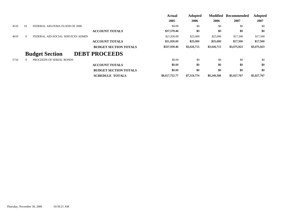|      |          |                                   |                              | Actual         | <b>Adopted</b> |             | Modified Recommended | Adopted     |
|------|----------|-----------------------------------|------------------------------|----------------|----------------|-------------|----------------------|-------------|
|      |          |                                   |                              | 2005           | 2006           | 2006        | 2007                 | 2007        |
| 4510 | 10       | FEDERAL AID-FEMA FLOOD OF 2006    |                              | \$0.00         | \$0            | \$0         | \$0                  | \$0         |
|      |          |                                   | <b>ACCOUNT TOTALS</b>        | \$37,579.46    | \$0            | \$0         | \$0                  | \$0         |
| 4610 | $\Omega$ | FEDERAL AID-SOCIAL SERVICES ADMIN |                              | \$21,926.00    | \$25,000       | \$25,000    | \$17,500             | \$17,500    |
|      |          |                                   | <b>ACCOUNT TOTALS</b>        | \$21,926.00    | \$25,000       | \$25,000    | \$17,500             | \$17,500    |
|      |          |                                   | <b>BUDGET SECTION TOTALS</b> | \$337,939.46   | \$3,026,715    | \$3,026,715 | \$3,075,923          | \$3,075,923 |
|      |          | <b>Budget Section</b>             | <b>DEBT PROCEEDS</b>         |                |                |             |                      |             |
| 5710 | $\Omega$ | PROCEEDS OF SERIAL BONDS          |                              | \$0.00         | \$0            | \$0         | \$0                  | \$0         |
|      |          |                                   | <b>ACCOUNT TOTALS</b>        | \$0.00         | \$0            | \$0         | \$0                  | \$0         |
|      |          |                                   | <b>BUDGET SECTION TOTALS</b> | \$0.00         | \$0            | \$0         | \$0                  | \$0         |
|      |          |                                   | <b>SCHEDULE TOTALS</b>       | \$8,617,722.77 | \$7,319,774    | \$9,249,308 | \$5,927,767          | \$5,927,767 |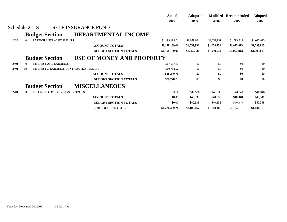|      |                                               |                              | Actual<br>2005 | <b>Adopted</b><br>2006 | 2006        | <b>Modified Recommended</b><br>2007 | <b>Adopted</b><br>2007 |
|------|-----------------------------------------------|------------------------------|----------------|------------------------|-------------|-------------------------------------|------------------------|
|      | Schedule 2 - S                                | <b>SELF INSURANCE FUND</b>   |                |                        |             |                                     |                        |
|      | <b>Budget Section</b>                         | DEPARTMENTAL INCOME          |                |                        |             |                                     |                        |
| 2222 | PARTICIPANTS ASSESSMENTS<br>$\Omega$          |                              | \$1,198,189.01 | \$1,059,931            | \$1,059,931 | \$1,093,813                         | \$1,093,813            |
|      |                                               | <b>ACCOUNT TOTALS</b>        | \$1,198,189.01 | \$1,059,931            | \$1,059,931 | \$1,093,813                         | \$1,093,813            |
|      |                                               | <b>BUDGET SECTION TOTALS</b> | \$1,198,189.01 | \$1,059,931            | \$1,059,931 | \$1,093,813                         | \$1,093,813            |
|      | <b>Budget Section</b>                         | USE OF MONEY AND PROPERTY    |                |                        |             |                                     |                        |
| 2401 | <b>INTEREST AND EARNINGS</b><br>$\Omega$      |                              | \$17,517.81    | \$0                    | \$0         | \$0                                 | \$0                    |
| 2401 | INTEREST & EARNINGS/CONTRIBUTED RESERVE<br>10 |                              | \$10,752.92    | \$0                    | \$0         | \$0                                 | \$0                    |
|      |                                               | <b>ACCOUNT TOTALS</b>        | \$28,270.73    | \$0                    | \$0         | \$0                                 | \$0                    |
|      |                                               | <b>BUDGET SECTION TOTALS</b> | \$28,270.73    | <b>SO</b>              | \$0         | \$0                                 | \$0                    |
|      | <b>Budget Section</b>                         | <b>MISCELLANEOUS</b>         |                |                        |             |                                     |                        |
| 2701 | REFUNDS OF PRIOR YEARS EXPENSES<br>$\Omega$   |                              | \$0.00         | \$40,536               | \$40,536    | \$40,348                            | \$40,348               |
|      |                                               | <b>ACCOUNT TOTALS</b>        | \$0.00         | \$40,536               | \$40,536    | \$40,348                            | \$40,348               |
|      |                                               | <b>BUDGET SECTION TOTALS</b> | \$0.00         | \$40,536               | \$40,536    | \$40,348                            | \$40,348               |
|      |                                               | <b>SCHEDULE TOTALS</b>       | \$1,226,459.74 | \$1,100,467            | \$1,100,467 | \$1,134,161                         | \$1,134,161            |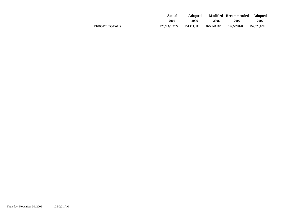|                      | Actual          | Adopted      |              | Modified Recommended Adopted |              |
|----------------------|-----------------|--------------|--------------|------------------------------|--------------|
|                      | 2005            | 2006         | 2006         | 2007                         | 2007         |
| <b>REPORT TOTALS</b> | \$76,966,182,27 | \$54,411,308 | \$75,128,983 | \$57,529,020                 | \$57.529.020 |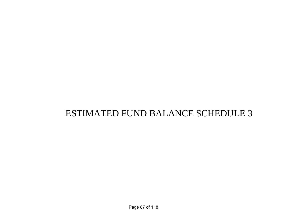## ESTIMATED FUND BALANCE SCHEDULE 3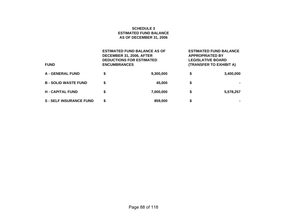#### **SCHEDULE 3 ESTIMATED FUND BALANCE AS OF DECEMBER 31, 2006**

| <b>FUND</b>                    | <b>ENCUMBRANCES</b> | <b>ESTIMATED FUND BALANCE AS OF</b><br>DECEMBER 31, 2006, AFTER<br><b>DEDUCTIONS FOR ESTIMATED</b> | <b>ESTIMATED FUND BALANCE</b><br><b>APPROPRIATED BY</b><br><b>LEGISLATIVE BOARD</b><br>(TRANSFER TO EXHIBIT A) |           |  |
|--------------------------------|---------------------|----------------------------------------------------------------------------------------------------|----------------------------------------------------------------------------------------------------------------|-----------|--|
| <b>A - GENERAL FUND</b>        | \$                  | 9,300,000                                                                                          | \$                                                                                                             | 3,400,000 |  |
| <b>B - SOLID WASTE FUND</b>    | \$                  | 45,000                                                                                             | \$                                                                                                             |           |  |
| <b>H - CAPITAL FUND</b>        | \$                  | 7,000,000                                                                                          | \$                                                                                                             | 5,578,257 |  |
| <b>S - SELF INSURANCE FUND</b> | \$                  | 859,000                                                                                            | \$                                                                                                             |           |  |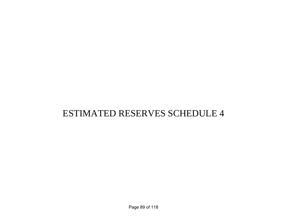# ESTIMATED RESERVES SCHEDULE 4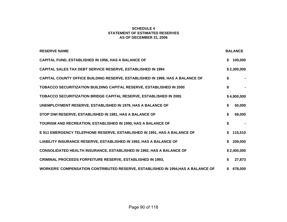#### **SCHEDULE 4 STATEMENT OF ESTIMATED RESERVES AS OF DECEMBER 31, 2006**

| <b>RESERVE NAME</b>                                                                     | <b>BALANCE</b> |        |
|-----------------------------------------------------------------------------------------|----------------|--------|
| CAPITAL FUND, ESTABLISHED IN 1956, HAS A BALANCE OF                                     | \$100,000      |        |
| CAPITAL SALES TAX DEBT SERVICE RESERVE, ESTABLISHED IN 1994                             | \$2,300,000    |        |
| <b>CAPITAL COUNTY OFFICE BUILDING RESERVE, ESTABLISHED IN 1999, HAS A BALANCE OF</b>    | \$             |        |
| <b>TOBACCO SECURITIZATION BUILDING CAPITAL RESERVE, ESTABLISHED IN 2000</b>             | \$             |        |
| <b>TOBACCO SECURITIZATION BRIDGE CAPITAL RESERVE, ESTABLISHED IN 2005</b>               | \$4,900,000    |        |
| UNEMPLOYMENT RESERVE, ESTABLISHED IN 1979, HAS A BALANCE OF                             | \$             | 50,000 |
| STOP DWI RESERVE, ESTABLISHED IN 1981, HAS A BALANCE OF                                 | \$             | 69,000 |
| TOURISM AND RECREATION, ESTABLISHED IN 1990, HAS A BALANCE OF                           | \$             |        |
| E 911 EMERGENCY TELEPHONE RESERVE, ESTABLISHED IN 1991, HAS A BALANCE OF                | \$<br>115,510  |        |
| LIABILITY INSURANCE RESERVE, ESTABLISHED IN 1992, HAS A BALANCE OF                      | \$209,000      |        |
| <b>CONSOLIDATED HEALTH INSURANCE, ESTABLISHED IN 1992, HAS A BALANCE OF</b>             | \$2,400,000    |        |
| <b>CRIMINAL PROCEEDS FORFEITURE RESERVE, ESTABLISHED IN 1993,</b>                       | \$             | 27,873 |
| <b>WORKERS' COMPENSATION CONTRIBUTED RESERVE, ESTABLISHED IN 1994, HAS A BALANCE OF</b> | \$678,000      |        |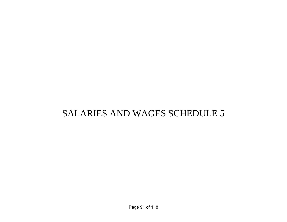## SALARIES AND WAGES SCHEDULE 5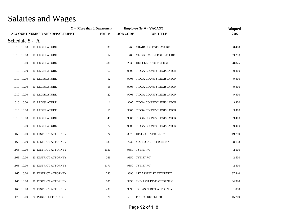### Salaries and Wages

|                |                                      | $Y =$ More than 1 Department |                 | <b>Employee No. <math>0 = VACANT</math></b> | <b>Adopted</b> |
|----------------|--------------------------------------|------------------------------|-----------------|---------------------------------------------|----------------|
|                | <b>ACCOUNT NUMBER AND DEPARTMENT</b> | EMP#                         | <b>JOB CODE</b> | <b>JOB TITLE</b>                            | 2007           |
| Schedule 5 - A |                                      |                              |                 |                                             |                |
| 1010 10.00     | <b>10 LEGISLATURE</b>                | 38                           |                 | 1260 CHAIR CO LEGISLATURE                   | 30,400         |
| 1010 10.00     | <b>10 LEGISLATURE</b>                | 14                           |                 | 1780 CLERK TC CO LEGISLATURE                | 53,230         |
| 1010 10.00     | 10 LEGISLATURE                       | 781                          |                 | 2930 DEP CLERK TO TC LEGIS                  | 28,875         |
| 1010 10.00     | <b>10 LEGISLATURE</b>                | 62                           |                 | 9005 TIOGA COUNTY LEGISLATOR                | 9,400          |
| 1010 10.00     | <b>10 LEGISLATURE</b>                | 12                           |                 | 9005 TIOGA COUNTY LEGISLATOR                | 9,400          |
| 1010 10.00     | <b>10 LEGISLATURE</b>                | 18                           |                 | 9005 TIOGA COUNTY LEGISLATOR                | 9,400          |
| 1010 10.00     | <b>10 LEGISLATURE</b>                | $22\,$                       |                 | 9005 TIOGA COUNTY LEGISLATOR                | 9,400          |
| 1010 10.00     | <b>10 LEGISLATURE</b>                | $\mathbf{1}$                 |                 | 9005 TIOGA COUNTY LEGISLATOR                | 9,400          |
| 1010 10.00     | <b>10 LEGISLATURE</b>                | 17                           |                 | 9005 TIOGA COUNTY LEGISLATOR                | 9,400          |
| 1010 10.00     | <b>10 LEGISLATURE</b>                | 45                           |                 | 9005 TIOGA COUNTY LEGISLATOR                | 9,400          |
| 1010 10.00     | <b>10 LEGISLATURE</b>                | 72                           |                 | 9005 TIOGA COUNTY LEGISLATOR                | 9,400          |
| 1165 10.00     | 10 DISTRICT ATTORNEY                 | 24                           |                 | 3370 DISTRICT ATTORNEY                      | 119,790        |
| 1165 10.00     | 10 DISTRICT ATTORNEY                 | 183                          |                 | 7230 SEC TO DIST ATTORNEY                   | 38,138         |
| 1165 10.00     | 20 DISTRICT ATTORNEY                 | 1330                         |                 | 9350 TYPIST P/T                             | 2,500          |
| 1165 10.00     | 20 DISTRICT ATTORNEY                 | 266                          |                 | 9350 TYPIST P/T                             | 2,500          |
| 1165 10.00     | 20 DISTRICT ATTORNEY                 | 1171                         |                 | 9350 TYPIST P/T                             | 2,500          |
| 1165 10.00     | 20 DISTRICT ATTORNEY                 | 240                          |                 | 9890 IST ASST DIST ATTORNEY                 | 37,440         |
| 1165 10.00     | 20 DISTRICT ATTORNEY                 | 185                          |                 | 9930 2ND ASST DIST ATTORNEY                 | 34,320         |
| 1165 10.00     | 20 DISTRICT ATTORNEY                 | 230                          |                 | 9990 3RD ASST DIST ATTORNEY                 | 31,050         |
| 1170 10.00     | <b>20 PUBLIC DEFENDER</b>            | 26                           |                 | 6610 PUBLIC DEFENDER                        | 45,760         |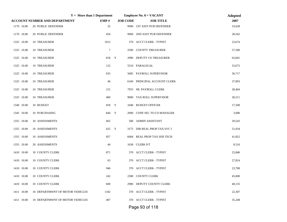|            |                                 | $Y =$ More than 1 Department |                 | <b>Employee No. <math>0 = VACANT</math></b> | Adopted |
|------------|---------------------------------|------------------------------|-----------------|---------------------------------------------|---------|
|            | ACCOUNT NUMBER AND DEPARTMENT   | EMP#                         | <b>JOB CODE</b> | <b>JOB TITLE</b>                            | 2007    |
| 1170 10.00 | 20 PUBLIC DEFENDER              | 32                           |                 | 9900 1ST ASST PUB DEFENDER                  | 33,638  |
| 1170 10.00 | 20 PUBLIC DEFENDER              | 454                          |                 | 9960 2ND ASST PUB DEFENDER                  | 28,562  |
| 1325 10.00 | 10 TREASURER                    | 1012                         |                 | 370 ACCT CLERK - TYPIST                     | 23,674  |
| 1325 10.00 | 10 TREASURER                    | $\tau$                       |                 | 2500 COUNTY TREASURER                       | 57,500  |
| 1325 10.00 | 10 TREASURER                    | 818 Y                        |                 | 2990 DEPUTY CO TREASURER                    | 63,601  |
| 1325 10.00 | 10 TREASURER                    | 122                          |                 | 5510 PARALEGAL                              | 33,072  |
| 1325 10.00 | 10 TREASURER                    | 635                          |                 | 5685 PAYROLL SUPERVISOR                     | 36,717  |
| 1325 10.00 | 10 TREASURER                    | 46                           |                 | 6160 PRINCIPAL ACCOUNT CLERK                | 37,893  |
| 1325 10.00 | 10 TREASURER                    | 215                          |                 | 7955 SR. PAYROLL CLERK                      | 28,464  |
| 1325 10.00 | <b>10 TREASURER</b>             | 400                          |                 | 9000 TAX ROLL SUPERVISOR                    | 30,211  |
| 1340 10.00 | 10 BUDGET                       | 818 Y                        |                 | 1040 BUDGET OFFICER                         | 17,500  |
| 1345 10.00 | 10 PURCHASING                   | 844                          | Y               | 2090 CONF SEC TO CO MANAGER                 | 3,000   |
| 1355 10.00 | 10 ASSESSMENTS                  | 665                          |                 | 500 ADMIN ASSISTANT                         | 29,543  |
| 1355 10.00 | 10 ASSESSMENTS                  | 625 Y                        |                 | 3175 DIR REAL PROP TAX SVC I                | 51,934  |
| 1355 10.00 | 10 ASSESSMENTS                  | 857                          |                 | 6684 REAL PROP TAX SER TECH                 | 41,822  |
| 1355 10.00 | 20 ASSESSMENTS                  | 44                           |                 | 1630 CLERK P/T                              | 8,516   |
| 1410 10.00 | 10 COUNTY CLERK                 | 871                          |                 | 370 ACCT CLERK - TYPIST                     | 25,846  |
| 1410 10.00 | 10 COUNTY CLERK                 | 65                           |                 | 370 ACCT CLERK - TYPIST                     | 27,814  |
| 1410 10.00 | 10 COUNTY CLERK                 | 946                          |                 | 370 ACCT CLERK - TYPIST                     | 23,708  |
|            | 1410 10.00 10 COUNTY CLERK      | 242                          |                 | 2380 COUNTY CLERK                           | 45,000  |
| 1410 10.00 | <b>10 COUNTY CLERK</b>          | 600                          | 2980            | DEPUTY COUNTY CLERK                         | 40,135  |
| 1411 10.00 | 10 DEPARTMWNT OF MOTOR VEHICLES | 1182                         |                 | 370 ACCT CLERK - TYPIST                     | 22,307  |
| 1411 10.00 | 10 DEPARTMWNT OF MOTOR VEHICLES | 407                          |                 | 370 ACCT CLERK - TYPIST                     | 35,248  |
|            |                                 |                              |                 | Page 93 of 118                              |         |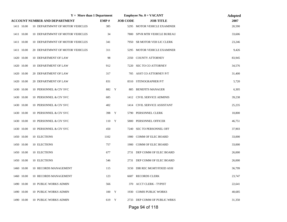|            | $Y =$ More than 1 Department         |       |                 | <b>Employee No. <math>0 = VACANT</math></b> | <b>Adopted</b> |
|------------|--------------------------------------|-------|-----------------|---------------------------------------------|----------------|
|            | <b>ACCOUNT NUMBER AND DEPARTMENT</b> | EMP#  | <b>JOB CODE</b> | <b>JOB TITLE</b>                            | 2007           |
| 1411 10.00 | 10 DEPARTMWNT OF MOTOR VEHICLES      | 385   |                 | 5295 MOTOR VEHICLE EXAMINER                 | 20,590         |
| 1411 10.00 | 10 DEPARTMWNT OF MOTOR VEHICLES      | 34    |                 | 7800 SPVR MTR VEHICLE BUREAU                | 33,606         |
| 1411 10.00 | 10 DEPARTMWNT OF MOTOR VEHICLES      | 341   |                 | 7950 SR MOTOR VEH LIC CLERK                 | 23,246         |
| 1411 10.00 | 20 DEPARTMWNT OF MOTOR VEHICLES      | 311   |                 | 5295 MOTOR VEHICLE EXAMINER                 | 9,426          |
| 1420 10.00 | 10 DEPARTMENT OF LAW                 | 98    |                 | 2350 COUNTY ATTORNEY                        | 83,945         |
| 1420 10.00 | 10 DEPARTMENT OF LAW                 | 912   |                 | 7220 SEC TO CO ATTORNEY                     | 34,576         |
| 1420 10.00 | 20 DEPARTMENT OF LAW                 | 317   |                 | 705 ASST CO ATTORNEY P/T                    | 31,400         |
| 1420 10.00 | 20 DEPARTMENT OF LAW                 | 831   |                 | 8310 STENOGRAPHER P/T                       | 5,720          |
| 1430 10.00 | 10 PERSONNEL & CIV SVC               | 882 Y |                 | 885 BENEFITS MANAGER                        | 6,305          |
| 1430 10.00 | 10 PERSONNEL & CIV SVC               | 685   |                 | 1412 CIVIL SERVICE ADMINIS                  | 39,238         |
| 1430 10.00 | 10 PERSONNEL & CIV SVC               | 402   |                 | 1414 CIVIL SERVICE ASSISTANT                | 25,235         |
| 1430 10.00 | 10 PERSONNEL & CIV SVC               | 398   | Y               | 5790 PERSONNEL CLERK                        | 10,800         |
| 1430 10.00 | 10 PERSONNEL & CIV SVC               | 110 Y |                 | 5800 PERSONNEL OFFICER                      | 46,751         |
| 1430 10.00 | 10 PERSONNEL & CIV SVC               | 450   |                 | 7240 SEC TO PERSONNEL OFF                   | 37,903         |
| 1450 10.00 | 10 ELECTIONS                         | 1102  |                 | 1900 COMM OF ELEC BOARD                     | 33,000         |
| 1450 10.00 | 10 ELECTIONS                         | 757   |                 | 1900 COMM OF ELEC BOARD                     | 33,000         |
| 1450 10.00 | 10 ELECTIONS                         | 677   |                 | 2731 DEP COMM OF ELEC BOARD                 | 26,000         |
| 1450 10.00 | 10 ELECTIONS                         | 546   |                 | 2731 DEP COMM OF ELEC BOARD                 | 26,000         |
| 1460 10.00 | 10 RECORDS MANAGEMENT                | 115   |                 | 3150 DIR REC MGMT/FIXED ASSI                | 36,799         |
| 1460 10.00 | 10 RECORDS MANAGEMENT                | 123   |                 | 6687 RECORDS CLERK                          | 23,747         |
| 1490 10.00 | 10 PUBLIC WORKS ADMIN                | 566   |                 | 370 ACCT CLERK - TYPIST                     | 22,641         |
| 1490 10.00 | 10 PUBLIC WORKS ADMIN                | 100 Y |                 | 1930 COMIS PUBLIC WORKS                     | 40,685         |
| 1490 10.00 | 10 PUBLIC WORKS ADMIN                | 619   | Y               | 2733 DEP COMM OF PUBLIC WRKS                | 31,350         |

### Page 94 of 118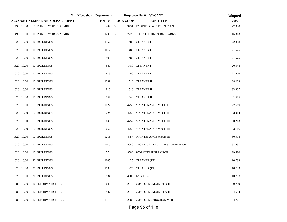|            |            |                               | $Y =$ More than 1 Department |                 | <b>Employee No. <math>0 = VACANT</math></b> | <b>Adopted</b> |
|------------|------------|-------------------------------|------------------------------|-----------------|---------------------------------------------|----------------|
|            |            | ACCOUNT NUMBER AND DEPARTMENT | EMP#                         | <b>JOB CODE</b> | <b>JOB TITLE</b>                            | 2007           |
| 1490 10.00 |            | <b>10 PUBLIC WORKS ADMIN</b>  | 404                          | Y               | 3731 ENGINEERING TECHNICIAN                 | 22,880         |
|            | 1490 10.00 | 10 PUBLIC WORKS ADMIN         | 1293 Y                       |                 | 7223 SEC TO COMM PUBLIC WRKS                | 16,313         |
|            | 1620 10.00 | 10 BUILDINGS                  | 1152                         |                 | 1480 CLEANER I                              | 22,838         |
|            | 1620 10.00 | 10 BUILDINGS                  | 1017                         |                 | 1480 CLEANER I                              | 21,575         |
| 1620 10.00 |            | 10 BUILDINGS                  | 993                          |                 | 1480 CLEANER I                              | 21,575         |
| 1620 10.00 |            | 10 BUILDINGS                  | 540                          |                 | 1480 CLEANER I                              | 20,548         |
| 1620 10.00 |            | 10 BUILDINGS                  | 873                          |                 | 1480 CLEANER I                              | 21,566         |
|            | 1620 10.00 | 10 BUILDINGS                  | 1289                         |                 | 1510 CLEANER II                             | 28,263         |
|            | 1620 10.00 | 10 BUILDINGS                  | 816                          |                 | 1510 CLEANER II                             | 33,807         |
| 1620 10.00 |            | 10 BUILDINGS                  | 867                          |                 | 1540 CLEANER III                            | 31,675         |
| 1620 10.00 |            | 10 BUILDINGS                  | 1022                         |                 | 4755 MAINTENANCE MECH I                     | 27,669         |
| 1620 10.00 |            | 10 BUILDINGS                  | 724                          |                 | 4756 MAINTENANCE MECH II                    | 33,014         |
| 1620 10.00 |            | 10 BUILDINGS                  | 645                          |                 | 4757 MAINTENANCE MECH III                   | 30,213         |
| 1620 10.00 |            | 10 BUILDINGS                  | 662                          |                 | 4757 MAINTENANCE MECH III                   | 33,116         |
|            | 1620 10.00 | 10 BUILDINGS                  | 1216                         |                 | 4757 MAINTENANCE MECH III                   | 30,998         |
| 1620 10.00 |            | 10 BUILDINGS                  | 1015                         |                 | 9040 TECHNICAL FACILITIES SUPERVISOR        | 31,537         |
| 1620 10.00 |            | 10 BUILDINGS                  | 574                          |                 | 9780 WORKING SUPERVISOR                     | 39,680         |
|            | 1620 10.00 | 20 BUILDINGS                  | 1035                         |                 | 1425 CLEANER (PT)                           | 10,733         |
|            | 1620 10.00 | 20 BUILDINGS                  | 1139                         |                 | 1425 CLEANER (PT)                           | 10,733         |
|            | 1620 10.00 | 20 BUILDINGS                  | 934                          |                 | 4600 LABORER                                | 10,733         |
| 1680 10.00 |            | 10 INFORMATION TECH           | 646                          |                 | 2040 COMPUTER MAINT TECH                    | 30,789         |
|            | 1680 10.00 | <b>10 INFORMATION TECH</b>    | 437                          |                 | 2040 COMPUTER MAINT TECH                    | 34,634         |
|            | 1680 10.00 | 10 INFORMATION TECH           | 1119                         |                 | 2080 COMPUTER PROGRAMMER                    | 34,721         |
|            |            |                               |                              |                 |                                             |                |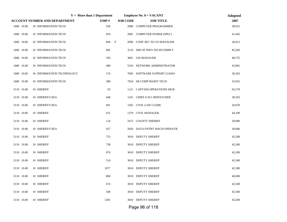|            |                                      | $Y =$ More than 1 Department |                 | <b>Employee No. <math>0 = VACANT</math></b> | <b>Adopted</b> |
|------------|--------------------------------------|------------------------------|-----------------|---------------------------------------------|----------------|
|            | <b>ACCOUNT NUMBER AND DEPARTMENT</b> | EMP#                         | <b>JOB CODE</b> | <b>JOB TITLE</b>                            | 2007           |
| 1680 10.00 | 10 INFORMATION TECH                  | 936                          |                 | 2080 COMPUTER PROGRAMMER                    | 38,031         |
| 1680 10.00 | 10 INFORMATION TECH                  | 954                          |                 | 2081 COMPUTER PGMER (SPEC)                  | 41,042         |
| 1680 10.00 | 10 INFORMATION TECH                  | 844                          | Y               | 2090 CONF SEC TO CO MANAGER                 | 36,012         |
| 1680 10.00 | 10 INFORMATION TECH                  | 805                          |                 | 3133 DIR OF INFO TECH/COMM S                | 85,260         |
| 1680 10.00 | 10 INFORMATION TECH                  | 359                          |                 | 3861 GIS MANAGER                            | 48,755         |
| 1680 10.00 | 10 INFORMATION TECH                  | 680                          |                 | 5310 NETWORK ADMINISTRATOR                  | 43,981         |
| 1680 10.00 | 10 INFORMATION TECHNOLOGY            | 174                          |                 | 7685 SOFTWARE SUPPORT LIAISO                | 36,565         |
| 1680 10.00 | 10 INFORMATION TECH                  | 588                          |                 | 7924 SR COMP MAINT TECH                     | 33,953         |
| 3110 10.00 | 10 SHERIFF                           | 95                           |                 | 1121 CAPTAIN-OPERATIONS MGR                 | 65,579         |
| 3110 10.00 | 10 SHERIFF/CSEA                      | 648                          |                 | 1331 CHIEF E-911 DISPATCHER                 | 38,592         |
| 3110 10.00 | 10 SHERIFF/CSEA                      | 691                          |                 | 1365 CIVIL LAW CLERK                        | 26,878         |
| 3110 10.00 | 10 SHERIFF                           | 415                          |                 | 1370 CIVIL MANAGER                          | 44,190         |
| 3110 10.00 | 10 SHERIFF                           | 114                          |                 | 2475 COUNTY SHERIFF                         | 58,000         |
| 3110 10.00 | 10 SHERIFF/CSEA                      | 457                          |                 | 2650 DATA ENTRY MACH OPERATR                | 30,606         |
| 3110 10.00 | 10 SHERIFF                           | 753                          |                 | 3010 DEPUTY SHERIFF                         | 45,500         |
| 3110 10.00 | 10 SHERIFF                           | 738                          |                 | 3010 DEPUTY SHERIFF                         | 45,500         |
| 3110 10.00 | 10 SHERIFF                           | 874                          |                 | 3010 DEPUTY SHERIFF                         | 45,500         |
| 3110 10.00 | 10 SHERIFF                           | 514                          |                 | 3010 DEPUTY SHERIFF                         | 45,500         |
| 3110 10.00 | 10 SHERIFF                           | 1077                         |                 | 3010 DEPUTY SHERIFF                         | 45,500         |
| 3110 10.00 | 10 SHERIFF                           | 860                          |                 | 3010 DEPUTY SHERIFF                         | 40,000         |
| 3110 10.00 | 10 SHERIFF                           | 674                          |                 | 3010 DEPUTY SHERIFF                         | 45,500         |
| 3110 10.00 | 10 SHERIFF                           | 549                          |                 | 3010 DEPUTY SHERIFF                         | 45,500         |
| 3110 10.00 | 10 SHERIFF                           | 1281                         |                 | 3010 DEPUTY SHERIFF                         | 45,500         |
|            |                                      |                              |                 |                                             |                |

Page 96 of 118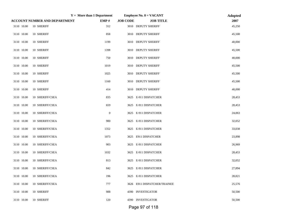|            |                               | $Y =$ More than 1 Department |                 | <b>Employee No. <math>0 = VACANT</math></b> | <b>Adopted</b> |
|------------|-------------------------------|------------------------------|-----------------|---------------------------------------------|----------------|
|            | ACCOUNT NUMBER AND DEPARTMENT | EMP#                         | <b>JOB CODE</b> | <b>JOB TITLE</b>                            | 2007           |
| 3110 10.00 | 10 SHERIFF                    | 312                          |                 | 3010 DEPUTY SHERIFF                         | 45,250         |
| 3110 10.00 | 10 SHERIFF                    | 858                          |                 | 3010 DEPUTY SHERIFF                         | 45,500         |
| 3110 10.00 | 10 SHERIFF                    | 1199                         |                 | 3010 DEPUTY SHERIFF                         | 40,000         |
| 3110 10.00 | 10 SHERIFF                    | 1398                         |                 | 3010 DEPUTY SHERIFF                         | 45,500         |
| 3110 10.00 | 10 SHERIFF                    | 750                          |                 | 3010 DEPUTY SHERIFF                         | 40,000         |
| 3110 10.00 | 10 SHERIFF                    | 1019                         |                 | 3010 DEPUTY SHERIFF                         | 45,500         |
| 3110 10.00 | 10 SHERIFF                    | 1025                         |                 | 3010 DEPUTY SHERIFF                         | 45,500         |
| 3110 10.00 | 10 SHERIFF                    | 1160                         |                 | 3010 DEPUTY SHERIFF                         | 45,500         |
| 3110 10.00 | 10 SHERIFF                    | 414                          |                 | 3010 DEPUTY SHERIFF                         | 40,000         |
| 3110 10.00 | 10 SHERIFF/CSEA               | 835                          |                 | 3625 E-911 DISPATCHER                       | 28,453         |
| 3110 10.00 | 10 SHERIFF/CSEA               | 659                          |                 | 3625 E-911 DISPATCHER                       | 28,453         |
| 3110 10.00 | 10 SHERIFF/CSEA               | $\boldsymbol{0}$             |                 | 3625 E-911 DISPATCHER                       | 24,063         |
| 3110 10.00 | 10 SHERIFF/CSEA               | 980                          |                 | 3625 E-911 DISPATCHER                       | 32,052         |
| 3110 10.00 | 10 SHERIFF/CSEA               | 1352                         |                 | 3625 E-911 DISPATCHER                       | 33,038         |
| 3110 10.00 | 10 SHERIFF/CSEA               | 1073                         |                 | 3625 E911 DISPATCHER                        | 23,898         |
| 3110 10.00 | 10 SHERIFF/CSEA               | 903                          |                 | 3625 E-911 DISPATCHER                       | 26,969         |
| 3110 10.00 | 10 SHERIFF/CSEA               | 1032                         |                 | 3625 E-911 DISPATCHER                       | 28,453         |
| 3110 10.00 | 10 SHERIFF/CSEA               | 813                          |                 | 3625 E-911 DISPATCHER                       | 32,052         |
| 3110 10.00 | 10 SHERIFF/CSEA               | 842                          |                 | 3625 E-911 DISPATCHER                       | 27,894         |
|            | 3110 10.00 10 SHERIFF/CSEA    | 196                          |                 | 3625 E-911 DISPATCHER                       | 28,821         |
| 3110 10.00 | 10 SHERIFF/CSEA               | 777                          |                 | 3626 E911 DISPATCHER/TRAINEE                | 25,576         |
| 3110 10.00 | 10 SHERIFF                    | 988                          |                 | 4390 INVESTIGATOR                           | 50,500         |
| 3110 10.00 | 10 SHERIFF                    | 120                          |                 | 4390 INVESTIGATOR                           | 50,500         |
|            |                               |                              |                 | Page 97 of 118                              |                |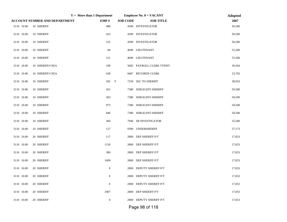|            |                                      | $Y =$ More than 1 Department |                 | <b>Employee No. <math>0 = VACANT</math></b> | <b>Adopted</b> |
|------------|--------------------------------------|------------------------------|-----------------|---------------------------------------------|----------------|
|            | <b>ACCOUNT NUMBER AND DEPARTMENT</b> | EMP#                         | <b>JOB CODE</b> | <b>JOB TITLE</b>                            | 2007           |
| 3110 10.00 | 10 SHERIFF                           | 488                          |                 | 4390 INVESTIGATOR                           | 50,500         |
| 3110 10.00 | 10 SHERIFF                           | 433                          |                 | 4390 INVESTIGATOR                           | 50,500         |
| 3110 10.00 | 10 SHERIFF                           | 525                          |                 | 4390 INVESTIGATOR                           | 50,500         |
| 3110 10.00 | 10 SHERIFF                           | 84                           |                 | 4690 LIEUTENANT                             | 55,500         |
| 3110 10.00 | 10 SHERIFF                           | 131                          |                 | 4690 LIEUTENANT                             | 55,500         |
| 3110 10.00 | 10 SHERIFF/CSEA                      | 190                          |                 | 5682 PAYROLL CLERK TYPIST                   | 39,564         |
| 3110 10.00 | 10 SHERIFF/CSEA                      | 638                          |                 | 6687 RECORDS CLERK                          | 23,702         |
| 3110 10.00 | 10 SHERIFF                           | 502 Y                        |                 | 7250 SEC TO SHERIFF                         | 38,933         |
| 3110 10.00 | 10 SHERIFF                           | 452                          |                 | 7380 SERGEANT-SHERIFF                       | 50,500         |
| 3110 10.00 | 10 SHERIFF                           | 303                          |                 | 7380 SERGEANT-SHERIFF                       | 50,500         |
| 3110 10.00 | 10 SHERIFF                           | 973                          |                 | 7380 SERGEANT-SHERIFF                       | 50,500         |
| 3110 10.00 | 10 SHERIFF                           | 846                          |                 | 7380 SERGEANT-SHERIFF                       | 50,500         |
| 3110 10.00 | 10 SHERIFF                           | 360                          |                 | 7940 SR INVESTIGATOR                        | 55,500         |
| 3110 10.00 | 10 SHERIFF                           | 127                          |                 | 9390 UNDERSHERIFF                           | 57,173         |
| 3110 10.00 | 20 SHERIFF                           | 117                          |                 | 2800 DEP SHERIFF P/T                        | 17,053         |
| 3110 10.00 | 20 SHERIFF                           | 1150                         |                 | 2800 DEP SHERIFF P/T                        | 17,053         |
| 3110 10.00 | 20 SHERIFF                           | 300                          |                 | 2800 DEP SHERIFF P/T                        | 17,053         |
| 3110 10.00 | 20 SHERIFF                           | 1009                         |                 | 2800 DEP SHERIFF P/T                        | 17,053         |
| 3110 10.00 | 20 SHERIFF                           | $\boldsymbol{0}$             |                 | 2800 DEPUTY SHERIFF P/T                     | 17,053         |
|            | 3110 10.00 20 SHERIFF                | $\mathbf{0}$                 |                 | 2800 DEPUTY SHERIFF P/T                     | 17,053         |
| 3110 10.00 | 20 SHERIFF                           | $\boldsymbol{0}$             |                 | 2800 DEPUTY SHERIFF P/T                     | 17,053         |
| 3110 10.00 | 20 SHERIFF                           | 1007                         |                 | 2800 DEP SHERIFF P/T                        | 17,053         |
| 3110 10.00 | 20 SHERIFF                           | $\boldsymbol{0}$             |                 | 2800 DEPUTY SHERIFF P/T                     | 17,053         |
|            |                                      |                              |                 |                                             |                |

Page 98 of 118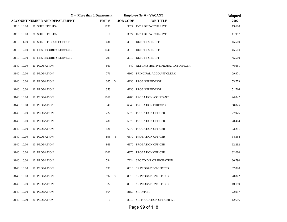|            |                                      | $Y =$ More than 1 Department |                 | <b>Employee No. <math>0 = VACANT</math></b> | <b>Adopted</b> |
|------------|--------------------------------------|------------------------------|-----------------|---------------------------------------------|----------------|
|            | <b>ACCOUNT NUMBER AND DEPARTMENT</b> | EMP#                         | <b>JOB CODE</b> | <b>JOB TITLE</b>                            | 2007           |
| 3110 10.00 | 20 SHERIFF/CSEA                      | 1136                         |                 | 3627 E-911 DISPATCHER P/T                   | 13,608         |
| 3110 10.00 | 20 SHERIFF/CSEA                      | $\boldsymbol{0}$             |                 | 3627 E-911 DISPATCHER P/T                   | 11,997         |
| 3110 11.00 | 10 SHERIFF-COURT OFFICE              | 634                          |                 | 3010 DEPUTY SHERIFF                         | 45,500         |
| 3110 12.00 | 10 HHS SECURITY SERVICES             | 1040                         |                 | 3010 DEPUTY SHERIFF                         | 45,500         |
| 3110 12.00 | 10 HHS SECURITY SERVICES             | 795                          |                 | 3010 DEPUTY SHERIFF                         | 45,500         |
| 3140 10.00 | 10 PROBATION                         | 561                          |                 | 540 ADMINISTRATIVE PROBATION OFFICER        | 46,651         |
| 3140 10.00 | 10 PROBATION                         | 771                          |                 | 6160 PRINCIPAL ACCOUNT CLERK                | 29,971         |
| 3140 10.00 | 10 PROBATION                         | 365 Y                        |                 | 6230 PROB SUPERVISOR                        | 53,779         |
| 3140 10.00 | 10 PROBATION                         | 353                          |                 | 6230 PROB SUPERVISOR                        | 51,716         |
| 3140 10.00 | 10 PROBATION                         | 1167                         |                 | 6280 PROBATION ASSISTANT                    | 24,842         |
| 3140 10.00 | 10 PROBATION                         | 340                          |                 | 6340 PROBATION DIRECTOR                     | 58,825         |
| 3140 10.00 | 10 PROBATION                         | 222                          |                 | 6370 PROBATION OFFICER                      | 27,976         |
| 3140 10.00 | 10 PROBATION                         | 436                          |                 | 6370 PROBATION OFFICER                      | 28,404         |
| 3140 10.00 | 10 PROBATION                         | 521                          |                 | 6370 PROBATION OFFICER                      | 33,291         |
| 3140 10.00 | 10 PROBATION                         | 895                          | Y               | 6370 PROBATION OFFICER                      | 34,354         |
| 3140 10.00 | 10 PROBATION                         | 868                          |                 | 6370 PROBATION OFFICER                      | 32,292         |
| 3140 10.00 | 10 PROBATION                         | 1202                         |                 | 6370 PROBATION OFFICER                      | 32,080         |
| 3140 10.00 | 10 PROBATION                         | 534                          |                 | 7224 SEC TO DIR OF PROBATION                | 30,790         |
| 3140 10.00 | 10 PROBATION                         | 890                          |                 | 8010 SR PROBATION OFFICER                   | 37,828         |
| 3140 10.00 | 10 PROBATION                         | 592 Y                        |                 | 8010 SR PROBATION OFFICER                   | 28,872         |
| 3140 10.00 | 10 PROBATION                         | 522                          |                 | 8010 SR PROBATION OFFICER                   | 40,150         |
| 3140 10.00 | 10 PROBATION                         | 864                          |                 | 8150 SR TYPIST                              | 22,997         |
| 3140 10.00 | 20 PROBATION                         | $\boldsymbol{0}$             |                 | 8010 SR. PROBATION OFFICER P/T              | 12,696         |

Page 99 of 118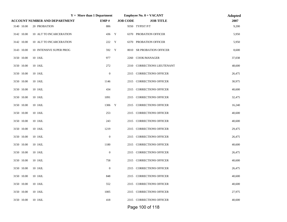|            |                               | $Y =$ More than 1 Department |   |                 | <b>Employee No. <math>0 = VACANT</math></b> | Adopted |  |
|------------|-------------------------------|------------------------------|---|-----------------|---------------------------------------------|---------|--|
|            | ACCOUNT NUMBER AND DEPARTMENT | EMP#                         |   | <b>JOB CODE</b> | <b>JOB TITLE</b>                            | 2007    |  |
| 3140 10.00 | 20 PROBATION                  | 886                          |   |                 | 9350 TYPIST P/T                             | 9,200   |  |
| 3142 10.00 | 10 ALT TO INCARCERATION       | 436                          | Y |                 | 6370 PROBATION OFFICER                      | 5,950   |  |
| 3142 10.00 | 10 ALT TO INCARCERATION       | 222 Y                        |   |                 | 6370 PROBATION OFFICER                      | 5,950   |  |
| 3143 10.00 | 10 INTENSIVE SUPER PROG       | 592 Y                        |   |                 | 8010 SR PROBATION OFFICER                   | 8,600   |  |
| 3150 10.00 | 10 JAIL                       | 977                          |   |                 | 2260 COOK/MANAGER                           | 37,038  |  |
| 3150 10.00 | 10 JAIL                       | 272                          |   |                 | 2310 CORRECTIONS LIEUTENANT                 | 48,600  |  |
| 3150 10.00 | $10$ JAIL                     | $\boldsymbol{0}$             |   |                 | 2315 CORRECTIONS OFFICER                    | 26,475  |  |
| 3150 10.00 | $10$ JAIL                     | 1146                         |   |                 | 2315 CORRECTIONS OFFICER                    | 30,975  |  |
| 3150 10.00 | 10 JAIL                       | 434                          |   |                 | 2315 CORRECTIONS OFFICER                    | 40,600  |  |
| 3150 10.00 | 10 JAIL                       | 1091                         |   |                 | 2315 CORRECTIONS OFFICER                    | 32,475  |  |
| 3150 10.00 | $10$ JAIL                     | 1306 Y                       |   |                 | 2315 CORRECTIONS OFFICER                    | 16,240  |  |
| 3150 10.00 | 10 JAIL                       | 253                          |   |                 | 2315 CORRECTIONS OFFICER                    | 40,600  |  |
| 3150 10.00 | $10$ JAIL                     | 243                          |   |                 | 2315 CORRECTIONS OFFICER                    | 40,600  |  |
| 3150 10.00 | 10 JAIL                       | 1219                         |   |                 | 2315 CORRECTIONS OFFICER                    | 29,475  |  |
| 3150 10.00 | 10 JAIL                       | $\boldsymbol{0}$             |   |                 | 2315 CORRECTIONS OFFICER                    | 26,475  |  |
| 3150 10.00 | 10 JAIL                       | 1180                         |   |                 | 2315 CORRECTIONS OFFICER                    | 40,600  |  |
| 3150 10.00 | 10 JAIL                       | $\mathbf{0}$                 |   |                 | 2315 CORRECTIONS OFFICER                    | 26,475  |  |
| 3150 10.00 | $10$ JAIL                     | 758                          |   |                 | 2315 CORRECTIONS OFFICER                    | 40,600  |  |
| 3150 10.00 | 10 JAIL                       | $\boldsymbol{0}$             |   |                 | 2315 CORRECTIONS OFFICER                    | 26,475  |  |
| 3150 10.00 | 10 JAIL                       | 848                          |   |                 | 2315 CORRECTIONS OFFICER                    | 40,600  |  |
| 3150 10.00 | 10 JAIL                       | 552                          |   |                 | 2315 CORRECTIONS OFFICER                    | 40,600  |  |
| 3150 10.00 | 10 JAIL                       | 1005                         |   |                 | 2315 CORRECTIONS OFFICER                    | 27,975  |  |
| 3150 10.00 | 10 JAIL                       | 418                          |   |                 | 2315 CORRECTIONS OFFICER                    | 40,600  |  |
|            |                               |                              |   |                 | Page 100 of 118                             |         |  |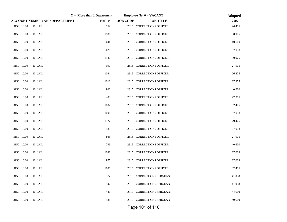| $Y = More than 1 Department$ |            |                                      | <b>Employee No. <math>0 = VACANT</math></b> | <b>Adopted</b>  |                           |        |
|------------------------------|------------|--------------------------------------|---------------------------------------------|-----------------|---------------------------|--------|
|                              |            | <b>ACCOUNT NUMBER AND DEPARTMENT</b> | EMP#                                        | <b>JOB CODE</b> | <b>JOB TITLE</b>          | 2007   |
|                              | 3150 10.00 | 10 JAIL                              | 952                                         |                 | 2315 CORRECTIONS OFFICER  | 26,475 |
|                              | 3150 10.00 | 10 JAIL                              | 1186                                        |                 | 2315 CORRECTIONS OFFICER  | 30,975 |
|                              | 3150 10.00 | 10 JAIL                              | 644                                         |                 | 2315 CORRECTIONS OFFICER  | 40,600 |
|                              | 3150 10.00 | 10 JAIL                              | 628                                         |                 | 2315 CORRECTIONS OFFICER  | 37,038 |
|                              | 3150 10.00 | 10 JAIL                              | 1142                                        |                 | 2315 CORRECTIONS OFFICER  | 30,975 |
|                              | 3150 10.00 | 10 JAIL                              | 990                                         |                 | 2315 CORRECTIONS OFFICER  | 27,975 |
|                              | 3150 10.00 | 10 JAIL                              | 1044                                        |                 | 2315 CORRECTIONS OFFICER  | 26,475 |
|                              | 3150 10.00 | 10 JAIL                              | 1013                                        |                 | 2315 CORRECTIONS OFFICER  | 27,975 |
|                              | 3150 10.00 | 10 JAIL                              | 906                                         |                 | 2315 CORRECTIONS OFFICER  | 40,600 |
|                              | 3150 10.00 | $10$ JAIL                            | 483                                         |                 | 2315 CORRECTIONS OFFICER  | 27,975 |
|                              | 3150 10.00 | 10 JAIL                              | 1082                                        |                 | 2315 CORRECTIONS OFFICER  | 32,475 |
|                              | 3150 10.00 | 10 JAIL                              | 1006                                        |                 | 2315 CORRECTIONS OFFICER  | 37,038 |
|                              | 3150 10.00 | 10 JAIL                              | 1127                                        |                 | 2315 CORRECTIONS OFFICER  | 29,475 |
|                              | 3150 10.00 | 10 JAIL                              | 983                                         |                 | 2315 CORRECTIONS OFFICER  | 37,038 |
|                              | 3150 10.00 | 10 JAIL                              | 863                                         |                 | 2315 CORRECTIONS OFFICER  | 27,975 |
|                              | 3150 10.00 | 10 JAIL                              | 796                                         |                 | 2315 CORRECTIONS OFFICER  | 40,600 |
|                              | 3150 10.00 | 10 JAIL                              | 1088                                        |                 | 2315 CORRECTIONS OFFICER  | 37,038 |
|                              | 3150 10.00 | $10$ JAIL                            | 975                                         |                 | 2315 CORRECTIONS OFFICER  | 37,038 |
|                              | 3150 10.00 | 10 JAIL                              | 1085                                        |                 | 2315 CORRECTIONS OFFICER  | 32,475 |
|                              |            | $3150\quad 10.00\qquad 10$ JAIL      | 374                                         |                 | 2319 CORRECTIONS SERGEANT | 41,038 |
|                              | 3150 10.00 | 10 JAIL                              | 542                                         |                 | 2319 CORRECTIONS SERGEANT | 41,038 |
|                              | 3150 10.00 | 10 JAIL                              | 440                                         |                 | 2319 CORRECTIONS SERGEANT | 44,600 |
|                              | 3150 10.00 | 10 JAIL                              | 538                                         |                 | 2319 CORRECTIONS SERGEANT | 40,600 |
|                              |            |                                      |                                             |                 | Page 101 of 118           |        |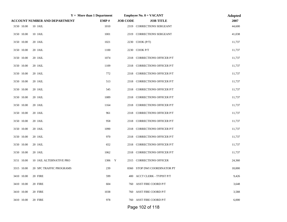| $Y = More than 1 Department$ |                               |        | <b>Employee No. <math>0 = VACANT</math></b> | Adopted                      |        |
|------------------------------|-------------------------------|--------|---------------------------------------------|------------------------------|--------|
|                              | ACCOUNT NUMBER AND DEPARTMENT | EMP#   | <b>JOB CODE</b>                             | <b>JOB TITLE</b>             | 2007   |
| 3150 10.00                   | 10 JAIL                       | 1010   |                                             | 2319 CORRECTIONS SERGEANT    | 44,600 |
| 3150 10.00                   | 10 JAIL                       | 1001   |                                             | 2319 CORRECTIONS SERGEANT    | 41,038 |
| 3150 10.00                   | 20 JAIL                       | 1021   |                                             | 2230 COOK (P/T)              | 11,737 |
| 3150 10.00                   | 20 JAIL                       | 1100   |                                             | 2230 COOK P/T                | 11,737 |
| 3150 10.00                   | 20 JAIL                       | 1074   |                                             | 2318 CORRECTIONS OFFICER P/T | 11,737 |
| 3150 10.00                   | 20 JAIL                       | 1109   |                                             | 2318 CORRECTIONS OFFICER P/T | 11,737 |
| 3150 10.00                   | 20 JAIL                       | 772    |                                             | 2318 CORRECTIONS OFFICER P/T | 11,737 |
| 3150 10.00                   | 20 JAIL                       | 513    |                                             | 2318 CORRECTIONS OFFICER P/T | 11,737 |
| 3150 10.00                   | 20 JAIL                       | 545    |                                             | 2318 CORRECTIONS OFFICER P/T | 11,737 |
| 3150 10.00                   | 20 JAIL                       | 1089   |                                             | 2318 CORRECTIONS OFFICER P/T | 11,737 |
| 3150 10.00                   | 20 JAIL                       | 1164   |                                             | 2318 CORRECTIONS OFFICER P/T | 11,737 |
| 3150 10.00                   | 20 JAIL                       | 961    |                                             | 2318 CORRECTIONS OFFICER P/T | 11,737 |
| 3150 10.00                   | 20 JAIL                       | 958    |                                             | 2318 CORRECTIONS OFFICER P/T | 11,737 |
| 3150 10.00                   | 20 JAIL                       | 1090   |                                             | 2318 CORRECTIONS OFFICER P/T | 11,737 |
| 3150 10.00                   | 20 JAIL                       | 970    |                                             | 2318 CORRECTIONS OFFICER P/T | 11,737 |
| 3150 10.00                   | 20 JAIL                       | 652    |                                             | 2318 CORRECTIONS OFFICER P/T | 11,737 |
| 3150 10.00                   | 20 JAIL                       | 1062   |                                             | 2318 CORRECTIONS OFFICER P/T | 11,737 |
| 3151 10.00                   | 10 JAIL ALTERNATIVE PRO       | 1306 Y |                                             | 2315 CORRECTIONS OFFICER     | 24,360 |
| 3315 10.00                   | 20 SPC TRAFFIC PROGRAMS       | 239    |                                             | 8360 STOP DWI COORDINATOR PT | 18,000 |
| 3410 10.00                   | 20 FIRE                       | 599    |                                             | 400 ACCT CLERK - TYPIST P/T  | 9,426  |
| 3410 10.00                   | 20 FIRE                       | 604    |                                             | 760 ASST FIRE COORD P/T      | 3,648  |
| 3410 10.00                   | 20 FIRE                       | 1038   |                                             | 760 ASST FIRE COORD P/T      | 3,588  |
| 3410 10.00                   | 20 FIRE                       | 978    |                                             | 760 ASST FIRE COORD P/T      | 6,000  |
|                              |                               |        |                                             | Page 102 of 118              |        |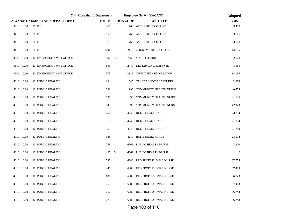| $Y =$ More than 1 Department |                               |                  |                 | <b>Employee No. <math>0 = VACANT</math></b> | Adopted      |  |
|------------------------------|-------------------------------|------------------|-----------------|---------------------------------------------|--------------|--|
|                              | ACCOUNT NUMBER AND DEPARTMENT | EMP#             | <b>JOB CODE</b> | <b>JOB TITLE</b>                            | 2007         |  |
| 3410 10.00                   | 20 FIRE                       | 465              |                 | 760 ASST FIRE COORD P/T                     | 3,450        |  |
| 3410 10.00                   | 20 FIRE                       | 950              |                 | 760 ASST FIRE COORD P/T                     | 3,665        |  |
| 3410 10.00                   | 20 FIRE                       | 113              |                 | 760 ASST FIRE COORD P/T                     | 3,588        |  |
| 3410 10.00                   | 20 FIRE                       | 1294             |                 | 2410 COUNTY FIRE COORD P/T                  | 14,685       |  |
| 3640 10.00                   | 10 EMERGENCY MGT OFFICE       | 502 Y            |                 | 7250 SEC TO SHERIFF                         | 2,600        |  |
| 3640 10.00                   | 20 EMERGENCY MGT OFFICE       | 653              |                 | 2740 DEP DIR CIVIL DEFENSE                  | 5,050        |  |
| 3640 10.00                   | 20 EMERGENCY MGT OFFICE       | 575              |                 | 3115 CIVIL DEFENSE DIRECTOR                 | 18,185       |  |
| 4010 10.00                   | 10 PUBLIC HEALTH              | 694              |                 | 1845 CLINICAL SOCIAL WORKER                 | 42,076       |  |
| 4010 10.00                   | 10 PUBLIC HEALTH              | 281              |                 | 1993 COMMUNITY HEALTH NURSE                 | 40,555       |  |
| 4010 10.00                   | 10 PUBLIC HEALTH              | 195              |                 | 1993 COMMUNITY HEALTH NURSE                 | 41,185       |  |
| 4010 10.00                   | 10 PUBLIC HEALTH              | 949              |                 | 1993 COMMUNITY HEALTH NURSE                 | 42,323       |  |
| 4010 10.00                   | 10 PUBLIC HEALTH              | 456              |                 | 4240 HOME HEALTH AIDE                       | 23,734       |  |
| 4010 10.00                   | 10 PUBLIC HEALTH              | $\boldsymbol{0}$ |                 | 4240 HOME HEALTH AIDE                       | 21,194       |  |
| 4010 10.00                   | 10 PUBLIC HEALTH              | 563              |                 | 4240 HOME HEALTH AIDE                       | 21,700       |  |
| 4010 10.00                   | 10 PUBLIC HEALTH              | 965              |                 | 4240 HOME HEALTH AIDE                       | 28,174       |  |
| 4010 10.00                   | 10 PUBLIC HEALTH              | 728              |                 | 6669 PUBLIC HEALTH NURSE                    | 43,220       |  |
| 4010 10.00                   | 10 PUBLIC HEALTH              | 425              | $\mathbf{Y}$    | 6669 PUBLIC HEALTH NURSE                    | $\mathbf{0}$ |  |
| 4010 10.00                   | 10 PUBLIC HEALTH              | 597              |                 | 6880 REG PROFESSIONAL NURSE                 | 37,775       |  |
| 4010 10.00                   | 10 PUBLIC HEALTH              | 441              |                 | 6880 REG PROFESSIONAL NURSE                 | 37,483       |  |
| 4010 10.00                   | 10 PUBLIC HEALTH              | 631              |                 | 6880 REG PROFESSIONAL NURSE                 | 36,743       |  |
| 4010 10.00                   | 10 PUBLIC HEALTH              | 763              | 6880            | REG PROFESSIONAL NURSE                      | 37,483       |  |
| 4010 10.00                   | 10 PUBLIC HEALTH              | 712              |                 | 6880 REG PROFESSIONAL NURSE                 | 36,743       |  |
| 4010 10.00                   | 10 PUBLIC HEALTH              | 773              | 6880            | REG PROFESSIONAL NURSE                      | 36,743       |  |
|                              |                               |                  |                 | Page 103 of 118                             |              |  |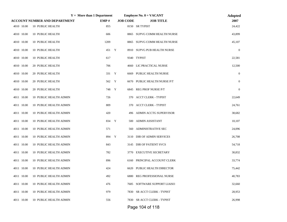| $Y =$ More than 1 Department |  |                                      |       |   | <b>Employee No. <math>0 = VACANT</math></b> | <b>Adopted</b>               |                  |
|------------------------------|--|--------------------------------------|-------|---|---------------------------------------------|------------------------------|------------------|
|                              |  | <b>ACCOUNT NUMBER AND DEPARTMENT</b> | EMP#  |   | <b>JOB CODE</b>                             | <b>JOB TITLE</b>             | 2007             |
| 4010 10.00                   |  | 10 PUBLIC HEALTH                     | 855   |   |                                             | 8150 SR TYPIST               | 24,422           |
| 4010 10.00                   |  | 10 PUBLIC HEALTH                     | 606   |   |                                             | 8865 SUPVG COMM HEALTH NURSE | 43,899           |
| 4010 10.00                   |  | 10 PUBLIC HEALTH                     | 1209  |   |                                             | 8865 SUPVG COMM HEALTH NURSE | 45,107           |
| 4010 10.00                   |  | 10 PUBLIC HEALTH                     | 451 Y |   |                                             | 8910 SUPVG PUB HEALTH NURSE  | $\mathbf{0}$     |
| 4010 10.00                   |  | 10 PUBLIC HEALTH                     | 617   |   |                                             | 9340 TYPIST                  | 22,581           |
| 4010 10.00                   |  | 20 PUBLIC HEALTH                     | 706   |   |                                             | 4660 LIC PRACTICAL NURSE     | 12,500           |
| 4010 10.00                   |  | 20 PUBLIC HEALTH                     | 331   | Y | 6669                                        | PUBLIC HEALTH NURSE          | $\boldsymbol{0}$ |
| 4010 10.00                   |  | 20 PUBLIC HEALTH                     | 562 Y |   |                                             | 6670 PUBLIC HEALTH NURSE P/T | $\boldsymbol{0}$ |
| 4010 10.00                   |  | 20 PUBLIC HEALTH                     | 748   | Y |                                             | 6845 REG PROF NURSE P/T      | $\mathbf{0}$     |
| 4011 10.00                   |  | 10 PUBLIC HEALTH ADMIN               | 726   |   |                                             | 370 ACCT CLERK - TYPIST      | 22,649           |
| 4011 10.00                   |  | 10 PUBLIC HEALTH ADMIN               | 809   |   |                                             | 370 ACCT CLERK - TYPIST      | 24,761           |
| 4011 10.00                   |  | 10 PUBLIC HEALTH ADMIN               | 420   |   |                                             | 496 ADMIN ACCTG SUPERVISOR   | 38,682           |
| 4011 10.00                   |  | 10 PUBLIC HEALTH ADMIN               | 834   | Y |                                             | 500 ADMIN ASSISTANT          | 10,107           |
| 4011 10.00                   |  | 10 PUBLIC HEALTH ADMIN               | 571   |   |                                             | 560 ADMINISTRATIVE SEC       | 24,096           |
| 4011 10.00                   |  | 10 PUBLIC HEALTH ADMIN               | 894   | Y |                                             | 3110 DIR OF ADMIN SERVICES   | 26,708           |
| 4011 10.00                   |  | 10 PUBLIC HEALTH ADMIN               | 843   |   |                                             | 3145 DIR OF PATIENT SVCS     | 54,718           |
| 4011 10.00                   |  | 10 PUBLIC HEALTH ADMIN               | 782   |   |                                             | 3770 EXECUTIVE SECRETARY     | 30,832           |
| 4011 10.00                   |  | 10 PUBLIC HEALTH ADMIN               | 896   |   |                                             | 6160 PRINCIPAL ACCOUNT CLERK | 33,774           |
| 4011 10.00                   |  | 10 PUBLIC HEALTH ADMIN               | 424   |   |                                             | 6620 PUBLIC HEALTH DIRECTOR  | 75,442           |
| 4011 10.00                   |  | 10 PUBLIC HEALTH ADMIN               | 492   |   | 6880                                        | REG PROFESSIONAL NURSE       | 40,783           |
| 4011 10.00                   |  | 10 PUBLIC HEALTH ADMIN               | 476   |   | 7685                                        | SOFTWARE SUPPORT LIAISO      | 32,660           |
| 4011 10.00                   |  | 10 PUBLIC HEALTH ADMIN               | 979   |   |                                             | 7830 SR ACCT CLERK - TYPIST  | 28,953           |
| 4011 10.00                   |  | 10 PUBLIC HEALTH ADMIN               | 556   |   | 7830                                        | SR ACCT CLERK - TYPIST       | 26,998           |
|                              |  |                                      |       |   |                                             | Page 104 of 118              |                  |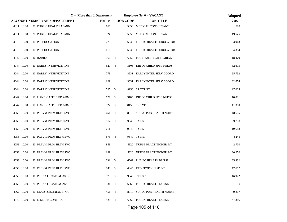| $Y =$ More than 1 Department |                                      |       | <b>Employee No. <math>0 = VACANT</math></b> | <b>Adopted</b>               |                  |
|------------------------------|--------------------------------------|-------|---------------------------------------------|------------------------------|------------------|
|                              | <b>ACCOUNT NUMBER AND DEPARTMENT</b> | EMP#  | <b>JOB CODE</b>                             | <b>JOB TITLE</b>             | 2007             |
| 4011 10.00                   | 20 PUBLIC HEALTH ADMIN               | 865   |                                             | 5050 MEDICAL CONSULTANT      | 1,500            |
| 4011 10.00                   | 20 PUBLIC HEALTH ADMIN               | 924   |                                             | 5050 MEDICAL CONSULTANT      | 19,545           |
| 4012 10.00                   | 10 PH EDUCATION                      | 770   |                                             | 6630 PUBLIC HEALTH EDUCATOR  | 33,943           |
| 4012 10.00                   | 10 PH EDUCATION                      | 616   |                                             | 6630 PUBLIC HEALTH EDUCATOR  | 34,354           |
| 4042 10.00                   | 10 RABIES                            | 161 Y |                                             | 6550 PUB HEALTH SANITARIAN   | 18,470           |
| 4044 10.00                   | <b>10 EARLY INTERVENTION</b>         | 627   | Y                                           | 3105 DIR OF CHILD SPEC NEEDS | 32,673           |
| 4044 10.00                   | <b>10 EARLY INTERVENTION</b>         | 779   |                                             | 3631 EARLY INTER SERV COORD  | 35,732           |
| 4044 10.00                   | <b>10 EARLY INTERVENTION</b>         | 629   |                                             | 3631 EARLY INTER SERV COORD  | 32,674           |
| 4044 10.00                   | 10 EARLY INTERVENTION                | 527   | Y                                           | 8150 SR TYPIST               | 17,025           |
| 4047 10.00                   | 10 HANDICAPPED ED ADMIN              | 627   | Y                                           | 3105 DIR OF CHILD SPEC NEEDS | 10,891           |
| 4047 10.00                   | 10 HANDICAPPED ED ADMIN              | 527   | Y                                           | 8150 SR TYPIST               | 11,350           |
| 4053 10.00                   | 10 PREV & PRIM HLTH SVC              | 451   | Y                                           | 8910 SUPVG PUB HEALTH NURSE  | 18,615           |
| 4053 10.00                   | 10 PREV & PRIM HLTH SVC              | 917 Y |                                             | 9340 TYPIST                  | 9,738            |
| 4053 10.00                   | 10 PREV & PRIM HLTH SVC              | 611   |                                             | 9340 TYPIST                  | 19,688           |
| 4053 10.00                   | 10 PREV & PRIM HLTH SVC              | 573 Y |                                             | 9340 TYPIST                  | 4,243            |
| 4053 10.00                   | 20 PREV & PRIM HLTH SVC              | 859   |                                             | 5320 NURSE PRACTITIONER P/T  | 2,700            |
| 4053 10.00                   | 20 PREV & PRIM HLTH SVC              | 699   |                                             | 5320 NURSE PRACTITIONER P/T  | 20,250           |
| 4053 10.00                   | 20 PREV & PRIM HLTH SVC              | 331 Y | 6669                                        | PUBLIC HEALTH NURSE          | 25,432           |
| 4053 10.00                   | 20 PREV & PRIM HLTH SVC              | 748   | Y                                           | 6845 REG PROF NURSE P/T      | 17,652           |
|                              | 4056 10.00 10 PRENATL CARE & ASSIS   | 573 Y |                                             | 9340 TYPIST                  | 16,972           |
| 4056 10.00                   | 20 PRENATL CARE & ASSIS              | 331 Y | 6669                                        | PUBLIC HEALTH NURSE          | $\boldsymbol{0}$ |
| 4062 10.00                   | 10 LEAD POISONING PROG               | 451 Y |                                             | 8910 SUPVG PUB HEALTH NURSE  | 9,307            |
| 4070 10.00                   | 10 DISEASE CONTROL                   | 425   | $\mathbf{Y}$                                | 6669 PUBLIC HEALTH NURSE     | 47,386           |
|                              |                                      |       |                                             | Page 105 of 118              |                  |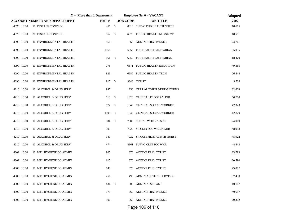|            |            |                                      | $Y =$ More than 1 Department |   |                 | <b>Employee No. <math>0 = VACANT</math></b> | <b>Adopted</b> |
|------------|------------|--------------------------------------|------------------------------|---|-----------------|---------------------------------------------|----------------|
|            |            | <b>ACCOUNT NUMBER AND DEPARTMENT</b> | EMP#                         |   | <b>JOB CODE</b> | <b>JOB TITLE</b>                            | 2007           |
|            | 4070 10.00 | 10 DISEASE CONTROL                   | 451                          | Y |                 | 8910 SUPVG PUB HEALTH NURSE                 | 18,615         |
| 4070 10.00 |            | 20 DISEASE CONTROL                   | 562                          | Y |                 | 6670 PUBLIC HEALTH NURSE P/T                | 18,591         |
|            | 4090 10.00 | 10 ENVIRONMENTAL HEALTH              | 560                          |   |                 | 560 ADMINISTRATIVE SEC                      | 24,741         |
|            | 4090 10.00 | 10 ENVIRONMENTAL HEALTH              | 1168                         |   |                 | 6550 PUB HEALTH SANITARIAN                  | 35,035         |
|            | 4090 10.00 | 10 ENVIRONMENTAL HEALTH              | 161                          | Y |                 | 6550 PUB HEALTH SANITARIAN                  | 18,470         |
| 4090 10.00 |            | 10 ENVIRONMENTAL HEALTH              | 775                          |   |                 | 6571 PUBLIC HEALTH ENG/TRAIN                | 49,365         |
|            | 4090 10.00 | 10 ENVIRONMENTAL HEALTH              | 826                          |   |                 | 6680 PUBLIC HEALTH TECH                     | 26,448         |
|            | 4090 10.00 | 10 ENVIRONMENTAL HEALTH              | 917 Y                        |   |                 | 9340 TYPIST                                 | 9,738          |
|            | 4210 10.00 | 10 ALCOHOL & DRUG SERV               | 947                          |   |                 | 1250 CERT ALCOHOL&DRUG COUNS                | 32,628         |
|            | 4210 10.00 | 10 ALCOHOL & DRUG SERV               | 810 Y                        |   |                 | 1820 CLINICAL PROGRAM DIR                   | 56,750         |
| 4210 10.00 |            | 10 ALCOHOL & DRUG SERV               | 877 Y                        |   |                 | 1845 CLINICAL SOCIAL WORKER                 | 42,323         |
| 4210 10.00 |            | 10 ALCOHOL & DRUG SERV               | 1195                         | Y |                 | 1845 CLINICAL SOCIAL WORKER                 | 42,829         |
| 4210 10.00 |            | 10 ALCOHOL & DRUG SERV               | 984 Y                        |   |                 | 7680 SOCIAL WORK ASST II                    | 24,060         |
| 4210 10.00 |            | 10 ALCOHOL & DRUG SERV               | 395                          |   |                 | 7920 SR CLIN SOC WKR (CMH)                  | 48,998         |
|            | 4210 10.00 | 10 ALCOHOL & DRUG SERV               | 940                          |   |                 | 7922 SR COM MENTAL HTH NURSE                | 45,922         |
| 4210 10.00 |            | 10 ALCOHOL & DRUG SERV               | 474                          |   |                 | 8861 SUPVG CLIN SOC WKR                     | 48,443         |
|            | 4309 10.00 | 10 MTL HYGIENE CO ADMIN              | 905                          |   |                 | 370 ACCT CLERK - TYPIST                     | 23,793         |
| 4309 10.00 |            | 10 MTL HYGIENE CO ADMIN              | 615                          |   |                 | 370 ACCT CLERK - TYPIST                     | 20,590         |
|            | 4309 10.00 | 10 MTL HYGIENE CO ADMIN              | 149                          |   |                 | 370 ACCT CLERK - TYPIST                     | 25,887         |
|            | 4309 10.00 | 10 MTL HYGIENE CO ADMIN              | $256\,$                      |   |                 | 496 ADMIN ACCTG SUPERVISOR                  | 37,430         |
|            | 4309 10.00 | 10 MTL HYGIENE CO ADMIN              | 834 Y                        |   | 500             | ADMIN ASSISTANT                             | 10,107         |
| 4309 10.00 |            | 10 MTL HYGIENE CO ADMIN              | 175                          |   |                 | 560 ADMINISTRATIVE SEC                      | 40,657         |
|            | 4309 10.00 | 10 MTL HYGIENE CO ADMIN              | 306                          |   |                 | 560 ADMINISTRATIVE SEC                      | 29,312         |
|            |            |                                      |                              |   |                 |                                             |                |

Page 106 of 118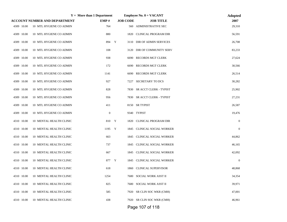| $Y =$ More than 1 Department |                                      |                  | <b>Employee No. <math>0 = VACANT</math></b> | Adopted                     |                  |
|------------------------------|--------------------------------------|------------------|---------------------------------------------|-----------------------------|------------------|
|                              | <b>ACCOUNT NUMBER AND DEPARTMENT</b> | EMP#             | <b>JOB CODE</b>                             | <b>JOB TITLE</b>            | 2007             |
| 4309 10.00                   | 10 MTL HYGIENE CO ADMIN              | 764              |                                             | 560 ADMINISTRATIVE SEC      | 29,310           |
| 4309 10.00                   | 10 MTL HYGIENE CO ADMIN              | 880              |                                             | 1820 CLINICAL PROGRAM DIR   | 56,591           |
| 4309 10.00                   | 10 MTL HYGIENE CO ADMIN              | 894              | Y                                           | 3110 DIR OF ADMIN SERVICES  | 26,708           |
| 4309 10.00                   | 10 MTL HYGIENE CO ADMIN              | 108              |                                             | 3120 DIR OF COMMUNITY SERV  | 83,233           |
| 4309 10.00                   | 10 MTL HYGIENE CO ADMIN              | 938              | 6690                                        | RECORDS MGT CLERK           | 27,624           |
| 4309 10.00                   | 10 MTL HYGIENE CO ADMIN              | 172              |                                             | 6690 RECORDS MGT CLERK      | 30,566           |
| 4309 10.00                   | 10 MTL HYGIENE CO ADMIN              | 1141             |                                             | 6690 RECORDS MGT CLERK      | 26,514           |
| 4309 10.00                   | 10 MTL HYGIENE CO ADMIN              | 927              | 7227                                        | <b>SECRETARY TO DCS</b>     | 30,282           |
| 4309 10.00                   | 10 MTL HYGIENE CO ADMIN              | 828              |                                             | 7830 SR ACCT CLERK - TYPIST | 25,902           |
| 4309 10.00                   | 10 MTL HYGIENE CO ADMIN              | 956              |                                             | 7830 SR ACCT CLERK - TYPIST | 27,231           |
| 4309 10.00                   | 10 MTL HYGIENE CO ADMIN              | 411              |                                             | 8150 SR TYPIST              | 26,587           |
| 4309 10.00                   | 10 MTL HYGIENE CO ADMIN              | $\boldsymbol{0}$ |                                             | 9340 TYPIST                 | 19,476           |
| 4310 10.00                   | 10 MENTAL HEALTH CLINIC              | 810 Y            |                                             | 1820 CLINICAL PROGRAM DIR   | $\boldsymbol{0}$ |
| 4310 10.00                   | 10 MENTAL HEALTH CLINIC              | 1195 Y           |                                             | 1845 CLINICAL SOCIAL WORKER | $\mathbf{0}$     |
| 4310 10.00                   | 10 MENTAL HEALTH CLINIC              | 663              |                                             | 1845 CLINICAL SOCIAL WORKER | 44,862           |
| 4310 10.00                   | 10 MENTAL HEALTH CLINIC              | 737              |                                             | 1845 CLINICAL SOCIAL WORKER | 46,165           |
| 4310 10.00                   | 10 MENTAL HEALTH CLINIC              | 667              |                                             | 1845 CLINICAL SOCIAL WORKER | 42,092           |
| 4310 10.00                   | 10 MENTAL HEALTH CLINIC              | 877              | Y                                           | 1845 CLINICAL SOCIAL WORKER | $\boldsymbol{0}$ |
| 4310 10.00                   | 10 MENTAL HEALTH CLINIC              | 618              |                                             | 1860 CLINICAL SUPERVISOR    | 48,868           |
| 4310 10.00                   | 10 MENTAL HEALTH CLINIC              | 1254             |                                             | 7680 SOCIAL WORK ASST II    | 34,354           |
| 4310 10.00                   | 10 MENTAL HEALTH CLINIC              | 825              | 7680                                        | SOCIAL WORK ASST II         | 39,971           |
| 4310 10.00                   | 10 MENTAL HEALTH CLINIC              | 585              |                                             | 7920 SR CLIN SOC WKR (CMH)  | 47,001           |
| 4310 10.00                   | 10 MENTAL HEALTH CLINIC              | 438              |                                             | 7920 SR CLIN SOC WKR (CMH)  | 46,961           |
|                              |                                      |                  |                                             | Page 107 of 118             |                  |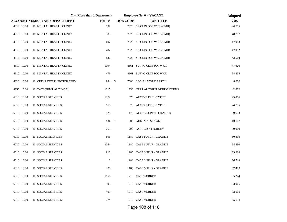| $Y =$ More than 1 Department |                                      |                  | <b>Employee No. <math>0 = VACANT</math></b> | Adopted                      |        |
|------------------------------|--------------------------------------|------------------|---------------------------------------------|------------------------------|--------|
|                              | <b>ACCOUNT NUMBER AND DEPARTMENT</b> | EMP#             | <b>JOB CODE</b>                             | <b>JOB TITLE</b>             | 2007   |
| 4310 10.00                   | 10 MENTAL HEALTH CLINIC              | 732              |                                             | 7920 SR CLIN SOC WKR (CMH)   | 46,755 |
| 4310 10.00                   | 10 MENTAL HEALTH CLINIC              | 383              |                                             | 7920 SR CLIN SOC WKR (CMH)   | 48,797 |
| 4310 10.00                   | 10 MENTAL HEALTH CLINIC              | 607              |                                             | 7920 SR CLIN SOC WKR (CMH)   | 47,083 |
| 4310 10.00                   | 10 MENTAL HEALTH CLINIC              | 487              |                                             | 7920 SR CLIN SOC WKR (CMH)   | 47,052 |
| 4310 10.00                   | 10 MENTAL HEALTH CLINIC              | 836              |                                             | 7920 SR CLIN SOC WKR (CMH)   | 43,564 |
| 4310 10.00                   | 10 MENTAL HEALTH CLINIC              | 1094             |                                             | 8861 SUPVG CLIN SOC WKR      | 47,620 |
| 4310 10.00                   | 10 MENTAL HEALTH CLINIC              | 479              |                                             | 8861 SUPVG CLIN SOC WKR      | 54,235 |
| 4320 10.00                   | 10 CRISIS INTERVENTION SERV          | 984 Y            |                                             | 7680 SOCIAL WORK ASST II     | 8,020  |
| 4356 10.00                   | 10 TATI (TRMT ALT INCA)              | 1215             |                                             | 1250 CERT ALCOHOL&DRUG COUNS | 42,622 |
| 6010 10.00                   | 10 SOCIAL SERVICES                   | 1272             |                                             | 370 ACCT CLERK - TYPIST      | 25,856 |
| 6010 10.00                   | <b>10 SOCIAL SERVICES</b>            | 815              |                                             | 370 ACCT CLERK - TYPIST      | 24,795 |
| 6010 10.00                   | 10 SOCIAL SERVICES                   | 523              |                                             | 470 ACCTG SUPVR - GRADE B    | 39,613 |
| 6010 10.00                   | 10 SOCIAL SERVICES                   | 834 Y            |                                             | 500 ADMIN ASSISTANT          | 10,107 |
| 6010 10.00                   | 10 SOCIAL SERVICES                   | 263              |                                             | 700 ASST CO ATTORNEY         | 59,000 |
| 6010 10.00                   | 10 SOCIAL SERVICES                   | 503              |                                             | 1180 CASE SUPVR - GRADE B    | 50,396 |
| 6010 10.00                   | <b>10 SOCIAL SERVICES</b>            | 1054             |                                             | 1180 CASE SUPVR - GRADE B    | 38,890 |
| 6010 10.00                   | 10 SOCIAL SERVICES                   | 812              |                                             | 1180 CASE SUPVR - GRADE B    | 39,268 |
| 6010 10.00                   | 10 SOCIAL SERVICES                   | $\boldsymbol{0}$ |                                             | 1180 CASE SUPVR - GRADE B    | 36,743 |
| 6010 10.00                   | <b>10 SOCIAL SERVICES</b>            | 429              |                                             | 1180 CASE SUPVR - GRADE B    | 37,483 |
| 6010 10.00                   | 10 SOCIAL SERVICES                   | 1156             |                                             | 1210 CASEWORKER              | 35,274 |
| 6010 10.00                   | <b>10 SOCIAL SERVICES</b>            | 593              |                                             | 1210 CASEWORKER              | 33,965 |
| 6010 10.00                   | 10 SOCIAL SERVICES                   | 403              |                                             | 1210 CASEWORKER              | 33,020 |
| 6010 10.00                   | 10 SOCIAL SERVICES                   | 774              |                                             | 1210 CASEWORKER              | 35,618 |
|                              |                                      |                  |                                             | Page 108 of 118              |        |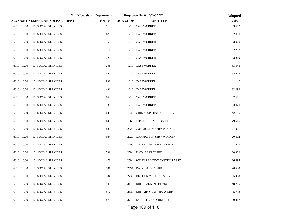|            |                                      | $Y =$ More than 1 Department |                 | <b>Employee No. <math>0 = VACANT</math></b> | <b>Adopted</b>   |  |
|------------|--------------------------------------|------------------------------|-----------------|---------------------------------------------|------------------|--|
|            | <b>ACCOUNT NUMBER AND DEPARTMENT</b> | EMP#                         | <b>JOB CODE</b> | <b>JOB TITLE</b>                            | 2007             |  |
| 6010 10.00 | <b>10 SOCIAL SERVICES</b>            | 119                          |                 | 1210 CASEWORKER                             | 33,582           |  |
| 6010 10.00 | 10 SOCIAL SERVICES                   | 670                          |                 | 1210 CASEWORKER                             | 32,080           |  |
| 6010 10.00 | 10 SOCIAL SERVICES                   | 463                          |                 | 1210 CASEWORKER                             | 33,020           |  |
| 6010 10.00 | 10 SOCIAL SERVICES                   | 711                          |                 | 1210 CASEWORKER                             | 32,292           |  |
| 6010 10.00 | <b>10 SOCIAL SERVICES</b>            | 720                          |                 | 1210 CASEWORKER                             | 33,329           |  |
| 6010 10.00 | <b>10 SOCIAL SERVICES</b>            | 206                          |                 | 1210 CASEWORKER                             | 33,543           |  |
| 6010 10.00 | 10 SOCIAL SERVICES                   | 490                          |                 | 1210 CASEWORKER                             | 33,329           |  |
| 6010 10.00 | <b>10 SOCIAL SERVICES</b>            | 838                          |                 | 1210 CASEWORKER                             | $\boldsymbol{0}$ |  |
| 6010 10.00 | 10 SOCIAL SERVICES                   | 491                          |                 | 1210 CASEWORKER                             | 32,292           |  |
| 6010 10.00 | <b>10 SOCIAL SERVICES</b>            | 869                          |                 | 1210 CASEWORKER                             | 32,601           |  |
| 6010 10.00 | <b>10 SOCIAL SERVICES</b>            | 733                          |                 | 1210 CASEWORKER                             | 33,020           |  |
| 6010 10.00 | <b>10 SOCIAL SERVICES</b>            | 686                          |                 | 1333 CHILD SUPP ENFORCE SUPV                | 42,136           |  |
| 6010 10.00 | <b>10 SOCIAL SERVICES</b>            | 696                          |                 | 1960 COMIS SOCIAL SERVICE                   | 79,516           |  |
| 6010 10.00 | 10 SOCIAL SERVICES                   | 885                          |                 | 2020 COMMUNITY SERV WORKER                  | 27,031           |  |
| 6010 10.00 | 10 SOCIAL SERVICES                   | 944                          |                 | 2020 COMMUNITY SERV WORKER                  | 20,802           |  |
| 6010 10.00 | <b>10 SOCIAL SERVICES</b>            | 224                          |                 | 2290 COORD CHILD SPPT ENFCMT                | 47,822           |  |
| 6010 10.00 | 10 SOCIAL SERVICES                   | 531                          |                 | 2594 DATA BASE CLERK                        | 20,802           |  |
| 6010 10.00 | <b>10 SOCIAL SERVICES</b>            | 473                          |                 | 2594 WELFARE MGMT SYSTEMS ASST              | 26,495           |  |
| 6010 10.00 | <b>10 SOCIAL SERVICES</b>            | 581                          |                 | 2594 DATA BASE CLERK                        | 20,590           |  |
|            | 6010 10.00 10 SOCIAL SERVICES        | 384                          |                 | 2735 DEP COMM SOCIAL SERVS                  | 65,938           |  |
| 6010 10.00 | <b>10 SOCIAL SERVICES</b>            | 543                          |                 | 3110 DIR OF ADMIN SERVICES                  | 48,786           |  |
| 6010 10.00 | 10 SOCIAL SERVICES                   | 817                          |                 | 3132 DIR EMPLOY & TRANS SUPP                | 55,798           |  |
| 6010 10.00 | <b>10 SOCIAL SERVICES</b>            | 870                          |                 | 3770 EXECUTIVE SECRETARY                    | 30,317           |  |
|            |                                      |                              |                 | Page 109 of 118                             |                  |  |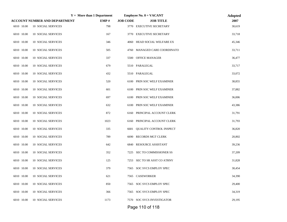|            |                                      | $Y =$ More than 1 Department |                 | <b>Employee No. <math>0 = VACANT</math></b> | Adopted |  |
|------------|--------------------------------------|------------------------------|-----------------|---------------------------------------------|---------|--|
|            | <b>ACCOUNT NUMBER AND DEPARTMENT</b> | EMP#                         | <b>JOB CODE</b> | <b>JOB TITLE</b>                            | 2007    |  |
| 6010 10.00 | <b>10 SOCIAL SERVICES</b>            | 798                          |                 | 3770 EXECUTIVE SECRETARY                    | 30,619  |  |
| 6010 10.00 | <b>10 SOCIAL SERVICES</b>            | 167                          |                 | 3770 EXECUTIVE SECRETARY                    | 33,718  |  |
| 6010 10.00 | 10 SOCIAL SERVICES                   | 346                          |                 | 4060 HEAD SOCIAL WELFARE EX                 | 45,346  |  |
| 6010 10.00 | 10 SOCIAL SERVICES                   | 505                          |                 | 4760 MANAGED CARE COORDINATO                | 33,711  |  |
| 6010 10.00 | <b>10 SOCIAL SERVICES</b>            | 337                          |                 | 5500 OFFICE MANAGER                         | 36,477  |  |
| 6010 10.00 | <b>10 SOCIAL SERVICES</b>            | 679                          |                 | 5510 PARALEGAL                              | 33,717  |  |
| 6010 10.00 | 10 SOCIAL SERVICES                   | 432                          |                 | 5510 PARALEGAL                              | 33,072  |  |
| 6010 10.00 | <b>10 SOCIAL SERVICES</b>            | 520                          |                 | 6100 PRIN SOC WELF EXAMINER                 | 38,855  |  |
| 6010 10.00 | 10 SOCIAL SERVICES                   | 601                          |                 | 6100 PRIN SOC WELF EXAMINER                 | 37,882  |  |
| 6010 10.00 | <b>10 SOCIAL SERVICES</b>            | 697                          |                 | 6100 PRIN SOC WELF EXAMINER                 | 36,006  |  |
| 6010 10.00 | <b>10 SOCIAL SERVICES</b>            | 632                          |                 | 6100 PRIN SOC WELF EXAMINER                 | 43,386  |  |
| 6010 10.00 | 10 SOCIAL SERVICES                   | 872                          |                 | 6160 PRINCIPAL ACCOUNT CLERK                | 31,791  |  |
| 6010 10.00 | 10 SOCIAL SERVICES                   | 1023                         |                 | 6160 PRINCIPAL ACCOUNT CLERK                | 31,793  |  |
| 6010 10.00 | 10 SOCIAL SERVICES                   | 335                          |                 | 6681 QUALITY CONTROL INSPECT                | 36,820  |  |
| 6010 10.00 | 10 SOCIAL SERVICES                   | 789                          |                 | 6690 RECORDS MGT CLERK                      | 20,802  |  |
| 6010 10.00 | <b>10 SOCIAL SERVICES</b>            | 642                          |                 | 6840 RESOURCE ASSISTANT                     | 39,236  |  |
| 6010 10.00 | 10 SOCIAL SERVICES                   | 352                          |                 | 7225 SEC TO COMMISSIONER SS                 | 37,209  |  |
| 6010 10.00 | <b>10 SOCIAL SERVICES</b>            | 125                          |                 | 7253 SEC TO SR ASST CO ATRNY                | 31,828  |  |
| 6010 10.00 | <b>10 SOCIAL SERVICES</b>            | 379                          |                 | 7565 SOC SVCS EMPLOY SPEC                   | 30,454  |  |
| 6010 10.00 | <b>10 SOCIAL SERVICES</b>            | 621                          |                 | 7565 CASEWORKER                             | 34,390  |  |
| 6010 10.00 | <b>10 SOCIAL SERVICES</b>            | 850                          | 7565            | <b>SOC SVCS EMPLOY SPEC</b>                 | 29,400  |  |
| 6010 10.00 | <b>10 SOCIAL SERVICES</b>            | 366                          |                 | 7565 SOC SVCS EMPLOY SPEC                   | 34,319  |  |
| 6010 10.00 | 10 SOCIAL SERVICES                   | 1173                         |                 | 7570 SOC SVCS INVESTIGATOR                  | 29,195  |  |
|            |                                      |                              |                 | Page 110 of 118                             |         |  |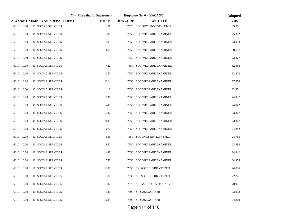|            |                                      | $Y =$ More than 1 Department |                 | <b>Employee No. <math>0 = VACANT</math></b> | Adopted |
|------------|--------------------------------------|------------------------------|-----------------|---------------------------------------------|---------|
|            | <b>ACCOUNT NUMBER AND DEPARTMENT</b> | EMP#                         | <b>JOB CODE</b> | <b>JOB TITLE</b>                            | 2007    |
| 6010 10.00 | <b>10 SOCIAL SERVICES</b>            | 351                          |                 | 7570 SOC SVCS INVESTIGATOR                  | 33,051  |
| 6010 10.00 | 10 SOCIAL SERVICES                   | 700                          |                 | 7650 SOC WELFARE EXAMINER                   | 25,382  |
| 6010 10.00 | 10 SOCIAL SERVICES                   | 703                          |                 | 7650 SOC WELFARE EXAMINER                   | 23,898  |
| 6010 10.00 | 10 SOCIAL SERVICES                   | 666                          |                 | 7650 SOC WELFARE EXAMINER                   | 30,617  |
| 6010 10.00 | <b>10 SOCIAL SERVICES</b>            | $\boldsymbol{0}$             |                 | 7650 SOC WELFARE EXAMINER                   | 23,377  |
| 6010 10.00 | <b>10 SOCIAL SERVICES</b>            | 422                          |                 | 7650 SOC WELFARE EXAMINER                   | 32,358  |
| 6010 10.00 | 10 SOCIAL SERVICES                   | 397                          |                 | 7650 SOC WELFARE EXAMINER                   | 32,272  |
| 6010 10.00 | 10 SOCIAL SERVICES                   | 1314                         |                 | 7650 SOC WELFARE EXAMINER                   | 27,676  |
| 6010 10.00 | <b>10 SOCIAL SERVICES</b>            | $\boldsymbol{0}$             |                 | 7650 SOC WELFARE EXAMINER                   | 22,871  |
| 6010 10.00 | <b>10 SOCIAL SERVICES</b>            | 736                          |                 | 7650 SOC WELFARE EXAMINER                   | 24,842  |
| 6010 10.00 | <b>10 SOCIAL SERVICES</b>            | 405                          |                 | 7650 SOC WELFARE EXAMINER                   | 24,842  |
| 6010 10.00 | 10 SOCIAL SERVICES                   | 707                          |                 | 7650 SOC WELFARE EXAMINER                   | 23,377  |
| 6010 10.00 | <b>10 SOCIAL SERVICES</b>            | 1096                         |                 | 7650 SOC WELFARE EXAMINER                   | 23,377  |
| 6010 10.00 | 10 SOCIAL SERVICES                   | 676                          |                 | 7650 SOC WELFARE EXAMINER                   | 24,842  |
| 6010 10.00 | 10 SOCIAL SERVICES                   | 535                          |                 | 7650 SOC SVCS EMPLOY SPEC                   | 28,753  |
| 6010 10.00 | <b>10 SOCIAL SERVICES</b>            | 837                          |                 | 7650 SOC WELFARE EXAMINER                   | 23,898  |
| 6010 10.00 | <b>10 SOCIAL SERVICES</b>            | 448                          |                 | 7650 SOC WELFARE EXAMINER                   | 24,842  |
| 6010 10.00 | 10 SOCIAL SERVICES                   | 550                          |                 | 7650 SOC WELFARE EXAMINER                   | 24,955  |
| 6010 10.00 | <b>10 SOCIAL SERVICES</b>            | 1309                         |                 | 7830 SR ACCT CLERK - TYPIST                 | 24,096  |
| 6010 10.00 | 10 SOCIAL SERVICES                   | 787                          |                 | 7830 SR ACCT CLERK - TYPIST                 | 22,221  |
| 6010 10.00 | <b>10 SOCIAL SERVICES</b>            | 382                          | 7875            | SR. ASST. CO. ATTORNEY                      | 70,011  |
| 6010 10.00 | 10 SOCIAL SERVICES                   | 530                          |                 | 7890 SR CASEWORKER                          | 33,908  |
| 6010 10.00 | 10 SOCIAL SERVICES                   | 1235                         |                 | 7890 SR CASEWORKER                          | 34,860  |
|            |                                      |                              |                 | Page 111 of 118                             |         |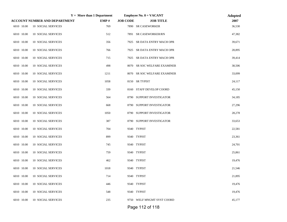|            |                               | $Y =$ More than 1 Department |                 | <b>Employee No. <math>0 = VACANT</math></b> | <b>Adopted</b> |  |
|------------|-------------------------------|------------------------------|-----------------|---------------------------------------------|----------------|--|
|            | ACCOUNT NUMBER AND DEPARTMENT | EMP#                         | <b>JOB CODE</b> | <b>JOB TITLE</b>                            | 2007           |  |
| 6010 10.00 | <b>10 SOCIAL SERVICES</b>     | 769                          |                 | 7890 SR CASEWORKER                          | 36,530         |  |
| 6010 10.00 | 10 SOCIAL SERVICES            | 512                          |                 | 7891 SR CASEWORKER/RN                       | 47,382         |  |
| 6010 10.00 | 10 SOCIAL SERVICES            | 356                          |                 | 7925 SR DATA ENTRY MACH OPR                 | 39,671         |  |
| 6010 10.00 | 10 SOCIAL SERVICES            | 766                          |                 | 7925 SR DATA ENTRY MACH OPR                 | 28,895         |  |
| 6010 10.00 | <b>10 SOCIAL SERVICES</b>     | 715                          |                 | 7925 SR DATA ENTRY MACH OPR                 | 39,414         |  |
| 6010 10.00 | <b>10 SOCIAL SERVICES</b>     | 498                          |                 | 8070 SR SOC WELFARE EXAMINER                | 38,506         |  |
| 6010 10.00 | 10 SOCIAL SERVICES            | 1211                         |                 | 8070 SR SOC WELFARE EXAMINER                | 33,099         |  |
| 6010 10.00 | 10 SOCIAL SERVICES            | 1058                         |                 | 8150 SR TYPIST                              | 24,117         |  |
| 6010 10.00 | 10 SOCIAL SERVICES            | 339                          |                 | 8160 STAFF DEVELOP COORD                    | 45,150         |  |
| 6010 10.00 | <b>10 SOCIAL SERVICES</b>     | 564                          |                 | 8790 SUPPORT INVESTIGATOR                   | 34,185         |  |
| 6010 10.00 | <b>10 SOCIAL SERVICES</b>     | 668                          |                 | 8790 SUPPORT INVESTIGATOR                   | 27,296         |  |
| 6010 10.00 | 10 SOCIAL SERVICES            | 1050                         |                 | 8790 SUPPORT INVESTIGATOR                   | 28,278         |  |
| 6010 10.00 | <b>10 SOCIAL SERVICES</b>     | 387                          |                 | 8790 SUPPORT INVESTIGATOR                   | 33,653         |  |
| 6010 10.00 | 10 SOCIAL SERVICES            | 704                          |                 | 9340 TYPIST                                 | 22,581         |  |
| 6010 10.00 | 10 SOCIAL SERVICES            | 899                          |                 | 9340 TYPIST                                 | 23,361         |  |
| 6010 10.00 | <b>10 SOCIAL SERVICES</b>     | 745                          |                 | 9340 TYPIST                                 | 24,701         |  |
| 6010 10.00 | 10 SOCIAL SERVICES            | 759                          |                 | 9340 TYPIST                                 | 25,861         |  |
| 6010 10.00 | <b>10 SOCIAL SERVICES</b>     | 462                          |                 | 9340 TYPIST                                 | 19,476         |  |
| 6010 10.00 | <b>10 SOCIAL SERVICES</b>     | 1018                         |                 | 9340 TYPIST                                 | 21,546         |  |
|            | 6010 10.00 10 SOCIAL SERVICES | 714                          |                 | 9340 TYPIST                                 | 21,895         |  |
| 6010 10.00 | <b>10 SOCIAL SERVICES</b>     | 446                          |                 | 9340 TYPIST                                 | 19,476         |  |
| 6010 10.00 | 10 SOCIAL SERVICES            | 548                          |                 | 9340 TYPIST                                 | 19,476         |  |
| 6010 10.00 | 10 SOCIAL SERVICES            | 235                          |                 | 9750 WELF MNGMT SYST COORD                  | 45,177         |  |
|            |                               |                              |                 | Page 112 of 118                             |                |  |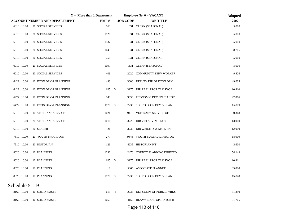|                |  |                                      | $Y = More than 1 Department$ |                 | <b>Employee No. <math>0 = VACANT</math></b> | Adopted |
|----------------|--|--------------------------------------|------------------------------|-----------------|---------------------------------------------|---------|
|                |  | <b>ACCOUNT NUMBER AND DEPARTMENT</b> | EMP#                         | <b>JOB CODE</b> | <b>JOB TITLE</b>                            | 2007    |
| 6010 10.00     |  | <b>20 SOCIAL SERVICES</b>            | 963                          |                 | 1631 CLERK (SEASONAL)                       | 5,000   |
| 6010 10.00     |  | 20 SOCIAL SERVICES                   | 1120                         |                 | 1631 CLERK (SEASONAL)                       | 5,000   |
| 6010 10.00     |  | 20 SOCIAL SERVICES                   | 1137                         |                 | 1631 CLERK (SEASONAL)                       | 5,000   |
| 6010 10.00     |  | 20 SOCIAL SERVICES                   | 1043                         |                 | 1631 CLERK (SEASONAL)                       | 8,766   |
| 6010 10.00     |  | 20 SOCIAL SERVICES                   | 755                          |                 | 1631 CLERK (SEASONAL)                       | 5,000   |
| 6010 10.00     |  | 20 SOCIAL SERVICES                   | 1097                         |                 | 1631 CLERK (SEASONAL)                       | 5,000   |
| 6010 10.00     |  | 20 SOCIAL SERVICES                   | 409                          |                 | 2020 COMMUNITY SERV WORKER                  | 9,426   |
| 6422 10.00     |  | 10 ECON DEV & PLANNING               | 493                          |                 | 3000 DEPUTY DIR OF ECON DEV                 | 49,605  |
| 6422 10.00     |  | 10 ECON DEV & PLANNING               | 625                          | Y               | 3175 DIR REAL PROP TAX SVC I                | 10,810  |
| 6422 10.00     |  | 10 ECON DEV & PLANNING               | 948                          |                 | 3633 ECONOMIC DEV SPECIALIST                | 42,816  |
| 6422 10.00     |  | 10 ECON DEV & PLANNING               | 1170 Y                       |                 | 7235 SEC TO ECON DEV & PLAN                 | 15,879  |
| 6510 10.00     |  | 10 VETERANS SERVICE                  | 1024                         |                 | 9410 VETERAN'S SERVICE OFF                  | 30,348  |
| 6510 10.00     |  | 20 VETERANS SERVICE                  | 1016                         |                 | 3225 DIR VET SRV AGENCY                     | 13,000  |
| 6610 10.00     |  | 20 SEALER                            | 21                           |                 | 3230 DIR WEIGHTS & MSRS I PT                | 12,000  |
| 7310 10.00     |  | 20 YOUTH PROGRAMS                    | 277                          |                 | 9845 YOUTH BUREAU DIRECTOR                  | 18,000  |
| 7510 10.00     |  | 20 HISTORIAN                         | 126                          |                 | 4235 HISTORIAN P/T                          | 3,600   |
| 8020 10.00     |  | 10 PLANNING                          | 1296                         |                 | 2470 COUNTY PLANNING DIRECTO                | 54,149  |
| 8020 10.00     |  | 10 PLANNING                          | 625                          | $\mathbf{Y}$    | 3175 DIR REAL PROP TAX SVC I                | 10,811  |
| 8020 10.00     |  | 10 PLANNING                          | $\overline{0}$               |                 | 5865 ASSOCIATE PLANNER                      | 35,000  |
|                |  | 8020 10.00 10 PLANNING               | 1170 Y                       |                 | 7235 SEC TO ECON DEV & PLAN                 | 15,878  |
| Schedule 5 - B |  |                                      |                              |                 |                                             |         |
| 8160 10.00     |  | 10 SOLID WASTE                       | 619 Y                        |                 | 2733 DEP COMM OF PUBLIC WRKS                | 31,350  |
| 8160 10.00     |  | 10 SOLID WASTE                       | 1053                         |                 | 4150 HEAVY EQUIP OPERATOR II                | 31,705  |
|                |  |                                      |                              |                 | Page 113 of 118                             |         |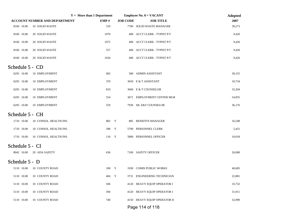|                 |                                      | $Y =$ More than 1 Department |                 | <b>Employee No. <math>0 = VACANT</math></b> | <b>Adopted</b> |
|-----------------|--------------------------------------|------------------------------|-----------------|---------------------------------------------|----------------|
|                 | <b>ACCOUNT NUMBER AND DEPARTMENT</b> | EMP#                         | <b>JOB CODE</b> | <b>JOB TITLE</b>                            | 2007           |
| 8160 10.00      | 10 SOLID WASTE                       | 510                          |                 | 7700 SOLID WASTE MANAGER                    | 39,273         |
| 8160 10.00      | 20 SOLID WASTE                       | 1070                         |                 | 400 ACCT CLERK - TYPIST P/T                 | 9,426          |
| 8160 10.00      | 20 SOLID WASTE                       | 1072                         |                 | 400 ACCT CLERK - TYPIST P/T                 | 9,426          |
| 8160 10.00      | 20 SOLID WASTE                       | 557                          |                 | 400 ACCT CLERK - TYPIST P/T                 | 9,426          |
| 8160 10.00      | 20 SOLID WASTE                       | 1034                         |                 | 400 ACCT CLERK - TYPIST P/T                 | 9,426          |
| Schedule 5 - CD |                                      |                              |                 |                                             |                |
| 6293 10.00      | 10 EMPLOYMENT                        | 682                          |                 | 500 ADMIN ASSISTANT                         | 30,155         |
| 6293 10.00      | 10 EMPLOYMENT                        | 370                          |                 | 3650 E & T ASSISTANT                        | 10,734         |
| 6293 10.00      | 10 EMPLOYMENT                        | 819                          |                 | 3660 E & T COUNSELOR                        | 33,204         |
| 6293 10.00      | 10 EMPLOYMENT                        | 554                          |                 | 3671 EMPLOYMENT CENTER MGR                  | 54,855         |
| 6293 10.00      | 10 EMPLOYMENT                        | 559                          |                 | 7930 SR. E&T COUNSELOR                      | 36,176         |
| Schedule 5 - CH |                                      |                              |                 |                                             |                |
| 1710 10.00      | 10 CONSOL. HEALTH INS.               | 882 Y                        |                 | 885 BENEFITS MANAGER                        | 16,548         |
| 1710 10.00      | 10 CONSOL. HEALTH INS.               | 398 Y                        |                 | 5790 PERSONNEL CLERK                        | 5,451          |
| 1710 10.00      | 10 CONSOL. HEALTH INS.               | 110 Y                        |                 | 5800 PERSONNEL OFFICER                      | 10,018         |
| Schedule 5 - CI |                                      |                              |                 |                                             |                |
| 8042 10.00      | 20 ADA SAFETY                        | 636                          |                 | 7100 SAFETY OFFICER                         | 26,000         |
| Schedule 5 - D  |                                      |                              |                 |                                             |                |
| 5110 10.00      | <b>10 COUNTY ROAD</b>                | 100 Y                        |                 | 1930 COMIS PUBLIC WORKS                     | 40,685         |
|                 | 5110 10.00 10 COUNTY ROAD            | 404 Y                        |                 | 3731 ENGINEERING TECHNICIAN                 | 22,881         |
| 5110 10.00      | 10 COUNTY ROAD                       | 506                          |                 | 4120 HEAVY EQUIP OPERATOR I                 | 33,732         |
| 5110 10.00      | 10 COUNTY ROAD                       | 394                          |                 | 4120 HEAVY EQUIP OPERATOR I                 | 31,911         |
| 5110 10.00      | <b>10 COUNTY ROAD</b>                | 740                          |                 | 4150 HEAVY EQUIP OPERATOR II                | 32,990         |
|                 |                                      |                              |                 | Page 114 of 118                             |                |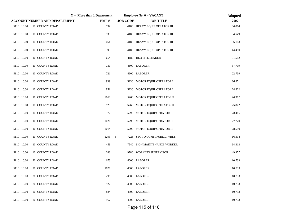| $Y =$ More than 1 Department |            |                                      |        | <b>Employee No. <math>0 = VACANT</math></b> | Adopted                      |        |
|------------------------------|------------|--------------------------------------|--------|---------------------------------------------|------------------------------|--------|
|                              |            | <b>ACCOUNT NUMBER AND DEPARTMENT</b> | EMP#   | <b>JOB CODE</b>                             | <b>JOB TITLE</b>             | 2007   |
| 5110 10.00                   |            | 10 COUNTY ROAD                       | 532    |                                             | 4180 HEAVY EQUIP OPRATOR III | 36,064 |
| 5110 10.00                   |            | 10 COUNTY ROAD                       | 539    |                                             | 4180 HEAVY EQUIP OPRATOR III | 34,549 |
| 5110 10.00                   |            | 10 COUNTY ROAD                       | 664    |                                             | 4180 HEAVY EQUIP OPRATOR III | 36,113 |
| 5110 10.00                   |            | 10 COUNTY ROAD                       | 995    |                                             | 4180 HEAVY EQUIP OPRATOR III | 44,490 |
| 5110 10.00                   |            | 10 COUNTY ROAD                       | 654    |                                             | 4185 HEO SITE LEADER         | 51,512 |
| 5110 10.00                   |            | 10 COUNTY ROAD                       | 730    |                                             | 4600 LABORER                 | 37,719 |
| 5110 10.00                   |            | 10 COUNTY ROAD                       | 721    |                                             | 4600 LABORER                 | 22,739 |
| 5110 10.00                   |            | 10 COUNTY ROAD                       | 939    |                                             | 5230 MOTOR EQUIP OPERATOR I  | 26,871 |
| 5110 10.00                   |            | 10 COUNTY ROAD                       | 851    |                                             | 5230 MOTOR EQUIP OPERATOR I  | 24,822 |
| 5110 10.00                   |            | 10 COUNTY ROAD                       | 1069   |                                             | 5260 MOTOR EQUIP OPERATOR II | 26,317 |
| 5110 10.00                   |            | 10 COUNTY ROAD                       | 829    |                                             | 5260 MOTOR EQUIP OPERATOR II | 25,872 |
| 5110 10.00                   |            | 10 COUNTY ROAD                       | 972    |                                             | 5290 MOTOR EQUIP OPRATOR III | 28,486 |
| 5110 10.00                   |            | 10 COUNTY ROAD                       | 1026   |                                             | 5290 MOTOR EQUIP OPRATOR III | 27,770 |
| 5110 10.00                   |            | 10 COUNTY ROAD                       | 1014   |                                             | 5290 MOTOR EQUIP OPRATOR III | 28,550 |
| 5110 10.00                   |            | 10 COUNTY ROAD                       | 1293 Y |                                             | 7223 SEC TO COMM PUBLIC WRKS | 16,314 |
| 5110 10.00                   |            | 10 COUNTY ROAD                       | 459    |                                             | 7540 SIGN MAINTENANCE WORKER | 34,313 |
| 5110 10.00                   |            | 10 COUNTY ROAD                       | 288    |                                             | 9780 WORKING SUPERVISOR      | 49,977 |
| 5110 10.00                   |            | 20 COUNTY ROAD                       | 673    |                                             | 4600 LABORER                 | 10,733 |
| 5110 10.00                   |            | 20 COUNTY ROAD                       | 1020   |                                             | 4600 LABORER                 | 10,733 |
|                              | 5110 10.00 | 20 COUNTY ROAD                       | 299    |                                             | 4600 LABORER                 | 10,733 |
| 5110 10.00                   |            | 20 COUNTY ROAD                       | 922    |                                             | 4600 LABORER                 | 10,733 |
| 5110 10.00                   |            | 20 COUNTY ROAD                       | 884    |                                             | 4600 LABORER                 | 10,733 |
| 5110 10.00                   |            | 20 COUNTY ROAD                       | 967    |                                             | 4600 LABORER                 | 10,733 |

Page 115 of 118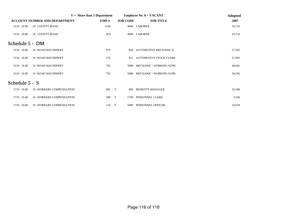|                                        |                         | $Y =$ More than 1 Department |                     | <b>Employee No. <math>0 = VACANT</math></b> | <b>Adopted</b> |
|----------------------------------------|-------------------------|------------------------------|---------------------|---------------------------------------------|----------------|
| <b>ACCOUNT NUMBER AND DEPARTMENT</b>   |                         | EMP#                         | <b>JOB CODE</b>     | <b>JOB TITLE</b>                            | 2007           |
| 20 COUNTY ROAD<br>5110 10.00           |                         | 1194                         |                     | 4600 LABORER                                | 10,733         |
| 20 COUNTY ROAD<br>5110 10.00           |                         | 854                          |                     | 4600 LABORER                                | 10,733         |
| Schedule 5 - DM                        |                         |                              |                     |                                             |                |
| <b>10 ROAD MACHINERY</b><br>5130 10.00 |                         | 879                          |                     | 850 AUTOMOTIVE MECHANIC II                  | 27,502         |
| 10 ROAD MACHINERY<br>5130 10.00        |                         | 274                          | 851                 | AUTOMOTIVE STOCK CLERK                      | 51,993         |
| 5130 10.00<br><b>10 ROAD MACHINERY</b> |                         | 762                          | 5000                | <b>MECHANIC / WORKING SUPR</b>              | 49,641         |
| 5130 10.00<br><b>10 ROAD MACHINERY</b> |                         | 793                          | 5000                | MECHANIC / WORKING SUPR                     | 36,556         |
| Schedule 5 - S                         |                         |                              |                     |                                             |                |
| 1710 10.00                             | 10 WORKERS COMPENSATION | 882                          | $\mathbf{Y}$<br>885 | <b>BENEFITS MANAGER</b>                     | 16,548         |
| 1710 10.00                             | 10 WORKERS COMPENSATION | 398                          | Y<br>5790           | PERSONNEL CLERK                             | 5,450          |
| 1710 10.00                             | 10 WORKERS COMPENSATION | 110                          | Y                   | 5800 PERSONNEL OFFICER                      | 10,018         |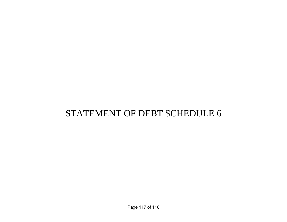## STATEMENT OF DEBT SCHEDULE 6